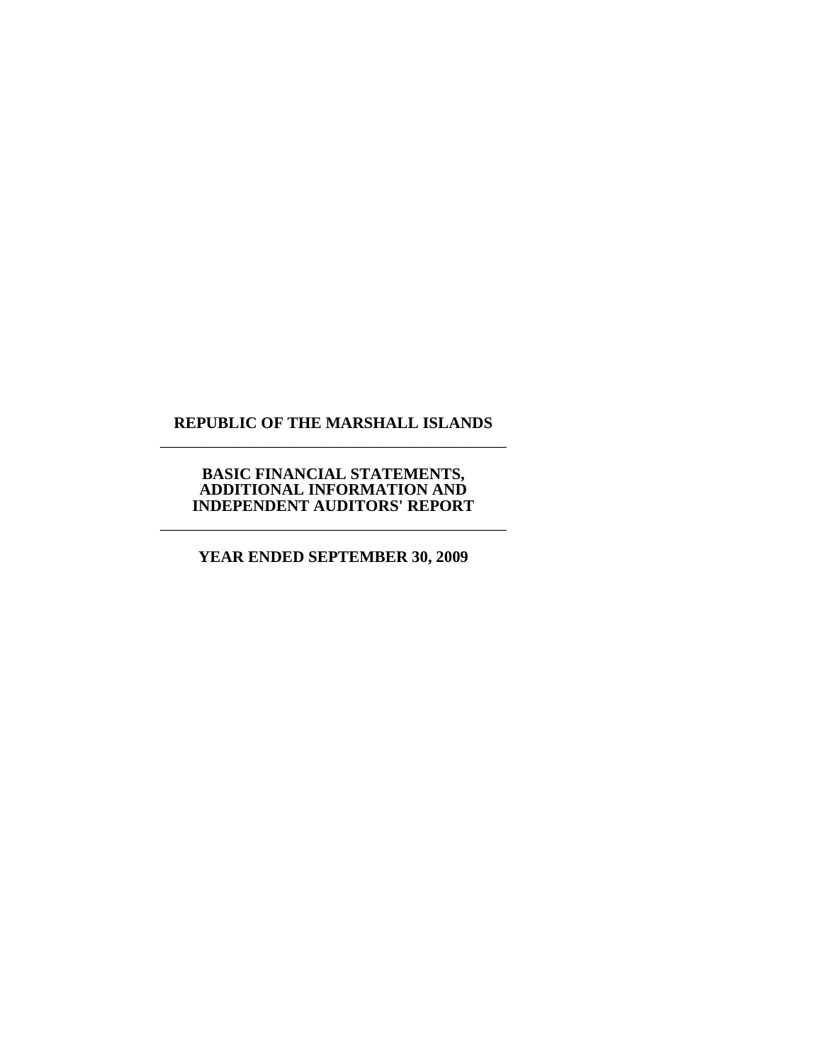# **REPUBLIC OF THE MARSHALL ISLANDS** \_\_\_\_\_\_\_\_\_\_\_\_\_\_\_\_\_\_\_\_\_\_\_\_\_\_\_\_\_\_\_\_\_\_\_\_\_\_\_\_\_\_\_

#### **BASIC FINANCIAL STATEMENTS, ADDITIONAL INFORMATION AND INDEPENDENT AUDITORS' REPORT**

\_\_\_\_\_\_\_\_\_\_\_\_\_\_\_\_\_\_\_\_\_\_\_\_\_\_\_\_\_\_\_\_\_\_\_\_\_\_\_\_\_\_\_

**YEAR ENDED SEPTEMBER 30, 2009**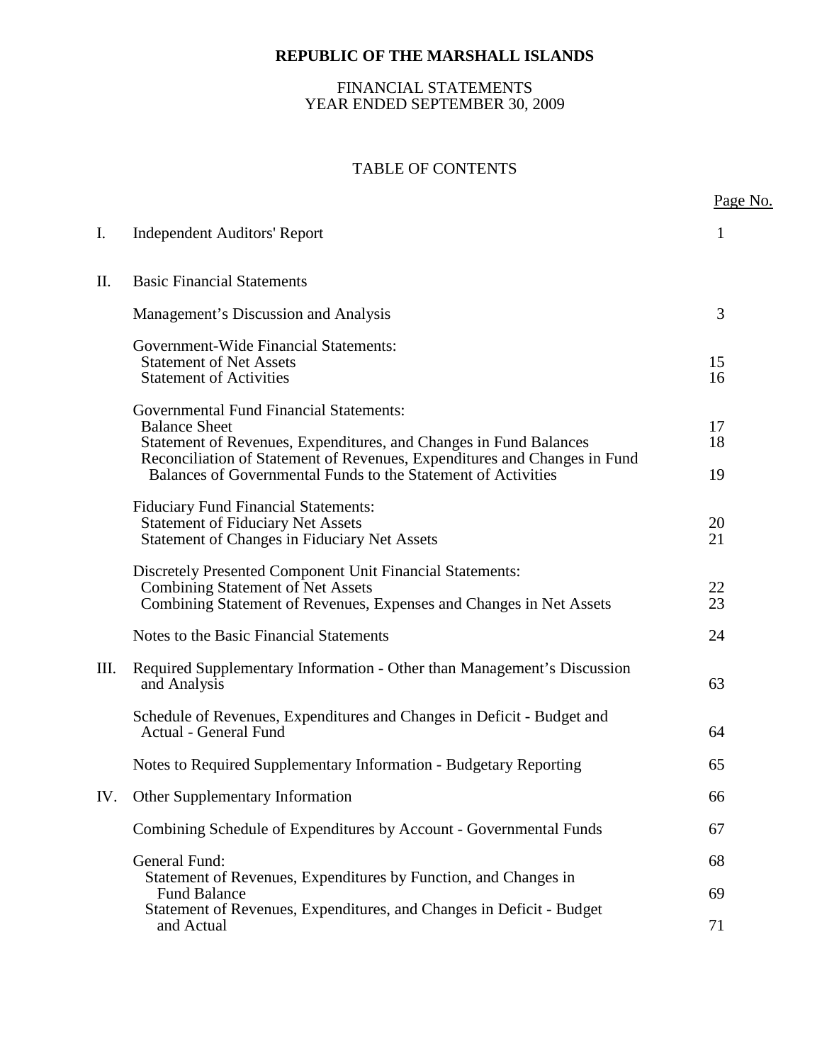# FINANCIAL STATEMENTS YEAR ENDED SEPTEMBER 30, 2009

#### TABLE OF CONTENTS

|      |                                                                                                                                                                                                                                                                                           | Page No.       |
|------|-------------------------------------------------------------------------------------------------------------------------------------------------------------------------------------------------------------------------------------------------------------------------------------------|----------------|
| I.   | <b>Independent Auditors' Report</b>                                                                                                                                                                                                                                                       | 1              |
| Π.   | <b>Basic Financial Statements</b>                                                                                                                                                                                                                                                         |                |
|      | Management's Discussion and Analysis                                                                                                                                                                                                                                                      | 3              |
|      | Government-Wide Financial Statements:<br><b>Statement of Net Assets</b><br><b>Statement of Activities</b>                                                                                                                                                                                 | 15<br>16       |
|      | <b>Governmental Fund Financial Statements:</b><br><b>Balance Sheet</b><br>Statement of Revenues, Expenditures, and Changes in Fund Balances<br>Reconciliation of Statement of Revenues, Expenditures and Changes in Fund<br>Balances of Governmental Funds to the Statement of Activities | 17<br>18<br>19 |
|      | <b>Fiduciary Fund Financial Statements:</b><br><b>Statement of Fiduciary Net Assets</b><br><b>Statement of Changes in Fiduciary Net Assets</b>                                                                                                                                            | 20<br>21       |
|      | Discretely Presented Component Unit Financial Statements:<br><b>Combining Statement of Net Assets</b><br>Combining Statement of Revenues, Expenses and Changes in Net Assets                                                                                                              | 22<br>23       |
|      | Notes to the Basic Financial Statements                                                                                                                                                                                                                                                   | 24             |
| III. | Required Supplementary Information - Other than Management's Discussion<br>and Analysis                                                                                                                                                                                                   | 63             |
|      | Schedule of Revenues, Expenditures and Changes in Deficit - Budget and<br><b>Actual - General Fund</b>                                                                                                                                                                                    | 64             |
|      | Notes to Required Supplementary Information - Budgetary Reporting                                                                                                                                                                                                                         | 65             |
| IV.  | Other Supplementary Information                                                                                                                                                                                                                                                           | 66             |
|      | Combining Schedule of Expenditures by Account - Governmental Funds                                                                                                                                                                                                                        | 67             |
|      | General Fund:                                                                                                                                                                                                                                                                             | 68             |
|      | Statement of Revenues, Expenditures by Function, and Changes in<br><b>Fund Balance</b>                                                                                                                                                                                                    | 69             |
|      | Statement of Revenues, Expenditures, and Changes in Deficit - Budget<br>and Actual                                                                                                                                                                                                        | 71             |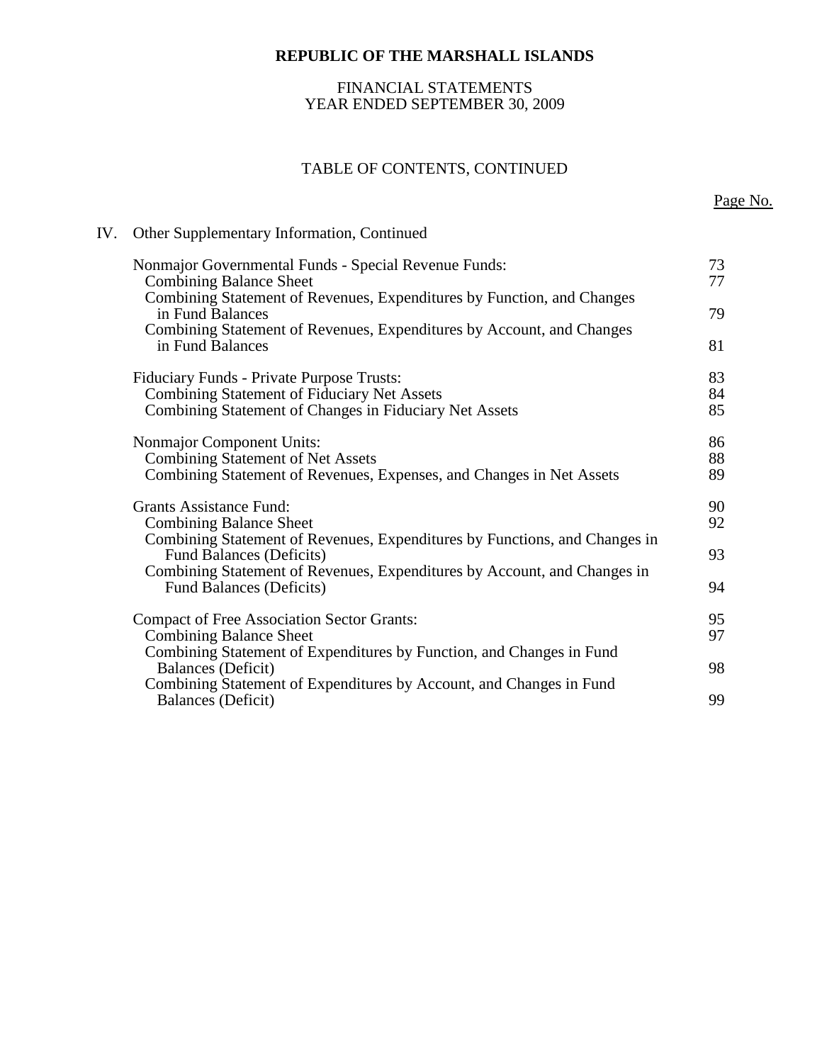## FINANCIAL STATEMENTS YEAR ENDED SEPTEMBER 30, 2009

# TABLE OF CONTENTS, CONTINUED

# IV. Other Supplementary Information, Continued

| Nonmajor Governmental Funds - Special Revenue Funds:<br><b>Combining Balance Sheet</b>                                                                                                    | 73<br>77       |
|-------------------------------------------------------------------------------------------------------------------------------------------------------------------------------------------|----------------|
| Combining Statement of Revenues, Expenditures by Function, and Changes<br>in Fund Balances                                                                                                | 79             |
| Combining Statement of Revenues, Expenditures by Account, and Changes<br>in Fund Balances                                                                                                 | 81             |
| Fiduciary Funds - Private Purpose Trusts:<br>Combining Statement of Fiduciary Net Assets<br>Combining Statement of Changes in Fiduciary Net Assets                                        | 83<br>84<br>85 |
| Nonmajor Component Units:<br><b>Combining Statement of Net Assets</b><br>Combining Statement of Revenues, Expenses, and Changes in Net Assets                                             | 86<br>88<br>89 |
| <b>Grants Assistance Fund:</b><br><b>Combining Balance Sheet</b>                                                                                                                          | 90<br>92       |
| Combining Statement of Revenues, Expenditures by Functions, and Changes in<br><b>Fund Balances (Deficits)</b><br>Combining Statement of Revenues, Expenditures by Account, and Changes in | 93             |
| <b>Fund Balances (Deficits)</b>                                                                                                                                                           | 94             |
| <b>Compact of Free Association Sector Grants:</b><br><b>Combining Balance Sheet</b>                                                                                                       | 95<br>97       |
| Combining Statement of Expenditures by Function, and Changes in Fund<br>Balances (Deficit)                                                                                                | 98             |
| Combining Statement of Expenditures by Account, and Changes in Fund<br>Balances (Deficit)                                                                                                 | 99             |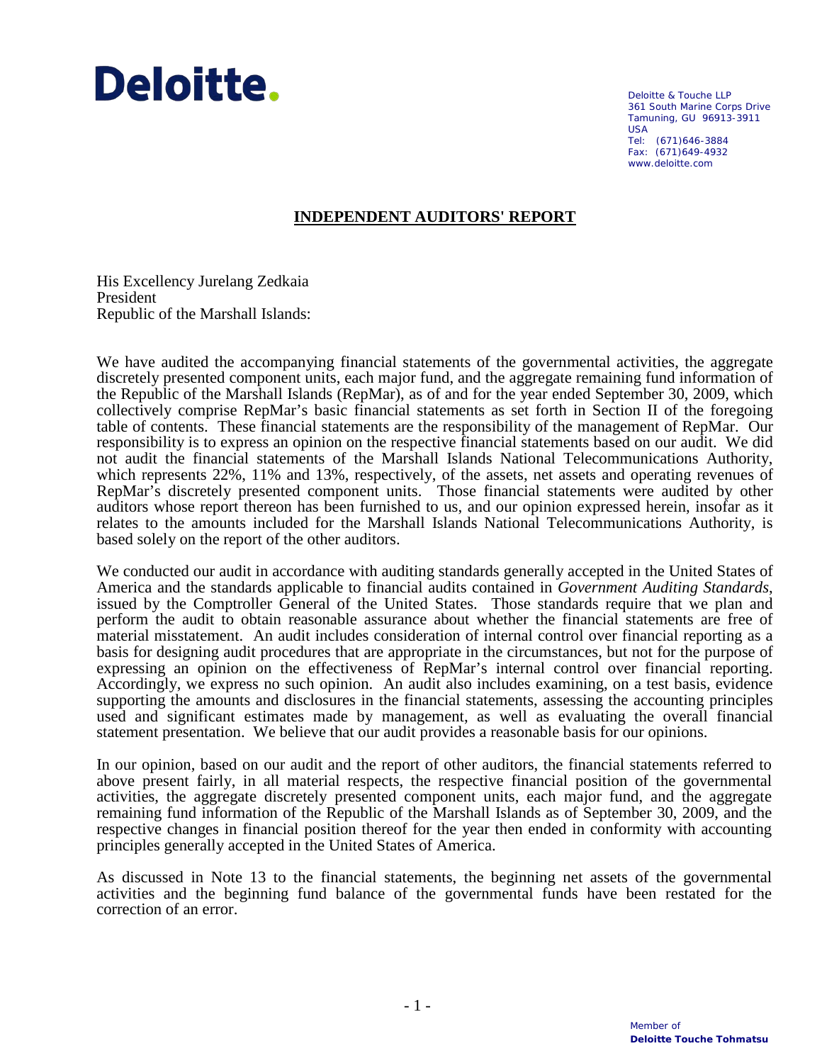# Deloitte.

Deloitte & Touche LLP 361 South Marine Corps Drive Tamuning, GU 96913-3911 USA Tel: (671)646-3884 Fax: (671)649-4932 www.deloitte.com

# **INDEPENDENT AUDITORS' REPORT**

His Excellency Jurelang Zedkaia President Republic of the Marshall Islands:

We have audited the accompanying financial statements of the governmental activities, the aggregate discretely presented component units, each major fund, and the aggregate remaining fund information of the Republic of the Marshall Islands (RepMar), as of and for the year ended September 30, 2009, which collectively comprise RepMar's basic financial statements as set forth in Section II of the foregoing table of contents. These financial statements are the responsibility of the management of RepMar. Our responsibility is to express an opinion on the respective financial statements based on our audit. We did not audit the financial statements of the Marshall Islands National Telecommunications Authority, which represents 22%, 11% and 13%, respectively, of the assets, net assets and operating revenues of RepMar's discretely presented component units. Those financial statements were audited by other auditors whose report thereon has been furnished to us, and our opinion expressed herein, insofar as it relates to the amounts included for the Marshall Islands National Telecommunications Authority, is based solely on the report of the other auditors.

We conducted our audit in accordance with auditing standards generally accepted in the United States of America and the standards applicable to financial audits contained in *Government Auditing Standards*, issued by the Comptroller General of the United States. Those standards require that we plan and perform the audit to obtain reasonable assurance about whether the financial statements are free of material misstatement. An audit includes consideration of internal control over financial reporting as a basis for designing audit procedures that are appropriate in the circumstances, but not for the purpose of expressing an opinion on the effectiveness of RepMar's internal control over financial reporting. Accordingly, we express no such opinion. An audit also includes examining, on a test basis, evidence supporting the amounts and disclosures in the financial statements, assessing the accounting principles used and significant estimates made by management, as well as evaluating the overall financial statement presentation. We believe that our audit provides a reasonable basis for our opinions.

In our opinion, based on our audit and the report of other auditors, the financial statements referred to above present fairly, in all material respects, the respective financial position of the governmental activities, the aggregate discretely presented component units, each major fund, and the aggregate remaining fund information of the Republic of the Marshall Islands as of September 30, 2009, and the respective changes in financial position thereof for the year then ended in conformity with accounting principles generally accepted in the United States of America.

As discussed in Note 13 to the financial statements, the beginning net assets of the governmental activities and the beginning fund balance of the governmental funds have been restated for the correction of an error.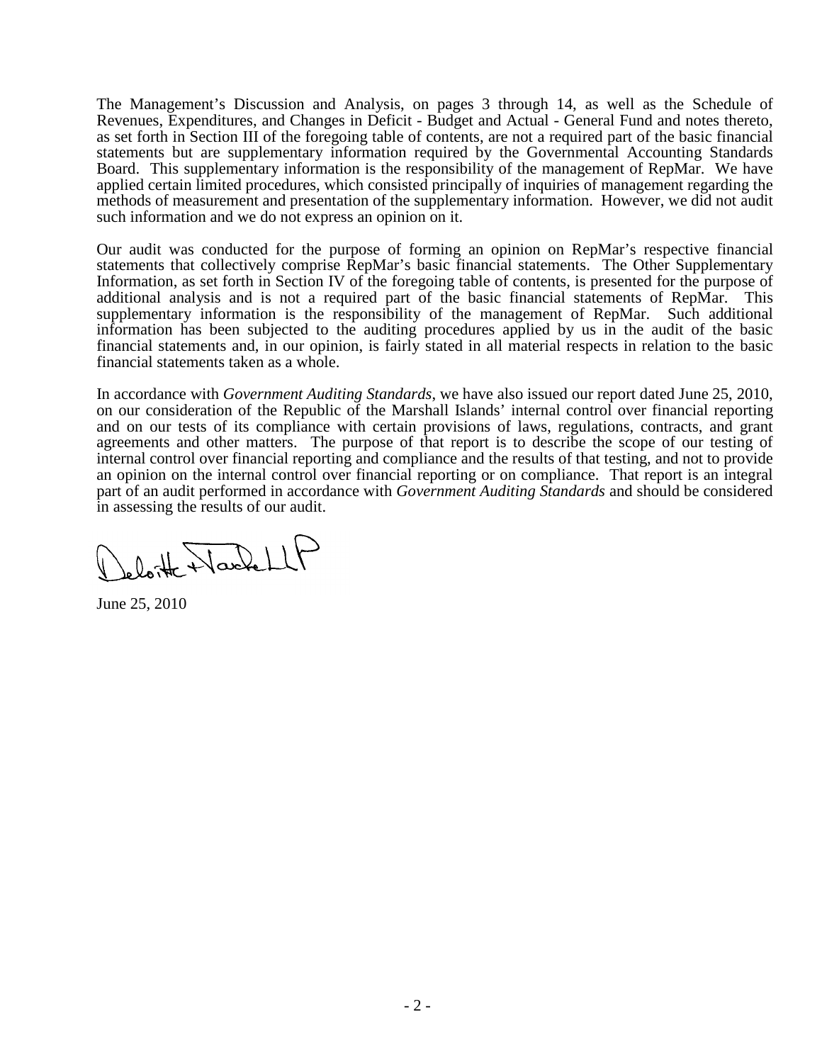The Management's Discussion and Analysis, on pages 3 through 14, as well as the Schedule of Revenues, Expenditures, and Changes in Deficit - Budget and Actual - General Fund and notes thereto, as set forth in Section III of the foregoing table of contents, are not a required part of the basic financial statements but are supplementary information required by the Governmental Accounting Standards Board. This supplementary information is the responsibility of the management of RepMar. We have applied certain limited procedures, which consisted principally of inquiries of management regarding the methods of measurement and presentation of the supplementary information. However, we did not audit such information and we do not express an opinion on it.

Our audit was conducted for the purpose of forming an opinion on RepMar's respective financial statements that collectively comprise RepMar's basic financial statements. The Other Supplementary Information, as set forth in Section IV of the foregoing table of contents, is presented for the purpose of additional analysis and is not a required part of the basic financial statements of RepMar. This supplementary information is the responsibility of the management of RepMar. Such additional information has been subjected to the auditing procedures applied by us in the audit of the basic financial statements and, in our opinion, is fairly stated in all material respects in relation to the basic financial statements taken as a whole.

In accordance with *Government Auditing Standards*, we have also issued our report dated June 25, 2010, on our consideration of the Republic of the Marshall Islands' internal control over financial reporting and on our tests of its compliance with certain provisions of laws, regulations, contracts, and grant agreements and other matters. The purpose of that report is to describe the scope of our testing of internal control over financial reporting and compliance and the results of that testing, and not to provide an opinion on the internal control over financial reporting or on compliance. That report is an integral part of an audit performed in accordance with *Government Auditing Standards* and should be considered in assessing the results of our audit.

loite Washell

June 25, 2010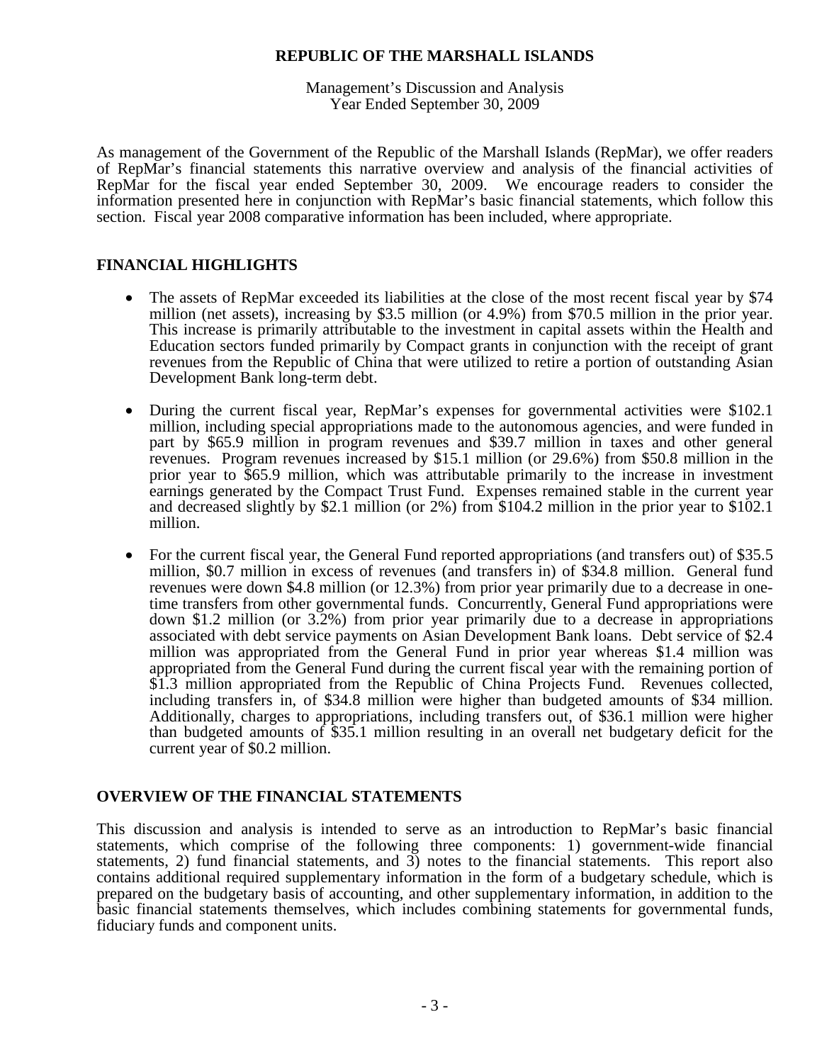Management's Discussion and Analysis Year Ended September 30, 2009

As management of the Government of the Republic of the Marshall Islands (RepMar), we offer readers of RepMar's financial statements this narrative overview and analysis of the financial activities of RepMar for the fiscal year ended September 30, 2009. We encourage readers to consider the information presented here in conjunction with RepMar's basic financial statements, which follow this section. Fiscal year 2008 comparative information has been included, where appropriate.

# **FINANCIAL HIGHLIGHTS**

- The assets of RepMar exceeded its liabilities at the close of the most recent fiscal year by \$74 million (net assets), increasing by \$3.5 million (or 4.9%) from \$70.5 million in the prior year. This increase is primarily attributable to the investment in capital assets within the Health and Education sectors funded primarily by Compact grants in conjunction with the receipt of grant revenues from the Republic of China that were utilized to retire a portion of outstanding Asian Development Bank long-term debt.
- During the current fiscal year, RepMar's expenses for governmental activities were \$102.1 million, including special appropriations made to the autonomous agencies, and were funded in part by \$65.9 million in program revenues and \$39.7 million in taxes and other general revenues. Program revenues increased by \$15.1 million (or 29.6%) from \$50.8 million in the prior year to \$65.9 million, which was attributable primarily to the increase in investment earnings generated by the Compact Trust Fund. Expenses remained stable in the current year and decreased slightly by \$2.1 million (or 2%) from \$104.2 million in the prior year to \$102.1 million.
- For the current fiscal year, the General Fund reported appropriations (and transfers out) of \$35.5 million, \$0.7 million in excess of revenues (and transfers in) of \$34.8 million. General fund revenues were down \$4.8 million (or 12.3%) from prior year primarily due to a decrease in onetime transfers from other governmental funds. Concurrently, General Fund appropriations were down \$1.2 million (or 3.2%) from prior year primarily due to a decrease in appropriations associated with debt service payments on Asian Development Bank loans. Debt service of \$2.4 million was appropriated from the General Fund in prior year whereas \$1.4 million was appropriated from the General Fund during the current fiscal year with the remaining portion of \$1.3 million appropriated from the Republic of China Projects Fund. Revenues collected, including transfers in, of \$34.8 million were higher than budgeted amounts of \$34 million. Additionally, charges to appropriations, including transfers out, of \$36.1 million were higher than budgeted amounts of \$35.1 million resulting in an overall net budgetary deficit for the current year of \$0.2 million.

# **OVERVIEW OF THE FINANCIAL STATEMENTS**

This discussion and analysis is intended to serve as an introduction to RepMar's basic financial statements, which comprise of the following three components: 1) government-wide financial statements, 2) fund financial statements, and 3) notes to the financial statements. This report also contains additional required supplementary information in the form of a budgetary schedule, which is prepared on the budgetary basis of accounting, and other supplementary information, in addition to the basic financial statements themselves, which includes combining statements for governmental funds, fiduciary funds and component units.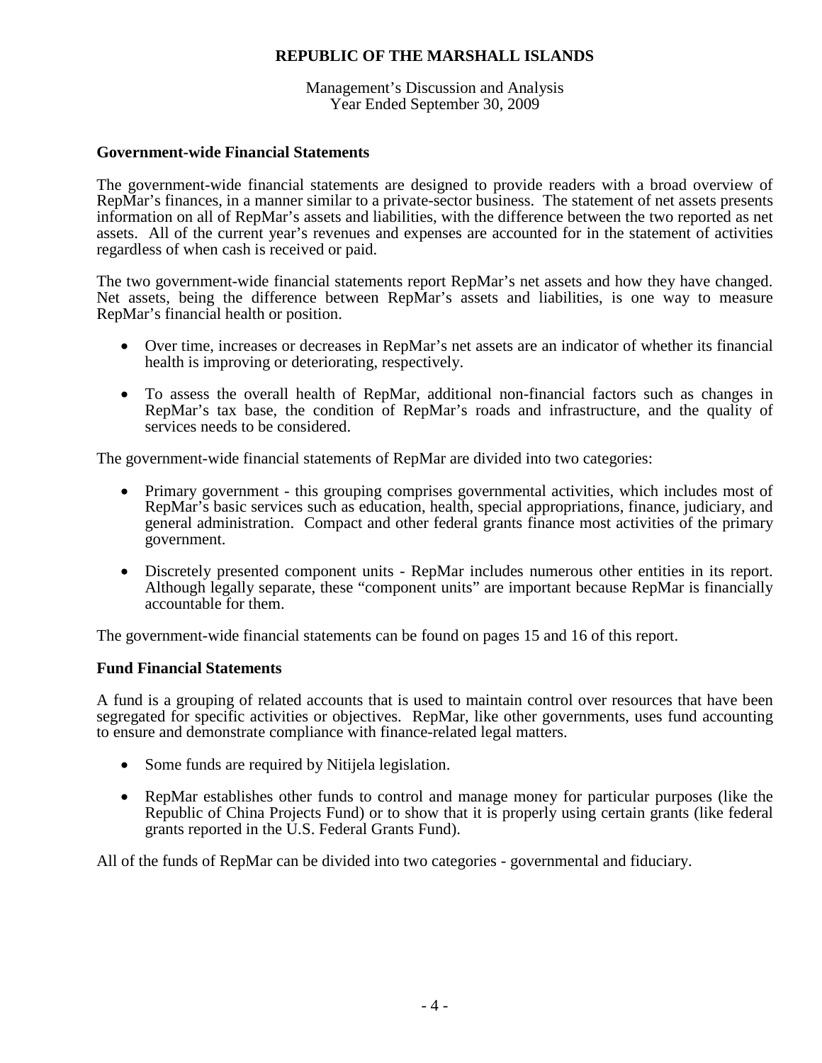Management's Discussion and Analysis Year Ended September 30, 2009

#### **Government-wide Financial Statements**

The government-wide financial statements are designed to provide readers with a broad overview of RepMar's finances, in a manner similar to a private-sector business. The statement of net assets presents information on all of RepMar's assets and liabilities, with the difference between the two reported as net assets. All of the current year's revenues and expenses are accounted for in the statement of activities regardless of when cash is received or paid.

The two government-wide financial statements report RepMar's net assets and how they have changed. Net assets, being the difference between RepMar's assets and liabilities, is one way to measure RepMar's financial health or position.

- Over time, increases or decreases in RepMar's net assets are an indicator of whether its financial health is improving or deteriorating, respectively.
- To assess the overall health of RepMar, additional non-financial factors such as changes in RepMar's tax base, the condition of RepMar's roads and infrastructure, and the quality of services needs to be considered.

The government-wide financial statements of RepMar are divided into two categories:

- Primary government this grouping comprises governmental activities, which includes most of RepMar's basic services such as education, health, special appropriations, finance, judiciary, and general administration. Compact and other federal grants finance most activities of the primary government.
- Discretely presented component units RepMar includes numerous other entities in its report. Although legally separate, these "component units" are important because RepMar is financially accountable for them.

The government-wide financial statements can be found on pages 15 and 16 of this report.

#### **Fund Financial Statements**

A fund is a grouping of related accounts that is used to maintain control over resources that have been segregated for specific activities or objectives. RepMar, like other governments, uses fund accounting to ensure and demonstrate compliance with finance-related legal matters.

- Some funds are required by Nitijela legislation.
- RepMar establishes other funds to control and manage money for particular purposes (like the Republic of China Projects Fund) or to show that it is properly using certain grants (like federal grants reported in the U.S. Federal Grants Fund).

All of the funds of RepMar can be divided into two categories - governmental and fiduciary.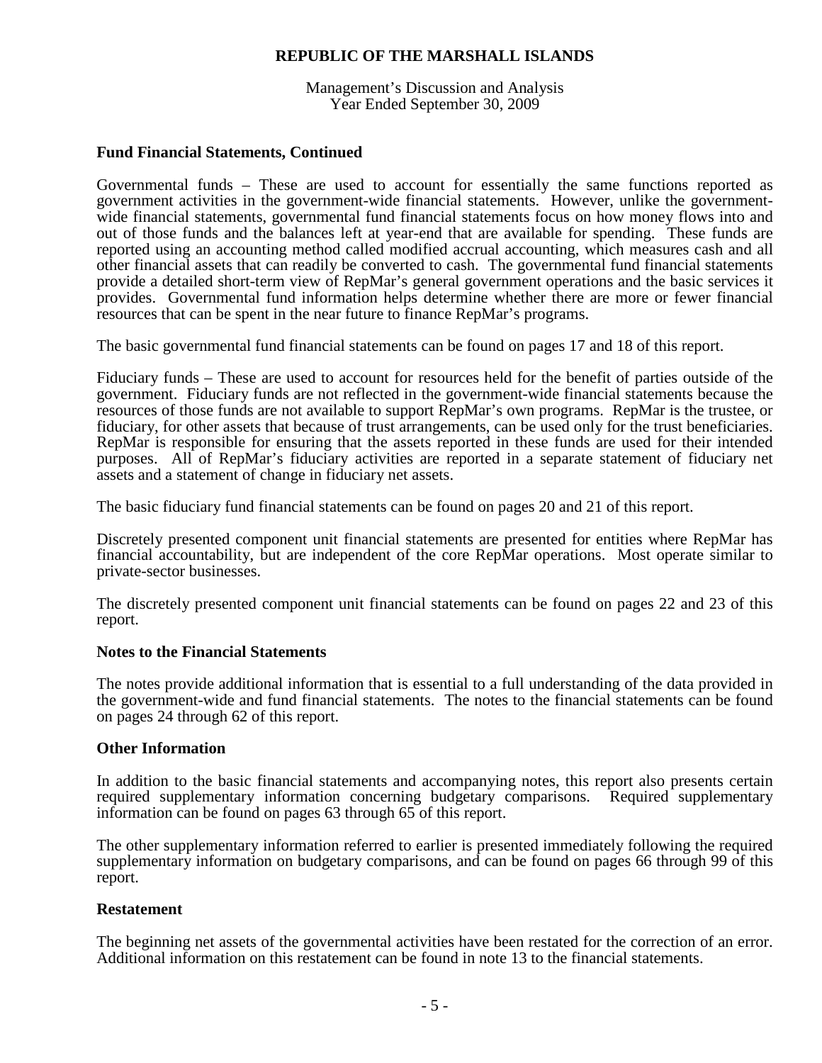Management's Discussion and Analysis Year Ended September 30, 2009

## **Fund Financial Statements, Continued**

Governmental funds – These are used to account for essentially the same functions reported as government activities in the government-wide financial statements. However, unlike the government- wide financial statements, governmental fund financial statements focus on how money flows into and out of those funds and the balances left at year-end that are available for spending. These funds are reported using an accounting method called modified accrual accounting, which measures cash and all other financial assets that can readily be converted to cash. The governmental fund financial statements provide a detailed short-term view of RepMar's general government operations and the basic services it provides. Governmental fund information helps determine whether there are more or fewer financial resources that can be spent in the near future to finance RepMar's programs.

The basic governmental fund financial statements can be found on pages 17 and 18 of this report.

Fiduciary funds – These are used to account for resources held for the benefit of parties outside of the government. Fiduciary funds are not reflected in the government-wide financial statements because the resources of those funds are not available to support RepMar's own programs. RepMar is the trustee, or fiduciary, for other assets that because of trust arrangements, can be used only for the trust beneficiaries. RepMar is responsible for ensuring that the assets reported in these funds are used for their intended purposes. All of RepMar's fiduciary activities are reported in a separate statement of fiduciary net assets and a statement of change in fiduciary net assets.

The basic fiduciary fund financial statements can be found on pages 20 and 21 of this report.

Discretely presented component unit financial statements are presented for entities where RepMar has financial accountability, but are independent of the core RepMar operations. Most operate similar to private-sector businesses.

The discretely presented component unit financial statements can be found on pages 22 and 23 of this report.

#### **Notes to the Financial Statements**

The notes provide additional information that is essential to a full understanding of the data provided in the government-wide and fund financial statements. The notes to the financial statements can be found on pages 24 through 62 of this report.

#### **Other Information**

In addition to the basic financial statements and accompanying notes, this report also presents certain required supplementary information concerning budgetary comparisons. Required supplementary information can be found on pages 63 through 65 of this report.

The other supplementary information referred to earlier is presented immediately following the required supplementary information on budgetary comparisons, and can be found on pages 66 through 99 of this report.

#### **Restatement**

The beginning net assets of the governmental activities have been restated for the correction of an error. Additional information on this restatement can be found in note 13 to the financial statements.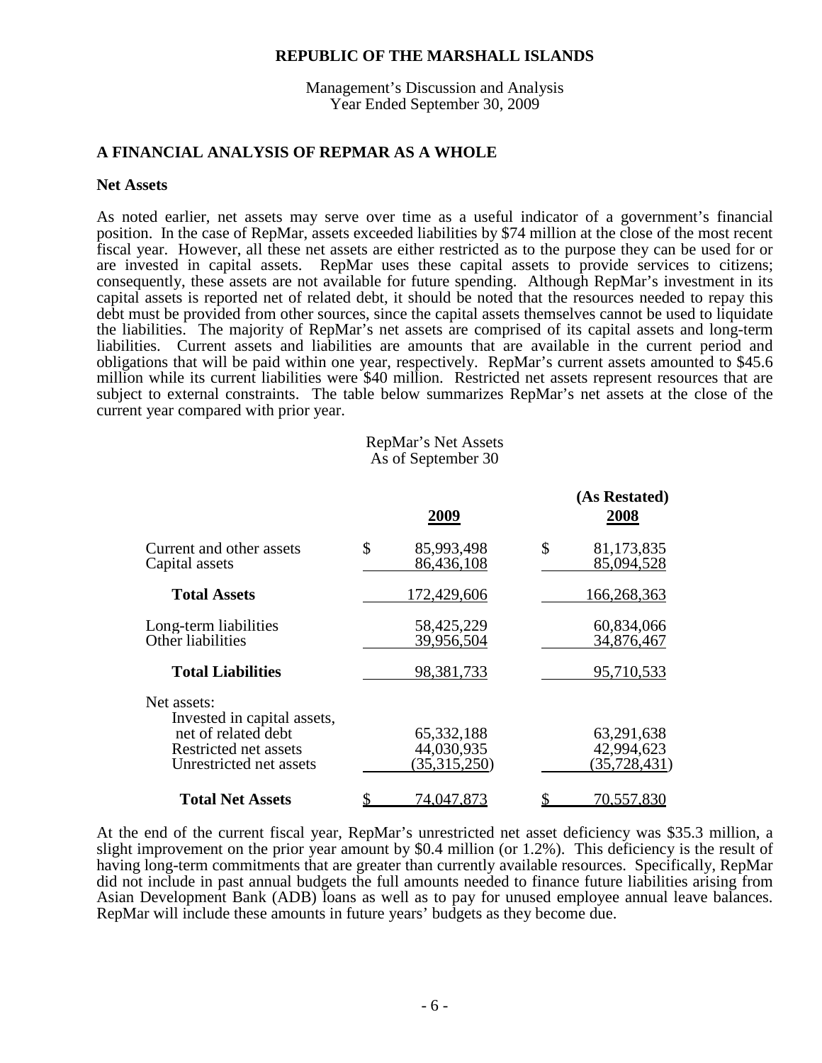Management's Discussion and Analysis Year Ended September 30, 2009

## **A FINANCIAL ANALYSIS OF REPMAR AS A WHOLE**

#### **Net Assets**

As noted earlier, net assets may serve over time as a useful indicator of a government's financial position. In the case of RepMar, assets exceeded liabilities by \$74 million at the close of the most recent fiscal year. However, all these net assets are either restricted as to the purpose they can be used for or are invested in capital assets. RepMar uses these capital assets to provide services to citizens; consequently, these assets are not available for future spending. Although RepMar's investment in its capital assets is reported net of related debt, it should be noted that the resources needed to repay this debt must be provided from other sources, since the capital assets themselves cannot be used to liquidate the liabilities. The majority of RepMar's net assets are comprised of its capital assets and long-term liabilities. Current assets and liabilities are amounts that are available in the current period and obligations that will be paid within one year, respectively. RepMar's current assets amounted to \$45.6 million while its current liabilities were \$40 million. Restricted net assets represent resources that are subject to external constraints. The table below summarizes RepMar's net assets at the close of the current year compared with prior year.

#### RepMar's Net Assets As of September 30

|                                                                                                                       | 2009                                     | (As Restated)<br>2008                      |
|-----------------------------------------------------------------------------------------------------------------------|------------------------------------------|--------------------------------------------|
| Current and other assets<br>Capital assets                                                                            | \$<br>85,993,498<br>86,436,108           | \$<br>81,173,835<br>85,094,528             |
| <b>Total Assets</b>                                                                                                   | 172,429,606                              | 166,268,363                                |
| Long-term liabilities<br>Other liabilities                                                                            | 58,425,229<br>39,956,504                 | 60,834,066<br>34,876,467                   |
| <b>Total Liabilities</b>                                                                                              | 98,381,733                               | 95,710,533                                 |
| Net assets:<br>Invested in capital assets,<br>net of related debt<br>Restricted net assets<br>Unrestricted net assets | 65,332,188<br>44,030,935<br>(35,315,250) | 63,291,638<br>42,994,623<br>(35, 728, 431) |
| <b>Total Net Assets</b>                                                                                               | 74,047,873                               | 70,557,830                                 |

At the end of the current fiscal year, RepMar's unrestricted net asset deficiency was \$35.3 million, a slight improvement on the prior year amount by \$0.4 million (or 1.2%). This deficiency is the result of having long-term commitments that are greater than currently available resources. Specifically, RepMar did not include in past annual budgets the full amounts needed to finance future liabilities arising from Asian Development Bank (ADB) loans as well as to pay for unused employee annual leave balances. RepMar will include these amounts in future years' budgets as they become due.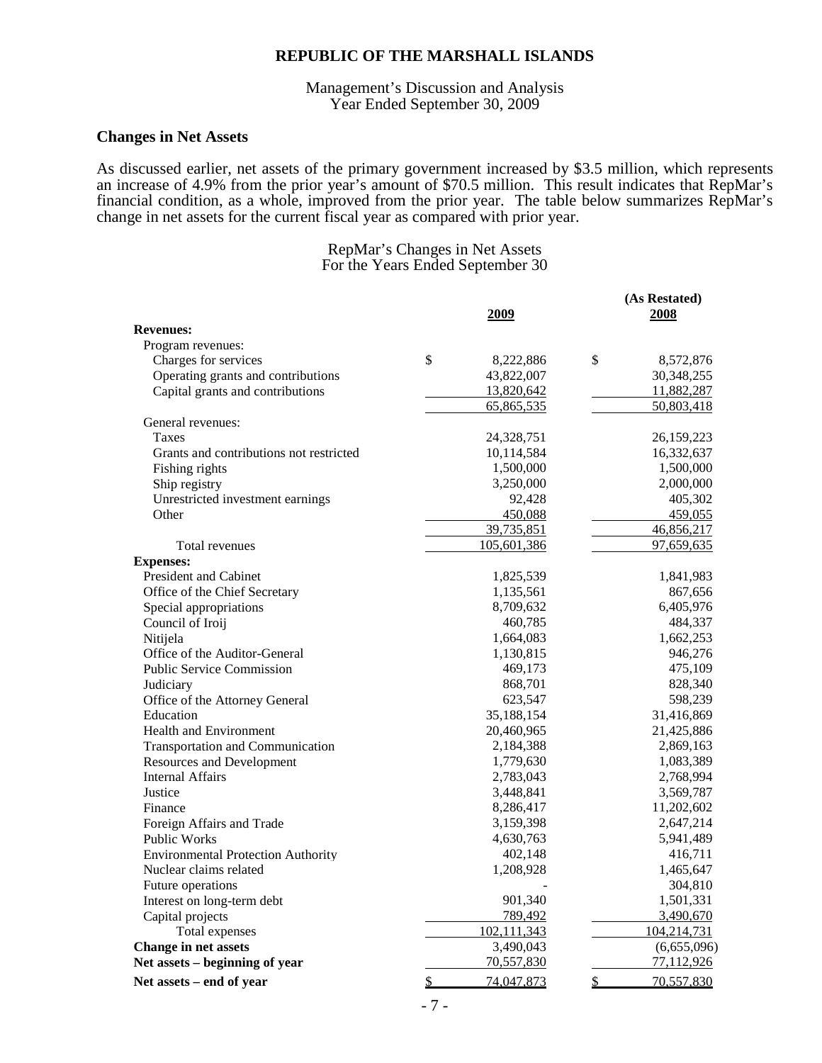#### Management's Discussion and Analysis Year Ended September 30, 2009

#### **Changes in Net Assets**

As discussed earlier, net assets of the primary government increased by \$3.5 million, which represents an increase of 4.9% from the prior year's amount of \$70.5 million. This result indicates that RepMar's financial condition, as a whole, improved from the prior year. The table below summarizes RepMar's change in net assets for the current fiscal year as compared with prior year.

#### RepMar's Changes in Net Assets For the Years Ended September 30

**(As Restated)**

|                                           | 2009             | $(A)$ Restated<br>2008                 |
|-------------------------------------------|------------------|----------------------------------------|
| <b>Revenues:</b>                          |                  |                                        |
| Program revenues:                         |                  |                                        |
| Charges for services                      | \$<br>8,222,886  | \$<br>8,572,876                        |
| Operating grants and contributions        | 43,822,007       | 30,348,255                             |
| Capital grants and contributions          | 13,820,642       | 11,882,287                             |
|                                           | 65,865,535       | 50,803,418                             |
| General revenues:                         |                  |                                        |
| Taxes                                     | 24,328,751       | 26,159,223                             |
| Grants and contributions not restricted   | 10,114,584       | 16,332,637                             |
| Fishing rights                            | 1,500,000        | 1,500,000                              |
| Ship registry                             | 3,250,000        | 2,000,000                              |
| Unrestricted investment earnings          | 92,428           | 405,302                                |
| Other                                     | 450,088          | 459,055                                |
|                                           | 39,735,851       | 46,856,217                             |
| Total revenues                            | 105,601,386      | 97,659,635                             |
| <b>Expenses:</b>                          |                  |                                        |
| President and Cabinet                     | 1,825,539        | 1,841,983                              |
| Office of the Chief Secretary             | 1,135,561        | 867,656                                |
| Special appropriations                    | 8,709,632        | 6,405,976                              |
| Council of Iroij                          | 460,785          | 484,337                                |
| Nitijela                                  | 1,664,083        | 1,662,253                              |
| Office of the Auditor-General             | 1,130,815        | 946,276                                |
| <b>Public Service Commission</b>          | 469,173          | 475,109                                |
| Judiciary                                 | 868,701          | 828,340                                |
| Office of the Attorney General            | 623,547          | 598,239                                |
| Education                                 | 35,188,154       | 31,416,869                             |
| <b>Health and Environment</b>             | 20,460,965       | 21,425,886                             |
| Transportation and Communication          | 2,184,388        | 2,869,163                              |
| <b>Resources and Development</b>          | 1,779,630        | 1,083,389                              |
| <b>Internal Affairs</b>                   | 2,783,043        | 2,768,994                              |
| Justice                                   | 3,448,841        | 3,569,787                              |
| Finance                                   | 8,286,417        | 11,202,602                             |
| Foreign Affairs and Trade                 | 3,159,398        | 2,647,214                              |
| <b>Public Works</b>                       | 4,630,763        | 5,941,489                              |
| <b>Environmental Protection Authority</b> | 402,148          | 416,711                                |
| Nuclear claims related                    | 1,208,928        | 1,465,647                              |
| Future operations                         |                  | 304,810                                |
| Interest on long-term debt                | 901,340          | 1,501,331                              |
| Capital projects                          | 789,492          | 3,490,670                              |
| Total expenses                            | 102,111,343      | 104,214,731                            |
| <b>Change in net assets</b>               | 3,490,043        | (6,655,096)                            |
| Net assets – beginning of year            | 70,557,830       | 77,112,926                             |
| Net assets – end of year                  | \$<br>74,047,873 | $\overline{\mathcal{L}}$<br>70,557,830 |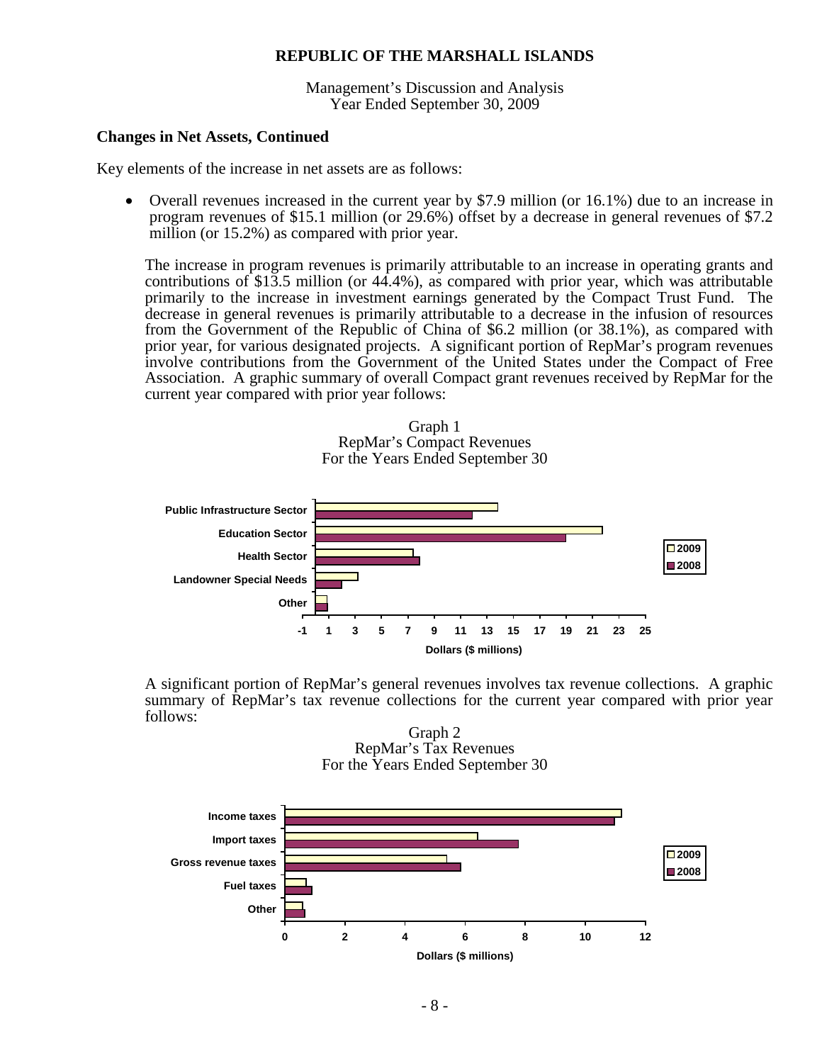Management's Discussion and Analysis Year Ended September 30, 2009

#### **Changes in Net Assets, Continued**

Key elements of the increase in net assets are as follows:

• Overall revenues increased in the current year by \$7.9 million (or 16.1%) due to an increase in program revenues of \$15.1 million (or 29.6%) offset by a decrease in general revenues of \$7.2 million (or 15.2%) as compared with prior year.

The increase in program revenues is primarily attributable to an increase in operating grants and contributions of \$13.5 million (or 44.4%), as compared with prior year, which was attributable primarily to the increase in investment earnings generated by the Compact Trust Fund. The decrease in general revenues is primarily attributable to a decrease in the infusion of resources from the Government of the Republic of China of \$6.2 million (or 38.1%), as compared with prior year, for various designated projects. A significant portion of RepMar's program revenues involve contributions from the Government of the United States under the Compact of Free Association. A graphic summary of overall Compact grant revenues received by RepMar for the current year compared with prior year follows:





A significant portion of RepMar's general revenues involves tax revenue collections. A graphic summary of RepMar's tax revenue collections for the current year compared with prior year follows:



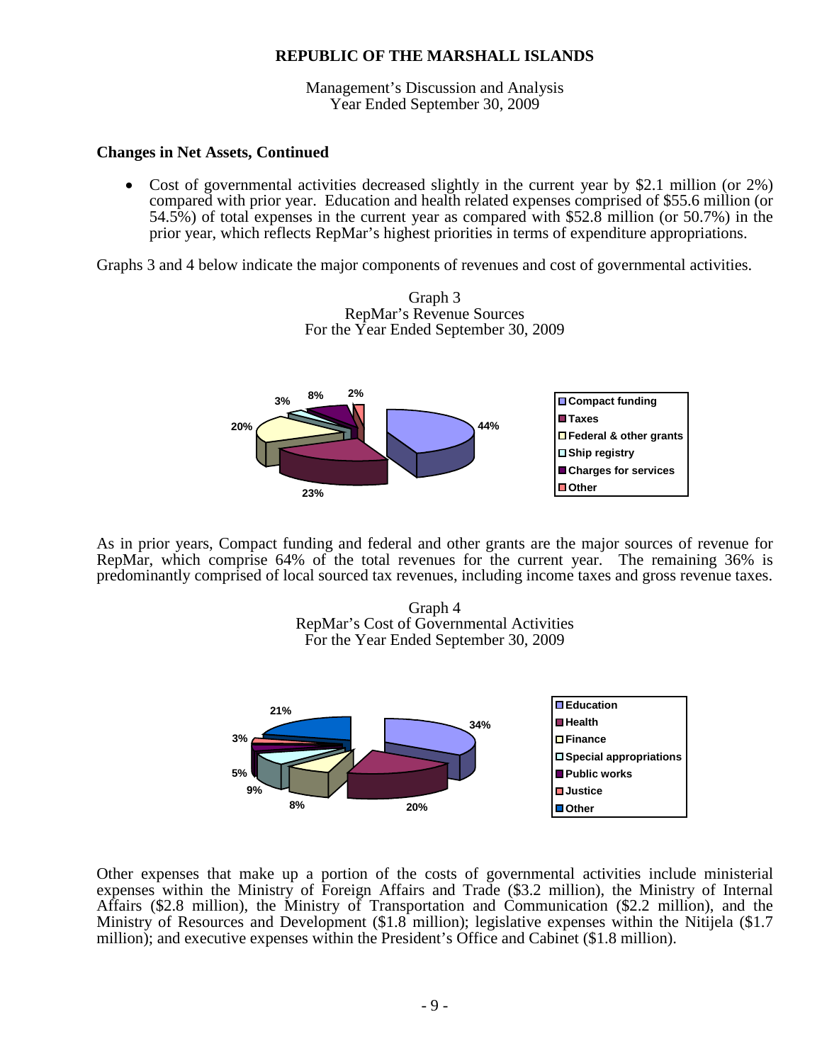Management's Discussion and Analysis Year Ended September 30, 2009

#### **Changes in Net Assets, Continued**

• Cost of governmental activities decreased slightly in the current year by \$2.1 million (or 2%) compared with prior year. Education and health related expenses comprised of \$55.6 million (or 54.5%) of total expenses in the current year as compared with \$52.8 million (or 50.7%) in the prior year, which reflects RepMar's highest priorities in terms of expenditure appropriations.

Graphs 3 and 4 below indicate the major components of revenues and cost of governmental activities.



Graph 3 RepMar's Revenue Sources For the Year Ended September 30, 2009

As in prior years, Compact funding and federal and other grants are the major sources of revenue for RepMar, which comprise 64% of the total revenues for the current year. The remaining 36% is predominantly comprised of local sourced tax revenues, including income taxes and gross revenue taxes.





Other expenses that make up a portion of the costs of governmental activities include ministerial expenses within the Ministry of Foreign Affairs and Trade (\$3.2 million), the Ministry of Internal Affairs (\$2.8 million), the Ministry of Transportation and Communication (\$2.2 million), and the Ministry of Resources and Development (\$1.8 million); legislative expenses within the Nitijela (\$1.7 million); and executive expenses within the President's Office and Cabinet (\$1.8 million).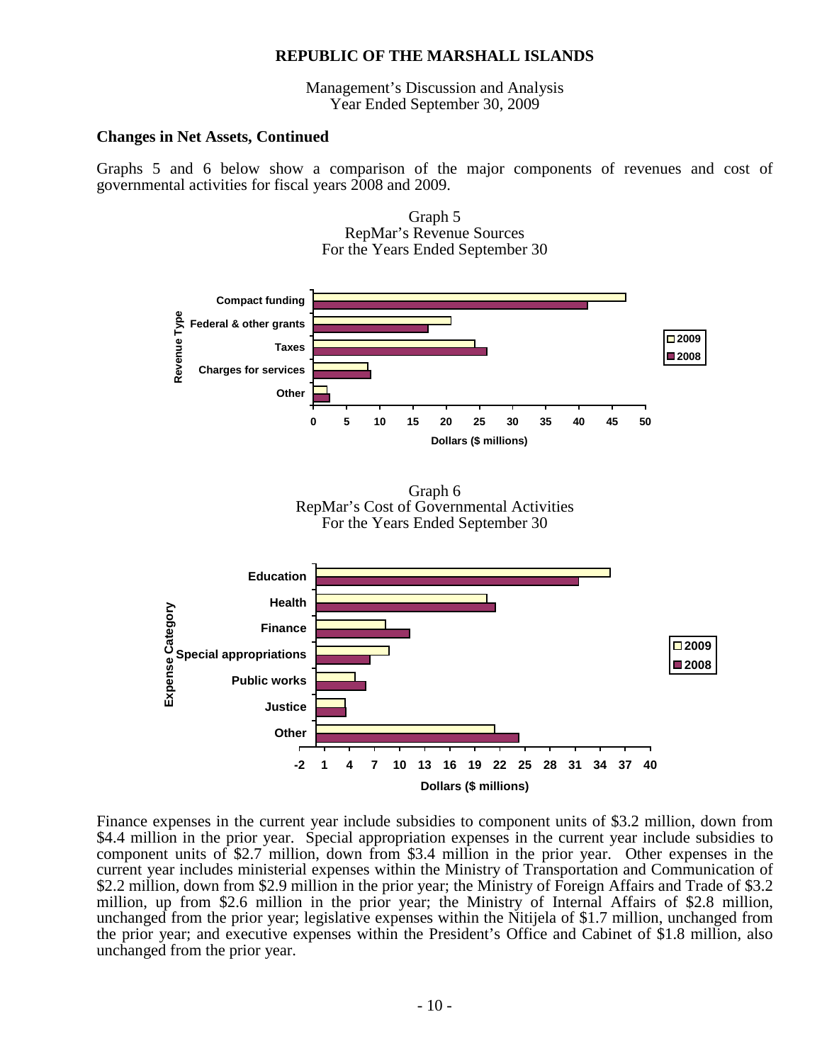Management's Discussion and Analysis Year Ended September 30, 2009

#### **Changes in Net Assets, Continued**

Graphs 5 and 6 below show a comparison of the major components of revenues and cost of governmental activities for fiscal years 2008 and 2009.





Finance expenses in the current year include subsidies to component units of \$3.2 million, down from \$4.4 million in the prior year. Special appropriation expenses in the current year include subsidies to component units of \$2.7 million, down from \$3.4 million in the prior year. Other expenses in the current year includes ministerial expenses within the Ministry of Transportation and Communication of \$2.2 million, down from \$2.9 million in the prior year; the Ministry of Foreign Affairs and Trade of \$3.2 million, up from \$2.6 million in the prior year; the Ministry of Internal Affairs of \$2.8 million, unchanged from the prior year; legislative expenses within the Nitijela of \$1.7 million, unchanged from the prior year; and executive expenses within the President's Office and Cabinet of \$1.8 million, also unchanged from the prior year.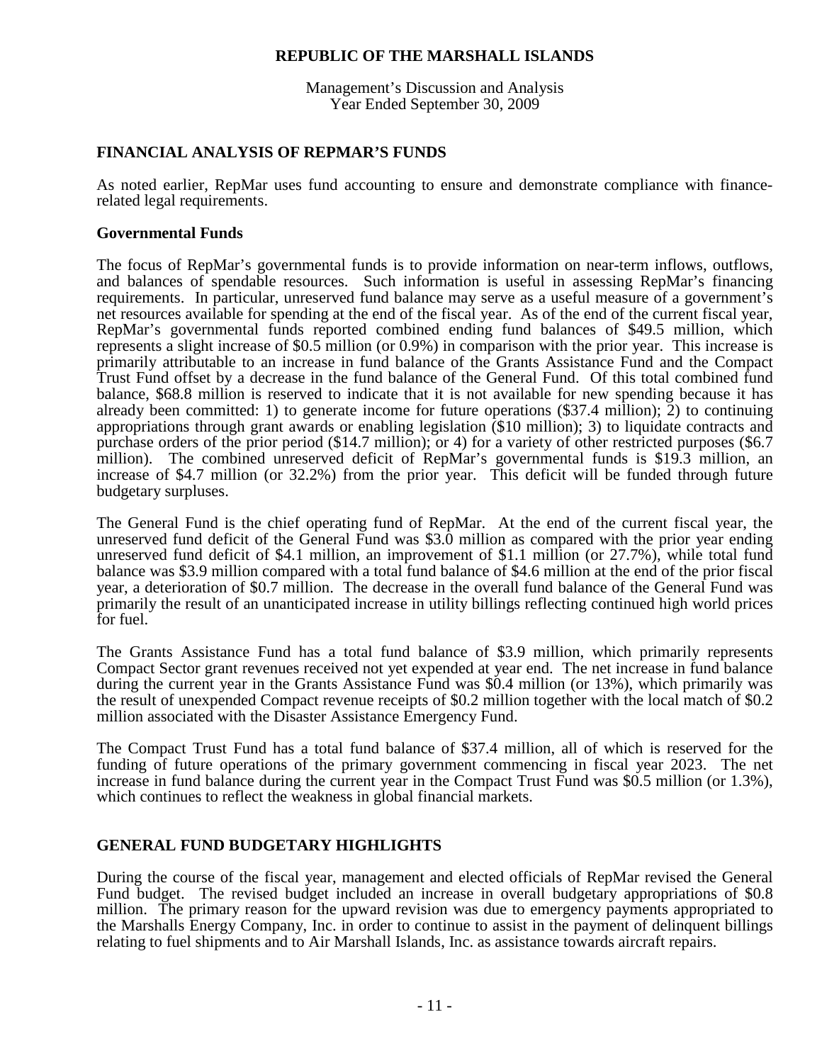Management's Discussion and Analysis Year Ended September 30, 2009

# **FINANCIAL ANALYSIS OF REPMAR'S FUNDS**

As noted earlier, RepMar uses fund accounting to ensure and demonstrate compliance with finance- related legal requirements.

## **Governmental Funds**

The focus of RepMar's governmental funds is to provide information on near-term inflows, outflows, and balances of spendable resources. Such information is useful in assessing RepMar's financing requirements. In particular, unreserved fund balance may serve as a useful measure of a government's net resources available for spending at the end of the fiscal year. As of the end of the current fiscal year, RepMar's governmental funds reported combined ending fund balances of \$49.5 million, which represents a slight increase of \$0.5 million (or 0.9%) in comparison with the prior year. This increase is primarily attributable to an increase in fund balance of the Grants Assistance Fund and the Compact Trust Fund offset by a decrease in the fund balance of the General Fund. Of this total combined fund balance, \$68.8 million is reserved to indicate that it is not available for new spending because it has already been committed: 1) to generate income for future operations (\$37.4 million); 2) to continuing appropriations through grant awards or enabling legislation (\$10 million); 3) to liquidate contracts and purchase orders of the prior period (\$14.7 million); or 4) for a variety of other restricted purposes (\$6.7 million). The combined unreserved deficit of RepMar's governmental funds is \$19.3 million, an increase of \$4.7 million (or 32.2%) from the prior year. This deficit will be funded through future budgetary surpluses.

The General Fund is the chief operating fund of RepMar. At the end of the current fiscal year, the unreserved fund deficit of the General Fund was \$3.0 million as compared with the prior year ending unreserved fund deficit of \$4.1 million, an improvement of \$1.1 million (or 27.7%), while total fund balance was \$3.9 million compared with a total fund balance of \$4.6 million at the end of the prior fiscal year, a deterioration of \$0.7 million. The decrease in the overall fund balance of the General Fund was primarily the result of an unanticipated increase in utility billings reflecting continued high world prices for fuel.

The Grants Assistance Fund has a total fund balance of \$3.9 million, which primarily represents Compact Sector grant revenues received not yet expended at year end. The net increase in fund balance during the current year in the Grants Assistance Fund was \$0.4 million (or 13%), which primarily was the result of unexpended Compact revenue receipts of \$0.2 million together with the local match of \$0.2 million associated with the Disaster Assistance Emergency Fund.

The Compact Trust Fund has a total fund balance of \$37.4 million, all of which is reserved for the funding of future operations of the primary government commencing in fiscal year 2023. The net increase in fund balance during the current year in the Compact Trust Fund was \$0.5 million (or 1.3%), which continues to reflect the weakness in global financial markets.

# **GENERAL FUND BUDGETARY HIGHLIGHTS**

During the course of the fiscal year, management and elected officials of RepMar revised the General Fund budget. The revised budget included an increase in overall budgetary appropriations of \$0.8 million. The primary reason for the upward revision was due to emergency payments appropriated to the Marshalls Energy Company, Inc. in order to continue to assist in the payment of delinquent billings relating to fuel shipments and to Air Marshall Islands, Inc. as assistance towards aircraft repairs.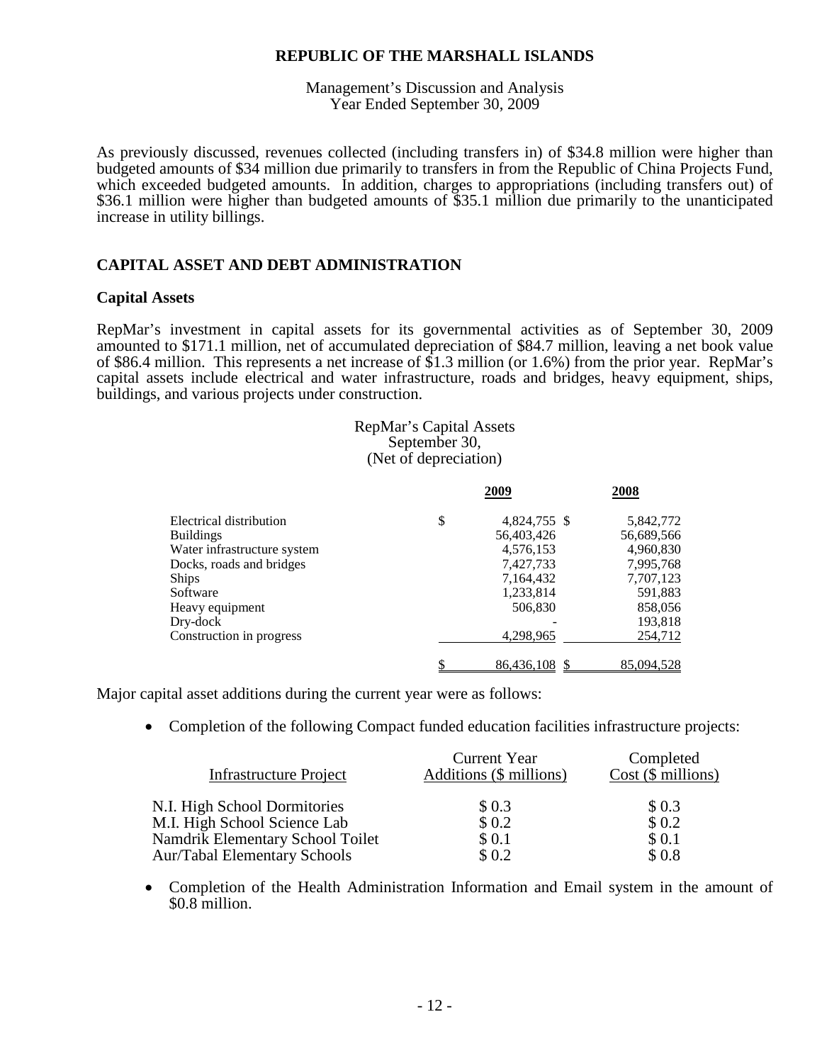Management's Discussion and Analysis Year Ended September 30, 2009

As previously discussed, revenues collected (including transfers in) of \$34.8 million were higher than budgeted amounts of \$34 million due primarily to transfers in from the Republic of China Projects Fund, which exceeded budgeted amounts. In addition, charges to appropriations (including transfers out) of \$36.1 million were higher than budgeted amounts of \$35.1 million due primarily to the unanticipated increase in utility billings.

# **CAPITAL ASSET AND DEBT ADMINISTRATION**

#### **Capital Assets**

RepMar's investment in capital assets for its governmental activities as of September 30, 2009 amounted to \$171.1 million, net of accumulated depreciation of \$84.7 million, leaving a net book value of \$86.4 million. This represents a net increase of \$1.3 million (or 1.6%) from the prior year. RepMar's capital assets include electrical and water infrastructure, roads and bridges, heavy equipment, ships, buildings, and various projects under construction.

#### RepMar's Capital Assets September 30, (Net of depreciation)

|                             | 2009               | 2008       |
|-----------------------------|--------------------|------------|
| Electrical distribution     | \$<br>4,824,755 \$ | 5,842,772  |
| <b>Buildings</b>            | 56,403,426         | 56,689,566 |
| Water infrastructure system | 4,576,153          | 4,960,830  |
| Docks, roads and bridges    | 7,427,733          | 7,995,768  |
| <b>Ships</b>                | 7,164,432          | 7,707,123  |
| Software                    | 1,233,814          | 591,883    |
| Heavy equipment             | 506,830            | 858,056    |
| Dry-dock                    |                    | 193,818    |
| Construction in progress    | 4,298,965          | 254,712    |
|                             |                    |            |
|                             | 86,436,108         | 85,094,528 |

Major capital asset additions during the current year were as follows:

• Completion of the following Compact funded education facilities infrastructure projects:

|                                     | <b>Current Year</b>     | Completed               |
|-------------------------------------|-------------------------|-------------------------|
| <b>Infrastructure Project</b>       | Additions (\$ millions) | $Cost$ ( $\$$ millions) |
| N.I. High School Dormitories        | \$0.3                   | \$0.3                   |
| M.I. High School Science Lab        | \$ 0.2                  | \$0.2                   |
| Namdrik Elementary School Toilet    | \$0.1                   | \$0.1                   |
| <b>Aur/Tabal Elementary Schools</b> | \$ 0.2                  | \$0.8                   |

• Completion of the Health Administration Information and Email system in the amount of \$0.8 million.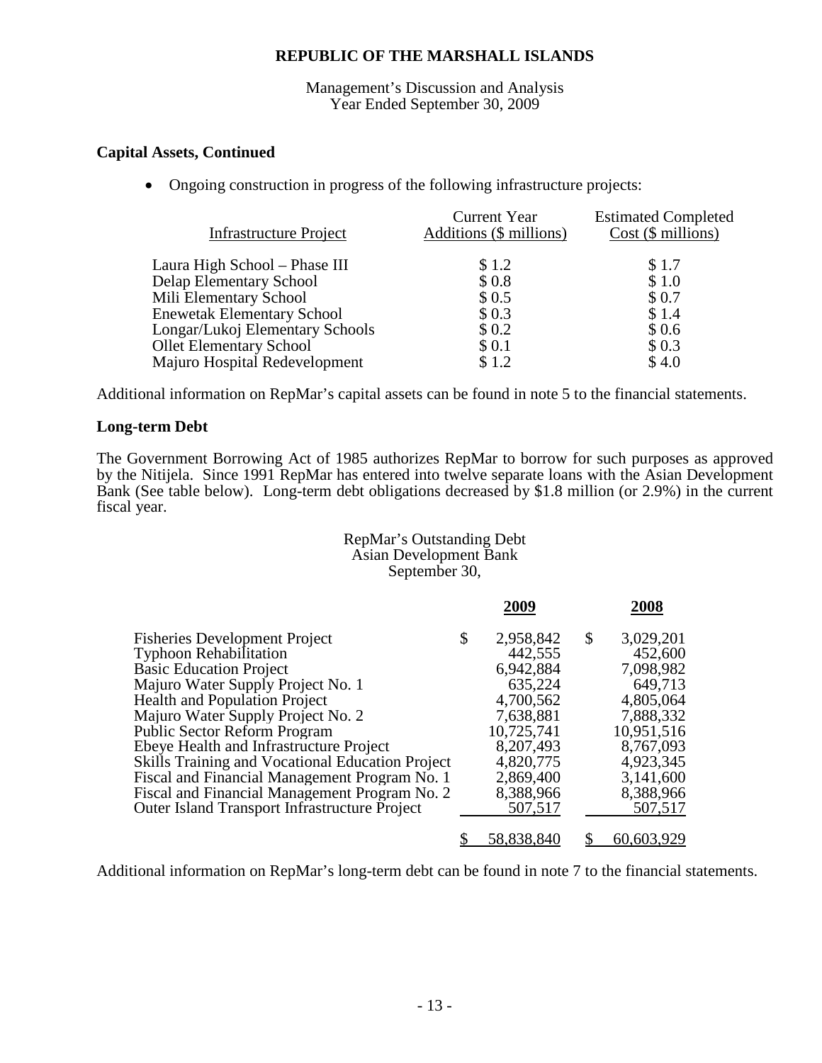Management's Discussion and Analysis Year Ended September 30, 2009

## **Capital Assets, Continued**

• Ongoing construction in progress of the following infrastructure projects:

|                                   | <b>Current Year</b>     | <b>Estimated Completed</b> |
|-----------------------------------|-------------------------|----------------------------|
| <b>Infrastructure Project</b>     | Additions (\$ millions) | $Cost$ ( $$$ millions)     |
|                                   |                         |                            |
| Laura High School - Phase III     | \$1.2                   | \$1.7                      |
| Delap Elementary School           | \$0.8                   | \$1.0                      |
| Mili Elementary School            | \$0.5                   | \$0.7                      |
| <b>Enewetak Elementary School</b> | \$0.3                   | \$1.4                      |
| Longar/Lukoj Elementary Schools   | \$0.2                   | \$0.6                      |
| <b>Ollet Elementary School</b>    | \$ 0.1                  | \$0.3                      |
| Majuro Hospital Redevelopment     | \$1.2                   | \$4.0                      |

Additional information on RepMar's capital assets can be found in note 5 to the financial statements.

#### **Long-term Debt**

The Government Borrowing Act of 1985 authorizes RepMar to borrow for such purposes as approved by the Nitijela. Since 1991 RepMar has entered into twelve separate loans with the Asian Development Bank (See table below). Long-term debt obligations decreased by \$1.8 million (or 2.9%) in the current fiscal year.

#### RepMar's Outstanding Debt Asian Development Bank September 30,

|                                                         | 2009            | 2008            |
|---------------------------------------------------------|-----------------|-----------------|
| <b>Fisheries Development Project</b>                    | \$<br>2,958,842 | \$<br>3,029,201 |
| <b>Typhoon Rehabilitation</b>                           | 442,555         | 452,600         |
| <b>Basic Education Project</b>                          | 6,942,884       | 7,098,982       |
| Majuro Water Supply Project No. 1                       | 635,224         | 649,713         |
| <b>Health and Population Project</b>                    | 4,700,562       | 4,805,064       |
| Majuro Water Supply Project No. 2                       | 7,638,881       | 7,888,332       |
| <b>Public Sector Reform Program</b>                     | 10,725,741      | 10,951,516      |
| Ebeye Health and Infrastructure Project                 | 8,207,493       | 8,767,093       |
| <b>Skills Training and Vocational Education Project</b> | 4,820,775       | 4,923,345       |
| Fiscal and Financial Management Program No. 1           | 2,869,400       | 3,141,600       |
| Fiscal and Financial Management Program No. 2           | 8,388,966       | 8,388,966       |
| <b>Outer Island Transport Infrastructure Project</b>    | 507,517         | 507,517         |
|                                                         | 58,838,840      | 60,603,929      |

Additional information on RepMar's long-term debt can be found in note 7 to the financial statements.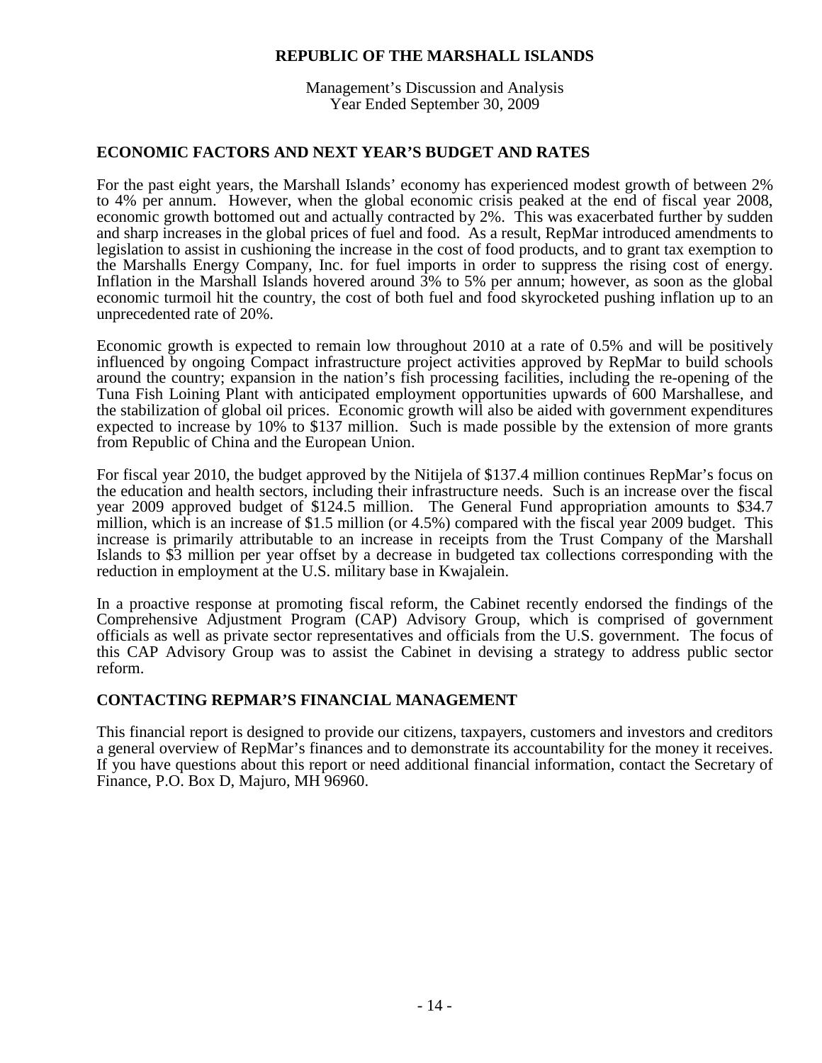Management's Discussion and Analysis Year Ended September 30, 2009

# **ECONOMIC FACTORS AND NEXT YEAR'S BUDGET AND RATES**

For the past eight years, the Marshall Islands' economy has experienced modest growth of between 2% to 4% per annum. However, when the global economic crisis peaked at the end of fiscal year 2008, economic growth bottomed out and actually contracted by 2%. This was exacerbated further by sudden and sharp increases in the global prices of fuel and food. As a result, RepMar introduced amendments to legislation to assist in cushioning the increase in the cost of food products, and to grant tax exemption to the Marshalls Energy Company, Inc. for fuel imports in order to suppress the rising cost of energy. Inflation in the Marshall Islands hovered around 3% to 5% per annum; however, as soon as the global economic turmoil hit the country, the cost of both fuel and food skyrocketed pushing inflation up to an unprecedented rate of 20%.

Economic growth is expected to remain low throughout 2010 at a rate of 0.5% and will be positively influenced by ongoing Compact infrastructure project activities approved by RepMar to build schools around the country; expansion in the nation's fish processing facilities, including the re-opening of the Tuna Fish Loining Plant with anticipated employment opportunities upwards of 600 Marshallese, and the stabilization of global oil prices. Economic growth will also be aided with government expenditures expected to increase by 10% to \$137 million. Such is made possible by the extension of more grants from Republic of China and the European Union.

For fiscal year 2010, the budget approved by the Nitijela of \$137.4 million continues RepMar's focus on the education and health sectors, including their infrastructure needs. Such is an increase over the fiscal year 2009 approved budget of \$124.5 million. The General Fund appropriation amounts to \$34.7 million, which is an increase of \$1.5 million (or 4.5%) compared with the fiscal year 2009 budget. This increase is primarily attributable to an increase in receipts from the Trust Company of the Marshall Islands to \$3 million per year offset by a decrease in budgeted tax collections corresponding with the reduction in employment at the U.S. military base in Kwajalein.

In a proactive response at promoting fiscal reform, the Cabinet recently endorsed the findings of the Comprehensive Adjustment Program (CAP) Advisory Group, which is comprised of government officials as well as private sector representatives and officials from the U.S. government. The focus of this CAP Advisory Group was to assist the Cabinet in devising a strategy to address public sector reform.

# **CONTACTING REPMAR'S FINANCIAL MANAGEMENT**

This financial report is designed to provide our citizens, taxpayers, customers and investors and creditors a general overview of RepMar's finances and to demonstrate its accountability for the money it receives. If you have questions about this report or need additional financial information, contact the Secretary of Finance, P.O. Box D, Majuro, MH 96960.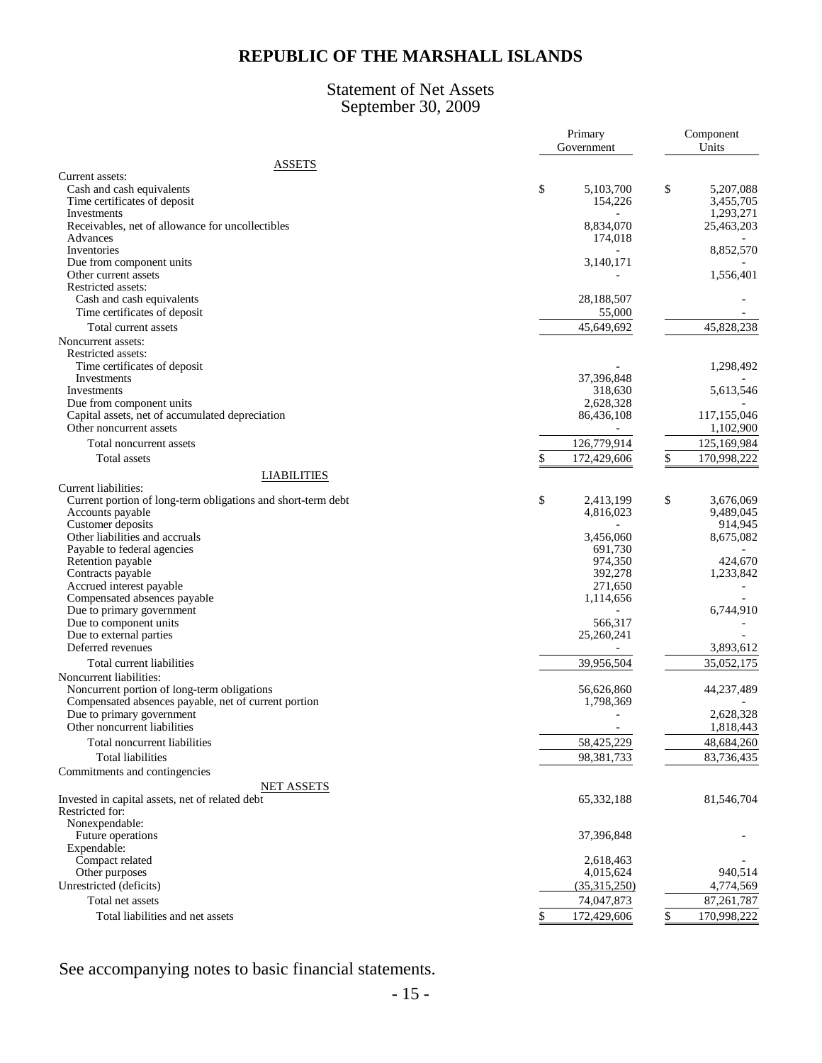# Statement of Net Assets September 30, 2009

|                                                              | Primary<br>Government  | Component<br>Units |  |  |
|--------------------------------------------------------------|------------------------|--------------------|--|--|
| <b>ASSETS</b>                                                |                        |                    |  |  |
| Current assets:                                              |                        |                    |  |  |
| Cash and cash equivalents                                    | \$<br>5,103,700        | \$<br>5,207,088    |  |  |
| Time certificates of deposit                                 | 154,226                | 3,455,705          |  |  |
| Investments                                                  |                        | 1,293,271          |  |  |
| Receivables, net of allowance for uncollectibles<br>Advances | 8,834,070              | 25,463,203         |  |  |
| Inventories                                                  | 174,018                | 8,852,570          |  |  |
| Due from component units                                     | 3,140,171              |                    |  |  |
| Other current assets                                         |                        | 1,556,401          |  |  |
| Restricted assets:                                           |                        |                    |  |  |
| Cash and cash equivalents                                    | 28,188,507             |                    |  |  |
| Time certificates of deposit                                 | 55,000                 |                    |  |  |
| Total current assets                                         | 45,649,692             | 45,828,238         |  |  |
|                                                              |                        |                    |  |  |
| Noncurrent assets:<br>Restricted assets:                     |                        |                    |  |  |
| Time certificates of deposit                                 |                        | 1,298,492          |  |  |
| Investments                                                  | 37,396,848             |                    |  |  |
| Investments                                                  | 318,630                | 5,613,546          |  |  |
| Due from component units                                     | 2,628,328              |                    |  |  |
| Capital assets, net of accumulated depreciation              | 86,436,108             | 117,155,046        |  |  |
| Other noncurrent assets                                      |                        | 1,102,900          |  |  |
| Total noncurrent assets                                      | 126,779,914            | 125,169,984        |  |  |
|                                                              |                        |                    |  |  |
| <b>Total assets</b>                                          | \$<br>172,429,606      | \$<br>170,998,222  |  |  |
| <b>LIABILITIES</b>                                           |                        |                    |  |  |
| Current liabilities:                                         |                        |                    |  |  |
| Current portion of long-term obligations and short-term debt | \$<br>2,413,199        | \$<br>3,676,069    |  |  |
| Accounts payable                                             | 4,816,023              | 9,489,045          |  |  |
| Customer deposits                                            |                        | 914,945            |  |  |
| Other liabilities and accruals                               | 3,456,060              | 8,675,082          |  |  |
| Payable to federal agencies                                  | 691,730                |                    |  |  |
| Retention payable                                            | 974,350<br>392,278     | 424,670            |  |  |
| Contracts payable<br>Accrued interest payable                | 271,650                | 1,233,842          |  |  |
| Compensated absences payable                                 | 1,114,656              |                    |  |  |
| Due to primary government                                    |                        | 6,744,910          |  |  |
| Due to component units                                       | 566,317                |                    |  |  |
| Due to external parties                                      | 25,260,241             |                    |  |  |
| Deferred revenues                                            |                        | 3,893,612          |  |  |
| Total current liabilities                                    | 39,956,504             | 35,052,175         |  |  |
| Noncurrent liabilities:                                      |                        |                    |  |  |
| Noncurrent portion of long-term obligations                  | 56,626,860             | 44,237,489         |  |  |
| Compensated absences payable, net of current portion         | 1,798,369              |                    |  |  |
| Due to primary government                                    |                        | 2,628,328          |  |  |
| Other noncurrent liabilities                                 |                        | 1,818,443          |  |  |
| Total noncurrent liabilities                                 |                        |                    |  |  |
|                                                              | 58,425,229             | 48,684,260         |  |  |
| <b>Total liabilities</b>                                     | 98,381,733             | 83,736,435         |  |  |
| Commitments and contingencies                                |                        |                    |  |  |
| <b>NET ASSETS</b>                                            |                        |                    |  |  |
| Invested in capital assets, net of related debt              | 65,332,188             | 81,546,704         |  |  |
| Restricted for:                                              |                        |                    |  |  |
| Nonexpendable:                                               |                        |                    |  |  |
| Future operations                                            | 37,396,848             |                    |  |  |
| Expendable:                                                  |                        |                    |  |  |
| Compact related                                              | 2,618,463<br>4,015,624 | 940,514            |  |  |
| Other purposes<br>Unrestricted (deficits)                    | (35,315,250)           | 4,774,569          |  |  |
|                                                              |                        |                    |  |  |
| Total net assets                                             | 74,047,873             | 87,261,787         |  |  |
| Total liabilities and net assets                             | \$<br>172,429,606      | \$<br>170,998,222  |  |  |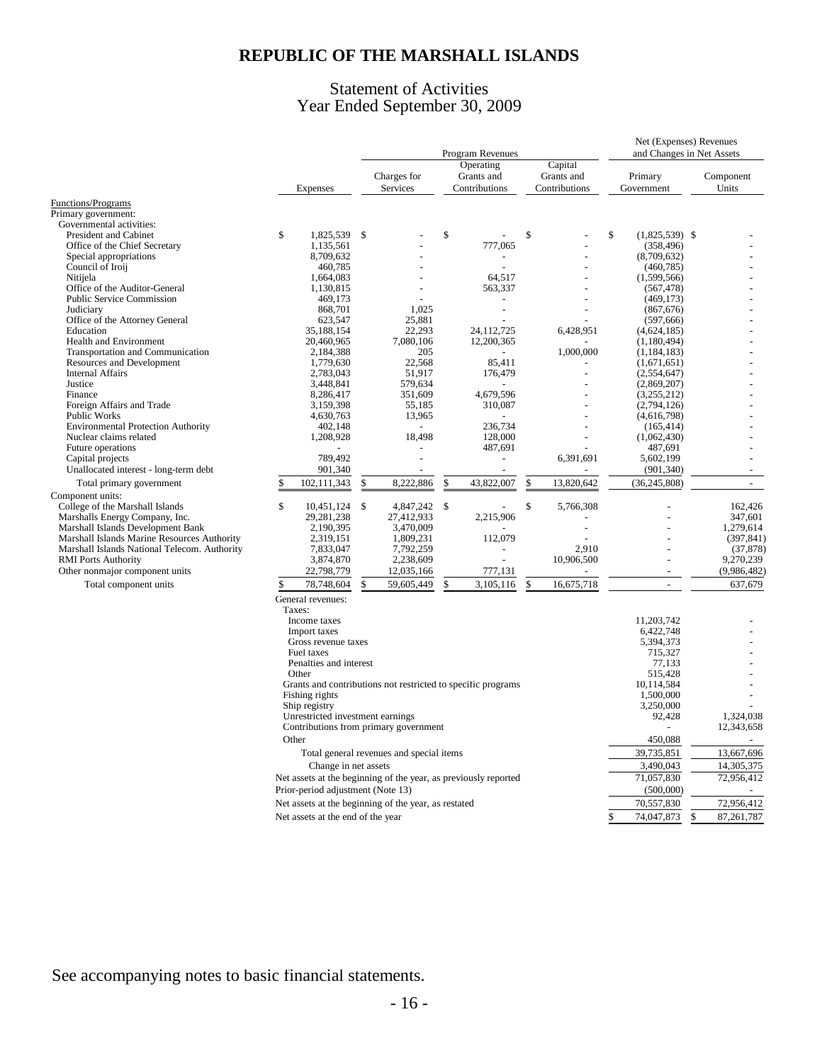# Statement of Activities Year Ended September 30, 2009

|                                              |                      |                                   | Program Revenues   |                                                                 |      |                                                              |            |                                        | Net (Expenses) Revenues<br>and Changes in Net Assets |                              |  |                    |  |  |
|----------------------------------------------|----------------------|-----------------------------------|--------------------|-----------------------------------------------------------------|------|--------------------------------------------------------------|------------|----------------------------------------|------------------------------------------------------|------------------------------|--|--------------------|--|--|
|                                              |                      | Expenses                          |                    | Charges for<br>Services                                         |      | Operating<br>Grants and<br>Contributions                     |            | Capital<br>Grants and<br>Contributions |                                                      | Primary<br>Government        |  | Component<br>Units |  |  |
| Functions/Programs                           |                      |                                   |                    |                                                                 |      |                                                              |            |                                        |                                                      |                              |  |                    |  |  |
| Primary government:                          |                      |                                   |                    |                                                                 |      |                                                              |            |                                        |                                                      |                              |  |                    |  |  |
| Governmental activities:                     |                      |                                   |                    |                                                                 |      |                                                              |            |                                        |                                                      |                              |  |                    |  |  |
| <b>President and Cabinet</b>                 | \$                   | 1,825,539                         | $\mathbb{S}$       |                                                                 | \$   |                                                              | \$         |                                        | \$                                                   | $(1,825,539)$ \$             |  |                    |  |  |
| Office of the Chief Secretary                |                      | 1,135,561                         |                    |                                                                 |      | 777,065                                                      |            |                                        |                                                      | (358, 496)                   |  |                    |  |  |
| Special appropriations                       |                      | 8,709,632                         |                    |                                                                 |      |                                                              |            |                                        |                                                      | (8,709,632)                  |  |                    |  |  |
| Council of Iroij                             |                      | 460,785                           |                    |                                                                 |      |                                                              |            |                                        |                                                      | (460, 785)                   |  |                    |  |  |
| Nitijela                                     |                      | 1,664,083                         |                    |                                                                 |      | 64,517                                                       |            |                                        |                                                      | (1,599,566)                  |  |                    |  |  |
| Office of the Auditor-General                |                      | 1,130,815                         |                    |                                                                 |      | 563,337                                                      |            |                                        |                                                      | (567, 478)                   |  |                    |  |  |
| <b>Public Service Commission</b>             |                      | 469,173                           |                    |                                                                 |      |                                                              |            |                                        |                                                      | (469, 173)                   |  |                    |  |  |
| Judiciary                                    |                      | 868,701                           |                    | 1,025                                                           |      |                                                              |            |                                        |                                                      | (867, 676)                   |  |                    |  |  |
| Office of the Attorney General               |                      | 623,547                           |                    | 25,881                                                          |      |                                                              |            |                                        |                                                      | (597,666)                    |  |                    |  |  |
| Education<br>Health and Environment          |                      | 35,188,154                        |                    | 22,293<br>7.080.106                                             |      | 24, 112, 725<br>12,200,365                                   |            | 6,428,951                              |                                                      | (4,624,185)                  |  |                    |  |  |
| Transportation and Communication             |                      | 20,460,965<br>2,184,388           |                    | 205                                                             |      |                                                              |            | 1,000,000                              |                                                      | (1,180,494)<br>(1, 184, 183) |  |                    |  |  |
| Resources and Development                    |                      | 1,779,630                         |                    | 22,568                                                          |      | 85,411                                                       |            |                                        |                                                      | (1,671,651)                  |  |                    |  |  |
| Internal Affairs                             |                      | 2,783,043                         |                    | 51,917                                                          |      | 176,479                                                      |            |                                        |                                                      | (2,554,647)                  |  |                    |  |  |
| Justice                                      |                      | 3,448,841                         |                    | 579,634                                                         |      |                                                              |            |                                        |                                                      | (2,869,207)                  |  |                    |  |  |
| Finance                                      |                      | 8,286,417                         |                    | 351,609                                                         |      | 4,679,596                                                    |            |                                        |                                                      | (3,255,212)                  |  |                    |  |  |
| Foreign Affairs and Trade                    |                      | 3,159,398                         |                    | 55,185                                                          |      | 310,087                                                      |            |                                        |                                                      | (2,794,126)                  |  |                    |  |  |
| Public Works                                 |                      | 4,630,763                         |                    | 13,965                                                          |      |                                                              |            |                                        |                                                      | (4,616,798)                  |  |                    |  |  |
| <b>Environmental Protection Authority</b>    |                      | 402,148                           |                    |                                                                 |      | 236,734                                                      |            |                                        |                                                      | (165, 414)                   |  |                    |  |  |
| Nuclear claims related                       |                      | 1,208,928                         |                    | 18,498                                                          |      | 128,000                                                      |            |                                        |                                                      | (1,062,430)                  |  |                    |  |  |
| Future operations                            |                      |                                   |                    |                                                                 |      | 487,691                                                      |            |                                        |                                                      | 487,691                      |  |                    |  |  |
| Capital projects                             |                      | 789.492                           |                    |                                                                 |      |                                                              |            | 6,391,691                              |                                                      | 5,602,199                    |  |                    |  |  |
| Unallocated interest - long-term debt        |                      | 901,340                           |                    |                                                                 |      |                                                              |            |                                        |                                                      | (901, 340)                   |  |                    |  |  |
| Total primary government                     | S                    | 102,111,343                       | \$                 | 8,222,886                                                       | \$   | 43,822,007                                                   | \$         | 13,820,642                             |                                                      | (36, 245, 808)               |  |                    |  |  |
| Component units:                             |                      |                                   |                    |                                                                 |      |                                                              |            |                                        |                                                      |                              |  |                    |  |  |
| College of the Marshall Islands              | \$                   | 10,451,124                        | $\mathbf{\hat{S}}$ | 4,847,242                                                       | - \$ |                                                              | \$         | 5,766,308                              |                                                      |                              |  | 162,426            |  |  |
| Marshalls Energy Company, Inc.               |                      | 29,281,238                        |                    | 27,412,933                                                      |      | 2,215,906                                                    |            |                                        |                                                      |                              |  | 347,601            |  |  |
| Marshall Islands Development Bank            |                      | 2,190,395                         |                    | 3,470,009                                                       |      |                                                              |            |                                        |                                                      |                              |  | 1,279,614          |  |  |
| Marshall Islands Marine Resources Authority  |                      | 2,319,151                         |                    | 1,809,231                                                       |      | 112,079                                                      |            |                                        |                                                      |                              |  | (397, 841)         |  |  |
| Marshall Islands National Telecom. Authority |                      | 7,833,047                         |                    | 7,792,259                                                       |      |                                                              |            | 2,910                                  |                                                      |                              |  | (37, 878)          |  |  |
| <b>RMI</b> Ports Authority                   |                      | 3,874,870                         |                    | 2,238,609                                                       |      |                                                              |            | 10,906,500                             |                                                      |                              |  | 9,270,239          |  |  |
| Other nonmajor component units               |                      | 22,798,779                        |                    | 12,035,166                                                      |      | 777,131                                                      |            | $\overline{a}$                         |                                                      |                              |  | (9,986,482)        |  |  |
| Total component units                        | \$                   | 78,748,604                        | \$                 | 59,605,449                                                      | \$   | 3,105,116                                                    | \$         | 16,675,718                             |                                                      | $\overline{a}$               |  | 637,679            |  |  |
|                                              |                      | General revenues:                 |                    |                                                                 |      |                                                              |            |                                        |                                                      |                              |  |                    |  |  |
|                                              |                      | Taxes:                            |                    |                                                                 |      |                                                              |            |                                        |                                                      |                              |  |                    |  |  |
|                                              |                      | Income taxes                      |                    |                                                                 |      |                                                              |            |                                        |                                                      | 11,203,742                   |  |                    |  |  |
|                                              |                      | Import taxes                      |                    |                                                                 |      |                                                              |            |                                        |                                                      | 6,422,748<br>5,394,373       |  |                    |  |  |
|                                              |                      | Gross revenue taxes<br>Fuel taxes |                    |                                                                 |      |                                                              |            |                                        |                                                      | 715,327                      |  |                    |  |  |
|                                              |                      | Penalties and interest            |                    |                                                                 |      |                                                              |            |                                        |                                                      | 77,133                       |  |                    |  |  |
|                                              |                      | Other                             |                    |                                                                 |      |                                                              |            |                                        |                                                      | 515,428                      |  |                    |  |  |
|                                              |                      |                                   |                    |                                                                 |      | Grants and contributions not restricted to specific programs |            |                                        |                                                      | 10,114,584                   |  |                    |  |  |
|                                              |                      | Fishing rights                    |                    |                                                                 |      |                                                              |            |                                        |                                                      | 1,500,000                    |  |                    |  |  |
|                                              |                      | Ship registry                     |                    |                                                                 |      |                                                              |            |                                        |                                                      | 3,250,000                    |  |                    |  |  |
|                                              |                      | Unrestricted investment earnings  |                    |                                                                 |      |                                                              |            |                                        |                                                      | 92,428                       |  | 1,324,038          |  |  |
|                                              |                      |                                   |                    | Contributions from primary government                           |      |                                                              |            |                                        |                                                      |                              |  | 12,343,658         |  |  |
|                                              |                      | Other                             |                    |                                                                 |      |                                                              |            |                                        |                                                      | 450,088                      |  |                    |  |  |
|                                              |                      |                                   |                    | Total general revenues and special items                        |      |                                                              |            |                                        |                                                      | 39,735,851                   |  | 13,667,696         |  |  |
|                                              | Change in net assets |                                   |                    |                                                                 |      |                                                              |            |                                        |                                                      | 3,490,043                    |  | 14,305,375         |  |  |
|                                              |                      |                                   |                    | Net assets at the beginning of the year, as previously reported |      |                                                              | 71,057,830 |                                        | 72,956,412                                           |                              |  |                    |  |  |
|                                              |                      | Prior-period adjustment (Note 13) |                    |                                                                 |      |                                                              |            |                                        |                                                      | (500,000)                    |  |                    |  |  |
|                                              |                      |                                   |                    | Net assets at the beginning of the year, as restated            |      |                                                              |            |                                        |                                                      | 70,557,830                   |  | 72,956,412         |  |  |
|                                              |                      | Net assets at the end of the year |                    |                                                                 |      |                                                              |            |                                        | \$                                                   | 74,047,873<br>\$             |  | 87,261,787         |  |  |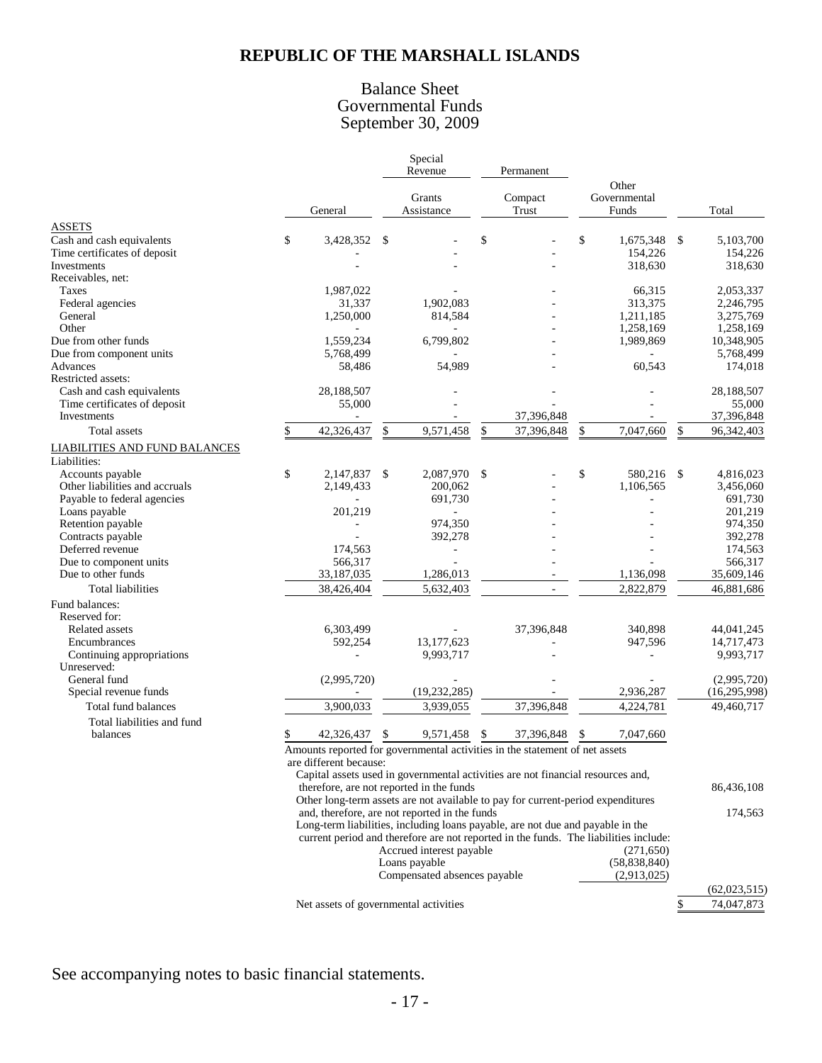# Balance Sheet Governmental Funds September 30, 2009

|                                                    |    |                                       | Special<br>Revenue                            | Permanent                                                                            |                                |      |                               |
|----------------------------------------------------|----|---------------------------------------|-----------------------------------------------|--------------------------------------------------------------------------------------|--------------------------------|------|-------------------------------|
|                                                    |    | General                               | Grants<br>Assistance                          | Compact<br>Trust                                                                     | Other<br>Governmental<br>Funds |      | Total                         |
| <b>ASSETS</b>                                      |    |                                       |                                               |                                                                                      |                                |      |                               |
| Cash and cash equivalents                          | \$ | 3,428,352                             | \$                                            | \$                                                                                   | \$<br>1,675,348                | - \$ | 5,103,700                     |
| Time certificates of deposit                       |    |                                       |                                               |                                                                                      | 154,226                        |      | 154,226                       |
| Investments                                        |    |                                       |                                               |                                                                                      | 318,630                        |      | 318,630                       |
| Receivables, net:                                  |    |                                       |                                               |                                                                                      |                                |      |                               |
| Taxes                                              |    | 1,987,022                             |                                               |                                                                                      | 66,315                         |      | 2,053,337                     |
| Federal agencies<br>General                        |    | 31.337<br>1,250,000                   | 1,902,083<br>814,584                          |                                                                                      | 313.375<br>1,211,185           |      | 2,246,795<br>3,275,769        |
| Other                                              |    |                                       |                                               |                                                                                      | 1,258,169                      |      | 1,258,169                     |
| Due from other funds                               |    | 1,559,234                             | 6,799,802                                     |                                                                                      | 1,989,869                      |      | 10,348,905                    |
| Due from component units                           |    | 5,768,499                             |                                               |                                                                                      |                                |      | 5,768,499                     |
| Advances                                           |    | 58,486                                | 54,989                                        |                                                                                      | 60,543                         |      | 174,018                       |
| Restricted assets:                                 |    |                                       |                                               |                                                                                      |                                |      |                               |
| Cash and cash equivalents                          |    | 28,188,507                            |                                               |                                                                                      |                                |      | 28,188,507                    |
| Time certificates of deposit                       |    | 55,000                                |                                               |                                                                                      |                                |      | 55,000                        |
| <b>Investments</b>                                 |    |                                       |                                               | 37,396,848                                                                           |                                |      | 37,396,848                    |
| <b>Total</b> assets                                | \$ | 42,326,437                            | \$<br>9,571,458                               | \$<br>37,396,848                                                                     | \$<br>7,047,660                | \$   | 96,342,403                    |
| <b>LIABILITIES AND FUND BALANCES</b>               |    |                                       |                                               |                                                                                      |                                |      |                               |
| Liabilities:                                       |    |                                       |                                               |                                                                                      | \$                             | \$   |                               |
| Accounts payable<br>Other liabilities and accruals | \$ | 2,147,837                             | \$<br>2,087,970<br>200,062                    | \$                                                                                   | 580,216                        |      | 4,816,023<br>3,456,060        |
| Payable to federal agencies                        |    | 2,149,433                             | 691,730                                       |                                                                                      | 1,106,565                      |      | 691,730                       |
| Loans payable                                      |    | 201,219                               |                                               |                                                                                      |                                |      | 201,219                       |
| Retention payable                                  |    |                                       | 974,350                                       |                                                                                      |                                |      | 974,350                       |
| Contracts payable                                  |    |                                       | 392,278                                       |                                                                                      |                                |      | 392,278                       |
| Deferred revenue                                   |    | 174,563                               | $\overline{\phantom{a}}$                      |                                                                                      |                                |      | 174,563                       |
| Due to component units                             |    | 566,317                               |                                               |                                                                                      |                                |      | 566,317                       |
| Due to other funds                                 |    | 33,187,035                            | 1,286,013                                     |                                                                                      | 1,136,098                      |      | 35,609,146                    |
| <b>Total liabilities</b>                           |    | 38,426,404                            | 5,632,403                                     |                                                                                      | 2,822,879                      |      | 46,881,686                    |
| Fund balances:                                     |    |                                       |                                               |                                                                                      |                                |      |                               |
| Reserved for:                                      |    |                                       |                                               |                                                                                      |                                |      |                               |
| Related assets                                     |    | 6,303,499                             |                                               | 37,396,848                                                                           | 340,898                        |      | 44,041,245                    |
| Encumbrances                                       |    | 592,254                               | 13,177,623                                    |                                                                                      | 947,596                        |      | 14,717,473                    |
| Continuing appropriations                          |    |                                       | 9,993,717                                     |                                                                                      |                                |      | 9,993,717                     |
| Unreserved:                                        |    |                                       |                                               |                                                                                      |                                |      |                               |
| General fund<br>Special revenue funds              |    | (2,995,720)                           | (19, 232, 285)                                |                                                                                      | 2,936,287                      |      | (2,995,720)<br>(16, 295, 998) |
| Total fund balances                                |    | 3,900,033                             | 3,939,055                                     |                                                                                      |                                |      |                               |
|                                                    |    |                                       |                                               | 37,396,848                                                                           | 4,224,781                      |      | 49,460,717                    |
| Total liabilities and fund<br>balances             | \$ | 42,326,437                            | \$<br>9,571,458                               | \$<br>37,396,848                                                                     | \$<br>7,047,660                |      |                               |
|                                                    |    |                                       |                                               | Amounts reported for governmental activities in the statement of net assets          |                                |      |                               |
|                                                    |    | are different because:                |                                               |                                                                                      |                                |      |                               |
|                                                    |    |                                       |                                               | Capital assets used in governmental activities are not financial resources and,      |                                |      |                               |
|                                                    |    |                                       | therefore, are not reported in the funds      |                                                                                      |                                |      | 86,436,108                    |
|                                                    |    |                                       | and, therefore, are not reported in the funds | Other long-term assets are not available to pay for current-period expenditures      |                                |      | 174,563                       |
|                                                    |    |                                       |                                               | Long-term liabilities, including loans payable, are not due and payable in the       |                                |      |                               |
|                                                    |    |                                       |                                               | current period and therefore are not reported in the funds. The liabilities include: |                                |      |                               |
|                                                    |    |                                       | Accrued interest payable                      |                                                                                      | (271, 650)                     |      |                               |
|                                                    |    |                                       | Loans payable                                 |                                                                                      | (58, 838, 840)                 |      |                               |
|                                                    |    |                                       | Compensated absences payable                  |                                                                                      | (2,913,025)                    |      |                               |
|                                                    |    |                                       |                                               |                                                                                      |                                |      | (62,023,515)                  |
|                                                    |    | Net assets of governmental activities |                                               |                                                                                      |                                | \$   | 74,047,873                    |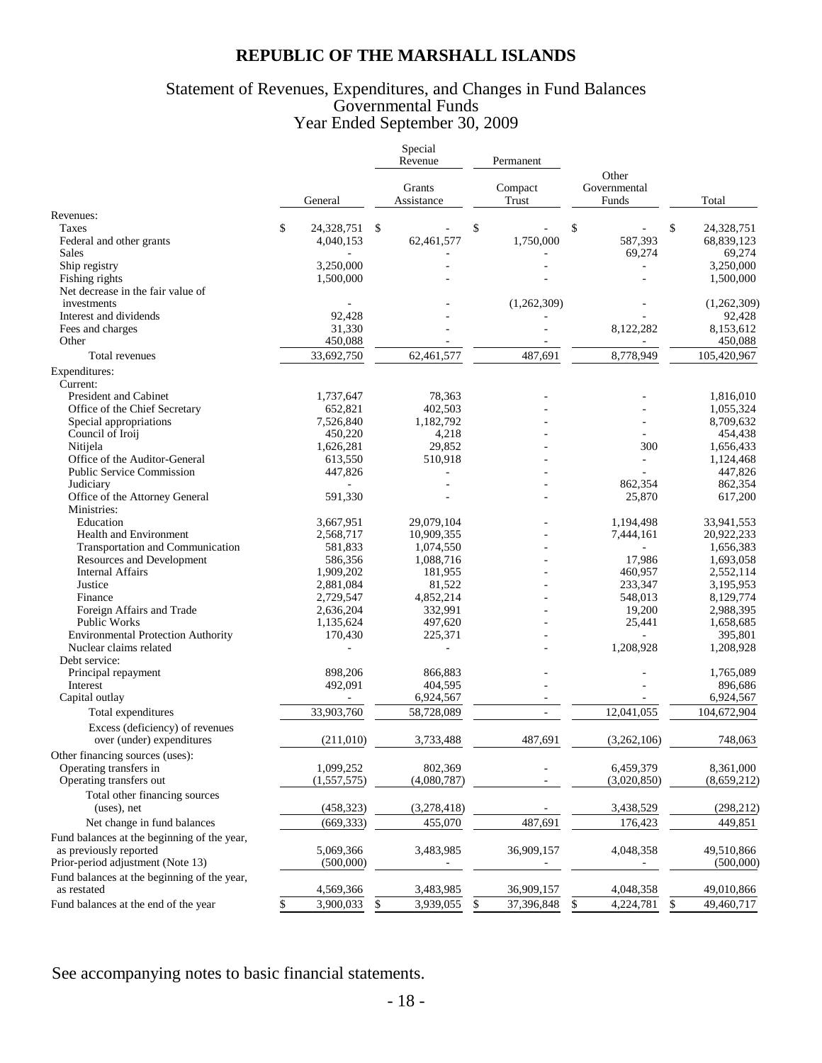## Statement of Revenues, Expenditures, and Changes in Fund Balances Governmental Funds Year Ended September 30, 2009

|                                                                                                            |                        | Special<br>Revenue       | Permanent        |                                |                         |
|------------------------------------------------------------------------------------------------------------|------------------------|--------------------------|------------------|--------------------------------|-------------------------|
|                                                                                                            | General                | Grants<br>Assistance     | Compact<br>Trust | Other<br>Governmental<br>Funds | Total                   |
| Revenues:                                                                                                  |                        |                          |                  |                                |                         |
| Taxes                                                                                                      | \$<br>24,328,751 \$    |                          | \$               | \$                             | \$<br>24,328,751        |
| Federal and other grants                                                                                   | 4,040,153              | 62,461,577               | 1,750,000        | 587,393                        | 68,839,123              |
| <b>Sales</b>                                                                                               | 3,250,000              |                          |                  | 69,274                         | 69,274<br>3,250,000     |
| Ship registry<br>Fishing rights                                                                            | 1,500,000              |                          |                  |                                | 1,500,000               |
| Net decrease in the fair value of                                                                          |                        |                          |                  |                                |                         |
| investments                                                                                                |                        |                          | (1,262,309)      |                                | (1,262,309)             |
| Interest and dividends                                                                                     | 92,428                 |                          |                  |                                | 92,428                  |
| Fees and charges                                                                                           | 31,330                 |                          |                  | 8,122,282                      | 8,153,612               |
| Other                                                                                                      | 450,088                |                          |                  |                                | 450,088                 |
| Total revenues                                                                                             | 33,692,750             | 62,461,577               | 487,691          | 8,778,949                      | 105,420,967             |
| Expenditures:<br>Current:                                                                                  |                        |                          |                  |                                |                         |
| President and Cabinet                                                                                      | 1,737,647              | 78,363                   |                  |                                | 1,816,010               |
| Office of the Chief Secretary                                                                              | 652,821                | 402,503                  |                  |                                | 1,055,324               |
| Special appropriations<br>Council of Iroij                                                                 | 7,526,840<br>450,220   | 1,182,792<br>4,218       |                  |                                | 8,709,632<br>454,438    |
| Nitijela                                                                                                   | 1,626,281              | 29,852                   |                  | 300                            | 1,656,433               |
| Office of the Auditor-General                                                                              | 613,550                | 510,918                  |                  | $\sim$                         | 1,124,468               |
| <b>Public Service Commission</b>                                                                           | 447,826                |                          |                  |                                | 447,826                 |
| Judiciary                                                                                                  |                        |                          |                  | 862,354                        | 862,354                 |
| Office of the Attorney General<br>Ministries:                                                              | 591,330                |                          |                  | 25,870                         | 617,200                 |
| Education                                                                                                  | 3,667,951              | 29,079,104               |                  | 1,194,498                      | 33,941,553              |
| <b>Health and Environment</b>                                                                              | 2,568,717              | 10,909,355               |                  | 7,444,161                      | 20,922,233              |
| Transportation and Communication                                                                           | 581,833                | 1,074,550                |                  |                                | 1,656,383               |
| Resources and Development                                                                                  | 586,356                | 1,088,716                |                  | 17,986                         | 1,693,058               |
| Internal Affairs                                                                                           | 1,909,202              | 181,955                  |                  | 460,957                        | 2,552,114               |
| Justice                                                                                                    | 2,881,084              | 81,522                   |                  | 233,347                        | 3,195,953               |
| Finance                                                                                                    | 2,729,547              | 4,852,214                |                  | 548,013                        | 8,129,774               |
| Foreign Affairs and Trade                                                                                  | 2,636,204              | 332,991                  |                  | 19,200                         | 2,988,395               |
| Public Works                                                                                               | 1,135,624              | 497,620                  |                  | 25,441                         | 1,658,685               |
| <b>Environmental Protection Authority</b>                                                                  | 170,430                | 225,371                  |                  | $\sim$                         | 395,801                 |
| Nuclear claims related<br>Debt service:                                                                    |                        | $\overline{\phantom{a}}$ |                  | 1,208,928                      | 1,208,928               |
| Principal repayment                                                                                        | 898,206                | 866,883                  |                  |                                | 1,765,089               |
| Interest                                                                                                   | 492,091                | 404,595<br>6,924,567     |                  |                                | 896,686                 |
| Capital outlay                                                                                             |                        |                          |                  |                                | 6,924,567               |
| Total expenditures                                                                                         | 33,903,760             | 58,728,089               |                  | 12,041,055                     | 104,672,904             |
| Excess (deficiency) of revenues<br>over (under) expenditures                                               | (211, 010)             | 3,733,488                | 487,691          | (3,262,106)                    | 748,063                 |
| Other financing sources (uses):                                                                            |                        |                          |                  |                                |                         |
| Operating transfers in                                                                                     | 1,099,252              | 802,369                  |                  | 6,459,379                      | 8,361,000               |
| Operating transfers out                                                                                    | (1, 557, 575)          | (4,080,787)              |                  | (3,020,850)                    | (8,659,212)             |
| Total other financing sources<br>$(uses)$ , net                                                            | (458, 323)             | (3,278,418)              |                  | 3,438,529                      | (298, 212)              |
| Net change in fund balances                                                                                | (669, 333)             | 455,070                  | 487,691          | 176,423                        | 449,851                 |
| Fund balances at the beginning of the year,<br>as previously reported<br>Prior-period adjustment (Note 13) | 5,069,366<br>(500,000) | 3,483,985                | 36,909,157       | 4,048,358                      | 49,510,866<br>(500,000) |
| Fund balances at the beginning of the year,<br>as restated                                                 | 4,569,366              | 3,483,985                | 36,909,157       | 4,048,358                      | 49,010,866              |
| Fund balances at the end of the year                                                                       | \$<br>3,900,033        | \$<br>3,939,055          | \$<br>37,396,848 | \$<br>4,224,781                | \$<br>49,460,717        |
|                                                                                                            |                        |                          |                  |                                |                         |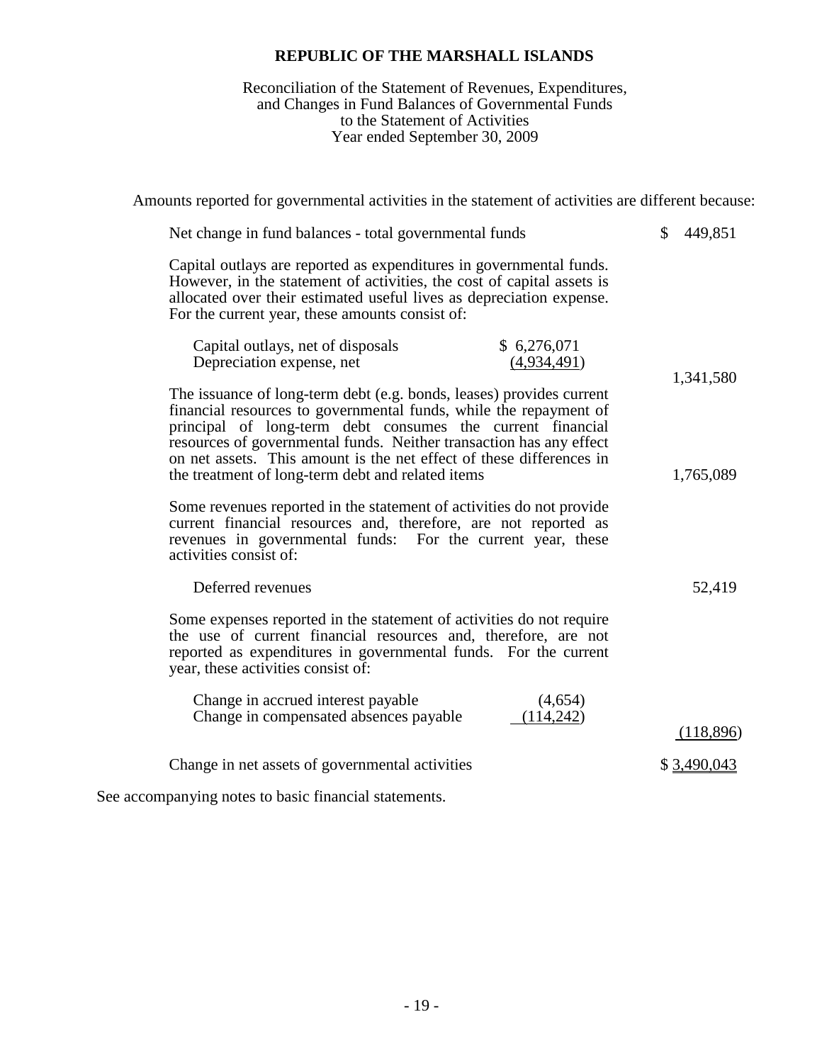#### Reconciliation of the Statement of Revenues, Expenditures, and Changes in Fund Balances of Governmental Funds to the Statement of Activities Year ended September 30, 2009

Amounts reported for governmental activities in the statement of activities are different because:

| Net change in fund balances - total governmental funds                                                                                                                                                                                                                                                                                                                                                      | \$<br>449,851          |
|-------------------------------------------------------------------------------------------------------------------------------------------------------------------------------------------------------------------------------------------------------------------------------------------------------------------------------------------------------------------------------------------------------------|------------------------|
| Capital outlays are reported as expenditures in governmental funds.<br>However, in the statement of activities, the cost of capital assets is<br>allocated over their estimated useful lives as depreciation expense.<br>For the current year, these amounts consist of:                                                                                                                                    |                        |
| \$6,276,071<br>Capital outlays, net of disposals<br>Depreciation expense, net<br>(4,934,491)                                                                                                                                                                                                                                                                                                                |                        |
| The issuance of long-term debt (e.g. bonds, leases) provides current<br>financial resources to governmental funds, while the repayment of<br>principal of long-term debt consumes the current financial<br>resources of governmental funds. Neither transaction has any effect<br>on net assets. This amount is the net effect of these differences in<br>the treatment of long-term debt and related items | 1,341,580<br>1,765,089 |
| Some revenues reported in the statement of activities do not provide<br>current financial resources and, therefore, are not reported as<br>revenues in governmental funds: For the current year, these<br>activities consist of:                                                                                                                                                                            |                        |
| Deferred revenues                                                                                                                                                                                                                                                                                                                                                                                           | 52,419                 |
| Some expenses reported in the statement of activities do not require<br>the use of current financial resources and, therefore, are not<br>reported as expenditures in governmental funds. For the current<br>year, these activities consist of:                                                                                                                                                             |                        |
| Change in accrued interest payable<br>(4,654)<br>Change in compensated absences payable<br>(114, 242)                                                                                                                                                                                                                                                                                                       | (118,896)              |
| Change in net assets of governmental activities                                                                                                                                                                                                                                                                                                                                                             | \$3,490,043            |
|                                                                                                                                                                                                                                                                                                                                                                                                             |                        |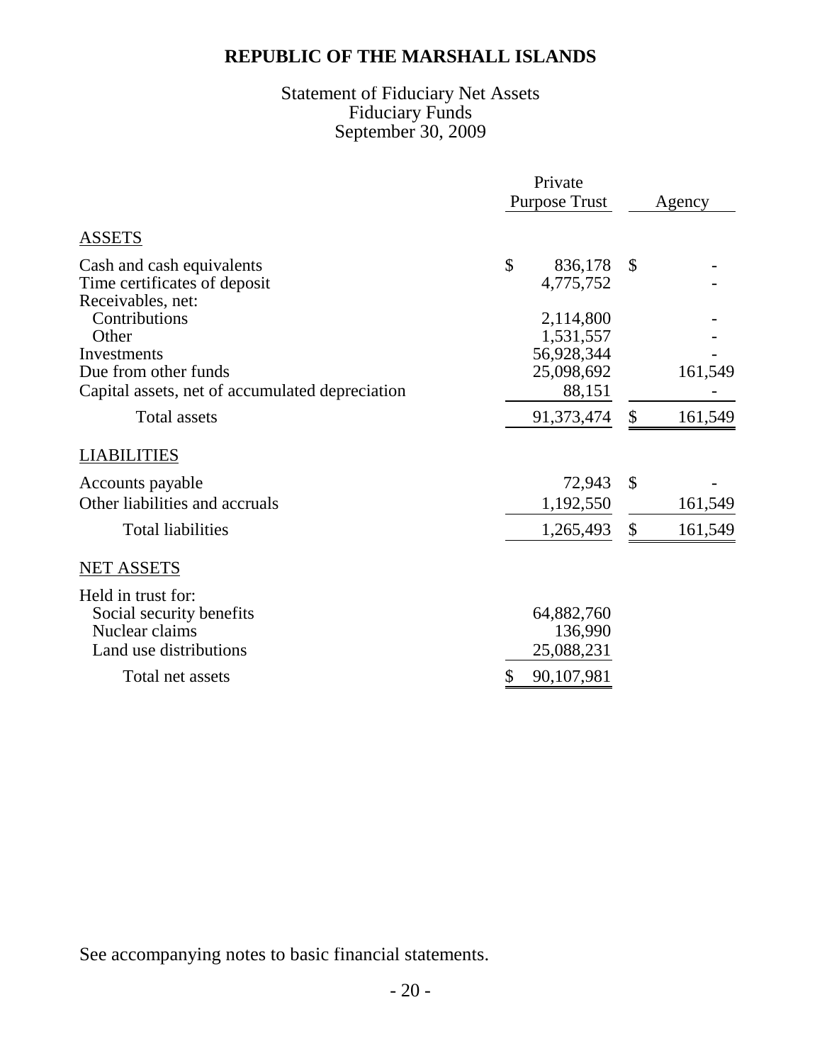# Statement of Fiduciary Net Assets September 30, 2009 Fiduciary Funds

|                                                 | Private      |                      |                           |         |
|-------------------------------------------------|--------------|----------------------|---------------------------|---------|
|                                                 |              | <b>Purpose Trust</b> | Agency                    |         |
| <b>ASSETS</b>                                   |              |                      |                           |         |
| Cash and cash equivalents                       | $\mathbb{S}$ | 836,178              | $\boldsymbol{\mathsf{S}}$ |         |
| Time certificates of deposit                    |              | 4,775,752            |                           |         |
| Receivables, net:                               |              |                      |                           |         |
| Contributions                                   |              | 2,114,800            |                           |         |
| Other                                           |              | 1,531,557            |                           |         |
| Investments                                     |              | 56,928,344           |                           |         |
| Due from other funds                            |              | 25,098,692           |                           | 161,549 |
| Capital assets, net of accumulated depreciation |              | 88,151               |                           |         |
| <b>Total assets</b>                             |              | 91,373,474           | $\boldsymbol{\mathsf{S}}$ | 161,549 |
| <b>LIABILITIES</b>                              |              |                      |                           |         |
| Accounts payable                                |              | 72,943               | $\mathcal{S}$             |         |
| Other liabilities and accruals                  |              | 1,192,550            |                           | 161,549 |
| <b>Total liabilities</b>                        |              | 1,265,493            | \$                        | 161,549 |
| <b>NET ASSETS</b>                               |              |                      |                           |         |
| Held in trust for:                              |              |                      |                           |         |
| Social security benefits                        |              | 64,882,760           |                           |         |
| Nuclear claims                                  |              | 136,990              |                           |         |
| Land use distributions                          |              | 25,088,231           |                           |         |
| Total net assets                                | \$           | 90,107,981           |                           |         |
|                                                 |              |                      |                           |         |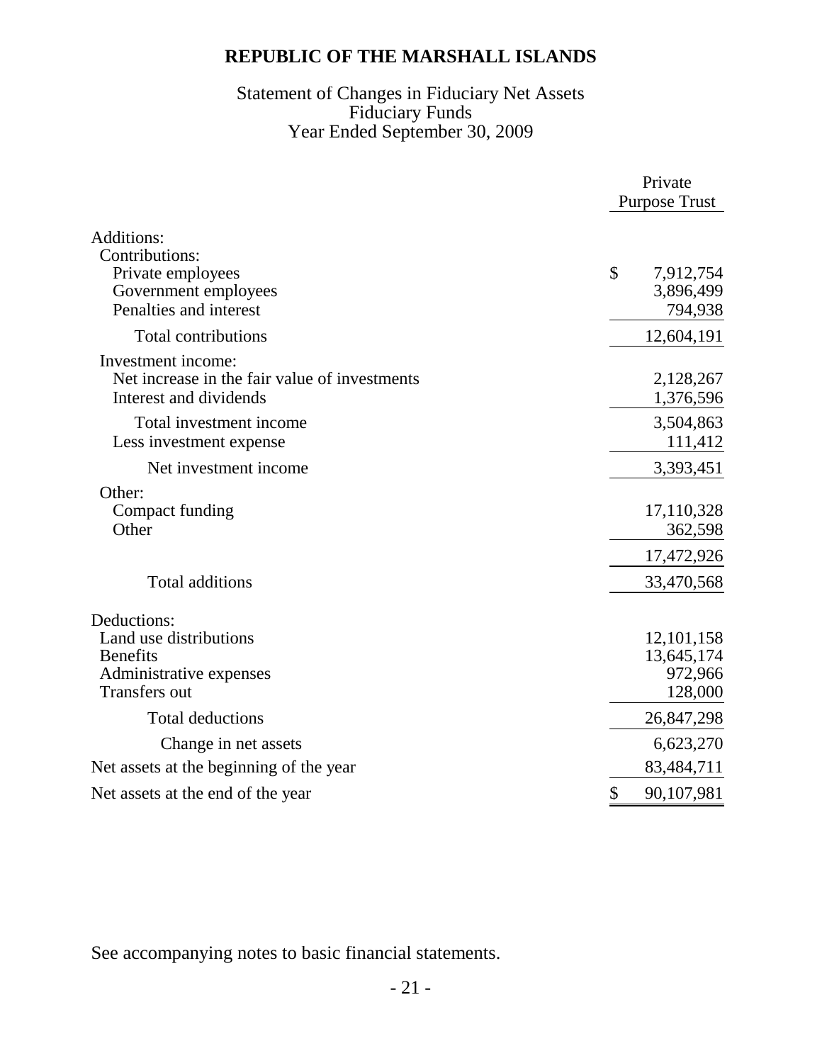# Statement of Changes in Fiduciary Net Assets Fiduciary Funds Year Ended September 30, 2009

|                                                                                                                                                     | Private<br><b>Purpose Trust</b>                   |
|-----------------------------------------------------------------------------------------------------------------------------------------------------|---------------------------------------------------|
| <b>Additions:</b><br>Contributions:<br>Private employees<br>Government employees<br>Penalties and interest                                          | $\mathbb{S}$<br>7,912,754<br>3,896,499<br>794,938 |
| <b>Total contributions</b>                                                                                                                          | 12,604,191                                        |
| Investment income:<br>Net increase in the fair value of investments<br>Interest and dividends<br>Total investment income<br>Less investment expense | 2,128,267<br>1,376,596<br>3,504,863<br>111,412    |
| Net investment income                                                                                                                               | 3,393,451                                         |
| Other:<br>Compact funding<br>Other<br><b>Total additions</b>                                                                                        | 17,110,328<br>362,598<br>17,472,926<br>33,470,568 |
| Deductions:<br>Land use distributions<br><b>Benefits</b><br>Administrative expenses<br>Transfers out                                                | 12, 101, 158<br>13,645,174<br>972,966<br>128,000  |
| <b>Total deductions</b>                                                                                                                             | 26,847,298                                        |
| Change in net assets                                                                                                                                | 6,623,270                                         |
| Net assets at the beginning of the year                                                                                                             | 83,484,711                                        |
| Net assets at the end of the year                                                                                                                   | \$<br>90,107,981                                  |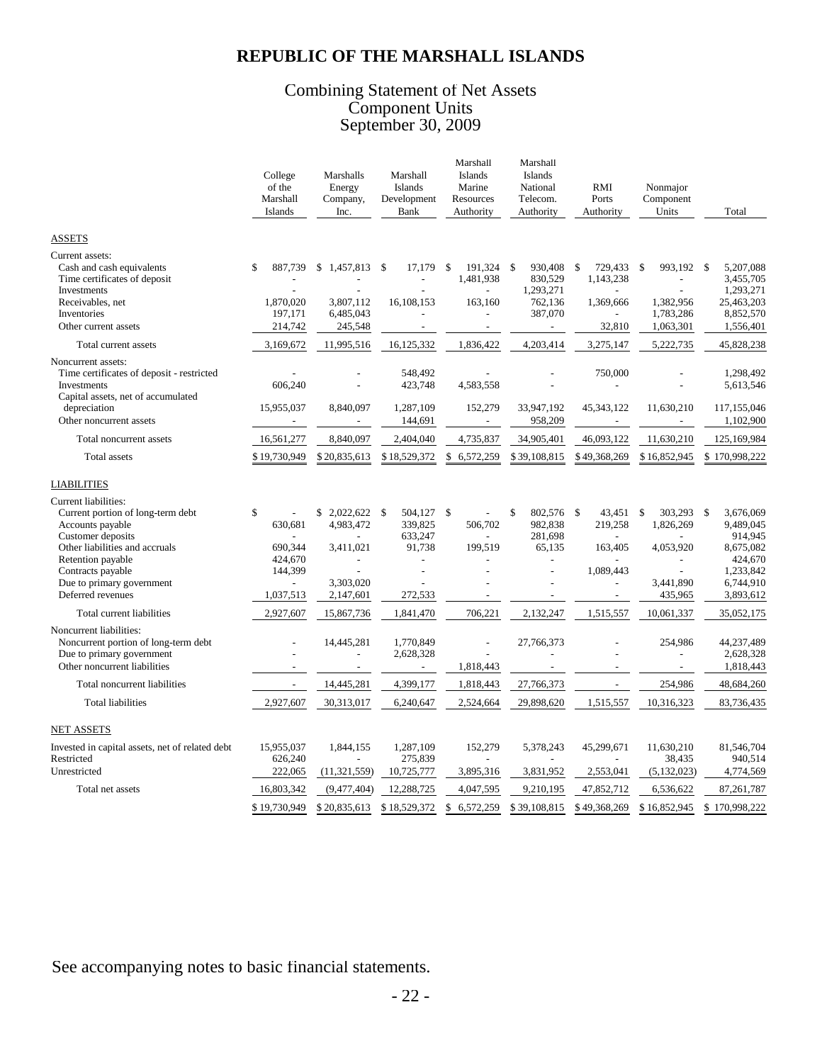## Combining Statement of Net Assets Component Units September 30, 2009

|                                                                                                                                                                                                             | College<br>of the<br>Marshall<br><b>Islands</b>                    | Marshalls<br>Energy<br>Company,<br>Inc.                                | Marshall<br>Islands<br>Development<br><b>Bank</b>                  | Marshall<br><b>Islands</b><br>Marine<br><b>Resources</b><br>Authority                 | Marshall<br>Islands<br>National<br>Telecom.<br>Authority        | RMI<br>Ports<br>Authority                                                                      | Nonmajor<br>Component<br>Units                            | Total                                                                                     |
|-------------------------------------------------------------------------------------------------------------------------------------------------------------------------------------------------------------|--------------------------------------------------------------------|------------------------------------------------------------------------|--------------------------------------------------------------------|---------------------------------------------------------------------------------------|-----------------------------------------------------------------|------------------------------------------------------------------------------------------------|-----------------------------------------------------------|-------------------------------------------------------------------------------------------|
| <b>ASSETS</b>                                                                                                                                                                                               |                                                                    |                                                                        |                                                                    |                                                                                       |                                                                 |                                                                                                |                                                           |                                                                                           |
| Current assets:<br>Cash and cash equivalents<br>Time certificates of deposit<br>Investments<br>Receivables, net<br>Inventories<br>Other current assets                                                      | \$<br>887.739<br>$\overline{a}$<br>1,870,020<br>197,171<br>214,742 | 1,457,813<br>\$<br>$\overline{a}$<br>3,807,112<br>6,485,043<br>245,548 | - \$<br>17.179<br>$\overline{a}$<br>16,108,153                     | 191.324 \$<br>S<br>1,481,938<br>$\sim$<br>163,160<br>$\overline{a}$<br>$\overline{a}$ | 930.408<br>830,529<br>1,293,271<br>762,136<br>387,070<br>$\sim$ | $\mathbf S$<br>729,433<br>1,143,238<br>$\overline{a}$<br>1,369,666<br>$\overline{a}$<br>32,810 | 993,192 \$<br>- \$<br>1,382,956<br>1,783,286<br>1,063,301 | 5,207,088<br>3,455,705<br>1,293,271<br>25,463,203<br>8,852,570<br>1,556,401               |
| Total current assets                                                                                                                                                                                        | 3,169,672                                                          | 11,995,516                                                             | 16,125,332                                                         | 1,836,422                                                                             | 4,203,414                                                       | 3,275,147                                                                                      | 5,222,735                                                 | 45,828,238                                                                                |
| Noncurrent assets:<br>Time certificates of deposit - restricted<br>Investments<br>Capital assets, net of accumulated<br>depreciation                                                                        | 606,240<br>15,955,037                                              | $\overline{a}$<br>$\overline{a}$<br>8,840,097                          | 548,492<br>423,748<br>1,287,109                                    | 4,583,558<br>152,279                                                                  | 33,947,192                                                      | 750,000<br>45,343,122                                                                          | $\overline{a}$<br>11,630,210                              | 1,298,492<br>5,613,546<br>117,155,046                                                     |
| Other noncurrent assets                                                                                                                                                                                     |                                                                    | $\overline{\phantom{a}}$                                               | 144,691                                                            | $\overline{\phantom{a}}$                                                              | 958,209                                                         | $\overline{\phantom{a}}$                                                                       | $\sim$                                                    | 1,102,900                                                                                 |
| Total noncurrent assets                                                                                                                                                                                     | 16,561,277                                                         | 8,840,097                                                              | 2,404,040                                                          | 4,735,837                                                                             | 34,905,401                                                      | 46,093,122                                                                                     | 11,630,210                                                | 125,169,984                                                                               |
| Total assets                                                                                                                                                                                                | \$19,730,949                                                       | \$20,835,613                                                           | \$18,529,372                                                       | \$6,572,259                                                                           | \$39,108,815                                                    | \$49,368,269                                                                                   | \$16,852,945                                              | \$170,998,222                                                                             |
| <b>LIABILITIES</b>                                                                                                                                                                                          |                                                                    |                                                                        |                                                                    |                                                                                       |                                                                 |                                                                                                |                                                           |                                                                                           |
| Current liabilities:<br>Current portion of long-term debt<br>Accounts payable<br>Customer deposits<br>Other liabilities and accruals<br>Retention payable<br>Contracts payable<br>Due to primary government | \$<br>630,681<br>690,344<br>424,670<br>144,399                     | \$2,022,622<br>4,983,472<br>3,411,021<br>$\sim$<br>3,303,020           | -S<br>504,127 \$<br>339,825<br>633,247<br>91,738<br>$\overline{a}$ | 506,702<br>$\overline{a}$<br>199,519                                                  | \$<br>802,576<br>982,838<br>281,698<br>65,135                   | - \$<br>43,451<br>219,258<br>$\overline{a}$<br>163,405<br>1,089,443                            | -\$<br>303,293<br>1,826,269<br>4,053,920<br>3,441,890     | -S<br>3,676,069<br>9,489,045<br>914.945<br>8,675,082<br>424,670<br>1,233,842<br>6,744,910 |
| Deferred revenues                                                                                                                                                                                           | 1,037,513                                                          | 2,147,601                                                              | 272,533                                                            |                                                                                       |                                                                 |                                                                                                | 435,965                                                   | 3,893,612                                                                                 |
| Total current liabilities                                                                                                                                                                                   | 2,927,607                                                          | 15,867,736                                                             | 1,841,470                                                          | 706,221                                                                               | 2,132,247                                                       | 1,515,557                                                                                      | 10,061,337                                                | 35,052,175                                                                                |
| Noncurrent liabilities:<br>Noncurrent portion of long-term debt<br>Due to primary government<br>Other noncurrent liabilities                                                                                | $\overline{a}$<br>$\overline{a}$<br>$\overline{\phantom{a}}$       | 14,445,281<br>$\overline{a}$<br>$\sim$                                 | 1,770,849<br>2,628,328<br>$\sim$                                   | 1,818,443                                                                             | 27,766,373                                                      | $\overline{a}$                                                                                 | 254,986<br>$\overline{a}$                                 | 44,237,489<br>2,628,328<br>1,818,443                                                      |
| Total noncurrent liabilities                                                                                                                                                                                | $\overline{\phantom{a}}$                                           | 14,445,281                                                             | 4,399,177                                                          | 1,818,443                                                                             | 27,766,373                                                      | $\overline{\phantom{a}}$                                                                       | 254,986                                                   | 48,684,260                                                                                |
| <b>Total liabilities</b>                                                                                                                                                                                    | 2,927,607                                                          | 30,313,017                                                             | 6,240,647                                                          | 2,524,664                                                                             | 29,898,620                                                      | 1,515,557                                                                                      | 10,316,323                                                | 83,736,435                                                                                |
| <b>NET ASSETS</b>                                                                                                                                                                                           |                                                                    |                                                                        |                                                                    |                                                                                       |                                                                 |                                                                                                |                                                           |                                                                                           |
| Invested in capital assets, net of related debt<br>Restricted<br>Unrestricted                                                                                                                               | 15,955,037<br>626,240<br>222,065                                   | 1,844,155<br>(11, 321, 559)                                            | 1,287,109<br>275.839<br>10,725,777                                 | 152,279<br>3,895,316                                                                  | 5,378,243<br>3,831,952                                          | 45,299,671<br>2,553,041                                                                        | 11,630,210<br>38,435<br>(5, 132, 023)                     | 81,546,704<br>940,514<br>4,774,569                                                        |
| Total net assets                                                                                                                                                                                            | 16,803,342                                                         | (9,477,404)                                                            | 12,288,725                                                         | 4,047,595                                                                             | 9,210,195                                                       | 47,852,712                                                                                     | 6,536,622                                                 | 87,261,787                                                                                |
|                                                                                                                                                                                                             | \$19,730,949                                                       | \$20,835,613                                                           | \$18,529,372                                                       | $\mathbb{S}$<br>6,572,259                                                             | \$39,108,815                                                    | \$49,368,269                                                                                   | \$16,852,945                                              | \$.<br>170.998.222                                                                        |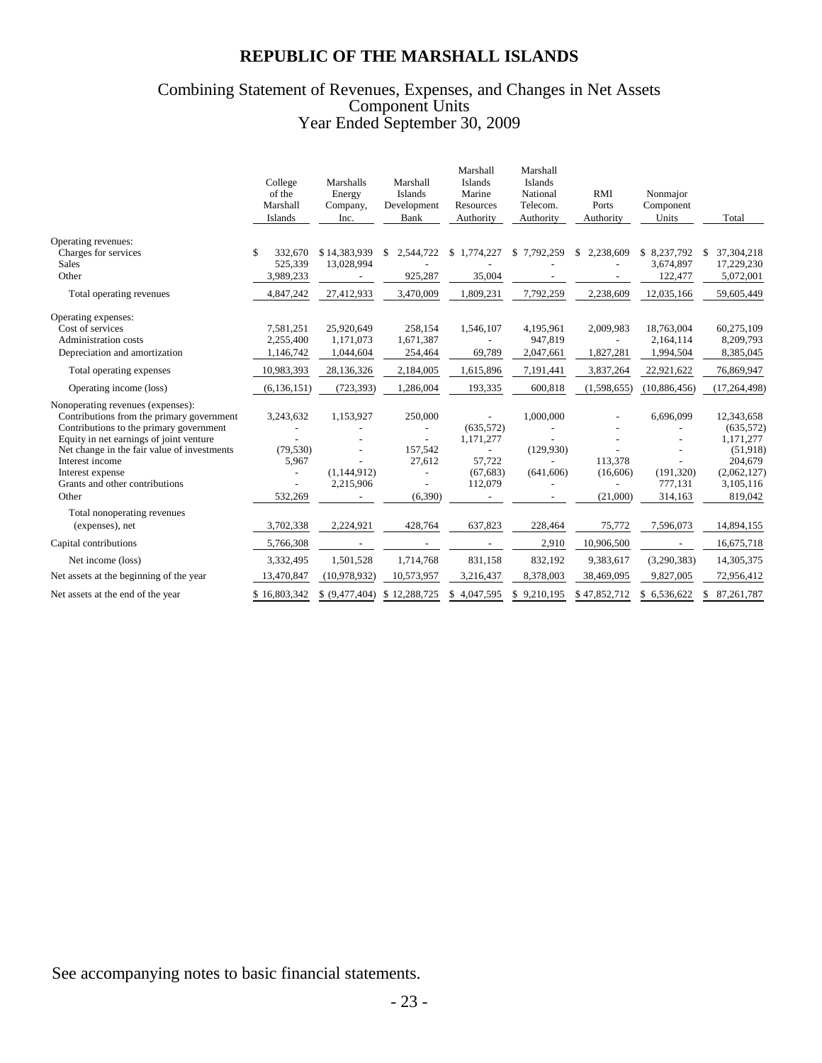# Combining Statement of Revenues, Expenses, and Changes in Net Assets Component Units Year Ended September 30, 2009

| College<br>of the<br>Marshall<br>Islands   | Marshalls<br>Energy<br>Company,<br>Inc. | Marshall<br>Islands<br>Development<br>Bank                | Islands<br>Marine<br>Resources<br>Authority                         | Islands<br>National<br>Telecom.<br>Authority | <b>RMI</b><br>Ports<br>Authority | Nonmajor<br>Component<br>Units                | Total                                                                                                |
|--------------------------------------------|-----------------------------------------|-----------------------------------------------------------|---------------------------------------------------------------------|----------------------------------------------|----------------------------------|-----------------------------------------------|------------------------------------------------------------------------------------------------------|
| \$.<br>332,670<br>525,339<br>3,989,233     | \$14,383,939<br>13,028,994              | 2,544,722<br>\$<br>925,287                                | 1,774,227<br>\$<br>35,004                                           | 7,792,259<br>\$                              | 2,238,609<br>\$                  | \$ 8,237,792<br>3,674,897<br>122,477          | 37, 304, 218<br>\$<br>17,229,230<br>5,072,001                                                        |
| 4,847,242                                  | 27,412,933                              | 3,470,009                                                 | 1,809,231                                                           | 7,792,259                                    | 2,238,609                        | 12,035,166                                    | 59,605,449                                                                                           |
| 7,581,251<br>2,255,400<br>1,146,742        | 25,920,649<br>1,171,073<br>1,044,604    | 258,154<br>1,671,387<br>254,464                           | 1,546,107<br>69,789                                                 | 4,195,961<br>947,819<br>2,047,661            | 2,009,983<br>1,827,281           | 18,763,004<br>2,164,114<br>1,994,504          | 60,275,109<br>8,209,793<br>8,385,045                                                                 |
| 10,983,393                                 | 28,136,326                              | 2,184,005                                                 | 1,615,896                                                           | 7,191,441                                    | 3,837,264                        | 22,921,622                                    | 76,869,947                                                                                           |
| (6, 136, 151)                              | (723, 393)                              | 1,286,004                                                 | 193,335                                                             | 600,818                                      | (1,598,655)                      | (10,886,456)                                  | (17, 264, 498)                                                                                       |
| 3,243,632<br>(79, 530)<br>5,967<br>532,269 | 1,153,927<br>(1,144,912)<br>2,215,906   | 250,000<br>157,542<br>27,612<br>$\overline{a}$<br>(6,390) | (635, 572)<br>1,171,277<br>$\sim$<br>57,722<br>(67, 683)<br>112,079 | 1,000,000<br>(129, 930)<br>(641, 606)        | 113,378<br>(16,606)<br>(21,000)  | 6,696,099<br>(191, 320)<br>777,131<br>314,163 | 12,343,658<br>(635, 572)<br>1,171,277<br>(51, 918)<br>204,679<br>(2,062,127)<br>3,105,116<br>819,042 |
| 3,702,338                                  | 2,224,921                               | 428,764                                                   | 637,823                                                             | 228,464                                      | 75,772                           | 7,596,073                                     | 14,894,155                                                                                           |
| 5,766,308                                  |                                         |                                                           |                                                                     | 2,910                                        | 10,906,500                       |                                               | 16,675,718                                                                                           |
| 3,332,495                                  | 1,501,528                               | 1,714,768                                                 | 831,158                                                             | 832,192                                      | 9,383,617                        | (3,290,383)                                   | 14,305,375                                                                                           |
| 13,470,847                                 | (10,978,932)                            | 10,573,957                                                | 3,216,437                                                           | 8,378,003                                    | 38,469,095                       | 9,827,005                                     | 72,956,412                                                                                           |
| \$16,803,342                               | \$ (9,477,404)                          | \$12,288,725                                              | \$4,047,595                                                         | \$9,210,195                                  | \$47,852,712                     | \$6,536,622                                   | \$ 87,261,787                                                                                        |
|                                            |                                         |                                                           |                                                                     | Marshall                                     | Marshall                         |                                               |                                                                                                      |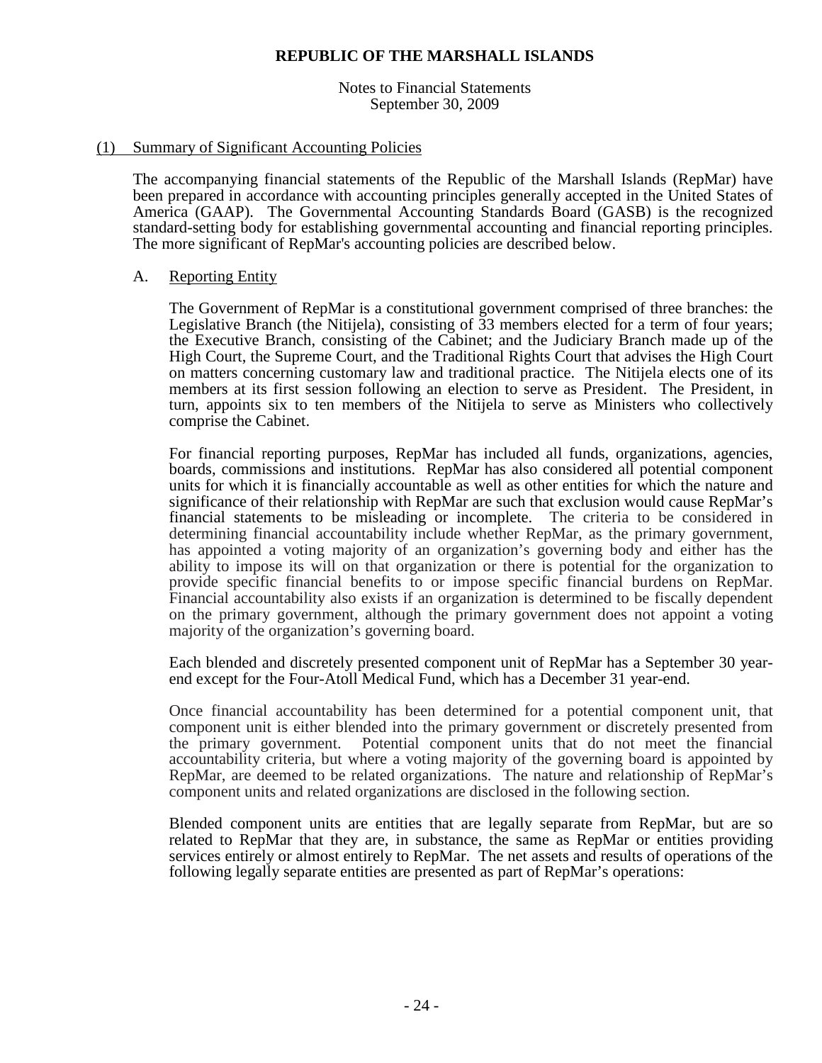Notes to Financial Statements September 30, 2009

#### (1) Summary of Significant Accounting Policies

The accompanying financial statements of the Republic of the Marshall Islands (RepMar) have been prepared in accordance with accounting principles generally accepted in the United States of America (GAAP). The Governmental Accounting Standards Board (GASB) is the recognized standard-setting body for establishing governmental accounting and financial reporting principles. The more significant of RepMar's accounting policies are described below.

#### A. Reporting Entity

The Government of RepMar is a constitutional government comprised of three branches: the Legislative Branch (the Nitijela), consisting of 33 members elected for a term of four years; the Executive Branch, consisting of the Cabinet; and the Judiciary Branch made up of the High Court, the Supreme Court, and the Traditional Rights Court that advises the High Court on matters concerning customary law and traditional practice. The Nitijela elects one of its members at its first session following an election to serve as President. The President, in turn, appoints six to ten members of the Nitijela to serve as Ministers who collectively comprise the Cabinet.

For financial reporting purposes, RepMar has included all funds, organizations, agencies, boards, commissions and institutions. RepMar has also considered all potential component units for which it is financially accountable as well as other entities for which the nature and significance of their relationship with RepMar are such that exclusion would cause RepMar's financial statements to be misleading or incomplete. The criteria to be considered in determining financial accountability include whether RepMar, as the primary government, has appointed a voting majority of an organization's governing body and either has the ability to impose its will on that organization or there is potential for the organization to provide specific financial benefits to or impose specific financial burdens on RepMar. Financial accountability also exists if an organization is determined to be fiscally dependent on the primary government, although the primary government does not appoint a voting majority of the organization's governing board.

Each blended and discretely presented component unit of RepMar has a September 30 yearend except for the Four-Atoll Medical Fund, which has a December 31 year-end.

Once financial accountability has been determined for a potential component unit, that component unit is either blended into the primary government or discretely presented from the primary government. Potential component units that do not meet the financial accountability criteria, but where a voting majority of the governing board is appointed by RepMar, are deemed to be related organizations. The nature and relationship of RepMar's component units and related organizations are disclosed in the following section.

Blended component units are entities that are legally separate from RepMar, but are so related to RepMar that they are, in substance, the same as RepMar or entities providing services entirely or almost entirely to RepMar. The net assets and results of operations of the following legally separate entities are presented as part of RepMar's operations: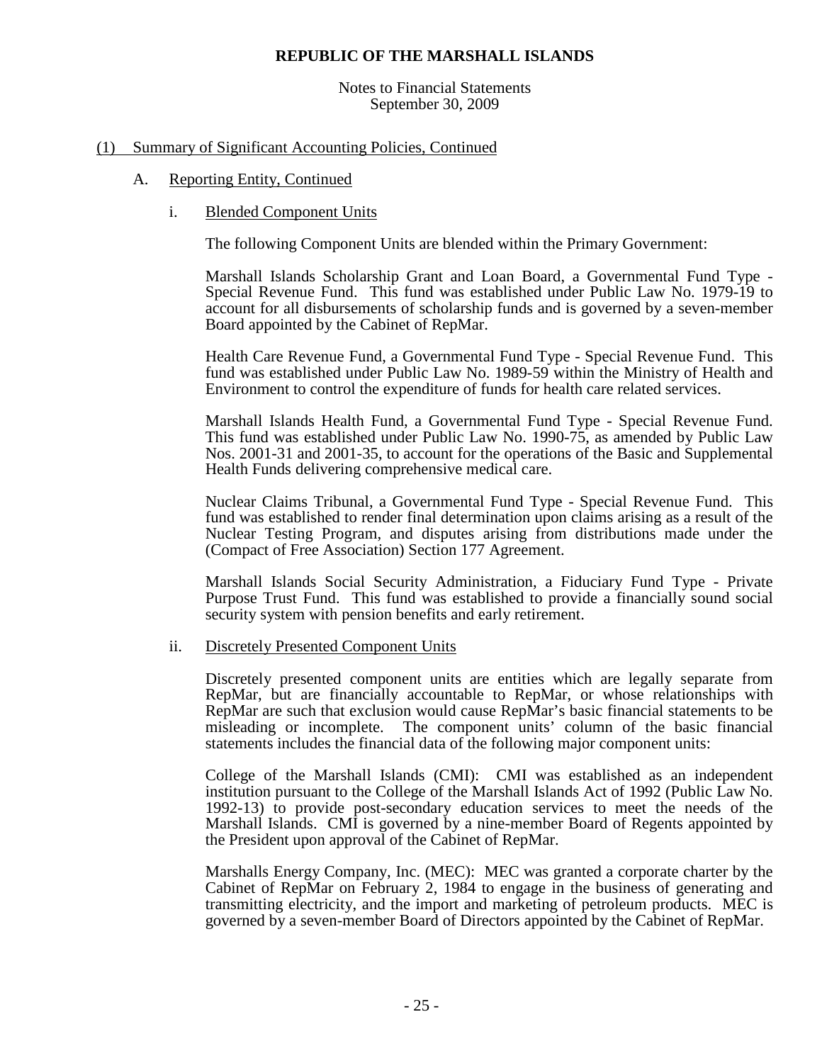Notes to Financial Statements September 30, 2009

#### (1) Summary of Significant Accounting Policies, Continued

#### A. Reporting Entity, Continued

#### i. Blended Component Units

The following Component Units are blended within the Primary Government:

Marshall Islands Scholarship Grant and Loan Board, a Governmental Fund Type - Special Revenue Fund. This fund was established under Public Law No. 1979-19 to account for all disbursements of scholarship funds and is governed by a seven-member Board appointed by the Cabinet of RepMar.

Health Care Revenue Fund, a Governmental Fund Type - Special Revenue Fund. This fund was established under Public Law No. 1989-59 within the Ministry of Health and Environment to control the expenditure of funds for health care related services.

Marshall Islands Health Fund, a Governmental Fund Type - Special Revenue Fund. This fund was established under Public Law No. 1990-75, as amended by Public Law Nos. 2001-31 and 2001-35, to account for the operations of the Basic and Supplemental Health Funds delivering comprehensive medical care.

Nuclear Claims Tribunal, a Governmental Fund Type - Special Revenue Fund. This fund was established to render final determination upon claims arising as a result of the Nuclear Testing Program, and disputes arising from distributions made under the (Compact of Free Association) Section 177 Agreement.

Marshall Islands Social Security Administration, a Fiduciary Fund Type - Private Purpose Trust Fund. This fund was established to provide a financially sound social security system with pension benefits and early retirement.

#### ii. Discretely Presented Component Units

Discretely presented component units are entities which are legally separate from RepMar, but are financially accountable to RepMar, or whose relationships with RepMar are such that exclusion would cause RepMar's basic financial statements to be misleading or incomplete. The component units' column of the basic financial statements includes the financial data of the following major component units:

College of the Marshall Islands (CMI): CMI was established as an independent institution pursuant to the College of the Marshall Islands Act of 1992 (Public Law No. 1992-13) to provide post-secondary education services to meet the needs of the Marshall Islands. CMI is governed by a nine-member Board of Regents appointed by the President upon approval of the Cabinet of RepMar.

Marshalls Energy Company, Inc. (MEC): MEC was granted a corporate charter by the Cabinet of RepMar on February 2, 1984 to engage in the business of generating and transmitting electricity, and the import and marketing of petroleum products. MEC is governed by a seven-member Board of Directors appointed by the Cabinet of RepMar.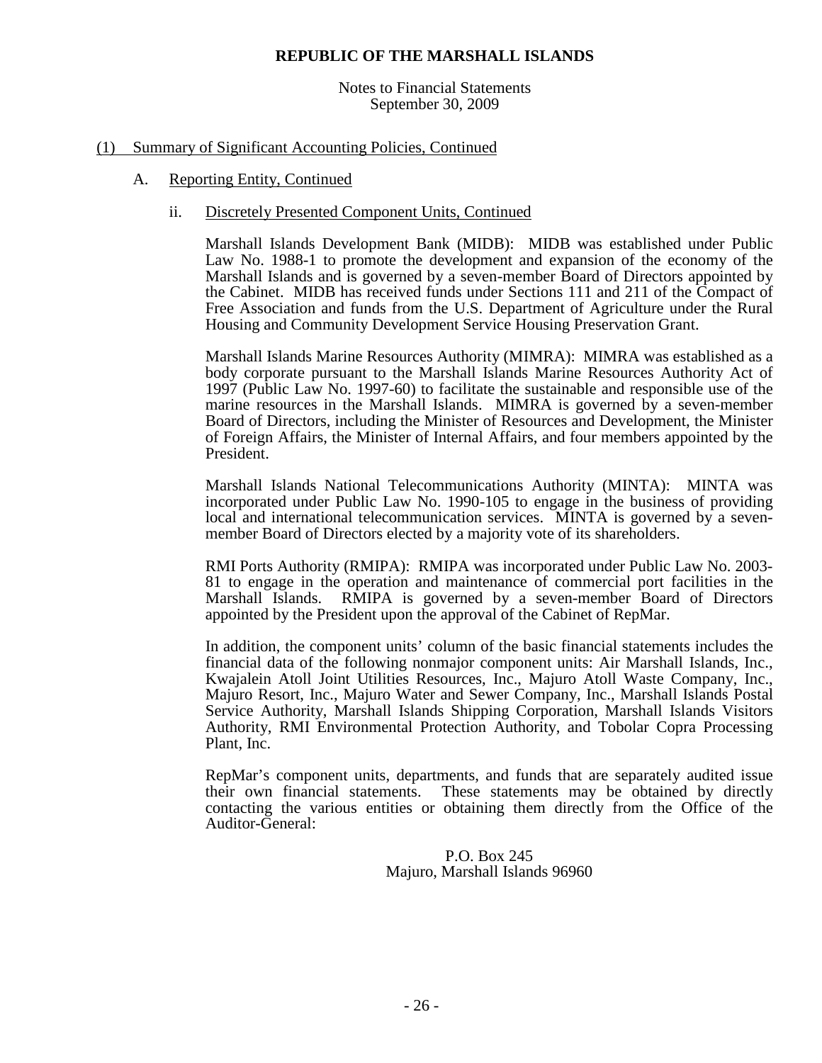Notes to Financial Statements September 30, 2009

#### (1) Summary of Significant Accounting Policies, Continued

- A. Reporting Entity, Continued
	- ii. Discretely Presented Component Units, Continued

Marshall Islands Development Bank (MIDB): MIDB was established under Public Law No. 1988-1 to promote the development and expansion of the economy of the Marshall Islands and is governed by a seven-member Board of Directors appointed by the Cabinet. MIDB has received funds under Sections 111 and 211 of the Compact of Free Association and funds from the U.S. Department of Agriculture under the Rural Housing and Community Development Service Housing Preservation Grant.

Marshall Islands Marine Resources Authority (MIMRA): MIMRA was established as a body corporate pursuant to the Marshall Islands Marine Resources Authority Act of 1997 (Public Law No. 1997-60) to facilitate the sustainable and responsible use of the marine resources in the Marshall Islands. MIMRA is governed by a seven-member Board of Directors, including the Minister of Resources and Development, the Minister of Foreign Affairs, the Minister of Internal Affairs, and four members appointed by the President.

Marshall Islands National Telecommunications Authority (MINTA): MINTA was incorporated under Public Law No. 1990-105 to engage in the business of providing local and international telecommunication services. MINTA is governed by a sevenmember Board of Directors elected by a majority vote of its shareholders.

RMI Ports Authority (RMIPA): RMIPA was incorporated under Public Law No. 2003- 81 to engage in the operation and maintenance of commercial port facilities in the Marshall Islands. RMIPA is governed by a seven-member Board of Directors appointed by the President upon the approval of the Cabinet of RepMar.

In addition, the component units' column of the basic financial statements includes the financial data of the following nonmajor component units: Air Marshall Islands, Inc., Kwajalein Atoll Joint Utilities Resources, Inc., Majuro Atoll Waste Company, Inc., Majuro Resort, Inc., Majuro Water and Sewer Company, Inc., Marshall Islands Postal Service Authority, Marshall Islands Shipping Corporation, Marshall Islands Visitors Authority, RMI Environmental Protection Authority, and Tobolar Copra Processing Plant, Inc.

RepMar's component units, departments, and funds that are separately audited issue their own financial statements. These statements may be obtained by directly contacting the various entities or obtaining them directly from the Office of the Auditor-General:

> P.O. Box 245 Majuro, Marshall Islands 96960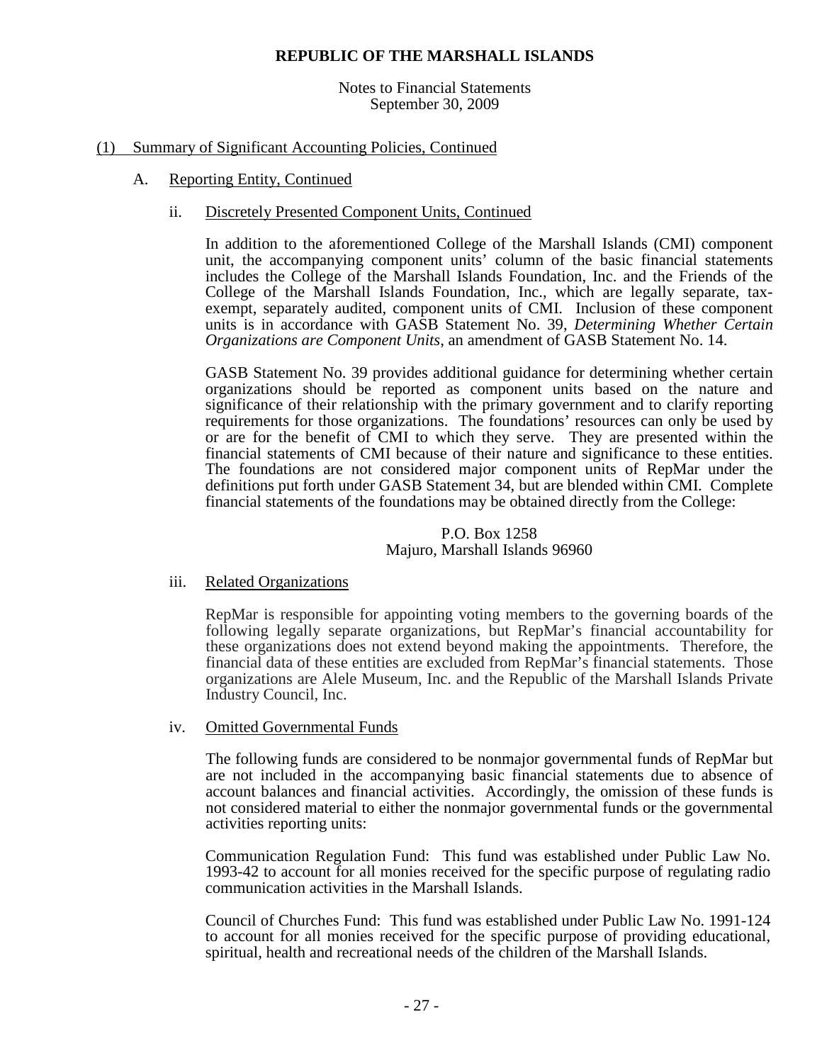Notes to Financial Statements September 30, 2009

#### (1) Summary of Significant Accounting Policies, Continued

- A. Reporting Entity, Continued
	- ii. Discretely Presented Component Units, Continued

In addition to the aforementioned College of the Marshall Islands (CMI) component unit, the accompanying component units' column of the basic financial statements includes the College of the Marshall Islands Foundation, Inc. and the Friends of the College of the Marshall Islands Foundation, Inc., which are legally separate, taxexempt, separately audited, component units of CMI. Inclusion of these component units is in accordance with GASB Statement No. 39, *Determining Whether Certain Organizations are Component Units*, an amendment of GASB Statement No. 14.

GASB Statement No. 39 provides additional guidance for determining whether certain organizations should be reported as component units based on the nature and significance of their relationship with the primary government and to clarify reporting requirements for those organizations. The foundations' resources can only be used by or are for the benefit of CMI to which they serve. They are presented within the financial statements of CMI because of their nature and significance to these entities. The foundations are not considered major component units of RepMar under the definitions put forth under GASB Statement 34, but are blended within CMI. Complete financial statements of the foundations may be obtained directly from the College:

> P.O. Box 1258 Majuro, Marshall Islands 96960

#### iii. Related Organizations

RepMar is responsible for appointing voting members to the governing boards of the following legally separate organizations, but RepMar's financial accountability for these organizations does not extend beyond making the appointments. Therefore, the financial data of these entities are excluded from RepMar's financial statements. Those organizations are Alele Museum, Inc. and the Republic of the Marshall Islands Private Industry Council, Inc.

#### iv. Omitted Governmental Funds

The following funds are considered to be nonmajor governmental funds of RepMar but are not included in the accompanying basic financial statements due to absence of account balances and financial activities. Accordingly, the omission of these funds is not considered material to either the nonmajor governmental funds or the governmental activities reporting units:

Communication Regulation Fund: This fund was established under Public Law No. 1993-42 to account for all monies received for the specific purpose of regulating radio communication activities in the Marshall Islands.

Council of Churches Fund: This fund was established under Public Law No. 1991-124 to account for all monies received for the specific purpose of providing educational, spiritual, health and recreational needs of the children of the Marshall Islands.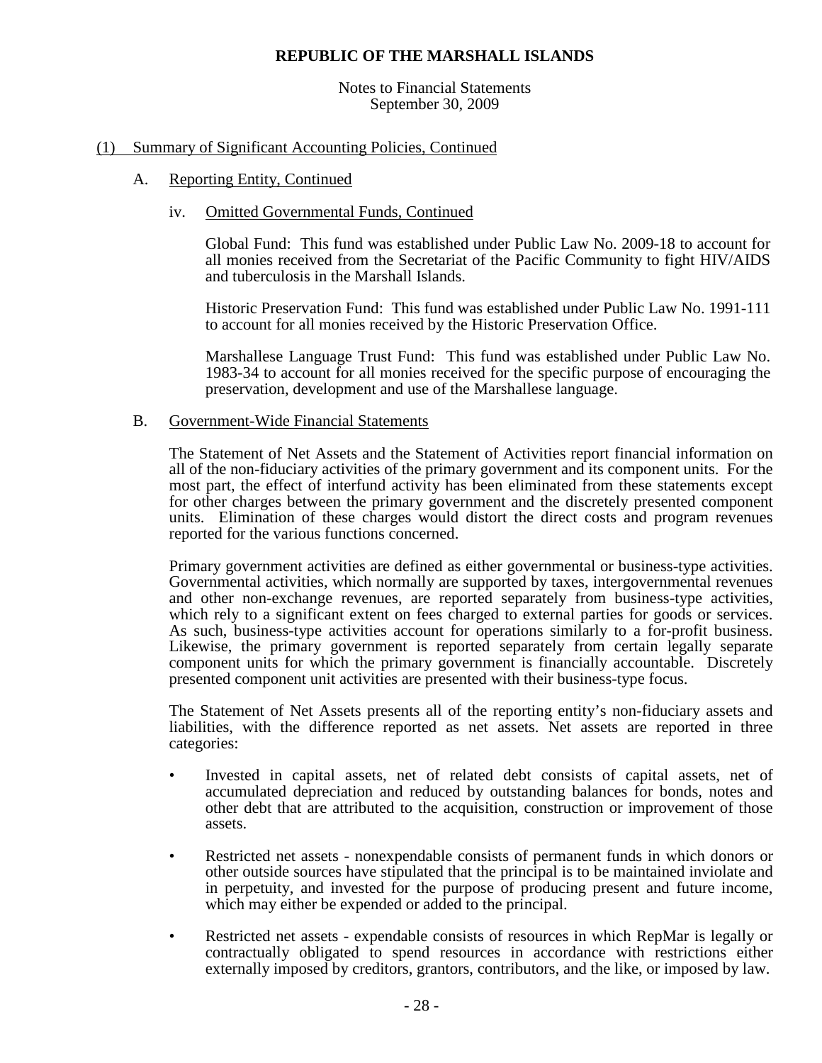Notes to Financial Statements September 30, 2009

#### (1) Summary of Significant Accounting Policies, Continued

#### A. Reporting Entity, Continued

#### iv. Omitted Governmental Funds, Continued

Global Fund: This fund was established under Public Law No. 2009-18 to account for all monies received from the Secretariat of the Pacific Community to fight HIV/AIDS and tuberculosis in the Marshall Islands.

Historic Preservation Fund: This fund was established under Public Law No. 1991-111 to account for all monies received by the Historic Preservation Office.

Marshallese Language Trust Fund: This fund was established under Public Law No. 1983-34 to account for all monies received for the specific purpose of encouraging the preservation, development and use of the Marshallese language.

#### B. Government-Wide Financial Statements

The Statement of Net Assets and the Statement of Activities report financial information on all of the non-fiduciary activities of the primary government and its component units. For the most part, the effect of interfund activity has been eliminated from these statements except for other charges between the primary government and the discretely presented component units. Elimination of these charges would distort the direct costs and program revenues reported for the various functions concerned.

Primary government activities are defined as either governmental or business-type activities. Governmental activities, which normally are supported by taxes, intergovernmental revenues and other non-exchange revenues, are reported separately from business-type activities, which rely to a significant extent on fees charged to external parties for goods or services. As such, business-type activities account for operations similarly to a for-profit business. Likewise, the primary government is reported separately from certain legally separate component units for which the primary government is financially accountable. Discretely presented component unit activities are presented with their business-type focus.

The Statement of Net Assets presents all of the reporting entity's non-fiduciary assets and liabilities, with the difference reported as net assets. Net assets are reported in three categories:

- Invested in capital assets, net of related debt consists of capital assets, net of accumulated depreciation and reduced by outstanding balances for bonds, notes and other debt that are attributed to the acquisition, construction or improvement of those assets.
- Restricted net assets nonexpendable consists of permanent funds in which donors or other outside sources have stipulated that the principal is to be maintained inviolate and in perpetuity, and invested for the purpose of producing present and future income, which may either be expended or added to the principal.
- Restricted net assets expendable consists of resources in which RepMar is legally or contractually obligated to spend resources in accordance with restrictions either externally imposed by creditors, grantors, contributors, and the like, or imposed by law.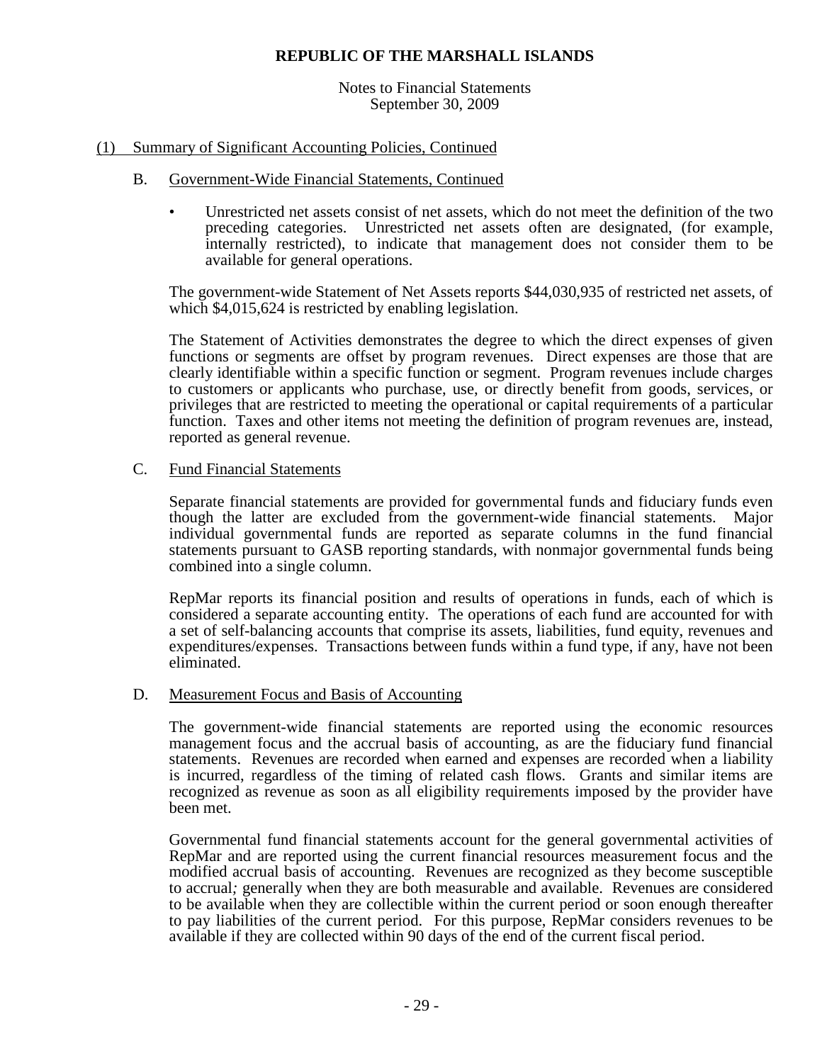Notes to Financial Statements September 30, 2009

#### (1) Summary of Significant Accounting Policies, Continued

- B. Government-Wide Financial Statements, Continued
	- Unrestricted net assets consist of net assets, which do not meet the definition of the two preceding categories. Unrestricted net assets often are designated, (for example, internally restricted), to indicate that management does not consider them to be available for general operations.

The government-wide Statement of Net Assets reports \$44,030,935 of restricted net assets, of which \$4,015,624 is restricted by enabling legislation.

The Statement of Activities demonstrates the degree to which the direct expenses of given functions or segments are offset by program revenues. Direct expenses are those that are clearly identifiable within a specific function or segment. Program revenues include charges to customers or applicants who purchase, use, or directly benefit from goods, services, or privileges that are restricted to meeting the operational or capital requirements of a particular function. Taxes and other items not meeting the definition of program revenues are, instead, reported as general revenue.

#### C. Fund Financial Statements

Separate financial statements are provided for governmental funds and fiduciary funds even though the latter are excluded from the government-wide financial statements. Major individual governmental funds are reported as separate columns in the fund financial statements pursuant to GASB reporting standards, with nonmajor governmental funds being combined into a single column.

RepMar reports its financial position and results of operations in funds, each of which is considered a separate accounting entity. The operations of each fund are accounted for with a set of self-balancing accounts that comprise its assets, liabilities, fund equity, revenues and expenditures/expenses. Transactions between funds within a fund type, if any, have not been eliminated.

#### D. Measurement Focus and Basis of Accounting

The government-wide financial statements are reported using the economic resources management focus and the accrual basis of accounting, as are the fiduciary fund financial statements. Revenues are recorded when earned and expenses are recorded when a liability is incurred, regardless of the timing of related cash flows. Grants and similar items are recognized as revenue as soon as all eligibility requirements imposed by the provider have been met.

Governmental fund financial statements account for the general governmental activities of RepMar and are reported using the current financial resources measurement focus and the modified accrual basis of accounting. Revenues are recognized as they become susceptible to accrual*;* generally when they are both measurable and available. Revenues are considered to be available when they are collectible within the current period or soon enough thereafter to pay liabilities of the current period. For this purpose, RepMar considers revenues to be available if they are collected within 90 days of the end of the current fiscal period.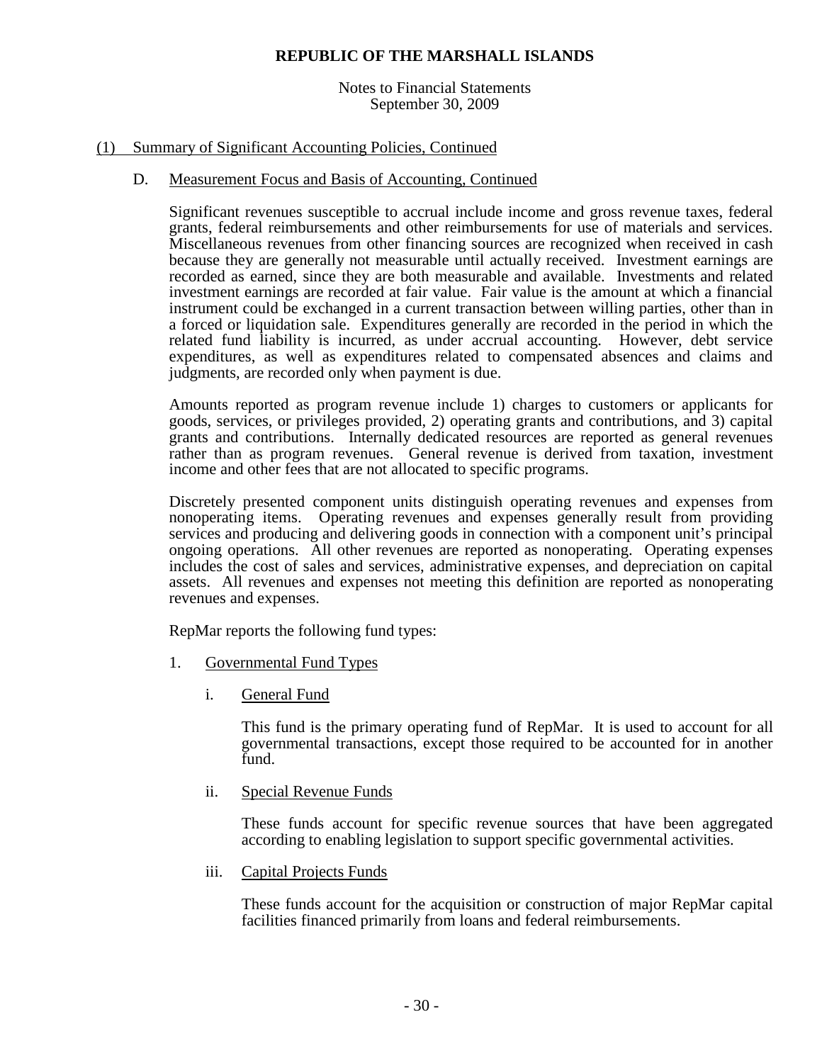Notes to Financial Statements September 30, 2009

#### (1) Summary of Significant Accounting Policies, Continued

#### D. Measurement Focus and Basis of Accounting, Continued

Significant revenues susceptible to accrual include income and gross revenue taxes, federal grants, federal reimbursements and other reimbursements for use of materials and services. Miscellaneous revenues from other financing sources are recognized when received in cash because they are generally not measurable until actually received. Investment earnings are recorded as earned, since they are both measurable and available. Investments and related investment earnings are recorded at fair value. Fair value is the amount at which a financial instrument could be exchanged in a current transaction between willing parties, other than in a forced or liquidation sale. Expenditures generally are recorded in the period in which the related fund liability is incurred, as under accrual accounting. However, debt service expenditures, as well as expenditures related to compensated absences and claims and judgments, are recorded only when payment is due.

Amounts reported as program revenue include 1) charges to customers or applicants for goods, services, or privileges provided, 2) operating grants and contributions, and 3) capital grants and contributions. Internally dedicated resources are reported as general revenues rather than as program revenues. General revenue is derived from taxation, investment income and other fees that are not allocated to specific programs.

Discretely presented component units distinguish operating revenues and expenses from nonoperating items. Operating revenues and expenses generally result from providing services and producing and delivering goods in connection with a component unit's principal ongoing operations. All other revenues are reported as nonoperating. Operating expenses includes the cost of sales and services, administrative expenses, and depreciation on capital assets. All revenues and expenses not meeting this definition are reported as nonoperating revenues and expenses.

RepMar reports the following fund types:

- 1. Governmental Fund Types
	- i. General Fund

This fund is the primary operating fund of RepMar. It is used to account for all governmental transactions, except those required to be accounted for in another fund.

ii. Special Revenue Funds

These funds account for specific revenue sources that have been aggregated according to enabling legislation to support specific governmental activities.

iii. Capital Projects Funds

These funds account for the acquisition or construction of major RepMar capital facilities financed primarily from loans and federal reimbursements.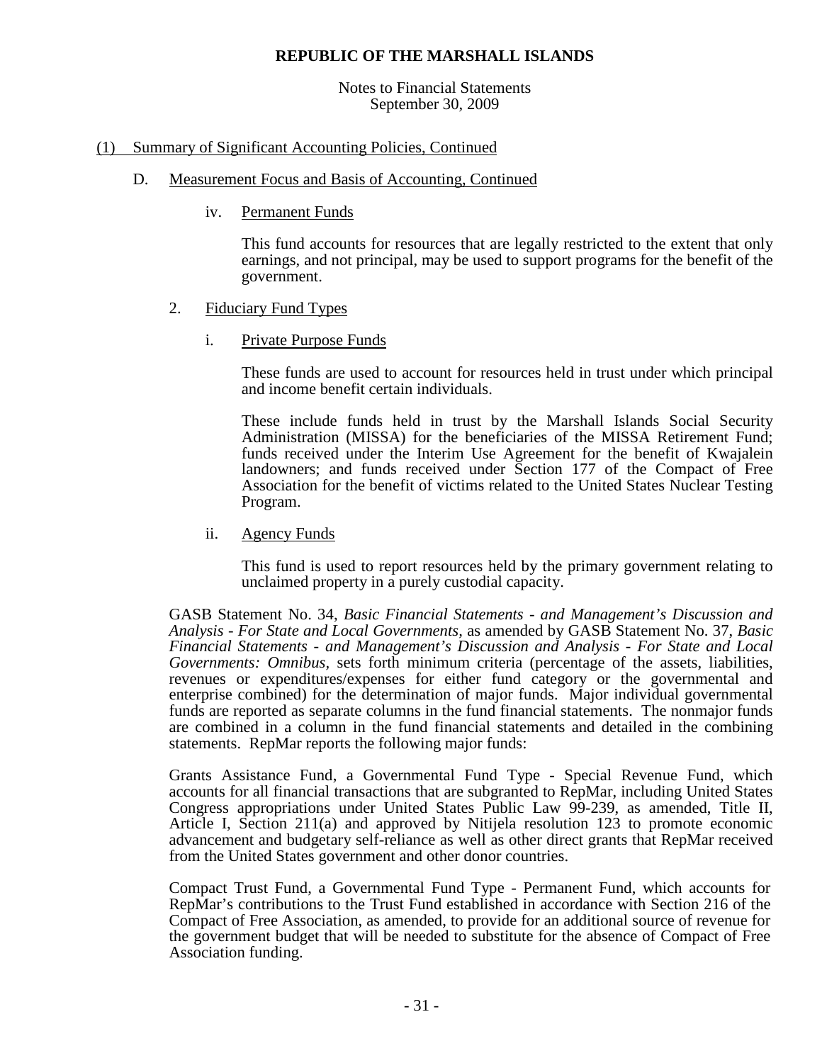Notes to Financial Statements September 30, 2009

#### (1) Summary of Significant Accounting Policies, Continued

#### D. Measurement Focus and Basis of Accounting, Continued

iv. Permanent Funds

This fund accounts for resources that are legally restricted to the extent that only earnings, and not principal, may be used to support programs for the benefit of the government.

- 2. Fiduciary Fund Types
	- i. Private Purpose Funds

These funds are used to account for resources held in trust under which principal and income benefit certain individuals.

These include funds held in trust by the Marshall Islands Social Security Administration (MISSA) for the beneficiaries of the MISSA Retirement Fund; funds received under the Interim Use Agreement for the benefit of Kwajalein landowners; and funds received under Section 177 of the Compact of Free Association for the benefit of victims related to the United States Nuclear Testing Program.

ii. Agency Funds

This fund is used to report resources held by the primary government relating to unclaimed property in a purely custodial capacity.

GASB Statement No. 34, *Basic Financial Statements - and Management's Discussion and Analysis - For State and Local Governments,* as amended by GASB Statement No. 37, *Basic Financial Statements - and Management's Discussion and Analysis - For State and Local Governments: Omnibus,* sets forth minimum criteria (percentage of the assets, liabilities, revenues or expenditures/expenses for either fund category or the governmental and enterprise combined) for the determination of major funds. Major individual governmental funds are reported as separate columns in the fund financial statements. The nonmajor funds are combined in a column in the fund financial statements and detailed in the combining statements. RepMar reports the following major funds:

Grants Assistance Fund, a Governmental Fund Type - Special Revenue Fund, which accounts for all financial transactions that are subgranted to RepMar, including United States Congress appropriations under United States Public Law 99-239, as amended, Title II, Article I, Section 211(a) and approved by Nitijela resolution 123 to promote economic advancement and budgetary self-reliance as well as other direct grants that RepMar received from the United States government and other donor countries.

Compact Trust Fund, a Governmental Fund Type - Permanent Fund, which accounts for RepMar's contributions to the Trust Fund established in accordance with Section 216 of the Compact of Free Association, as amended, to provide for an additional source of revenue for the government budget that will be needed to substitute for the absence of Compact of Free Association funding.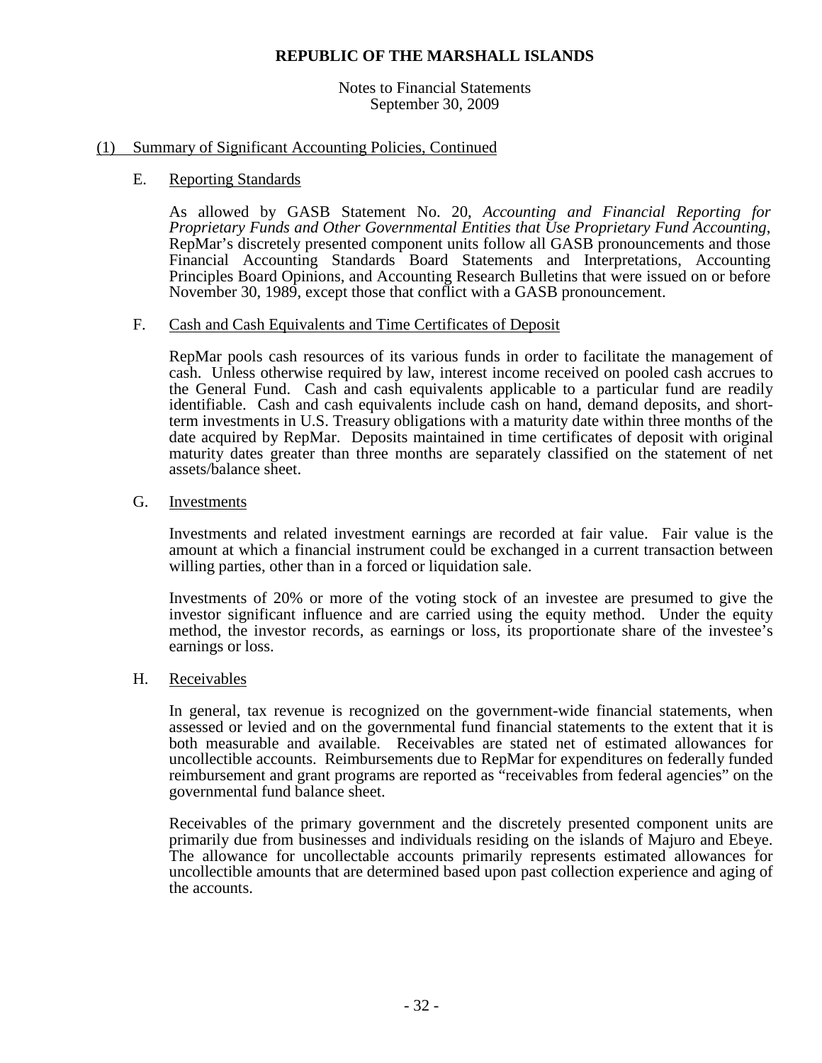Notes to Financial Statements September 30, 2009

#### (1) Summary of Significant Accounting Policies, Continued

#### E. Reporting Standards

As allowed by GASB Statement No. 20, *Accounting and Financial Reporting for Proprietary Funds and Other Governmental Entities that Use Proprietary Fund Accounting*, RepMar's discretely presented component units follow all GASB pronouncements and those Financial Accounting Standards Board Statements and Interpretations, Accounting Principles Board Opinions, and Accounting Research Bulletins that were issued on or before November 30, 1989, except those that conflict with a GASB pronouncement.

#### F. Cash and Cash Equivalents and Time Certificates of Deposit

RepMar pools cash resources of its various funds in order to facilitate the management of cash. Unless otherwise required by law, interest income received on pooled cash accrues to the General Fund. Cash and cash equivalents applicable to a particular fund are readily identifiable. Cash and cash equivalents include cash on hand, demand deposits, and shortterm investments in U.S. Treasury obligations with a maturity date within three months of the date acquired by RepMar. Deposits maintained in time certificates of deposit with original maturity dates greater than three months are separately classified on the statement of net assets/balance sheet.

#### G. Investments

Investments and related investment earnings are recorded at fair value. Fair value is the amount at which a financial instrument could be exchanged in a current transaction between willing parties, other than in a forced or liquidation sale.

Investments of 20% or more of the voting stock of an investee are presumed to give the investor significant influence and are carried using the equity method. Under the equity method, the investor records, as earnings or loss, its proportionate share of the investee's earnings or loss.

#### H. Receivables

In general, tax revenue is recognized on the government-wide financial statements, when assessed or levied and on the governmental fund financial statements to the extent that it is both measurable and available. Receivables are stated net of estimated allowances for uncollectible accounts. Reimbursements due to RepMar for expenditures on federally funded reimbursement and grant programs are reported as "receivables from federal agencies" on the governmental fund balance sheet.

Receivables of the primary government and the discretely presented component units are primarily due from businesses and individuals residing on the islands of Majuro and Ebeye. The allowance for uncollectable accounts primarily represents estimated allowances for uncollectible amounts that are determined based upon past collection experience and aging of the accounts.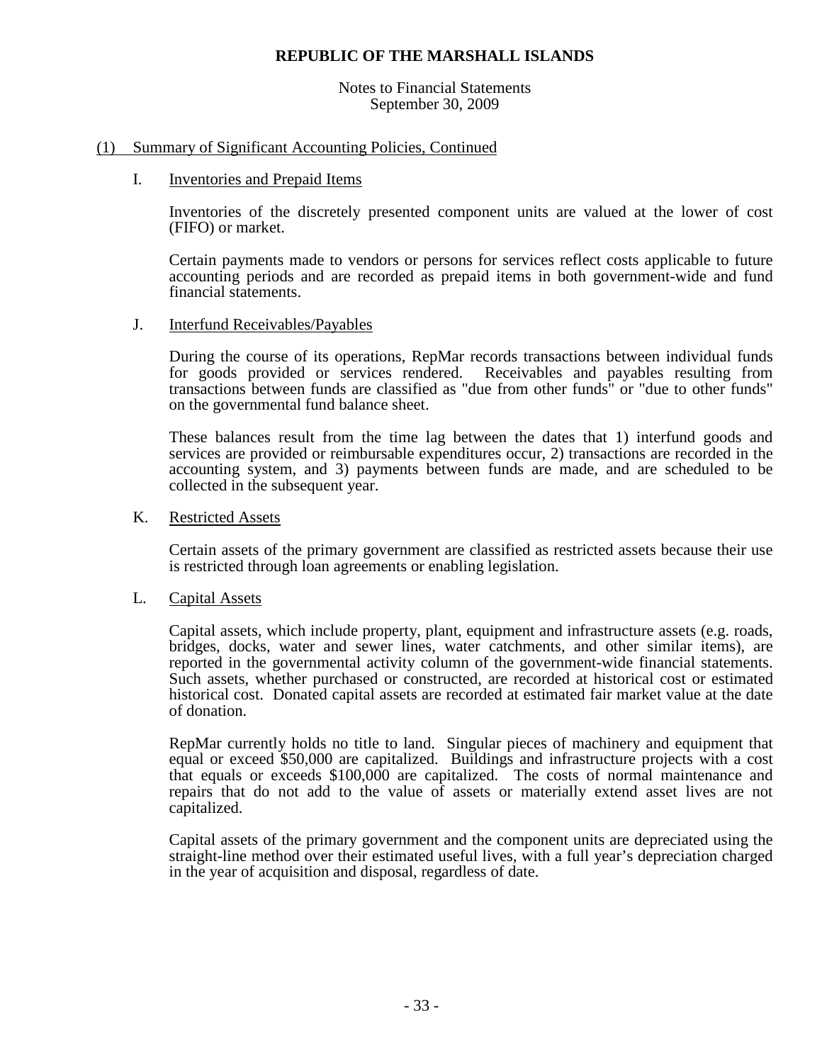Notes to Financial Statements September 30, 2009

#### (1) Summary of Significant Accounting Policies, Continued

#### I. Inventories and Prepaid Items

Inventories of the discretely presented component units are valued at the lower of cost (FIFO) or market.

Certain payments made to vendors or persons for services reflect costs applicable to future accounting periods and are recorded as prepaid items in both government-wide and fund financial statements.

#### J. Interfund Receivables/Payables

During the course of its operations, RepMar records transactions between individual funds for goods provided or services rendered. Receivables and payables resulting from transactions between funds are classified as "due from other funds" or "due to other funds" on the governmental fund balance sheet.

These balances result from the time lag between the dates that 1) interfund goods and services are provided or reimbursable expenditures occur, 2) transactions are recorded in the accounting system, and 3) payments between funds are made, and are scheduled to be collected in the subsequent year.

#### K. Restricted Assets

Certain assets of the primary government are classified as restricted assets because their use is restricted through loan agreements or enabling legislation.

#### L. Capital Assets

Capital assets, which include property, plant, equipment and infrastructure assets (e.g. roads, bridges, docks, water and sewer lines, water catchments, and other similar items), are reported in the governmental activity column of the government-wide financial statements. Such assets, whether purchased or constructed, are recorded at historical cost or estimated historical cost. Donated capital assets are recorded at estimated fair market value at the date of donation.

RepMar currently holds no title to land. Singular pieces of machinery and equipment that equal or exceed \$50,000 are capitalized. Buildings and infrastructure projects with a cost that equals or exceeds \$100,000 are capitalized. The costs of normal maintenance and repairs that do not add to the value of assets or materially extend asset lives are not capitalized.

Capital assets of the primary government and the component units are depreciated using the straight-line method over their estimated useful lives, with a full year's depreciation charged in the year of acquisition and disposal, regardless of date.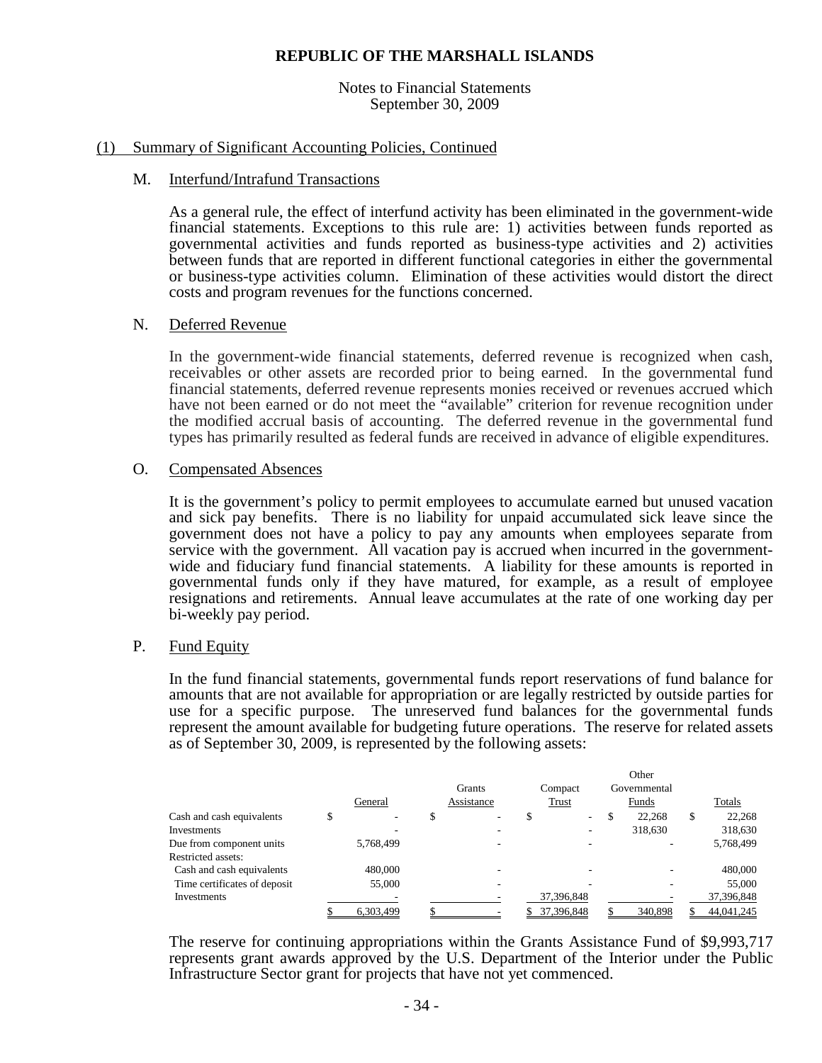Notes to Financial Statements September 30, 2009

#### (1) Summary of Significant Accounting Policies, Continued

#### M. Interfund/Intrafund Transactions

As a general rule, the effect of interfund activity has been eliminated in the government-wide financial statements. Exceptions to this rule are: 1) activities between funds reported as governmental activities and funds reported as business-type activities and 2) activities between funds that are reported in different functional categories in either the governmental or business-type activities column. Elimination of these activities would distort the direct costs and program revenues for the functions concerned.

#### N. Deferred Revenue

In the government-wide financial statements, deferred revenue is recognized when cash, receivables or other assets are recorded prior to being earned. In the governmental fund financial statements, deferred revenue represents monies received or revenues accrued which have not been earned or do not meet the "available" criterion for revenue recognition under the modified accrual basis of accounting. The deferred revenue in the governmental fund types has primarily resulted as federal funds are received in advance of eligible expenditures.

#### O. Compensated Absences

It is the government's policy to permit employees to accumulate earned but unused vacation and sick pay benefits. There is no liability for unpaid accumulated sick leave since the government does not have a policy to pay any amounts when employees separate from service with the government. All vacation pay is accrued when incurred in the governmentwide and fiduciary fund financial statements. A liability for these amounts is reported in governmental funds only if they have matured, for example, as a result of employee resignations and retirements. Annual leave accumulates at the rate of one working day per bi-weekly pay period.

#### P. Fund Equity

In the fund financial statements, governmental funds report reservations of fund balance for amounts that are not available for appropriation or are legally restricted by outside parties for use for a specific purpose. The unreserved fund balances for the governmental funds represent the amount available for budgeting future operations. The reserve for related assets as of September 30, 2009, is represented by the following assets:

|                              |                                |                          |  |            |     | Other        |              |
|------------------------------|--------------------------------|--------------------------|--|------------|-----|--------------|--------------|
|                              |                                | Grants                   |  | Compact    |     | Governmental |              |
|                              | General                        | Assistance               |  | Trust      |     | Funds        | Totals       |
| Cash and cash equivalents    | \$<br>$\overline{\phantom{a}}$ | $\overline{\phantom{a}}$ |  | ۰.         | \$. | 22.268       | \$<br>22.268 |
| Investments                  |                                |                          |  |            |     | 318,630      | 318,630      |
| Due from component units     | 5,768,499                      |                          |  |            |     |              | 5,768,499    |
| Restricted assets:           |                                |                          |  |            |     |              |              |
| Cash and cash equivalents    | 480,000                        |                          |  |            |     |              | 480,000      |
| Time certificates of deposit | 55,000                         |                          |  |            |     |              | 55,000       |
| Investments                  |                                |                          |  | 37,396,848 |     |              | 37,396,848   |
|                              | 6,303,499                      |                          |  | 37,396,848 |     | 340,898      | 44,041,245   |

The reserve for continuing appropriations within the Grants Assistance Fund of \$9,993,717 represents grant awards approved by the U.S. Department of the Interior under the Public Infrastructure Sector grant for projects that have not yet commenced.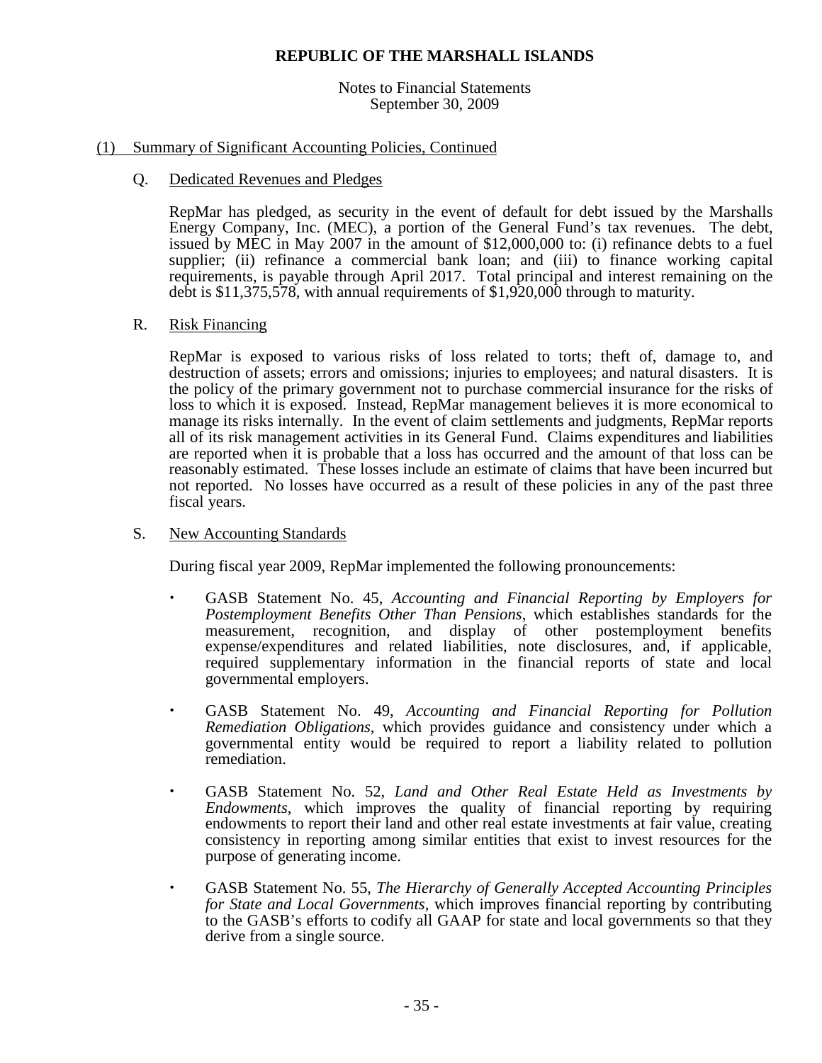Notes to Financial Statements September 30, 2009

#### (1) Summary of Significant Accounting Policies, Continued

#### Q. Dedicated Revenues and Pledges

RepMar has pledged, as security in the event of default for debt issued by the Marshalls Energy Company, Inc. (MEC), a portion of the General Fund's tax revenues. The debt, issued by MEC in May 2007 in the amount of \$12,000,000 to: (i) refinance debts to a fuel supplier; (ii) refinance a commercial bank loan; and (iii) to finance working capital requirements, is payable through April 2017. Total principal and interest remaining on the debt is \$11,375,578, with annual requirements of \$1,920,000 through to maturity.

#### R. Risk Financing

RepMar is exposed to various risks of loss related to torts; theft of, damage to, and destruction of assets; errors and omissions; injuries to employees; and natural disasters. It is the policy of the primary government not to purchase commercial insurance for the risks of loss to which it is exposed. Instead, RepMar management believes it is more economical to manage its risks internally. In the event of claim settlements and judgments, RepMar reports all of its risk management activities in its General Fund. Claims expenditures and liabilities are reported when it is probable that a loss has occurred and the amount of that loss can be reasonably estimated. These losses include an estimate of claims that have been incurred but not reported. No losses have occurred as a result of these policies in any of the past three fiscal years.

#### S. New Accounting Standards

During fiscal year 2009, RepMar implemented the following pronouncements:

- GASB Statement No. 45, *Accounting and Financial Reporting by Employers for Postemployment Benefits Other Than Pensions*, which establishes standards for the measurement, recognition, and display of other postemployment benefits expense/expenditures and related liabilities, note disclosures, and, if applicable, required supplementary information in the financial reports of state and local governmental employers.
- GASB Statement No. 49, *Accounting and Financial Reporting for Pollution Remediation Obligations*, which provides guidance and consistency under which a governmental entity would be required to report a liability related to pollution remediation.
- GASB Statement No. 52, *Land and Other Real Estate Held as Investments by Endowments*, which improves the quality of financial reporting by requiring endowments to report their land and other real estate investments at fair value, creating consistency in reporting among similar entities that exist to invest resources for the purpose of generating income.
- GASB Statement No. 55, *The Hierarchy of Generally Accepted Accounting Principles for State and Local Governments*, which improves financial reporting by contributing to the GASB's efforts to codify all GAAP for state and local governments so that they derive from a single source.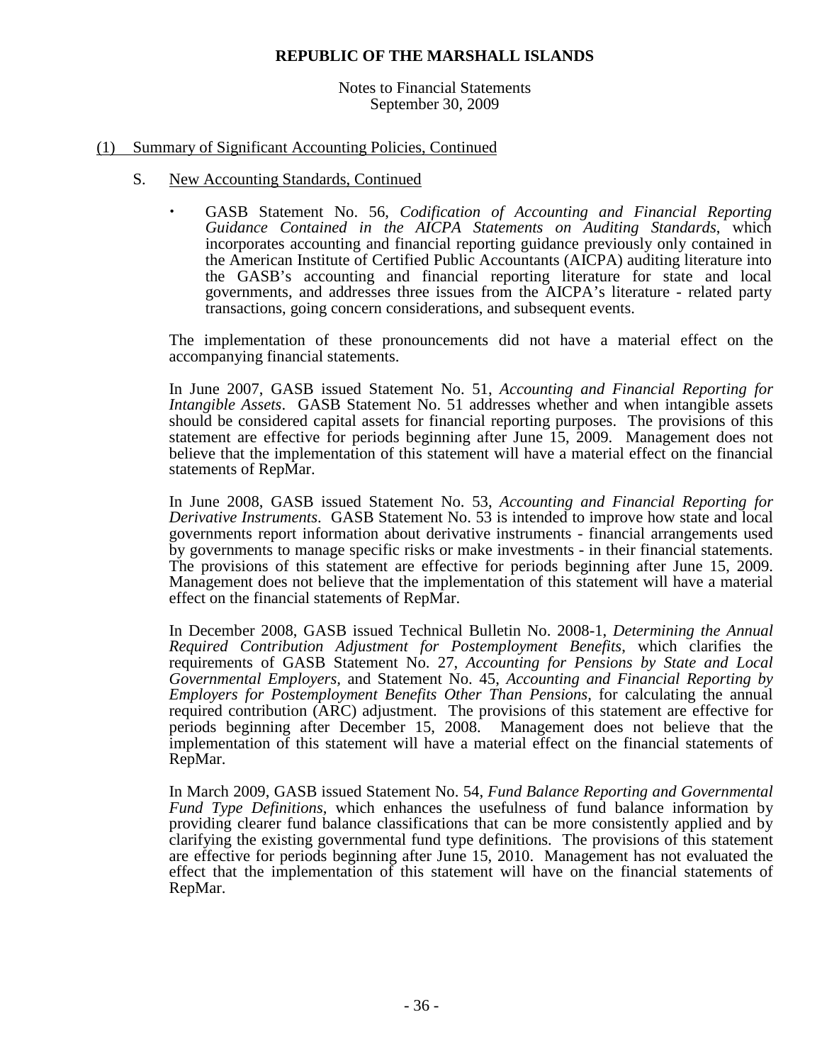Notes to Financial Statements September 30, 2009

#### (1) Summary of Significant Accounting Policies, Continued

- S. New Accounting Standards, Continued
	- GASB Statement No. 56, *Codification of Accounting and Financial Reporting Guidance Contained in the AICPA Statements on Auditing Standards*, which incorporates accounting and financial reporting guidance previously only contained in the American Institute of Certified Public Accountants (AICPA) auditing literature into the GASB's accounting and financial reporting literature for state and local governments, and addresses three issues from the AICPA's literature - related party transactions, going concern considerations, and subsequent events.

The implementation of these pronouncements did not have a material effect on the accompanying financial statements.

In June 2007, GASB issued Statement No. 51, *Accounting and Financial Reporting for Intangible Assets*. GASB Statement No. 51 addresses whether and when intangible assets should be considered capital assets for financial reporting purposes. The provisions of this statement are effective for periods beginning after June 15, 2009. Management does not believe that the implementation of this statement will have a material effect on the financial statements of RepMar.

In June 2008, GASB issued Statement No. 53, *Accounting and Financial Reporting for Derivative Instruments*. GASB Statement No. 53 is intended to improve how state and local governments report information about derivative instruments - financial arrangements used by governments to manage specific risks or make investments - in their financial statements. The provisions of this statement are effective for periods beginning after June 15, 2009. Management does not believe that the implementation of this statement will have a material effect on the financial statements of RepMar.

In December 2008, GASB issued Technical Bulletin No. 2008-1, *Determining the Annual Required Contribution Adjustment for Postemployment Benefits*, which clarifies the requirements of GASB Statement No. 27, *Accounting for Pensions by State and Local Governmental Employers,* and Statement No. 45, *Accounting and Financial Reporting by Employers for Postemployment Benefits Other Than Pensions,* for calculating the annual required contribution (ARC) adjustment. The provisions of this statement are effective for periods beginning after December 15, 2008. Management does not believe that the implementation of this statement will have a material effect on the financial statements of RepMar.

In March 2009, GASB issued Statement No. 54, *Fund Balance Reporting and Governmental Fund Type Definitions*, which enhances the usefulness of fund balance information by providing clearer fund balance classifications that can be more consistently applied and by clarifying the existing governmental fund type definitions. The provisions of this statement are effective for periods beginning after June 15, 2010. Management has not evaluated the effect that the implementation of this statement will have on the financial statements of RepMar.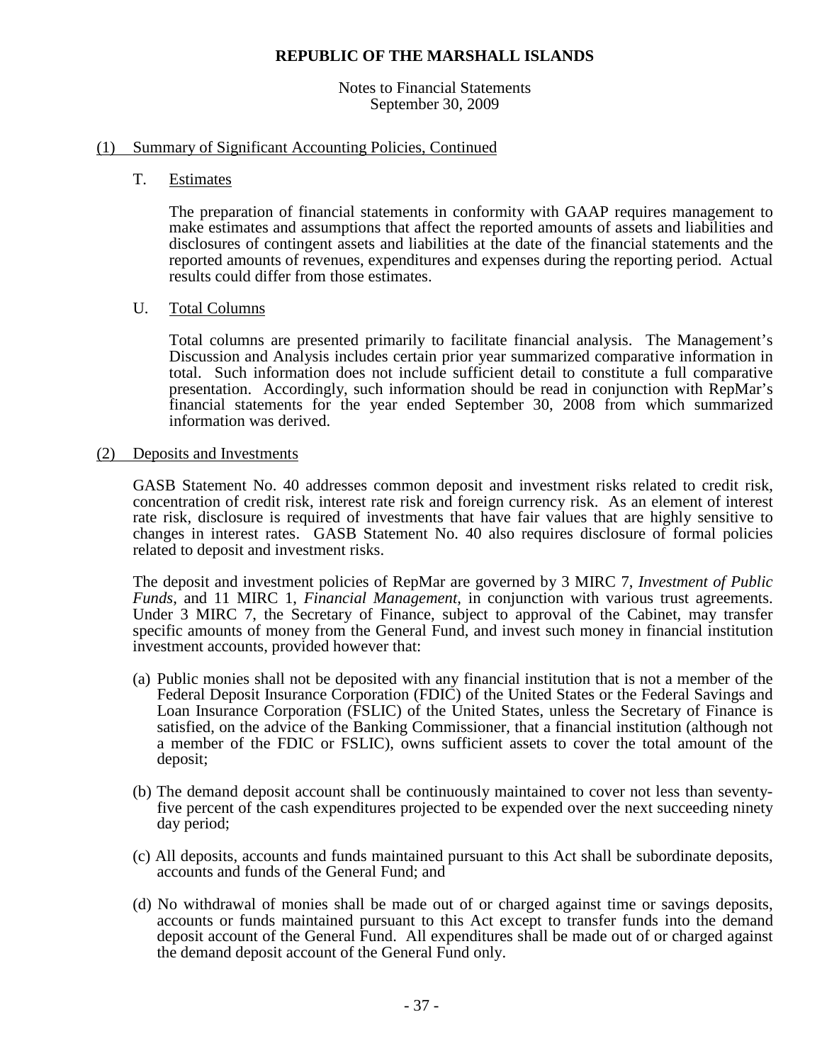Notes to Financial Statements September 30, 2009

#### (1) Summary of Significant Accounting Policies, Continued

T. Estimates

The preparation of financial statements in conformity with GAAP requires management to make estimates and assumptions that affect the reported amounts of assets and liabilities and disclosures of contingent assets and liabilities at the date of the financial statements and the reported amounts of revenues, expenditures and expenses during the reporting period. Actual results could differ from those estimates.

## U. Total Columns

Total columns are presented primarily to facilitate financial analysis. The Management's Discussion and Analysis includes certain prior year summarized comparative information in total. Such information does not include sufficient detail to constitute a full comparative presentation. Accordingly, such information should be read in conjunction with RepMar's financial statements for the year ended September 30, 2008 from which summarized information was derived.

#### (2) Deposits and Investments

GASB Statement No. 40 addresses common deposit and investment risks related to credit risk, concentration of credit risk, interest rate risk and foreign currency risk. As an element of interest rate risk, disclosure is required of investments that have fair values that are highly sensitive to changes in interest rates. GASB Statement No. 40 also requires disclosure of formal policies related to deposit and investment risks.

The deposit and investment policies of RepMar are governed by 3 MIRC 7, *Investment of Public Funds*, and 11 MIRC 1, *Financial Management*, in conjunction with various trust agreements. Under 3 MIRC 7, the Secretary of Finance, subject to approval of the Cabinet, may transfer specific amounts of money from the General Fund, and invest such money in financial institution investment accounts, provided however that:

- (a) Public monies shall not be deposited with any financial institution that is not a member of the Federal Deposit Insurance Corporation (FDIC) of the United States or the Federal Savings and Loan Insurance Corporation (FSLIC) of the United States, unless the Secretary of Finance is satisfied, on the advice of the Banking Commissioner, that a financial institution (although not a member of the FDIC or FSLIC), owns sufficient assets to cover the total amount of the deposit;
- (b) The demand deposit account shall be continuously maintained to cover not less than seventyfive percent of the cash expenditures projected to be expended over the next succeeding ninety day period;
- (c) All deposits, accounts and funds maintained pursuant to this Act shall be subordinate deposits, accounts and funds of the General Fund; and
- (d) No withdrawal of monies shall be made out of or charged against time or savings deposits, accounts or funds maintained pursuant to this Act except to transfer funds into the demand deposit account of the General Fund. All expenditures shall be made out of or charged against the demand deposit account of the General Fund only.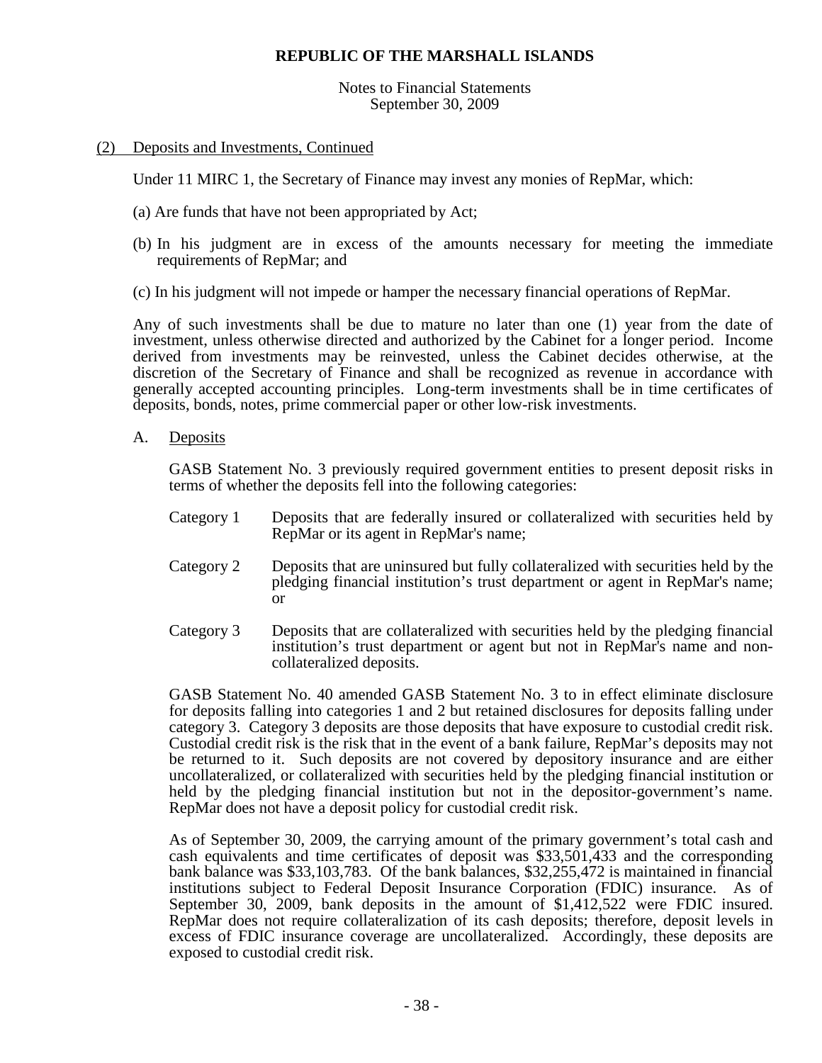Notes to Financial Statements September 30, 2009

#### (2) Deposits and Investments, Continued

Under 11 MIRC 1, the Secretary of Finance may invest any monies of RepMar, which:

- (a) Are funds that have not been appropriated by Act;
- (b) In his judgment are in excess of the amounts necessary for meeting the immediate requirements of RepMar; and
- (c) In his judgment will not impede or hamper the necessary financial operations of RepMar.

Any of such investments shall be due to mature no later than one (1) year from the date of investment, unless otherwise directed and authorized by the Cabinet for a longer period. Income derived from investments may be reinvested, unless the Cabinet decides otherwise, at the discretion of the Secretary of Finance and shall be recognized as revenue in accordance with generally accepted accounting principles. Long-term investments shall be in time certificates of deposits, bonds, notes, prime commercial paper or other low-risk investments.

A. Deposits

GASB Statement No. 3 previously required government entities to present deposit risks in terms of whether the deposits fell into the following categories:

- Category 1 Deposits that are federally insured or collateralized with securities held by RepMar or its agent in RepMar's name;
- Category 2 Deposits that are uninsured but fully collateralized with securities held by the pledging financial institution's trust department or agent in RepMar's name; or
- Category 3 Deposits that are collateralized with securities held by the pledging financial institution's trust department or agent but not in RepMar's name and noncollateralized deposits.

GASB Statement No. 40 amended GASB Statement No. 3 to in effect eliminate disclosure for deposits falling into categories 1 and 2 but retained disclosures for deposits falling under category 3. Category 3 deposits are those deposits that have exposure to custodial credit risk. Custodial credit risk is the risk that in the event of a bank failure, RepMar's deposits may not be returned to it. Such deposits are not covered by depository insurance and are either uncollateralized, or collateralized with securities held by the pledging financial institution or held by the pledging financial institution but not in the depositor-government's name. RepMar does not have a deposit policy for custodial credit risk.

As of September 30, 2009, the carrying amount of the primary government's total cash and cash equivalents and time certificates of deposit was \$33,501,433 and the corresponding bank balance was \$33,103,783. Of the bank balances, \$32,255,472 is maintained in financial institutions subject to Federal Deposit Insurance Corporation (FDIC) insurance. As of September 30, 2009, bank deposits in the amount of \$1,412,522 were FDIC insured. RepMar does not require collateralization of its cash deposits; therefore, deposit levels in excess of FDIC insurance coverage are uncollateralized. Accordingly, these deposits are exposed to custodial credit risk.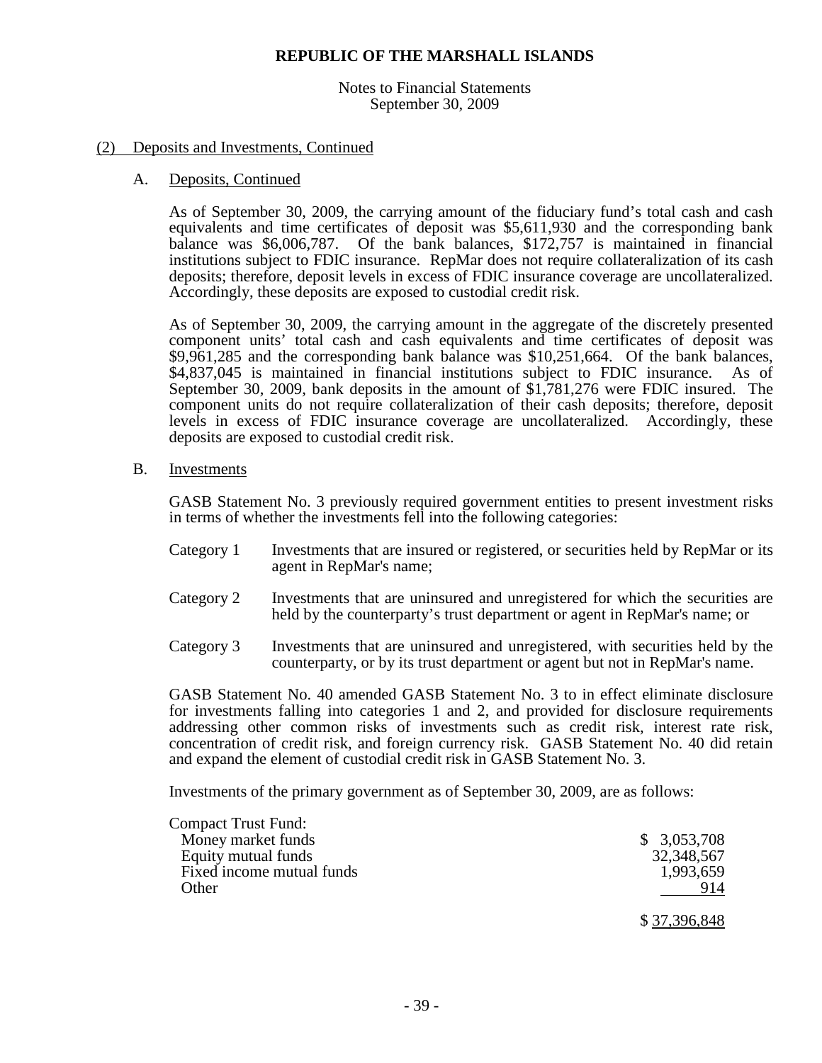Notes to Financial Statements September 30, 2009

#### (2) Deposits and Investments, Continued

#### A. Deposits, Continued

As of September 30, 2009, the carrying amount of the fiduciary fund's total cash and cash equivalents and time certificates of deposit was \$5,611,930 and the corresponding bank balance was \$6,006,787. Of the bank balances, \$172,757 is maintained in financial institutions subject to FDIC insurance. RepMar does not require collateralization of its cash deposits; therefore, deposit levels in excess of FDIC insurance coverage are uncollateralized. Accordingly, these deposits are exposed to custodial credit risk.

As of September 30, 2009, the carrying amount in the aggregate of the discretely presented component units' total cash and cash equivalents and time certificates of deposit was \$9,961,285 and the corresponding bank balance was \$10,251,664. Of the bank balances, \$4,837,045 is maintained in financial institutions subject to FDIC insurance. As of September 30, 2009, bank deposits in the amount of \$1,781,276 were FDIC insured. The component units do not require collateralization of their cash deposits; therefore, deposit levels in excess of FDIC insurance coverage are uncollateralized. Accordingly, these deposits are exposed to custodial credit risk.

B. Investments

GASB Statement No. 3 previously required government entities to present investment risks in terms of whether the investments fell into the following categories:

- Category 1 Investments that are insured or registered, or securities held by RepMar or its agent in RepMar's name;
- Category 2 Investments that are uninsured and unregistered for which the securities are held by the counterparty's trust department or agent in RepMar's name; or
- Category 3 Investments that are uninsured and unregistered, with securities held by the counterparty, or by its trust department or agent but not in RepMar's name.

GASB Statement No. 40 amended GASB Statement No. 3 to in effect eliminate disclosure for investments falling into categories 1 and 2, and provided for disclosure requirements addressing other common risks of investments such as credit risk, interest rate risk, concentration of credit risk, and foreign currency risk. GASB Statement No. 40 did retain and expand the element of custodial credit risk in GASB Statement No. 3.

Investments of the primary government as of September 30, 2009, are as follows:

| <b>Compact Trust Fund:</b> |              |
|----------------------------|--------------|
| Money market funds         | \$3,053,708  |
| Equity mutual funds        | 32,348,567   |
| Fixed income mutual funds  | 1,993,659    |
| Other                      |              |
|                            | \$37,396,848 |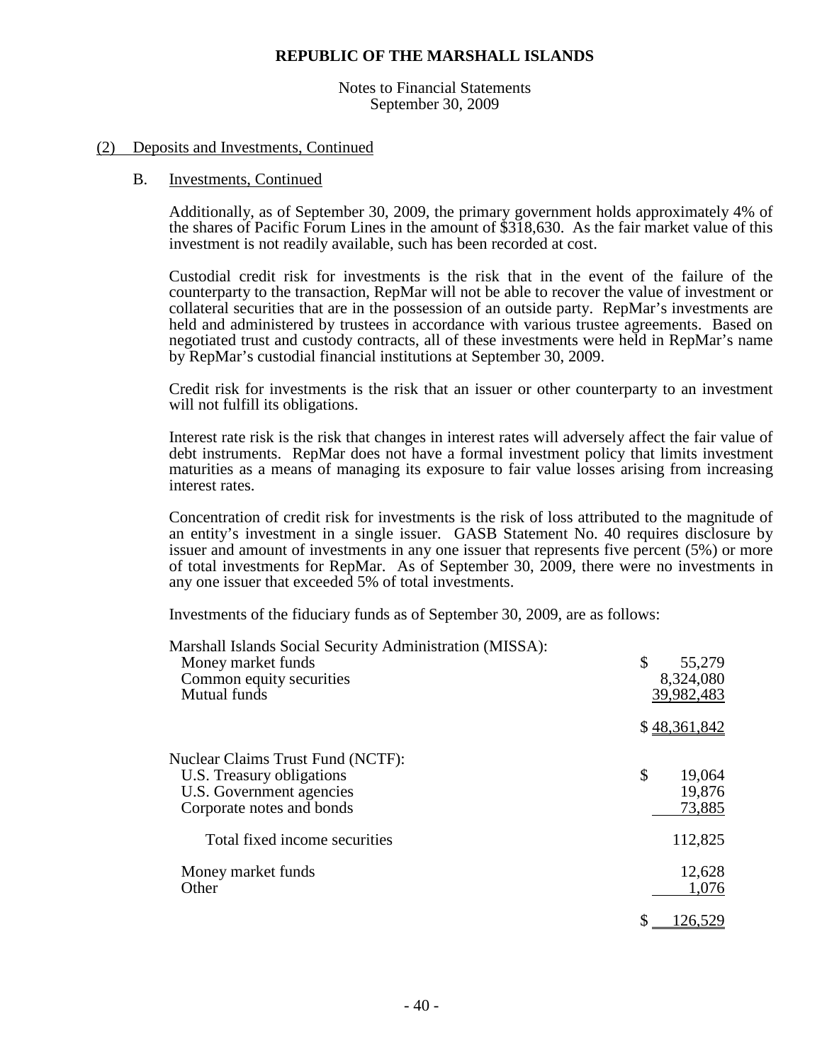Notes to Financial Statements September 30, 2009

#### (2) Deposits and Investments, Continued

#### B. Investments, Continued

Additionally, as of September 30, 2009, the primary government holds approximately 4% of the shares of Pacific Forum Lines in the amount of \$318,630. As the fair market value of this investment is not readily available, such has been recorded at cost.

Custodial credit risk for investments is the risk that in the event of the failure of the counterparty to the transaction, RepMar will not be able to recover the value of investment or collateral securities that are in the possession of an outside party. RepMar's investments are held and administered by trustees in accordance with various trustee agreements. Based on negotiated trust and custody contracts, all of these investments were held in RepMar's name by RepMar's custodial financial institutions at September 30, 2009.

Credit risk for investments is the risk that an issuer or other counterparty to an investment will not fulfill its obligations.

Interest rate risk is the risk that changes in interest rates will adversely affect the fair value of debt instruments. RepMar does not have a formal investment policy that limits investment maturities as a means of managing its exposure to fair value losses arising from increasing interest rates.

Concentration of credit risk for investments is the risk of loss attributed to the magnitude of an entity's investment in a single issuer. GASB Statement No. 40 requires disclosure by issuer and amount of investments in any one issuer that represents five percent (5%) or more of total investments for RepMar. As of September 30, 2009, there were no investments in any one issuer that exceeded 5% of total investments.

Investments of the fiduciary funds as of September 30, 2009, are as follows:

| Marshall Islands Social Security Administration (MISSA): | \$           |
|----------------------------------------------------------|--------------|
| Money market funds                                       | 55,279       |
| Common equity securities                                 | 8,324,080    |
| Mutual funds                                             | 39,982,483   |
|                                                          | \$48,361,842 |
| <b>Nuclear Claims Trust Fund (NCTF):</b>                 | \$           |
| U.S. Treasury obligations                                | 19,064       |
| U.S. Government agencies                                 | 19,876       |
| Corporate notes and bonds                                | 73,885       |
| Total fixed income securities                            | 112,825      |
| Money market funds                                       | 12,628       |
| Other                                                    | 1,076        |
|                                                          | 126,529      |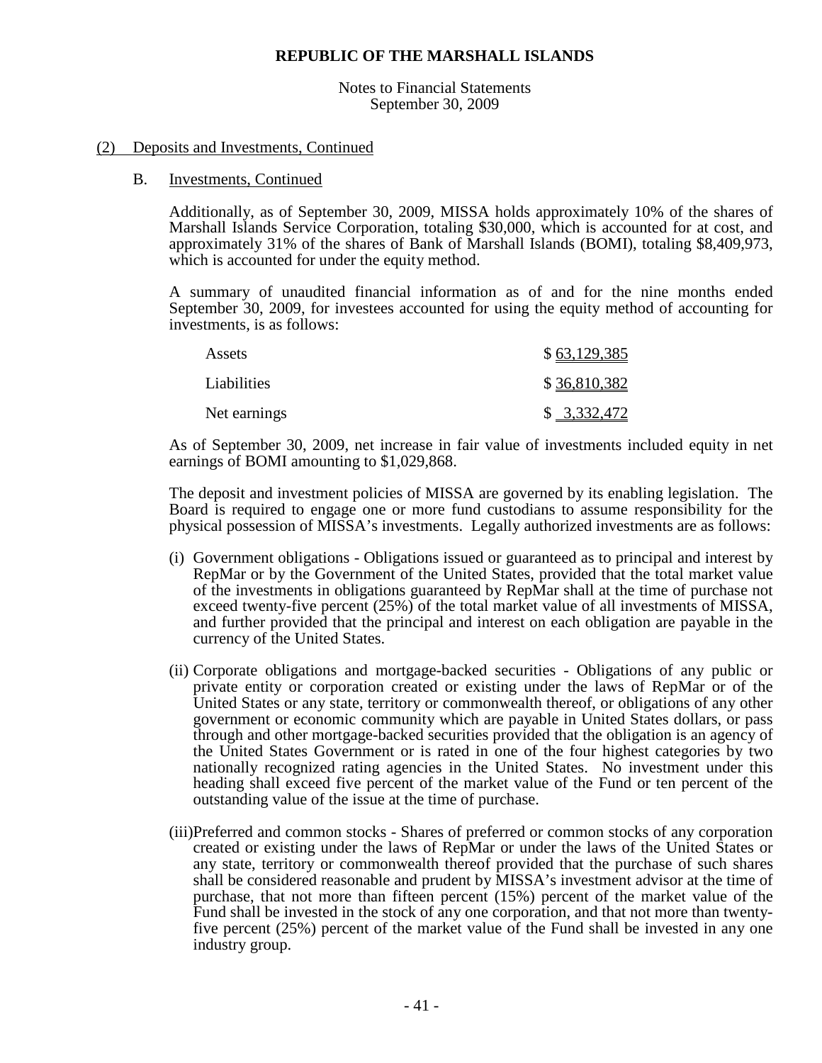Notes to Financial Statements September 30, 2009

#### (2) Deposits and Investments, Continued

#### B. Investments, Continued

Additionally, as of September 30, 2009, MISSA holds approximately 10% of the shares of Marshall Islands Service Corporation, totaling \$30,000, which is accounted for at cost, and approximately 31% of the shares of Bank of Marshall Islands (BOMI), totaling \$8,409,973, which is accounted for under the equity method.

A summary of unaudited financial information as of and for the nine months ended September 30, 2009, for investees accounted for using the equity method of accounting for investments, is as follows:

| Assets       | \$63,129,385 |
|--------------|--------------|
| Liabilities  | \$36,810,382 |
| Net earnings | \$3,332,472  |

As of September 30, 2009, net increase in fair value of investments included equity in net earnings of BOMI amounting to \$1,029,868.

The deposit and investment policies of MISSA are governed by its enabling legislation. The Board is required to engage one or more fund custodians to assume responsibility for the physical possession of MISSA's investments. Legally authorized investments are as follows:

- (i) Government obligations Obligations issued or guaranteed as to principal and interest by RepMar or by the Government of the United States, provided that the total market value of the investments in obligations guaranteed by RepMar shall at the time of purchase not exceed twenty-five percent (25%) of the total market value of all investments of MISSA, and further provided that the principal and interest on each obligation are payable in the currency of the United States.
- (ii) Corporate obligations and mortgage-backed securities Obligations of any public or private entity or corporation created or existing under the laws of RepMar or of the United States or any state, territory or commonwealth thereof, or obligations of any other government or economic community which are payable in United States dollars, or pass through and other mortgage-backed securities provided that the obligation is an agency of the United States Government or is rated in one of the four highest categories by two nationally recognized rating agencies in the United States. No investment under this heading shall exceed five percent of the market value of the Fund or ten percent of the outstanding value of the issue at the time of purchase.
- (iii)Preferred and common stocks Shares of preferred or common stocks of any corporation created or existing under the laws of RepMar or under the laws of the United States or any state, territory or commonwealth thereof provided that the purchase of such shares shall be considered reasonable and prudent by MISSA's investment advisor at the time of purchase, that not more than fifteen percent (15%) percent of the market value of the Fund shall be invested in the stock of any one corporation, and that not more than twentyfive percent (25%) percent of the market value of the Fund shall be invested in any one industry group.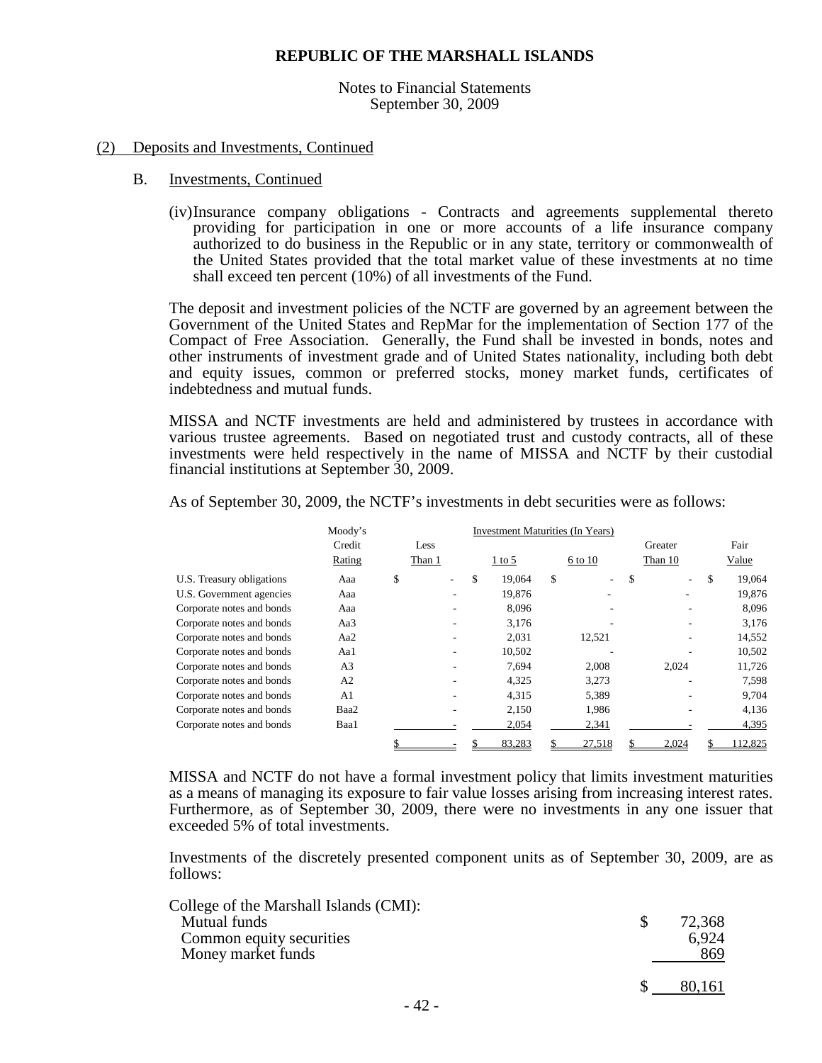Notes to Financial Statements September 30, 2009

#### (2) Deposits and Investments, Continued

#### B. Investments, Continued

(iv)Insurance company obligations - Contracts and agreements supplemental thereto providing for participation in one or more accounts of a life insurance company authorized to do business in the Republic or in any state, territory or commonwealth of the United States provided that the total market value of these investments at no time shall exceed ten percent (10%) of all investments of the Fund.

The deposit and investment policies of the NCTF are governed by an agreement between the Government of the United States and RepMar for the implementation of Section 177 of the Compact of Free Association. Generally, the Fund shall be invested in bonds, notes and other instruments of investment grade and of United States nationality, including both debt and equity issues, common or preferred stocks, money market funds, certificates of indebtedness and mutual funds.

MISSA and NCTF investments are held and administered by trustees in accordance with various trustee agreements. Based on negotiated trust and custody contracts, all of these investments were held respectively in the name of MISSA and NCTF by their custodial financial institutions at September 30, 2009.

|                           | Moody's        | Investment Maturities (In Years) |        |    |        |    |         |     |                          |              |
|---------------------------|----------------|----------------------------------|--------|----|--------|----|---------|-----|--------------------------|--------------|
|                           | Credit         |                                  | Less   |    |        |    |         |     | Greater                  | Fair         |
|                           | Rating         |                                  | Than 1 |    | 1 to 5 |    | 6 to 10 |     | Than 10                  | Value        |
| U.S. Treasury obligations | Aaa            | \$                               | Ξ.     | \$ | 19,064 | \$ | ۰       | \$. | $\overline{\phantom{0}}$ | \$<br>19,064 |
| U.S. Government agencies  | Aaa            |                                  |        |    | 19.876 |    |         |     |                          | 19,876       |
| Corporate notes and bonds | Aaa            |                                  |        |    | 8,096  |    |         |     |                          | 8,096        |
| Corporate notes and bonds | Aa3            |                                  |        |    | 3,176  |    |         |     |                          | 3,176        |
| Corporate notes and bonds | Aa2            |                                  |        |    | 2,031  |    | 12,521  |     |                          | 14,552       |
| Corporate notes and bonds | Aa1            |                                  |        |    | 10,502 |    |         |     |                          | 10,502       |
| Corporate notes and bonds | A <sub>3</sub> |                                  |        |    | 7.694  |    | 2.008   |     | 2,024                    | 11,726       |
| Corporate notes and bonds | A <sub>2</sub> |                                  |        |    | 4,325  |    | 3,273   |     |                          | 7,598        |
| Corporate notes and bonds | A <sub>1</sub> |                                  |        |    | 4,315  |    | 5,389   |     |                          | 9,704        |
| Corporate notes and bonds | Baa2           |                                  |        |    | 2,150  |    | 1,986   |     |                          | 4,136        |
| Corporate notes and bonds | Baa1           |                                  |        |    | 2,054  |    | 2,341   |     |                          | 4,395        |
|                           |                |                                  |        |    | 83,283 |    | 27,518  |     | 2.024                    | 12,825       |

As of September 30, 2009, the NCTF's investments in debt securities were as follows:

MISSA and NCTF do not have a formal investment policy that limits investment maturities as a means of managing its exposure to fair value losses arising from increasing interest rates. Furthermore, as of September 30, 2009, there were no investments in any one issuer that exceeded 5% of total investments.

Investments of the discretely presented component units as of September 30, 2009, are as follows:

| College of the Marshall Islands (CMI): |        |
|----------------------------------------|--------|
| Mutual funds                           | 72,368 |
| Common equity securities               | 6.924  |
| Money market funds                     | 869    |
|                                        |        |
|                                        |        |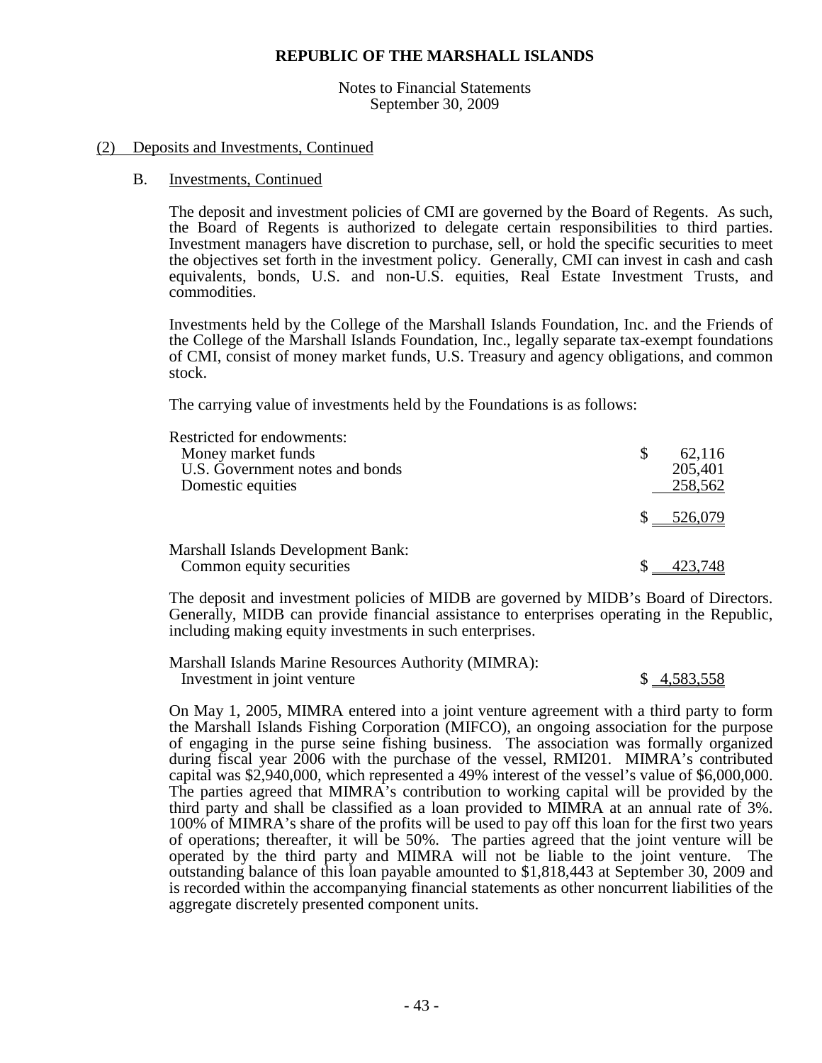Notes to Financial Statements September 30, 2009

#### (2) Deposits and Investments, Continued

#### B. Investments, Continued

The deposit and investment policies of CMI are governed by the Board of Regents. As such, the Board of Regents is authorized to delegate certain responsibilities to third parties. Investment managers have discretion to purchase, sell, or hold the specific securities to meet the objectives set forth in the investment policy. Generally, CMI can invest in cash and cash equivalents, bonds, U.S. and non-U.S. equities, Real Estate Investment Trusts, and commodities.

Investments held by the College of the Marshall Islands Foundation, Inc. and the Friends of the College of the Marshall Islands Foundation, Inc., legally separate tax-exempt foundations of CMI, consist of money market funds, U.S. Treasury and agency obligations, and common stock.

The carrying value of investments held by the Foundations is as follows:

| <b>Restricted for endowments:</b>  |         |
|------------------------------------|---------|
| Money market funds                 | 62,116  |
| U.S. Government notes and bonds    | 205,401 |
| Domestic equities                  | 258,562 |
|                                    | 526,079 |
| Marshall Islands Development Bank: |         |
| Common equity securities           | 423.748 |

The deposit and investment policies of MIDB are governed by MIDB's Board of Directors. Generally, MIDB can provide financial assistance to enterprises operating in the Republic, including making equity investments in such enterprises.

Marshall Islands Marine Resources Authority (MIMRA): Investment in joint venture \$ 4,583,558

On May 1, 2005, MIMRA entered into a joint venture agreement with a third party to form the Marshall Islands Fishing Corporation (MIFCO), an ongoing association for the purpose of engaging in the purse seine fishing business. The association was formally organized during fiscal year 2006 with the purchase of the vessel, RMI201. MIMRA's contributed capital was \$2,940,000, which represented a 49% interest of the vessel's value of \$6,000,000. The parties agreed that MIMRA's contribution to working capital will be provided by the third party and shall be classified as a loan provided to MIMRA at an annual rate of 3%. 100% of MIMRA's share of the profits will be used to pay off this loan for the first two years of operations; thereafter, it will be 50%. The parties agreed that the joint venture will be operated by the third party and MIMRA will not be liable to the joint venture. The outstanding balance of this loan payable amounted to \$1,818,443 at September 30, 2009 and is recorded within the accompanying financial statements as other noncurrent liabilities of the aggregate discretely presented component units.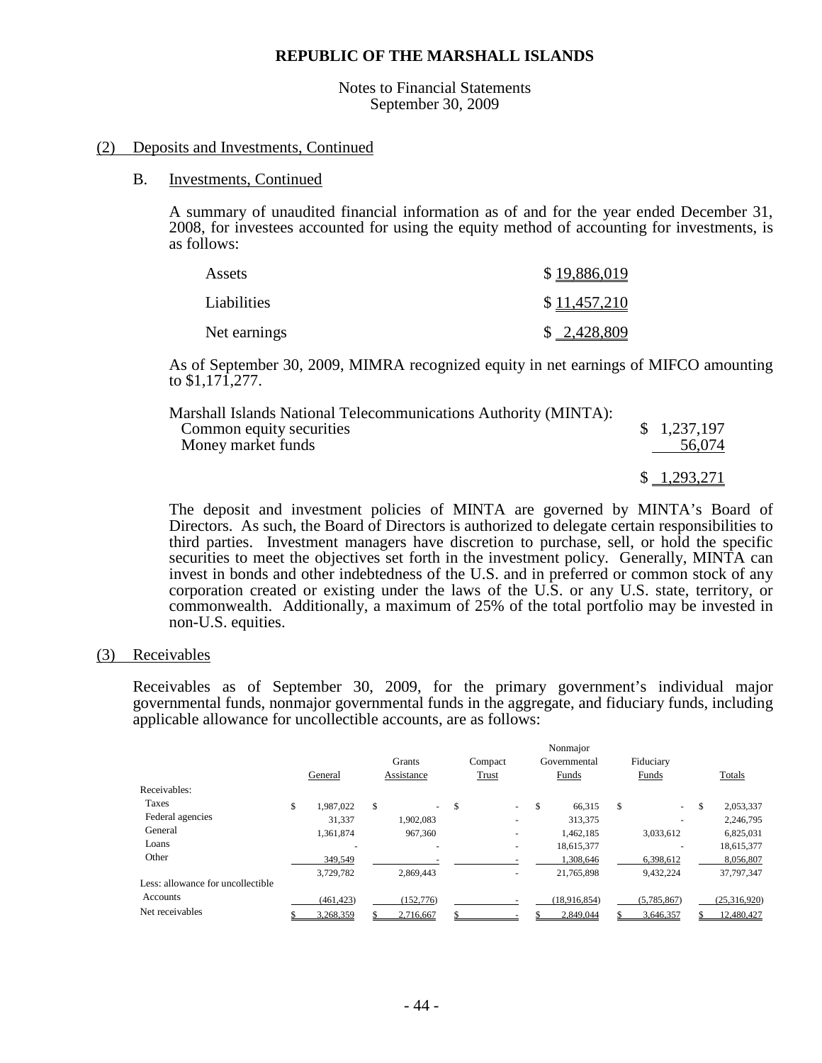Notes to Financial Statements September 30, 2009

#### (2) Deposits and Investments, Continued

#### B. Investments, Continued

A summary of unaudited financial information as of and for the year ended December 31, 2008, for investees accounted for using the equity method of accounting for investments, is as follows:

| Assets       | \$19,886,019 |
|--------------|--------------|
| Liabilities  | \$11,457,210 |
| Net earnings | \$2,428,809  |

As of September 30, 2009, MIMRA recognized equity in net earnings of MIFCO amounting to \$1,171,277.

| Marshall Islands National Telecommunications Authority (MINTA):<br>Common equity securities<br>Money market funds | \$1,237,197<br>56,074 |
|-------------------------------------------------------------------------------------------------------------------|-----------------------|
|                                                                                                                   | \$1,293,271           |

The deposit and investment policies of MINTA are governed by MINTA's Board of Directors. As such, the Board of Directors is authorized to delegate certain responsibilities to third parties. Investment managers have discretion to purchase, sell, or hold the specific securities to meet the objectives set forth in the investment policy. Generally, MINTA can invest in bonds and other indebtedness of the U.S. and in preferred or common stock of any corporation created or existing under the laws of the U.S. or any U.S. state, territory, or commonwealth. Additionally, a maximum of 25% of the total portfolio may be invested in non-U.S. equities.

#### (3) Receivables

Receivables as of September 30, 2009, for the primary government's individual major governmental funds, nonmajor governmental funds in the aggregate, and fiduciary funds, including applicable allowance for uncollectible accounts, are as follows:

|                                   |                 |                      |                          |       |                          | Nonmajor       |       |             |                 |
|-----------------------------------|-----------------|----------------------|--------------------------|-------|--------------------------|----------------|-------|-------------|-----------------|
|                                   |                 | Grants<br>Assistance |                          |       | Compact                  | Governmental   |       | Fiduciary   |                 |
|                                   | General         |                      |                          | Trust |                          | Funds          | Funds |             | Totals          |
| Receivables:                      |                 |                      |                          |       |                          |                |       |             |                 |
| Taxes                             | \$<br>1,987,022 | \$                   | $\overline{\phantom{a}}$ | \$    | $\sim$                   | \$<br>66,315   | \$    | $\omega$ .  | \$<br>2,053,337 |
| Federal agencies                  | 31,337          |                      | 1.902.083                |       |                          | 313,375        |       |             | 2,246,795       |
| General                           | 1,361,874       |                      | 967,360                  |       | $\overline{\phantom{a}}$ | 1,462,185      |       | 3,033,612   | 6,825,031       |
| Loans                             |                 |                      |                          |       | $\overline{\phantom{a}}$ | 18,615,377     |       |             | 18,615,377      |
| Other                             | 349,549         |                      |                          |       |                          | 1.308.646      |       | 6,398,612   | 8,056,807       |
|                                   | 3,729,782       |                      | 2.869,443                |       |                          | 21,765,898     |       | 9,432,224   | 37,797,347      |
| Less: allowance for uncollectible |                 |                      |                          |       |                          |                |       |             |                 |
| Accounts                          | (461, 423)      |                      | (152, 776)               |       |                          | (18, 916, 854) |       | (5,785,867) | (25,316,920)    |
| Net receivables                   | 3.268.359       |                      | 2.716.667                |       |                          | 2.849.044      |       | 3.646.357   | 12.480.427      |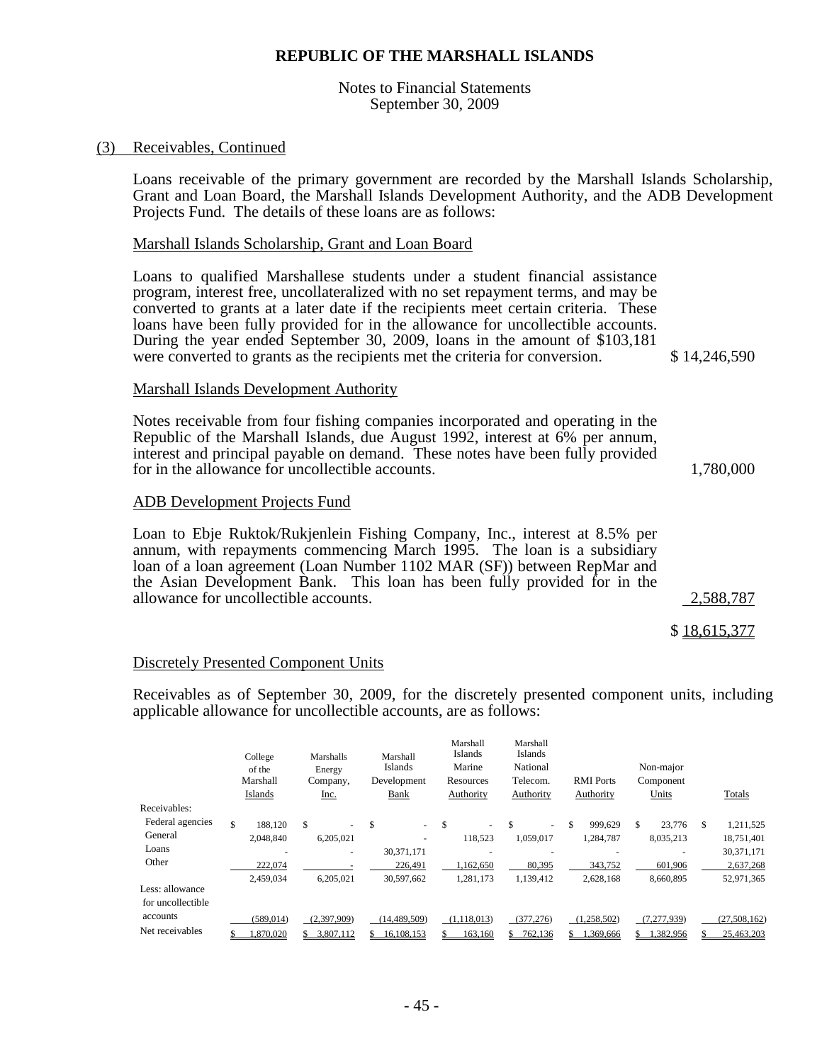Notes to Financial Statements September 30, 2009

#### (3) Receivables, Continued

Loans receivable of the primary government are recorded by the Marshall Islands Scholarship, Grant and Loan Board, the Marshall Islands Development Authority, and the ADB Development Projects Fund. The details of these loans are as follows:

#### Marshall Islands Scholarship, Grant and Loan Board

Loans to qualified Marshallese students under a student financial assistance program, interest free, uncollateralized with no set repayment terms, and may be converted to grants at a later date if the recipients meet certain criteria. These loans have been fully provided for in the allowance for uncollectible accounts. During the year ended September 30, 2009, loans in the amount of \$103,181 were converted to grants as the recipients met the criteria for conversion.  $$14,246,590$ 

#### Marshall Islands Development Authority

Notes receivable from four fishing companies incorporated and operating in the Republic of the Marshall Islands, due August 1992, interest at 6% per annum, interest and principal payable on demand. These notes have been fully provided for in the allowance for uncollectible accounts. 1,780,000

#### ADB Development Projects Fund

Loan to Ebje Ruktok/Rukjenlein Fishing Company, Inc., interest at 8.5% per annum, with repayments commencing March 1995. The loan is a subsidiary loan of a loan agreement (Loan Number 1102 MAR (SF)) between RepMar and the Asian Development Bank. This loan has been fully provided for in the allowance for uncollectible accounts. 2,588,787

\$ 18,615,377

#### Discretely Presented Component Units

Receivables as of September 30, 2009, for the discretely presented component units, including applicable allowance for uncollectible accounts, are as follows:

|                   | College<br>of the<br>Marshall<br>Islands | Marshalls<br>Energy<br>Company,<br>Inc. | Marshall<br><b>Islands</b><br>Development<br>Bank |    | Marshall<br>Islands<br>Marine<br>Resources<br>Authority | Marshall<br>Islands<br>National<br>Telecom.<br>Authority | <b>RMI</b> Ports<br>Authority |             | Non-major<br>Component<br>Units |             | Totals          |
|-------------------|------------------------------------------|-----------------------------------------|---------------------------------------------------|----|---------------------------------------------------------|----------------------------------------------------------|-------------------------------|-------------|---------------------------------|-------------|-----------------|
| Receivables:      |                                          |                                         |                                                   |    |                                                         |                                                          |                               |             |                                 |             |                 |
| Federal agencies  | \$<br>188.120                            | $\mathcal{S}$<br>$\sim$                 | \$<br>$\overline{\phantom{a}}$                    | \$ | $\overline{\phantom{a}}$                                | \$<br>$\sim$                                             | \$                            | 999.629     | \$                              | 23,776      | \$<br>1,211,525 |
| General           | 2.048.840                                | 6,205,021                               |                                                   |    | 118.523                                                 | 1,059,017                                                |                               | 1,284,787   |                                 | 8,035,213   | 18,751,401      |
| Loans             |                                          | ٠                                       | 30,371,171                                        |    |                                                         |                                                          |                               |             |                                 |             | 30,371,171      |
| Other             | 222,074                                  |                                         | 226,491                                           |    | 1,162,650                                               | 80,395                                                   |                               | 343,752     |                                 | 601,906     | 2,637,268       |
|                   | 2,459,034                                | 6,205,021                               | 30,597,662                                        |    | 1,281,173                                               | 1,139,412                                                |                               | 2,628,168   |                                 | 8,660,895   | 52,971,365      |
| Less: allowance   |                                          |                                         |                                                   |    |                                                         |                                                          |                               |             |                                 |             |                 |
| for uncollectible |                                          |                                         |                                                   |    |                                                         |                                                          |                               |             |                                 |             |                 |
| accounts          | (589, 014)                               | (2,397,909)                             | (14, 489, 509)                                    |    | (1,118,013)                                             | (377, 276)                                               |                               | (1,258,502) |                                 | (7,277,939) | (27,508,162)    |
| Net receivables   | .870.020                                 | 3,807,112                               | 16,108,153                                        |    | 163,160                                                 | 762,136                                                  |                               | .369,666    |                                 | .382,956    | 25,463,203      |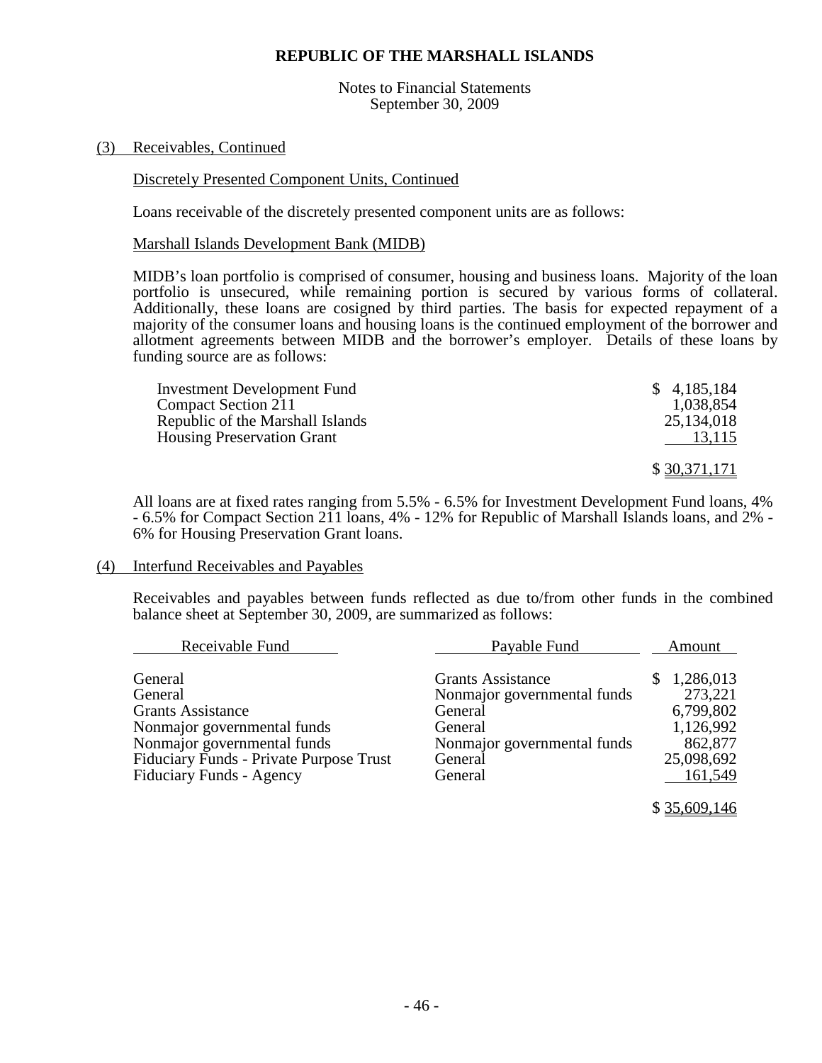Notes to Financial Statements September 30, 2009

#### (3) Receivables, Continued

## Discretely Presented Component Units, Continued

Loans receivable of the discretely presented component units are as follows:

#### Marshall Islands Development Bank (MIDB)

MIDB's loan portfolio is comprised of consumer, housing and business loans. Majority of the loan portfolio is unsecured, while remaining portion is secured by various forms of collateral. Additionally, these loans are cosigned by third parties. The basis for expected repayment of a majority of the consumer loans and housing loans is the continued employment of the borrower and allotment agreements between MIDB and the borrower's employer. Details of these loans by funding source are as follows:

| <b>Investment Development Fund</b> | \$4,185,184  |
|------------------------------------|--------------|
| Compact Section 211                | 1,038,854    |
| Republic of the Marshall Islands   | 25,134,018   |
| <b>Housing Preservation Grant</b>  | 13,115       |
|                                    |              |
|                                    | \$30,371,171 |

All loans are at fixed rates ranging from 5.5% - 6.5% for Investment Development Fund loans, 4% - 6.5% for Compact Section 211 loans, 4% - 12% for Republic of Marshall Islands loans, and 2% - 6% for Housing Preservation Grant loans.

## (4) Interfund Receivables and Payables

Receivables and payables between funds reflected as due to/from other funds in the combined balance sheet at September 30, 2009, are summarized as follows:

| Receivable Fund                         | Payable Fund                | Amount                       |
|-----------------------------------------|-----------------------------|------------------------------|
| General                                 | <b>Grants Assistance</b>    | 1,286,013<br>S               |
| General                                 | Nonmajor governmental funds | 273,221                      |
| <b>Grants Assistance</b>                | General                     | 6,799,802                    |
| Nonmajor governmental funds             | General                     | 1,126,992                    |
| Nonmajor governmental funds             | Nonmajor governmental funds | 862,877                      |
| Fiduciary Funds - Private Purpose Trust | General                     | 25,098,692                   |
| Fiduciary Funds - Agency                | General                     | 161,549                      |
|                                         |                             | $A \wedge B$ $200 \wedge 12$ |

\$ 35,609,146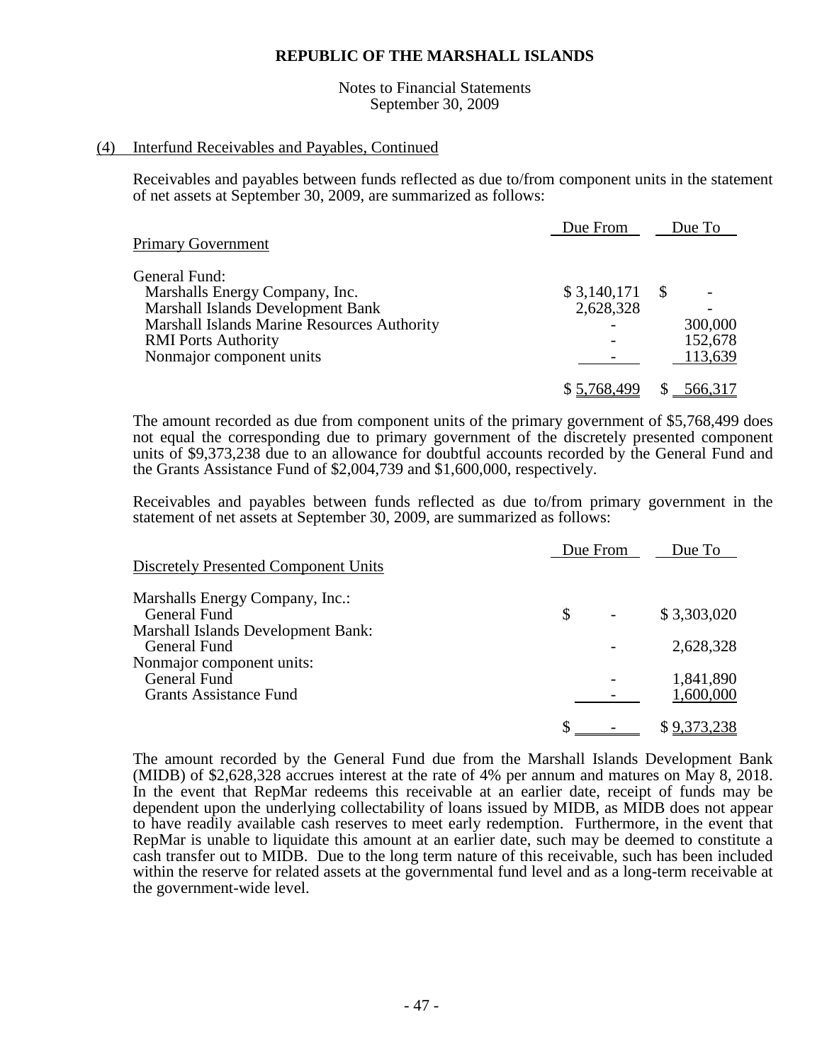#### Notes to Financial Statements September 30, 2009

## (4) Interfund Receivables and Payables, Continued

Receivables and payables between funds reflected as due to/from component units in the statement of net assets at September 30, 2009, are summarized as follows:

| <b>Primary Government</b>                                                                                    | Due From                 | Due To                        |
|--------------------------------------------------------------------------------------------------------------|--------------------------|-------------------------------|
| General Fund:<br>Marshalls Energy Company, Inc.<br><b>Marshall Islands Development Bank</b>                  | \$3,140,171<br>2,628,328 | <sup>8</sup>                  |
| <b>Marshall Islands Marine Resources Authority</b><br><b>RMI</b> Ports Authority<br>Nonmajor component units |                          | 300,000<br>152,678<br>113,639 |
|                                                                                                              | \$5,768,499              | 566,317                       |

The amount recorded as due from component units of the primary government of \$5,768,499 does not equal the corresponding due to primary government of the discretely presented component units of \$9,373,238 due to an allowance for doubtful accounts recorded by the General Fund and the Grants Assistance Fund of \$2,004,739 and \$1,600,000, respectively.

Receivables and payables between funds reflected as due to/from primary government in the statement of net assets at September 30, 2009, are summarized as follows:

|                                           | Due From |  | Due To      |
|-------------------------------------------|----------|--|-------------|
| Discretely Presented Component Units      |          |  |             |
| Marshalls Energy Company, Inc.:           |          |  |             |
| General Fund                              | \$       |  | \$3,303,020 |
| <b>Marshall Islands Development Bank:</b> |          |  |             |
| General Fund                              |          |  | 2,628,328   |
| Nonmajor component units:                 |          |  |             |
| General Fund                              |          |  | 1,841,890   |
| <b>Grants Assistance Fund</b>             |          |  | 1,600,000   |
|                                           |          |  | \$9,373,238 |

The amount recorded by the General Fund due from the Marshall Islands Development Bank (MIDB) of \$2,628,328 accrues interest at the rate of 4% per annum and matures on May 8, 2018. In the event that RepMar redeems this receivable at an earlier date, receipt of funds may be dependent upon the underlying collectability of loans issued by MIDB, as MIDB does not appear to have readily available cash reserves to meet early redemption. Furthermore, in the event that RepMar is unable to liquidate this amount at an earlier date, such may be deemed to constitute a cash transfer out to MIDB. Due to the long term nature of this receivable, such has been included within the reserve for related assets at the governmental fund level and as a long-term receivable at the government-wide level.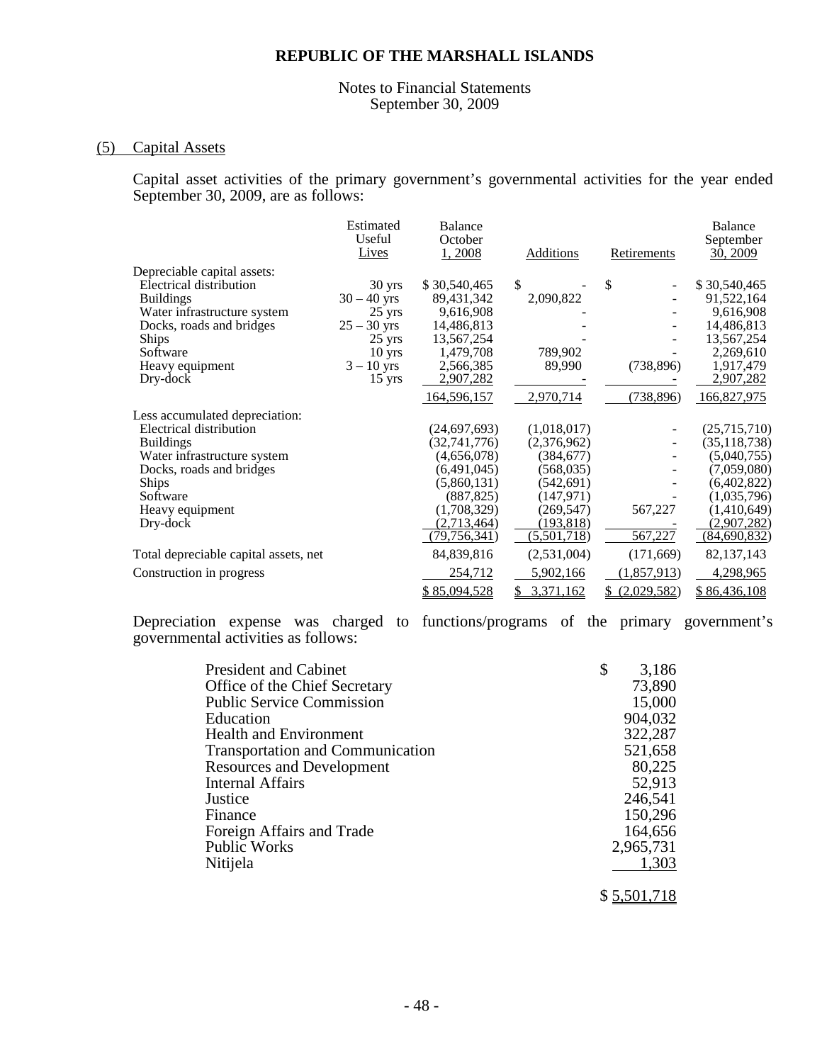#### Notes to Financial Statements September 30, 2009

# (5) Capital Assets

Capital asset activities of the primary government's governmental activities for the year ended September 30, 2009, are as follows:

|                                       | Estimated<br>Useful<br>Lives | <b>Balance</b><br>October<br>1,2008 | Additions   | Retirements | <b>Balance</b><br>September<br>30, 2009 |
|---------------------------------------|------------------------------|-------------------------------------|-------------|-------------|-----------------------------------------|
| Depreciable capital assets:           |                              |                                     |             |             |                                         |
| Electrical distribution               | $30 \text{ yrs}$             | \$30,540,465                        | \$          | \$          | \$30,540,465                            |
| <b>Buildings</b>                      | $30 - 40$ yrs                | 89,431,342                          | 2,090,822   |             | 91,522,164                              |
| Water infrastructure system           | $25 \text{ yrs}$             | 9,616,908                           |             |             | 9,616,908                               |
| Docks, roads and bridges              | $25 - 30$ yrs                | 14,486,813                          |             |             | 14,486,813                              |
| Ships                                 | $25 \text{ yrs}$             | 13,567,254                          |             |             | 13,567,254                              |
| Software                              | $10$ yrs                     | 1,479,708                           | 789,902     |             | 2,269,610                               |
| Heavy equipment                       | $3 - 10$ yrs                 | 2,566,385                           | 89,990      | (738, 896)  | 1,917,479                               |
| Dry-dock                              | $15 \text{ yrs}$             | 2,907,282                           |             |             | 2,907,282                               |
|                                       |                              | 164,596,157                         | 2,970,714   | (738, 896)  | 166,827,975                             |
| Less accumulated depreciation:        |                              |                                     |             |             |                                         |
| Electrical distribution               |                              | (24, 697, 693)                      | (1,018,017) |             | (25,715,710)                            |
| <b>Buildings</b>                      |                              | (32,741,776)                        | (2,376,962) |             | (35, 118, 738)                          |
| Water infrastructure system           |                              | (4,656,078)                         | (384, 677)  |             | (5,040,755)                             |
| Docks, roads and bridges              |                              | (6,491,045)                         | (568, 035)  |             | (7,059,080)                             |
| <b>Ships</b>                          |                              | (5,860,131)                         | (542, 691)  |             | (6,402,822)                             |
| Software                              |                              | (887, 825)                          | (147, 971)  |             | (1,035,796)                             |
| Heavy equipment                       |                              | (1,708,329)                         | (269, 547)  | 567,227     | (1,410,649)                             |
| Dry-dock                              |                              | (2,713,464)                         | (193, 818)  |             | (2,907,282)                             |
|                                       |                              | (79, 756, 341)                      | (5,501,718) | 567,227     | (84,690,832)                            |
| Total depreciable capital assets, net |                              | 84,839,816                          | (2,531,004) | (171, 669)  | 82,137,143                              |
| Construction in progress              |                              | 254,712                             | 5,902,166   | (1,857,913) | 4,298,965                               |
|                                       |                              | \$85,094,528                        | 3,371,162   | (2,029,582) | \$86,436,108                            |

Depreciation expense was charged to functions/programs of the primary government's governmental activities as follows:

| <b>President and Cabinet</b>            | \$<br>3,186 |
|-----------------------------------------|-------------|
| Office of the Chief Secretary           | 73,890      |
| <b>Public Service Commission</b>        | 15,000      |
| Education                               | 904,032     |
| <b>Health and Environment</b>           | 322,287     |
| <b>Transportation and Communication</b> | 521,658     |
| <b>Resources and Development</b>        | 80,225      |
| <b>Internal Affairs</b>                 | 52,913      |
| Justice                                 | 246,541     |
| Finance                                 | 150,296     |
| Foreign Affairs and Trade               | 164,656     |
| <b>Public Works</b>                     | 2,965,731   |
| Nitijela                                | 1,303       |
|                                         | .           |

\$ 5,501,718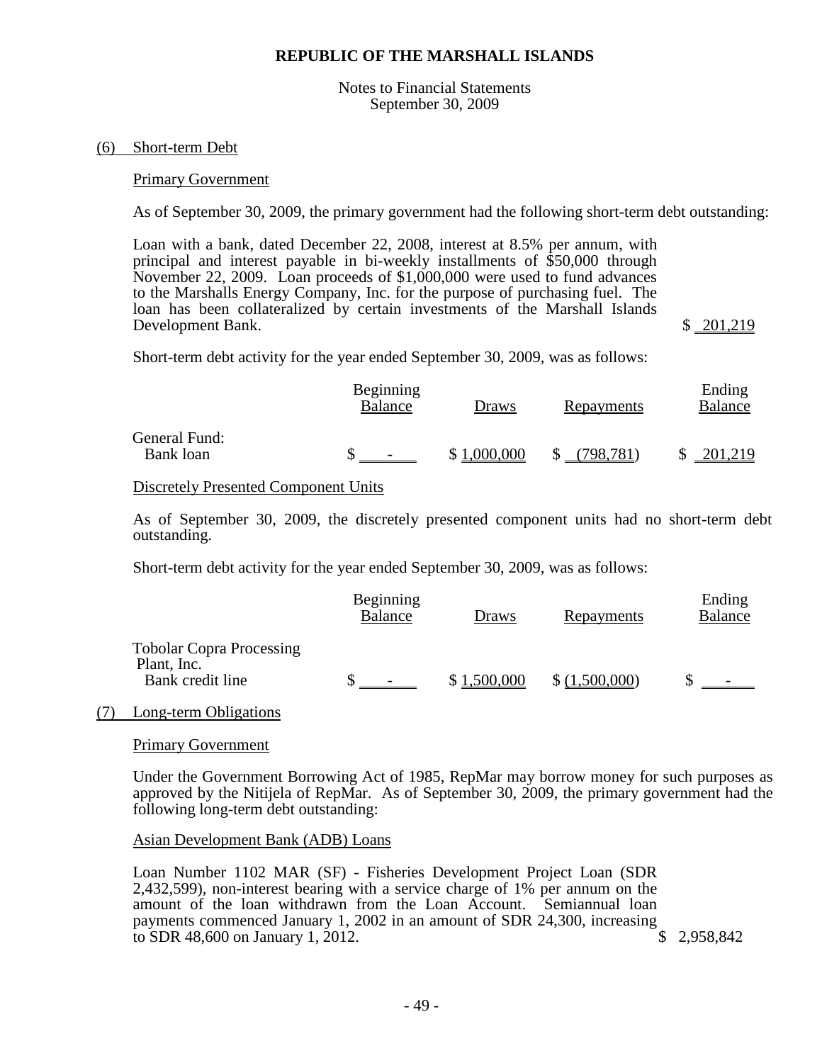#### Notes to Financial Statements September 30, 2009

#### (6) Short-term Debt

#### Primary Government

As of September 30, 2009, the primary government had the following short-term debt outstanding:

Loan with a bank, dated December 22, 2008, interest at 8.5% per annum, with principal and interest payable in bi-weekly installments of \$50,000 through November 22, 2009. Loan proceeds of \$1,000,000 were used to fund advances to the Marshalls Energy Company, Inc. for the purpose of purchasing fuel. The loan has been collateralized by certain investments of the Marshall Islands Development Bank. \$ 201,219

Short-term debt activity for the year ended September 30, 2009, was as follows:

|                            | Beginning<br><b>Balance</b> | Draws       | Repayments | Ending<br><b>Balance</b> |
|----------------------------|-----------------------------|-------------|------------|--------------------------|
| General Fund:<br>Bank loan | $\overline{\phantom{0}}$    | \$1,000,000 | (798, 781) | 201,219                  |

#### Discretely Presented Component Units

As of September 30, 2009, the discretely presented component units had no short-term debt outstanding.

Short-term debt activity for the year ended September 30, 2009, was as follows:

|                                                | Beginning<br><b>Balance</b> | Draws       | Repayments    | Ending<br><b>Balance</b> |
|------------------------------------------------|-----------------------------|-------------|---------------|--------------------------|
| <b>Tobolar Copra Processing</b><br>Plant, Inc. |                             |             |               |                          |
| Bank credit line                               | $\sim$                      | \$1,500,000 | \$(1,500,000) |                          |

#### (7) Long-term Obligations

#### Primary Government

Under the Government Borrowing Act of 1985, RepMar may borrow money for such purposes as approved by the Nitijela of RepMar. As of September 30, 2009, the primary government had the following long-term debt outstanding:

#### Asian Development Bank (ADB) Loans

Loan Number 1102 MAR (SF) - Fisheries Development Project Loan (SDR 2,432,599), non-interest bearing with a service charge of 1% per annum on the amount of the loan withdrawn from the Loan Account. Semiannual loan payments commenced January 1, 2002 in an amount of SDR 24,300, increasing<br>to SDR 48,600 on January 1, 2012.<br>\$2,958,842 to SDR 48,600 on January 1, 2012.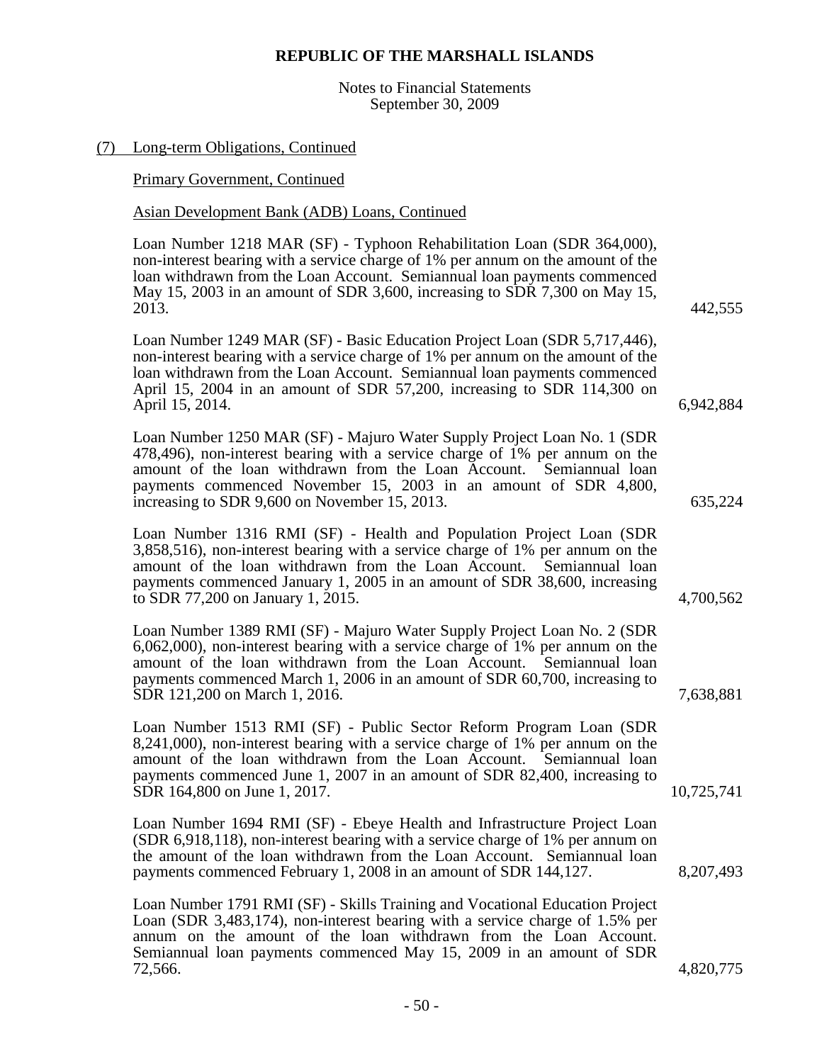Notes to Financial Statements September 30, 2009

#### (7) Long-term Obligations, Continued

Primary Government, Continued

Asian Development Bank (ADB) Loans, Continued

Loan Number 1218 MAR (SF) - Typhoon Rehabilitation Loan (SDR 364,000), non-interest bearing with a service charge of 1% per annum on the amount of the loan withdrawn from the Loan Account. Semiannual loan payments commenced May 15, 2003 in an amount of SDR 3,600, increasing to SDR 7,300 on May 15, 2013. 442,555

Loan Number 1249 MAR (SF) - Basic Education Project Loan (SDR 5,717,446), non-interest bearing with a service charge of 1% per annum on the amount of the loan withdrawn from the Loan Account. Semiannual loan payments commenced April 15, 2004 in an amount of SDR 57,200, increasing to SDR 114,300 on April 15, 2014. 6,942,884

Loan Number 1250 MAR (SF) - Majuro Water Supply Project Loan No. 1 (SDR 478,496), non-interest bearing with a service charge of 1% per annum on the amount of the loan withdrawn from the Loan Account. Semiannual loan payments commenced November 15, 2003 in an amount of SDR 4,800, increasing to SDR 9,600 on November 15, 2013. 635,224

Loan Number 1316 RMI (SF) - Health and Population Project Loan (SDR 3,858,516), non-interest bearing with a service charge of 1% per annum on the amount of the loan withdrawn from the Loan Account. Semiannual loan payments commenced January 1, 2005 in an amount of SDR 38,600, increasing to SDR 77,200 on January 1, 2015. 4,700,562

Loan Number 1389 RMI (SF) - Majuro Water Supply Project Loan No. 2 (SDR 6,062,000), non-interest bearing with a service charge of 1% per annum on the amount of the loan withdrawn from the Loan Account. Semiannual loan payments commenced March 1, 2006 in an amount of SDR 60,700, increasing to SDR 121,200 on March 1, 2016. 7,638,881

Loan Number 1513 RMI (SF) - Public Sector Reform Program Loan (SDR 8,241,000), non-interest bearing with a service charge of 1% per annum on the amount of the loan withdrawn from the Loan Account. Semiannual loan payments commenced June 1, 2007 in an amount of SDR 82,400, increasing to SDR 164,800 on June 1, 2017. 10,725,741

Loan Number 1694 RMI (SF) - Ebeye Health and Infrastructure Project Loan (SDR 6,918,118), non-interest bearing with a service charge of 1% per annum on the amount of the loan withdrawn from the Loan Account. Semiannual loan payments commenced February 1, 2008 in an amount of SDR 144,127. 8,207,493

Loan Number 1791 RMI (SF) - Skills Training and Vocational Education Project Loan (SDR 3,483,174), non-interest bearing with a service charge of 1.5% per annum on the amount of the loan withdrawn from the Loan Account. Semiannual loan payments commenced May 15, 2009 in an amount of SDR 72,566. 4,820,775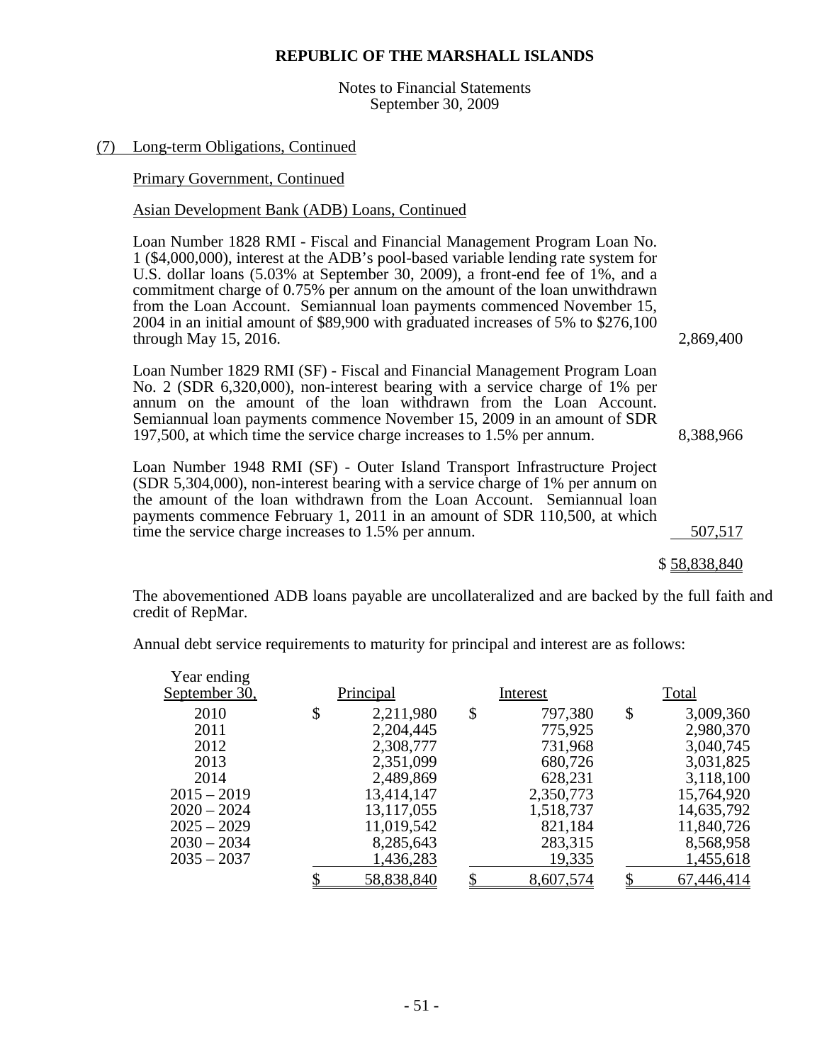Notes to Financial Statements September 30, 2009

#### (7) Long-term Obligations, Continued

#### Primary Government, Continued

#### Asian Development Bank (ADB) Loans, Continued

Loan Number 1828 RMI - Fiscal and Financial Management Program Loan No. 1 (\$4,000,000), interest at the ADB's pool-based variable lending rate system for U.S. dollar loans (5.03% at September 30, 2009), a front-end fee of 1%, and a commitment charge of 0.75% per annum on the amount of the loan unwithdrawn from the Loan Account. Semiannual loan payments commenced November 15, 2004 in an initial amount of \$89,900 with graduated increases of 5% to \$276,100 through May 15, 2016. 2,869,400

Loan Number 1829 RMI (SF) - Fiscal and Financial Management Program Loan No. 2 (SDR 6,320,000), non-interest bearing with a service charge of 1% per annum on the amount of the loan withdrawn from the Loan Account. Semiannual loan payments commence November 15, 2009 in an amount of SDR 197,500, at which time the service charge increases to 1.5% per annum. 8,388,966

Loan Number 1948 RMI (SF) - Outer Island Transport Infrastructure Project (SDR 5,304,000), non-interest bearing with a service charge of 1% per annum on the amount of the loan withdrawn from the Loan Account. Semiannual loan payments commence February 1, 2011 in an amount of SDR 110,500, at which time the service charge increases to 1.5% per annum. 507,517

\$ 58,838,840

The abovementioned ADB loans payable are uncollateralized and are backed by the full faith and credit of RepMar.

Annual debt service requirements to maturity for principal and interest are as follows:

| Year ending<br>September 30, | Principal       | Interest      | Total           |
|------------------------------|-----------------|---------------|-----------------|
| 2010                         | \$<br>2,211,980 | \$<br>797,380 | \$<br>3,009,360 |
| 2011                         | 2,204,445       | 775,925       | 2,980,370       |
| 2012                         | 2,308,777       | 731,968       | 3,040,745       |
| 2013                         | 2,351,099       | 680,726       | 3,031,825       |
| 2014                         | 2,489,869       | 628,231       | 3,118,100       |
| $2015 - 2019$                | 13,414,147      | 2,350,773     | 15,764,920      |
| $2020 - 2024$                | 13, 117, 055    | 1,518,737     | 14,635,792      |
| $2025 - 2029$                | 11,019,542      | 821,184       | 11,840,726      |
| $2030 - 2034$                | 8,285,643       | 283,315       | 8,568,958       |
| $2035 - 2037$                | 1,436,283       | 19,335        | 1,455,618       |
|                              | 58,838,840      | 8,607,574     | 67,446,414      |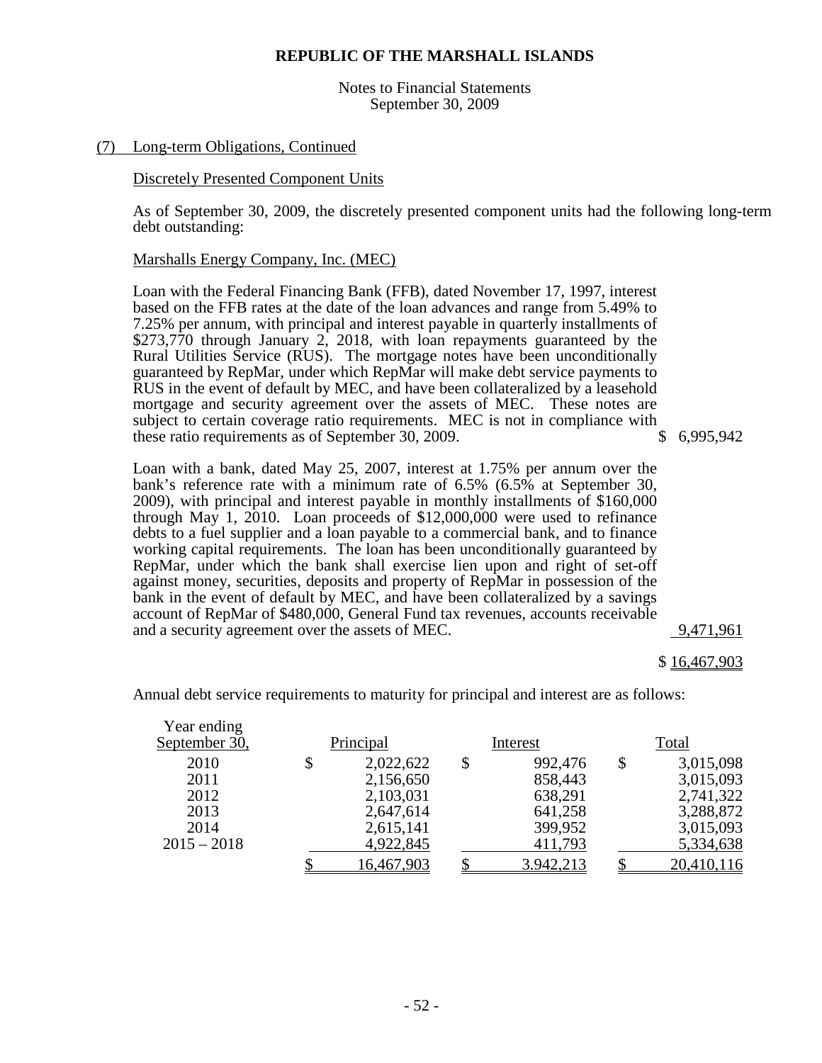Notes to Financial Statements September 30, 2009

#### (7) Long-term Obligations, Continued

#### Discretely Presented Component Units

As of September 30, 2009, the discretely presented component units had the following long-term debt outstanding:

#### Marshalls Energy Company, Inc. (MEC)

Loan with the Federal Financing Bank (FFB), dated November 17, 1997, interest based on the FFB rates at the date of the loan advances and range from 5.49% to 7.25% per annum, with principal and interest payable in quarterly installments of \$273,770 through January 2, 2018, with loan repayments guaranteed by the Rural Utilities Service (RUS). The mortgage notes have been unconditionally guaranteed by RepMar, under which RepMar will make debt service payments to RUS in the event of default by MEC, and have been collateralized by a leasehold mortgage and security agreement over the assets of MEC. These notes are subject to certain coverage ratio requirements. MEC is not in compliance with<br>these ratio requirements as of September 30, 2009. <br>\$6.995.942 these ratio requirements as of September 30, 2009.

Loan with a bank, dated May 25, 2007, interest at 1.75% per annum over the bank's reference rate with a minimum rate of 6.5% (6.5% at September 30, 2009), with principal and interest payable in monthly installments of \$160,000 through May 1, 2010. Loan proceeds of \$12,000,000 were used to refinance debts to a fuel supplier and a loan payable to a commercial bank, and to finance working capital requirements. The loan has been unconditionally guaranteed by RepMar, under which the bank shall exercise lien upon and right of set-off against money, securities, deposits and property of RepMar in possession of the bank in the event of default by MEC, and have been collateralized by a savings account of RepMar of \$480,000, General Fund tax revenues, accounts receivable and a security agreement over the assets of MEC. 9,471,961

#### \$ 16,467,903

| Year ending<br>September 30, | Principal         | Interest      | Total      |
|------------------------------|-------------------|---------------|------------|
|                              |                   |               |            |
| 2010                         | 2,022,622         | \$<br>992,476 | 3,015,098  |
| 2011                         | 2,156,650         | 858,443       | 3,015,093  |
| 2012                         | 2,103,031         | 638,291       | 2,741,322  |
| 2013                         | 2,647,614         | 641,258       | 3,288,872  |
| 2014                         | 2,615,141         | 399,952       | 3,015,093  |
| $2015 - 2018$                | 4,922,845         | 411,793       | 5,334,638  |
|                              | <u>16,467,903</u> | 3.942,213     | 20,410,116 |

Annual debt service requirements to maturity for principal and interest are as follows: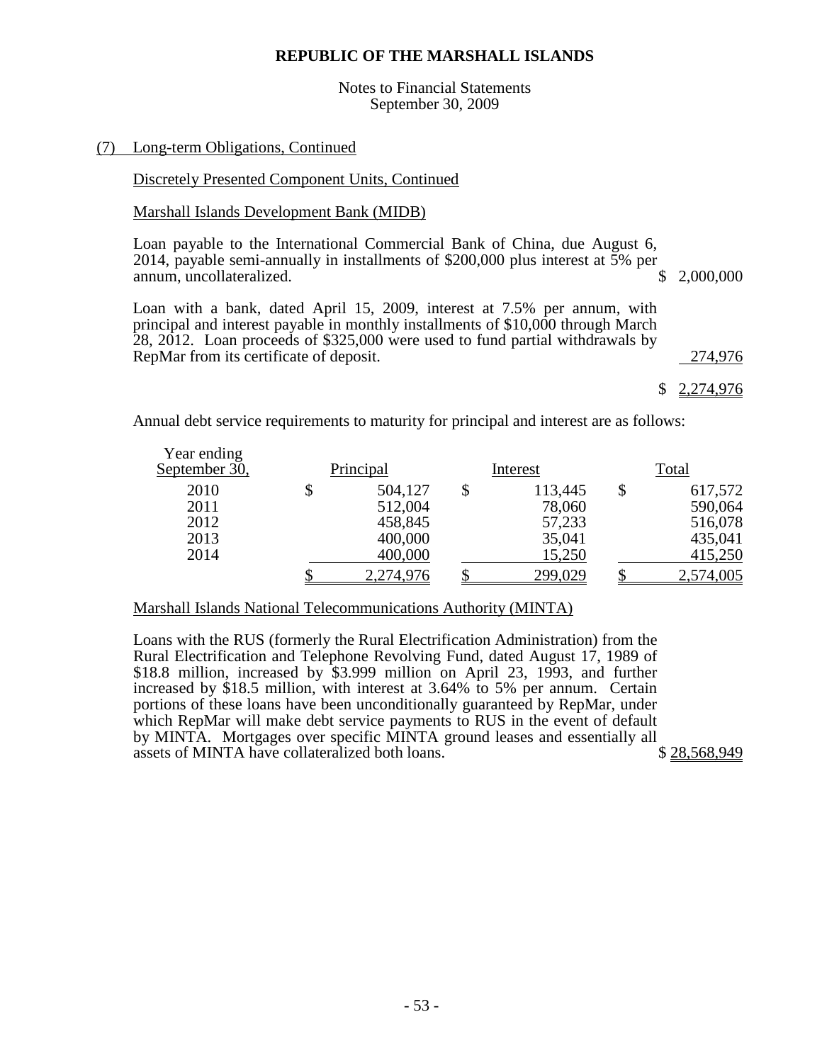Notes to Financial Statements September 30, 2009

#### (7) Long-term Obligations, Continued

#### Discretely Presented Component Units, Continued

#### Marshall Islands Development Bank (MIDB)

Loan payable to the International Commercial Bank of China, due August 6, 2014, payable semi-annually in installments of \$200,000 plus interest at  $\bar{5}$ % per annum, uncollateralized. \$2,000,000 annum, uncollateralized.

Loan with a bank, dated April 15, 2009, interest at 7.5% per annum, with principal and interest payable in monthly installments of \$10,000 through March 28, 2012. Loan proceeds of \$325,000 were used to fund partial withdrawals by RepMar from its certificate of deposit. 274,976

\$ 2,274,976

Annual debt service requirements to maturity for principal and interest are as follows:

| Year ending<br>September 30, | Principal | Interest | Total     |
|------------------------------|-----------|----------|-----------|
| 2010                         | 504,127   | 113,445  | 617,572   |
| 2011                         | 512,004   | 78,060   | 590,064   |
| 2012                         | 458,845   | 57,233   | 516,078   |
| 2013                         | 400,000   | 35,041   | 435,041   |
| 2014                         | 400,000   | 15,250   | 415,250   |
|                              | 2,274,976 | 299,029  | 2,574,005 |

#### Marshall Islands National Telecommunications Authority (MINTA)

Loans with the RUS (formerly the Rural Electrification Administration) from the Rural Electrification and Telephone Revolving Fund, dated August 17, 1989 of \$18.8 million, increased by \$3.999 million on April 23, 1993, and further increased by \$18.5 million, with interest at 3.64% to 5% per annum. Certain portions of these loans have been unconditionally guaranteed by RepMar, under which RepMar will make debt service payments to RUS in the event of default by MINTA. Mortgages over specific MINTA ground leases and essentially all assets of MINTA have collateralized both loans. \$28,568,949 assets of MINTA have collateralized both loans.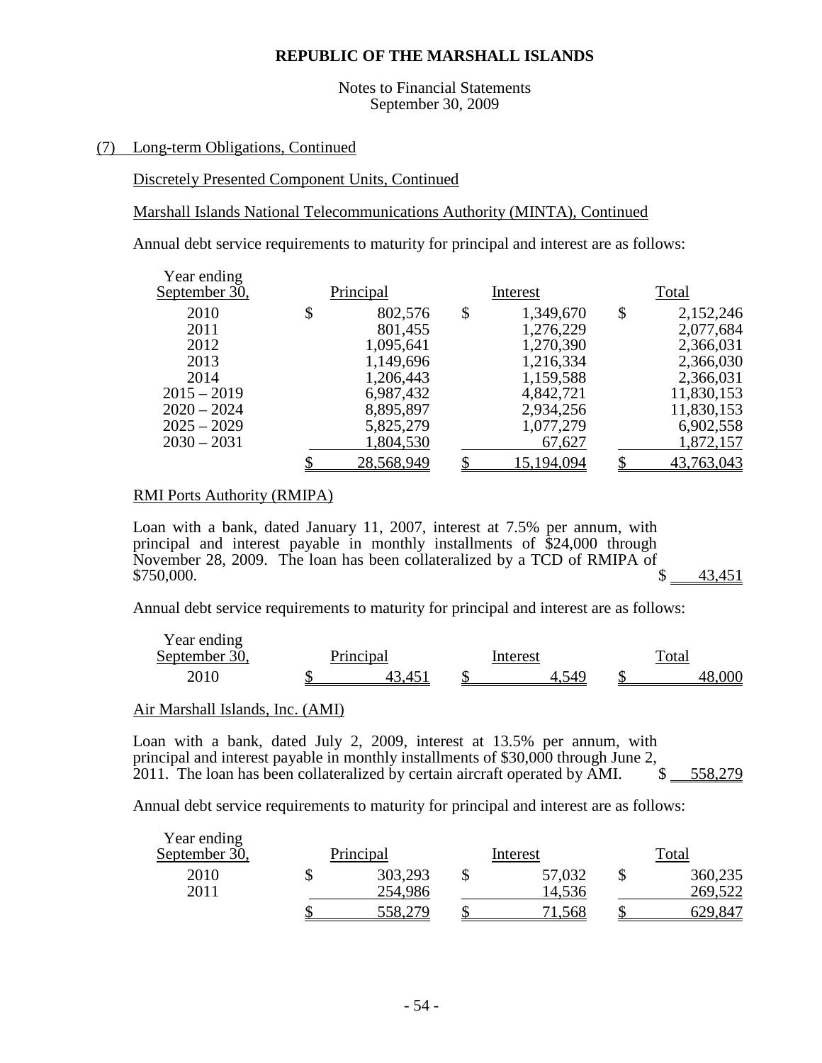Notes to Financial Statements September 30, 2009

## (7) Long-term Obligations, Continued

#### Discretely Presented Component Units, Continued

Marshall Islands National Telecommunications Authority (MINTA), Continued

Annual debt service requirements to maturity for principal and interest are as follows:

| Year ending<br><u>September 30,</u> | Principal     |    | Interest   | Total           |
|-------------------------------------|---------------|----|------------|-----------------|
| 2010                                | \$<br>802,576 | \$ | 1,349,670  | \$<br>2,152,246 |
| 2011                                | 801,455       |    | 1,276,229  | 2,077,684       |
| 2012                                | 1,095,641     |    | 1,270,390  | 2,366,031       |
| 2013                                | 1,149,696     |    | 1,216,334  | 2,366,030       |
| 2014                                | 1,206,443     |    | 1,159,588  | 2,366,031       |
| $2015 - 2019$                       | 6,987,432     |    | 4,842,721  | 11,830,153      |
| $2020 - 2024$                       | 8,895,897     |    | 2,934,256  | 11,830,153      |
| $2025 - 2029$                       | 5,825,279     |    | 1,077,279  | 6,902,558       |
| $2030 - 2031$                       | 1,804,530     |    | 67,627     | 1,872,157       |
|                                     | 28,568,949    | ¢  | 15,194,094 | 43,763,043      |
|                                     |               |    |            |                 |

## RMI Ports Authority (RMIPA)

Loan with a bank, dated January 11, 2007, interest at 7.5% per annum, with principal and interest payable in monthly installments of \$24,000 through November 28, 2009. The loan has been collateralized by a TCD of RMIPA of \$750,000.  $$3750,000$ .  $$43,451$ 

Annual debt service requirements to maturity for principal and interest are as follows:

| Year ending<br>September 30, | Principal |     | Interest | Total |  |  |
|------------------------------|-----------|-----|----------|-------|--|--|
| 2010                         |           | .45 | 549      |       |  |  |

### Air Marshall Islands, Inc. (AMI)

Loan with a bank, dated July 2, 2009, interest at 13.5% per annum, with principal and interest payable in monthly installments of \$30,000 through June 2,<br>2011 The loan has been collateralized by certain aircraft operated by AMI \$ 2011. The loan has been collateralized by certain aircraft operated by AMI.  $$558,279$ 

Annual debt service requirements to maturity for principal and interest are as follows:

| Year ending<br>September 30, | Principal          | Interest         | Total              |
|------------------------------|--------------------|------------------|--------------------|
| 2010<br>2011                 | 303,293<br>254,986 | 57,032<br>14,536 | 360,235<br>269,522 |
|                              | 558,279            | 71,568           |                    |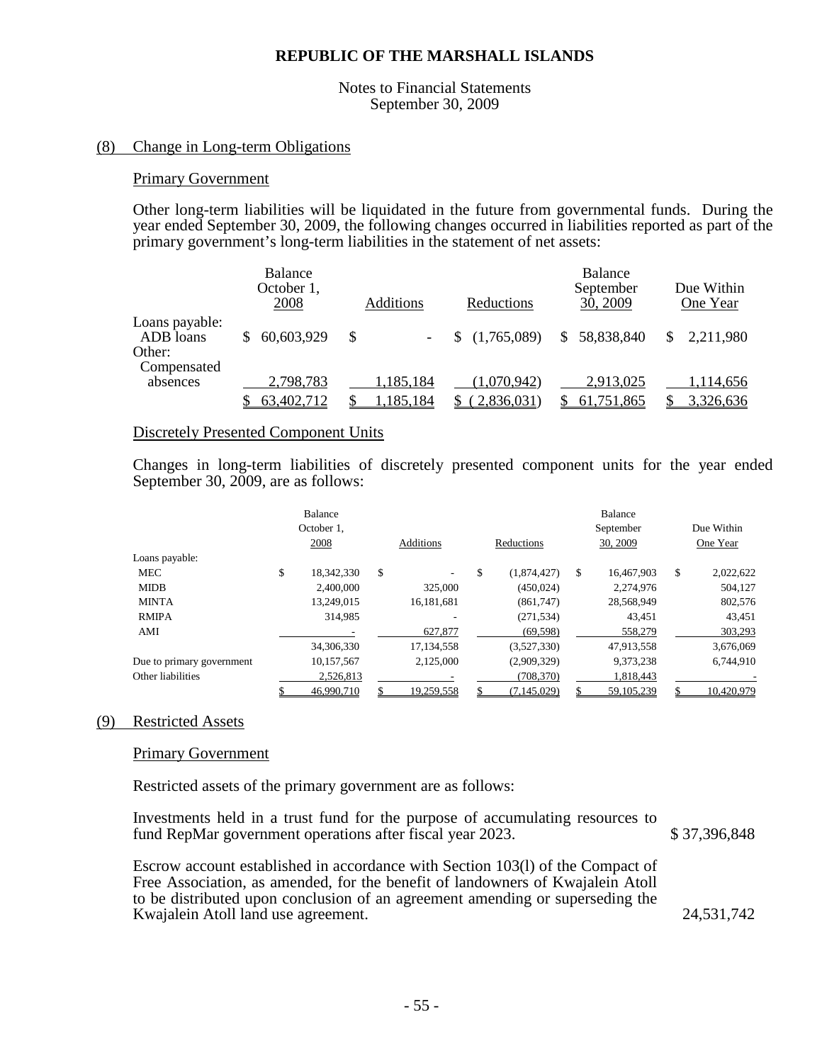#### Notes to Financial Statements September 30, 2009

#### (8) Change in Long-term Obligations

#### Primary Government

Other long-term liabilities will be liquidated in the future from governmental funds. During the year ended September 30, 2009, the following changes occurred in liabilities reported as part of the primary government's long-term liabilities in the statement of net assets:

|                                                      | Balance<br>October 1,<br>2008 | <b>Additions</b>      | Reductions                 | Balance<br>September<br>30, 2009 | Due Within<br>One Year |
|------------------------------------------------------|-------------------------------|-----------------------|----------------------------|----------------------------------|------------------------|
| Loans payable:<br>ADB loans<br>Other:<br>Compensated | 60,603,929                    | \$                    | (1,765,089)                | 58,838,840<br><sup>S</sup>       | 2,211,980<br>S.        |
| absences                                             | 2,798,783<br>63,402,712       | 1,185,184<br>.185.184 | (1.070.942)<br>(2,836,031) | 2,913,025<br>61,751,865          | 1,114,656<br>3,326,636 |

#### Discretely Presented Component Units

Changes in long-term liabilities of discretely presented component units for the year ended September 30, 2009, are as follows:

|                           | Balance          |                  |                         |    | <b>Balance</b> |    |            |  |
|---------------------------|------------------|------------------|-------------------------|----|----------------|----|------------|--|
|                           | October 1.       |                  | Due Within<br>September |    |                |    |            |  |
|                           | 2008             | <b>Additions</b> | Reductions              |    | 30, 2009       |    | One Year   |  |
| Loans payable:            |                  |                  |                         |    |                |    |            |  |
| MEC                       | \$<br>18,342,330 | \$<br>٠          | \$<br>(1,874,427)       | \$ | 16.467.903     | \$ | 2,022,622  |  |
| <b>MIDB</b>               | 2.400,000        | 325,000          | (450, 024)              |    | 2.274.976      |    | 504,127    |  |
| <b>MINTA</b>              | 13.249.015       | 16,181,681       | (861,747)               |    | 28,568,949     |    | 802,576    |  |
| <b>RMIPA</b>              | 314.985          |                  | (271, 534)              |    | 43.451         |    | 43,451     |  |
| AMI                       |                  | 627,877          | (69, 598)               |    | 558,279        |    | 303,293    |  |
|                           | 34,306,330       | 17, 134, 558     | (3,527,330)             |    | 47,913,558     |    | 3,676,069  |  |
| Due to primary government | 10,157,567       | 2,125,000        | (2,909,329)             |    | 9,373,238      |    | 6,744,910  |  |
| Other liabilities         | 2.526.813        |                  | (708, 370)              |    | 1.818.443      |    |            |  |
|                           | 46,990,710       | 19.259.558       | (7.145.029)             |    | 59.105.239     |    | 10.420.979 |  |

#### (9) Restricted Assets

#### Primary Government

Restricted assets of the primary government are as follows:

Investments held in a trust fund for the purpose of accumulating resources to fund RepMar government operations after fiscal year 2023. \$ 37,396,848

Escrow account established in accordance with Section 103(l) of the Compact of Free Association, as amended, for the benefit of landowners of Kwajalein Atoll to be distributed upon conclusion of an agreement amending or superseding the Kwajalein Atoll land use agreement. 24,531,742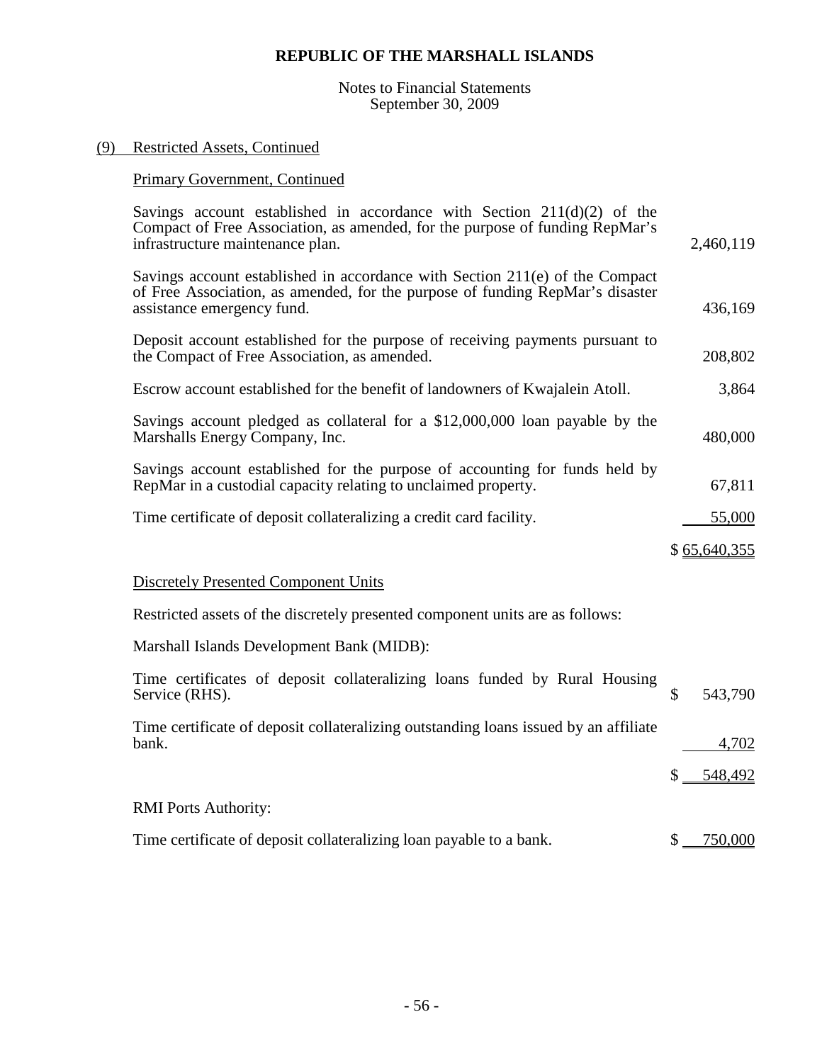Notes to Financial Statements September 30, 2009

# (9) Restricted Assets, Continued

# Primary Government, Continued

| Savings account established in accordance with Section $211(d)(2)$ of the<br>Compact of Free Association, as amended, for the purpose of funding RepMar's<br>infrastructure maintenance plan. | 2,460,119    |
|-----------------------------------------------------------------------------------------------------------------------------------------------------------------------------------------------|--------------|
| Savings account established in accordance with Section 211(e) of the Compact<br>of Free Association, as amended, for the purpose of funding RepMar's disaster<br>assistance emergency fund.   | 436,169      |
| Deposit account established for the purpose of receiving payments pursuant to<br>the Compact of Free Association, as amended.                                                                 | 208,802      |
| Escrow account established for the benefit of landowners of Kwajalein Atoll.                                                                                                                  | 3,864        |
| Savings account pledged as collateral for a \$12,000,000 loan payable by the<br>Marshalls Energy Company, Inc.                                                                                | 480,000      |
| Savings account established for the purpose of accounting for funds held by<br>RepMar in a custodial capacity relating to unclaimed property.                                                 | 67,811       |
| Time certificate of deposit collateralizing a credit card facility.                                                                                                                           | 55,000       |
|                                                                                                                                                                                               | \$65,640,355 |
| <b>Discretely Presented Component Units</b>                                                                                                                                                   |              |
| Restricted assets of the discretely presented component units are as follows:                                                                                                                 |              |
| Marshall Islands Development Bank (MIDB):                                                                                                                                                     |              |

| Time certificates of deposit collateralizing loans funded by Rural Housing<br>Service (RHS).  | 543,790 |
|-----------------------------------------------------------------------------------------------|---------|
| Time certificate of deposit collateralizing outstanding loans issued by an affiliate<br>bank. | 4,702   |
|                                                                                               | 548,492 |
| <b>RMI</b> Ports Authority:                                                                   |         |
| Time certificate of deposit collateralizing loan payable to a bank.                           | 750,000 |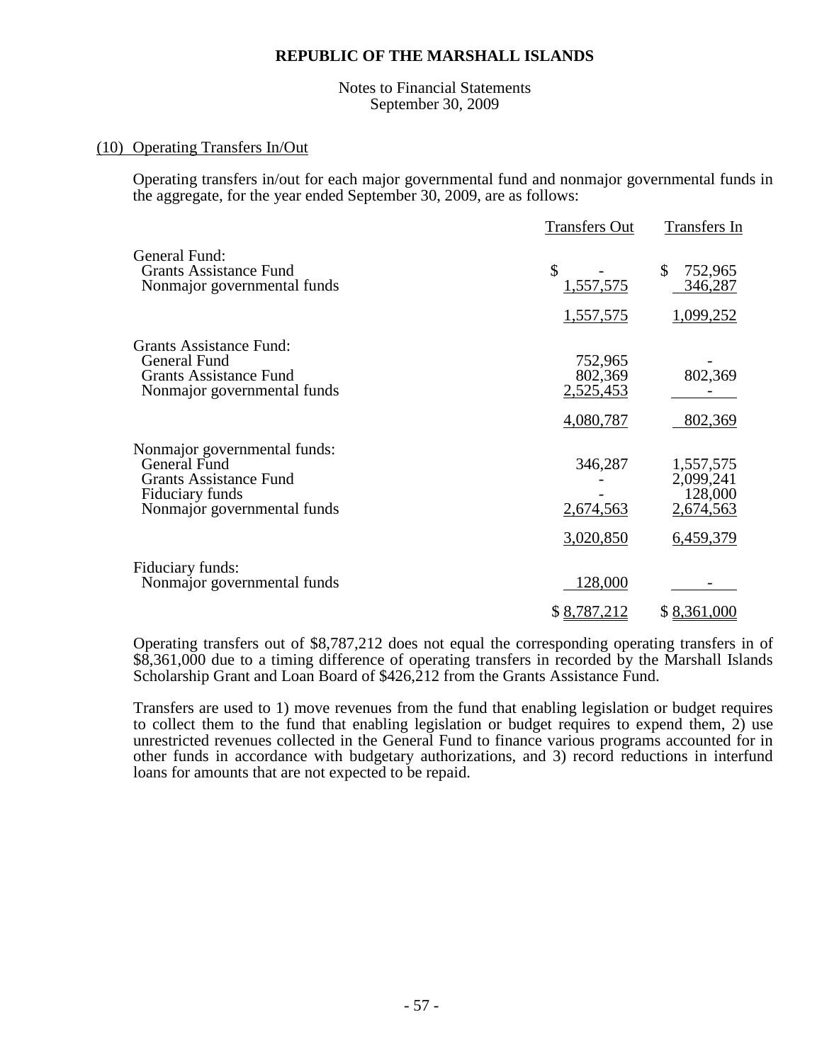#### Notes to Financial Statements September 30, 2009

## (10) Operating Transfers In/Out

Operating transfers in/out for each major governmental fund and nonmajor governmental funds in the aggregate, for the year ended September 30, 2009, are as follows:

|                                                                                                                                 | <b>Transfers Out</b>                         | Transfers In                                                |
|---------------------------------------------------------------------------------------------------------------------------------|----------------------------------------------|-------------------------------------------------------------|
| General Fund:<br><b>Grants Assistance Fund</b><br>Nonmajor governmental funds                                                   | \$<br>1,557,575<br>1,557,575                 | 752,965<br>\$<br>346,287<br>1,099,252                       |
| <b>Grants Assistance Fund:</b><br>General Fund<br><b>Grants Assistance Fund</b><br>Nonmajor governmental funds                  | 752,965<br>802,369<br>2,525,453<br>4,080,787 | 802,369<br>802,369                                          |
| Nonmajor governmental funds:<br>General Fund<br><b>Grants Assistance Fund</b><br>Fiduciary funds<br>Nonmajor governmental funds | 346,287<br>2,674,563<br>3,020,850            | 1,557,575<br>2,099,241<br>128,000<br>2,674,563<br>6,459,379 |
| Fiduciary funds:<br>Nonmajor governmental funds                                                                                 | 128,000<br>\$8,787,212                       | \$8,361,000                                                 |

Operating transfers out of \$8,787,212 does not equal the corresponding operating transfers in of \$8,361,000 due to a timing difference of operating transfers in recorded by the Marshall Islands Scholarship Grant and Loan Board of \$426,212 from the Grants Assistance Fund.

Transfers are used to 1) move revenues from the fund that enabling legislation or budget requires to collect them to the fund that enabling legislation or budget requires to expend them, 2) use unrestricted revenues collected in the General Fund to finance various programs accounted for in other funds in accordance with budgetary authorizations, and 3) record reductions in interfund loans for amounts that are not expected to be repaid.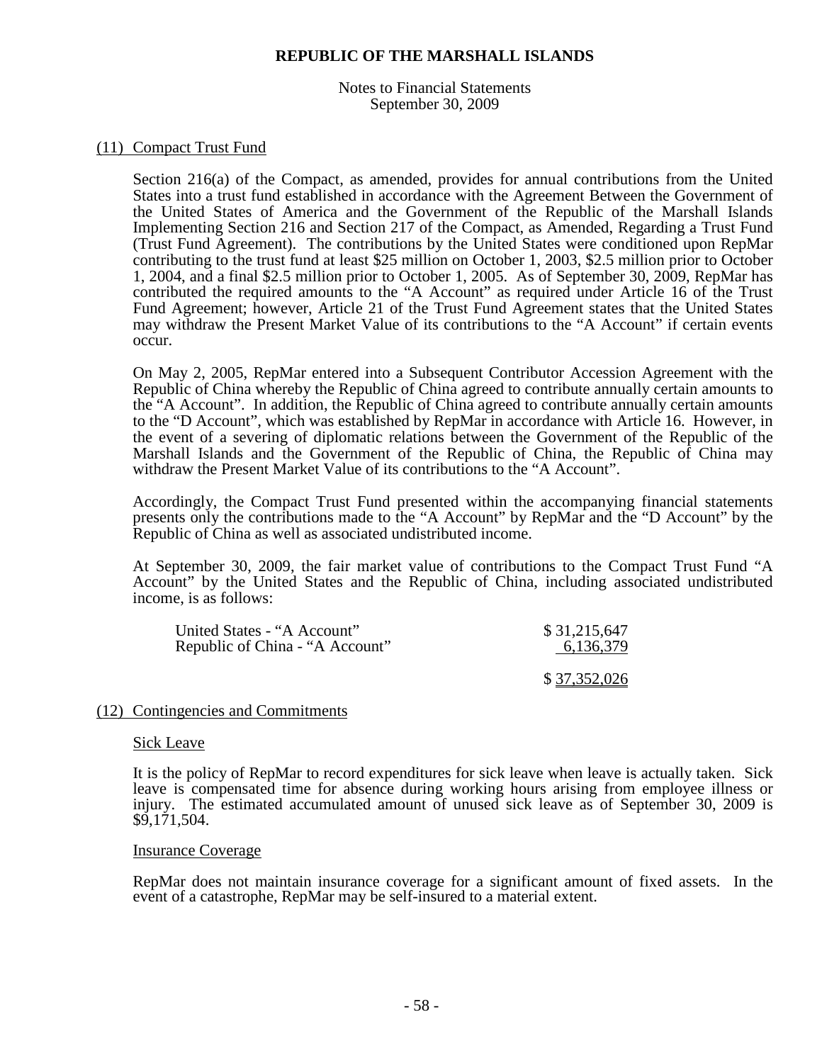Notes to Financial Statements September 30, 2009

# (11) Compact Trust Fund

Section 216(a) of the Compact, as amended, provides for annual contributions from the United States into a trust fund established in accordance with the Agreement Between the Government of the United States of America and the Government of the Republic of the Marshall Islands Implementing Section 216 and Section 217 of the Compact, as Amended, Regarding a Trust Fund (Trust Fund Agreement). The contributions by the United States were conditioned upon RepMar contributing to the trust fund at least \$25 million on October 1, 2003, \$2.5 million prior to October 1, 2004, and a final \$2.5 million prior to October 1, 2005. As of September 30, 2009, RepMar has contributed the required amounts to the "A Account" as required under Article 16 of the Trust Fund Agreement; however, Article 21 of the Trust Fund Agreement states that the United States may withdraw the Present Market Value of its contributions to the "A Account" if certain events occur.

On May 2, 2005, RepMar entered into a Subsequent Contributor Accession Agreement with the Republic of China whereby the Republic of China agreed to contribute annually certain amounts to the "A Account". In addition, the Republic of China agreed to contribute annually certain amounts to the "D Account", which was established by RepMar in accordance with Article 16. However, in the event of a severing of diplomatic relations between the Government of the Republic of the Marshall Islands and the Government of the Republic of China, the Republic of China may withdraw the Present Market Value of its contributions to the "A Account".

Accordingly, the Compact Trust Fund presented within the accompanying financial statements presents only the contributions made to the "A Account" by RepMar and the "D Account" by the Republic of China as well as associated undistributed income.

At September 30, 2009, the fair market value of contributions to the Compact Trust Fund "A Account" by the United States and the Republic of China, including associated undistributed income, is as follows:

| United States - "A Account"     | \$31,215,647 |
|---------------------------------|--------------|
| Republic of China - "A Account" | 6,136,379    |
|                                 | \$37,352,026 |

#### (12) Contingencies and Commitments

#### Sick Leave

It is the policy of RepMar to record expenditures for sick leave when leave is actually taken. Sick leave is compensated time for absence during working hours arising from employee illness or injury. The estimated accumulated amount of unused sick leave as of September 30, 2009 is  $$9,171,504.$ 

#### Insurance Coverage

RepMar does not maintain insurance coverage for a significant amount of fixed assets. In the event of a catastrophe, RepMar may be self-insured to a material extent.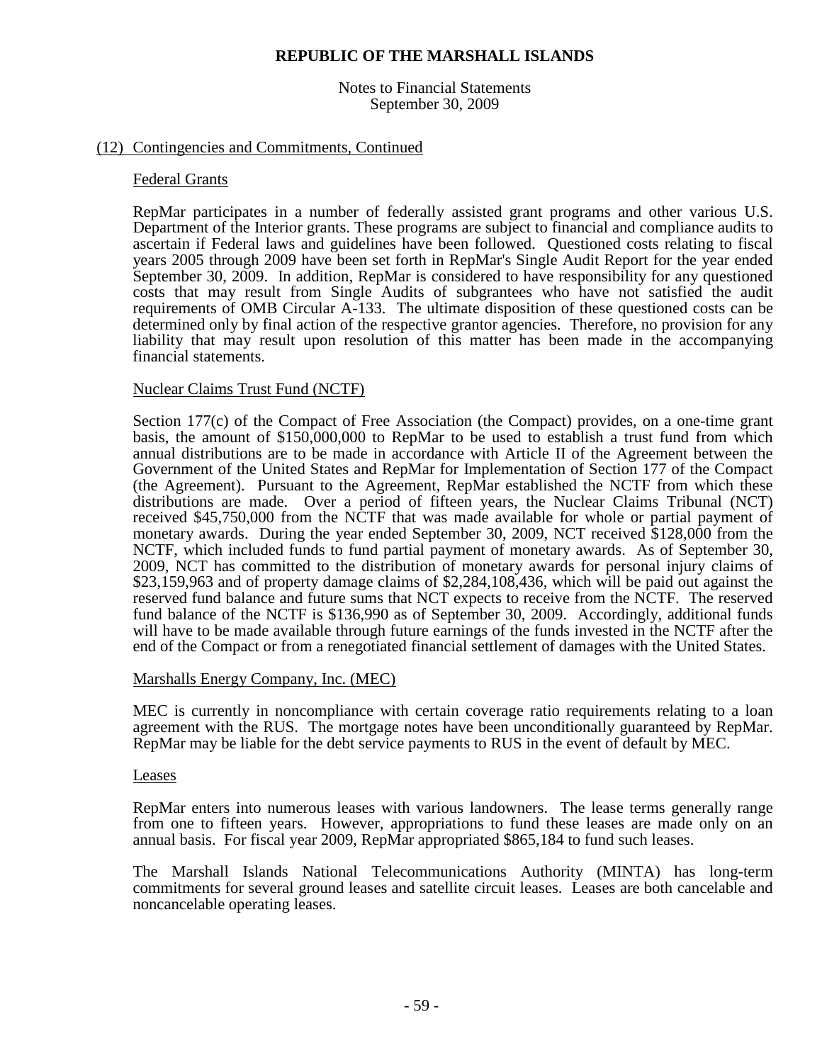Notes to Financial Statements September 30, 2009

# (12) Contingencies and Commitments, Continued

#### Federal Grants

RepMar participates in a number of federally assisted grant programs and other various U.S. Department of the Interior grants. These programs are subject to financial and compliance audits to ascertain if Federal laws and guidelines have been followed. Questioned costs relating to fiscal years 2005 through 2009 have been set forth in RepMar's Single Audit Report for the year ended September 30, 2009. In addition, RepMar is considered to have responsibility for any questioned costs that may result from Single Audits of subgrantees who have not satisfied the audit requirements of OMB Circular A-133. The ultimate disposition of these questioned costs can be determined only by final action of the respective grantor agencies. Therefore, no provision for any liability that may result upon resolution of this matter has been made in the accompanying financial statements.

#### Nuclear Claims Trust Fund (NCTF)

Section 177(c) of the Compact of Free Association (the Compact) provides, on a one-time grant basis, the amount of \$150,000,000 to RepMar to be used to establish a trust fund from which annual distributions are to be made in accordance with Article II of the Agreement between the Government of the United States and RepMar for Implementation of Section 177 of the Compact (the Agreement). Pursuant to the Agreement, RepMar established the NCTF from which these distributions are made. Over a period of fifteen years, the Nuclear Claims Tribunal (NCT) received \$45,750,000 from the NCTF that was made available for whole or partial payment of monetary awards. During the year ended September 30, 2009, NCT received \$128,000 from the NCTF, which included funds to fund partial payment of monetary awards. As of September 30, 2009, NCT has committed to the distribution of monetary awards for personal injury claims of \$23,159,963 and of property damage claims of \$2,284,108,436, which will be paid out against the reserved fund balance and future sums that NCT expects to receive from the NCTF. The reserved fund balance of the NCTF is \$136,990 as of September 30, 2009. Accordingly, additional funds will have to be made available through future earnings of the funds invested in the NCTF after the end of the Compact or from a renegotiated financial settlement of damages with the United States.

#### Marshalls Energy Company, Inc. (MEC)

MEC is currently in noncompliance with certain coverage ratio requirements relating to a loan agreement with the RUS. The mortgage notes have been unconditionally guaranteed by RepMar. RepMar may be liable for the debt service payments to RUS in the event of default by MEC.

#### Leases

RepMar enters into numerous leases with various landowners. The lease terms generally range from one to fifteen years. However, appropriations to fund these leases are made only on an annual basis. For fiscal year 2009, RepMar appropriated \$865,184 to fund such leases.

The Marshall Islands National Telecommunications Authority (MINTA) has long-term commitments for several ground leases and satellite circuit leases. Leases are both cancelable and noncancelable operating leases.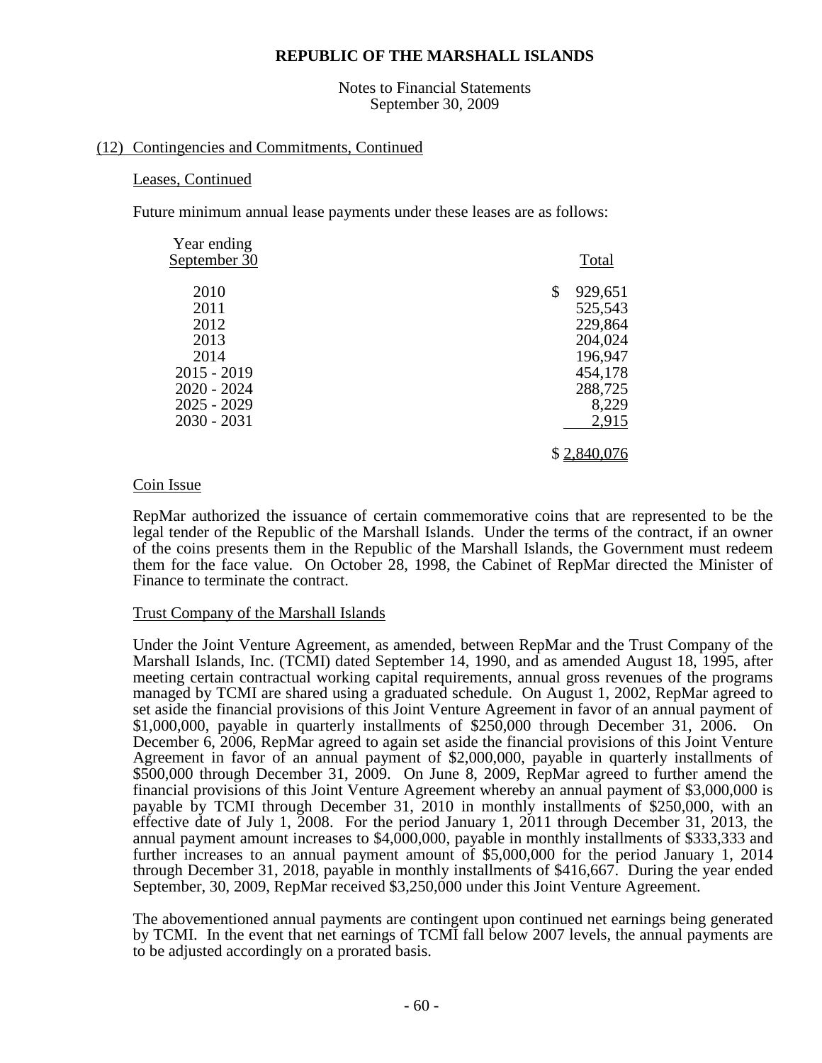#### Notes to Financial Statements September 30, 2009

# (12) Contingencies and Commitments, Continued

#### Leases, Continued

Future minimum annual lease payments under these leases are as follows:

| Year ending<br>September 30  | <b>Total</b>       |
|------------------------------|--------------------|
| 2010<br>2011                 | 929,651<br>\$      |
| 2012                         | 525,543<br>229,864 |
| 2013<br>2014                 | 204,024<br>196,947 |
| $2015 - 2019$                | 454,178            |
| 2020 - 2024<br>$2025 - 2029$ | 288,725<br>8,229   |
| $2030 - 2031$                | 2,915              |
|                              | \$2,840,076        |

Coin Issue<br>RepMar authorized the issuance of certain commemorative coins that are represented to be the legal tender of the Republic of the Marshall Islands. Under the terms of the contract, if an owner of the coins presents them in the Republic of the Marshall Islands, the Government must redeem them for the face value. On October 28, 1998, the Cabinet of RepMar directed the Minister of Finance to terminate the contract.

#### Trust Company of the Marshall Islands

Under the Joint Venture Agreement, as amended, between RepMar and the Trust Company of the Marshall Islands, Inc. (TCMI) dated September 14, 1990, and as amended August 18, 1995, after meeting certain contractual working capital requirements, annual gross revenues of the programs managed by TCMI are shared using a graduated schedule. On August 1, 2002, RepMar agreed to set aside the financial provisions of this Joint Venture Agreement in favor of an annual payment of \$1,000,000, payable in quarterly installments of \$250,000 through December 31, 2006. On December 6, 2006, RepMar agreed to again set aside the financial provisions of this Joint Venture Agreement in favor of an annual payment of \$2,000,000, payable in quarterly installments of \$500,000 through December 31, 2009. On June 8, 2009, RepMar agreed to further amend the financial provisions of this Joint Venture Agreement whereby an annual payment of \$3,000,000 is payable by TCMI through December 31, 2010 in monthly installments of \$250,000, with an effective date of July 1, 2008. For the period January 1, 2011 through December 31, 2013, the annual payment amount increases to \$4,000,000, payable in monthly installments of \$333,333 and further increases to an annual payment amount of \$5,000,000 for the period January 1, 2014 through December 31, 2018, payable in monthly installments of \$416,667. During the year ended September, 30, 2009, RepMar received \$3,250,000 under this Joint Venture Agreement.

The abovementioned annual payments are contingent upon continued net earnings being generated by TCMI. In the event that net earnings of TCMI fall below 2007 levels, the annual payments are to be adjusted accordingly on a prorated basis.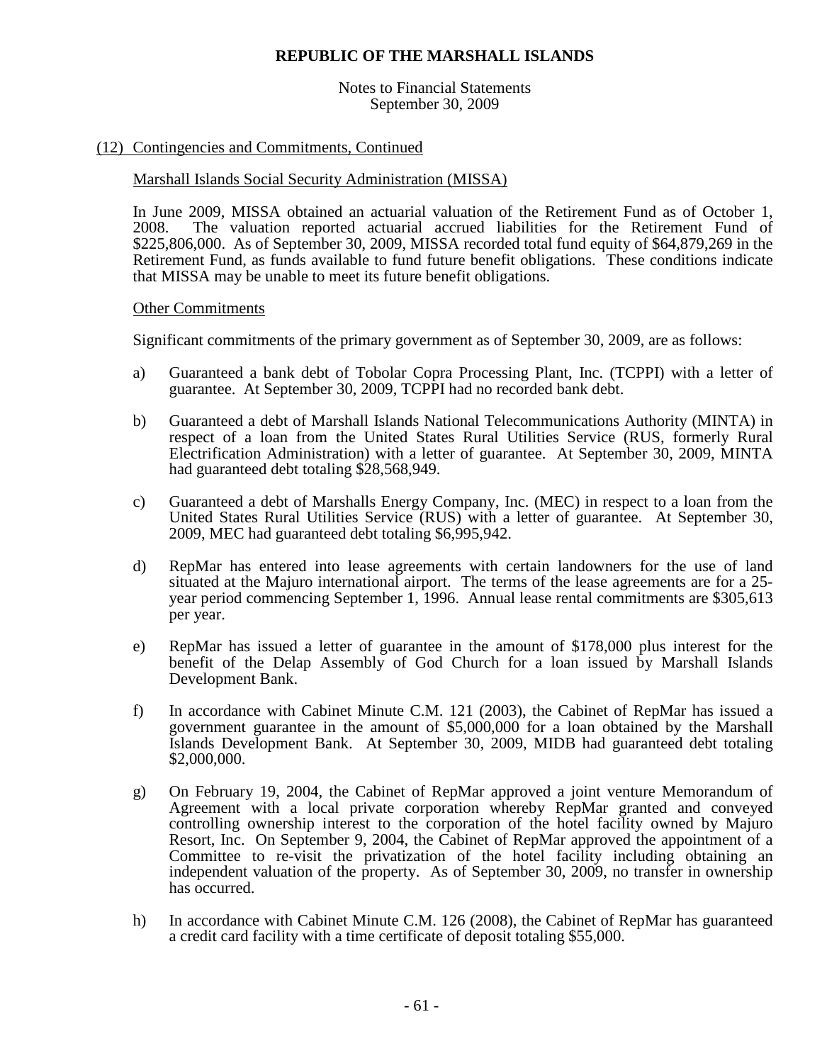Notes to Financial Statements September 30, 2009

## (12) Contingencies and Commitments, Continued

#### Marshall Islands Social Security Administration (MISSA)

In June 2009, MISSA obtained an actuarial valuation of the Retirement Fund as of October 1, 2008. The valuation reported actuarial accrued liabilities for the Retirement Fund of The valuation reported actuarial accrued liabilities for the Retirement Fund of \$225,806,000. As of September 30, 2009, MISSA recorded total fund equity of \$64,879,269 in the Retirement Fund, as funds available to fund future benefit obligations. These conditions indicate that MISSA may be unable to meet its future benefit obligations.

#### Other Commitments

Significant commitments of the primary government as of September 30, 2009, are as follows:

- a) Guaranteed a bank debt of Tobolar Copra Processing Plant, Inc. (TCPPI) with a letter of guarantee. At September 30, 2009, TCPPI had no recorded bank debt.
- b) Guaranteed a debt of Marshall Islands National Telecommunications Authority (MINTA) in respect of a loan from the United States Rural Utilities Service (RUS, formerly Rural Electrification Administration) with a letter of guarantee. At September 30, 2009, MINTA had guaranteed debt totaling \$28,568,949.
- c) Guaranteed a debt of Marshalls Energy Company, Inc. (MEC) in respect to a loan from the United States Rural Utilities Service (RUS) with a letter of guarantee. At September 30, 2009, MEC had guaranteed debt totaling \$6,995,942.
- d) RepMar has entered into lease agreements with certain landowners for the use of land situated at the Majuro international airport. The terms of the lease agreements are for a 25 year period commencing September 1, 1996. Annual lease rental commitments are \$305,613 per year.
- e) RepMar has issued a letter of guarantee in the amount of \$178,000 plus interest for the benefit of the Delap Assembly of God Church for a loan issued by Marshall Islands Development Bank.
- f) In accordance with Cabinet Minute C.M. 121 (2003), the Cabinet of RepMar has issued a government guarantee in the amount of \$5,000,000 for a loan obtained by the Marshall Islands Development Bank. At September 30, 2009, MIDB had guaranteed debt totaling \$2,000,000.
- g) On February 19, 2004, the Cabinet of RepMar approved a joint venture Memorandum of Agreement with a local private corporation whereby RepMar granted and conveyed controlling ownership interest to the corporation of the hotel facility owned by Majuro Resort, Inc. On September 9, 2004, the Cabinet of RepMar approved the appointment of a Committee to re-visit the privatization of the hotel facility including obtaining an independent valuation of the property. As of September 30, 2009, no transfer in ownership has occurred.
- h) In accordance with Cabinet Minute C.M. 126 (2008), the Cabinet of RepMar has guaranteed a credit card facility with a time certificate of deposit totaling \$55,000.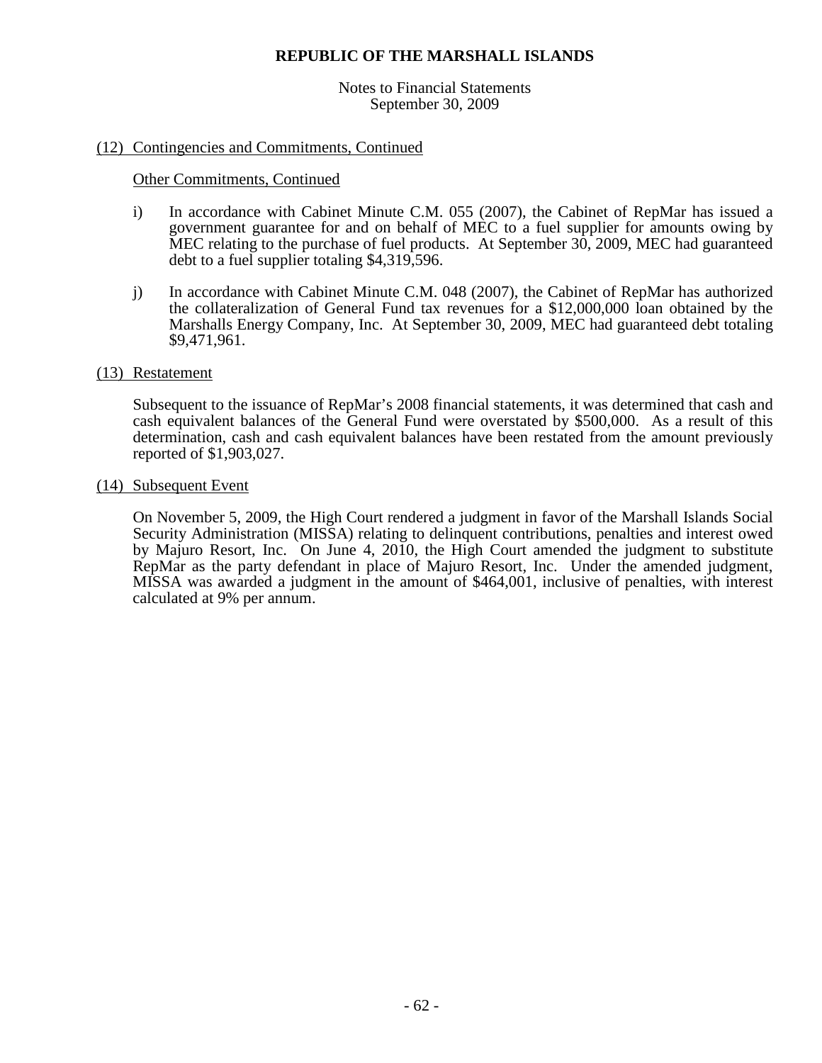#### Notes to Financial Statements September 30, 2009

## (12) Contingencies and Commitments, Continued

#### Other Commitments, Continued

- i) In accordance with Cabinet Minute C.M. 055 (2007), the Cabinet of RepMar has issued a government guarantee for and on behalf of MEC to a fuel supplier for amounts owing by MEC relating to the purchase of fuel products. At September 30, 2009, MEC had guaranteed debt to a fuel supplier totaling \$4,319,596.
- j) In accordance with Cabinet Minute C.M. 048 (2007), the Cabinet of RepMar has authorized the collateralization of General Fund tax revenues for a \$12,000,000 loan obtained by the Marshalls Energy Company, Inc. At September 30, 2009, MEC had guaranteed debt totaling \$9,471,961.

#### (13) Restatement

Subsequent to the issuance of RepMar's 2008 financial statements, it was determined that cash and cash equivalent balances of the General Fund were overstated by \$500,000. As a result of this determination, cash and cash equivalent balances have been restated from the amount previously reported of \$1,903,027.

#### (14) Subsequent Event

On November 5, 2009, the High Court rendered a judgment in favor of the Marshall Islands Social Security Administration (MISSA) relating to delinquent contributions, penalties and interest owed by Majuro Resort, Inc. On June 4, 2010, the High Court amended the judgment to substitute RepMar as the party defendant in place of Majuro Resort, Inc. Under the amended judgment, MISSA was awarded a judgment in the amount of \$464,001, inclusive of penalties, with interest calculated at 9% per annum.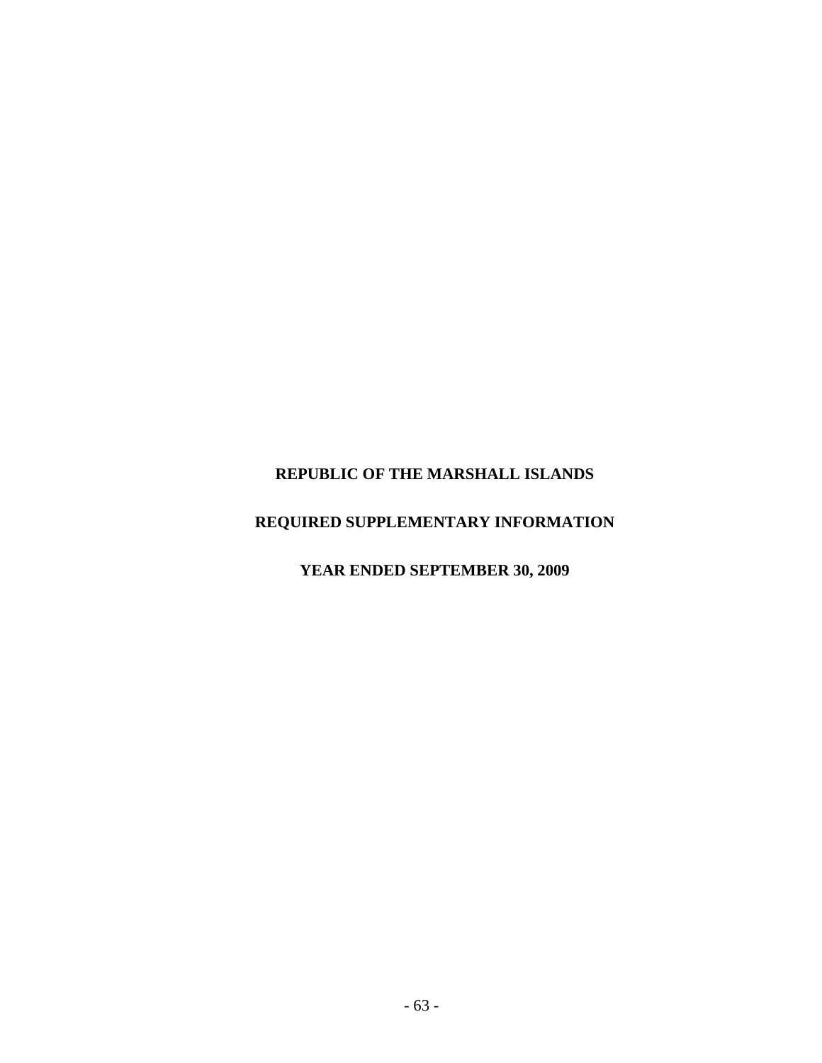# **REQUIRED SUPPLEMENTARY INFORMATION**

# **YEAR ENDED SEPTEMBER 30, 2009**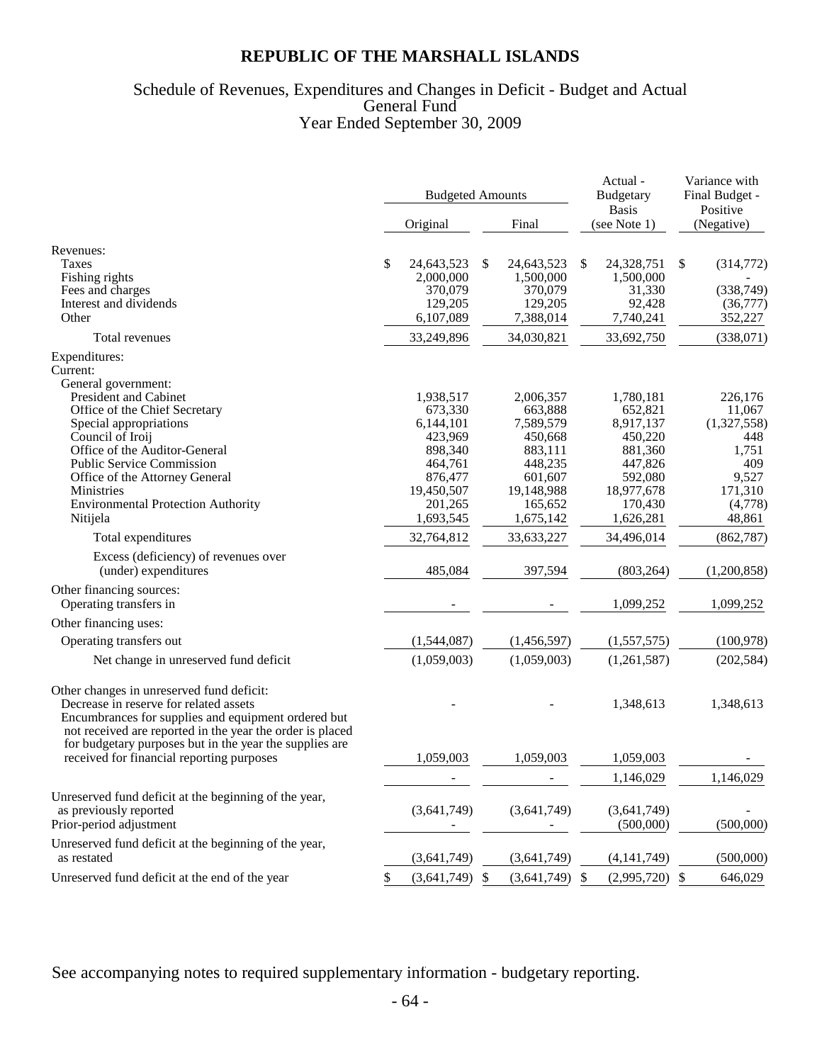# Schedule of Revenues, Expenditures and Changes in Deficit - Budget and Actual General Fund Year Ended September 30, 2009

|                                                           | <b>Budgeted Amounts</b> |             |               | Actual -<br>Budgetary<br><b>Basis</b> |                        | Variance with<br>Final Budget -<br>Positive |             |
|-----------------------------------------------------------|-------------------------|-------------|---------------|---------------------------------------|------------------------|---------------------------------------------|-------------|
|                                                           |                         | Original    |               | Final                                 | (see Note 1)           |                                             | (Negative)  |
| Revenues:                                                 |                         |             |               |                                       |                        |                                             |             |
| <b>Taxes</b>                                              | \$                      | 24,643,523  | \$            | 24,643,523                            | \$<br>24,328,751       | \$                                          | (314, 772)  |
| Fishing rights                                            |                         | 2,000,000   |               | 1,500,000                             | 1,500,000              |                                             |             |
| Fees and charges                                          |                         | 370,079     |               | 370,079                               | 31,330                 |                                             | (338,749)   |
| Interest and dividends                                    |                         | 129,205     |               | 129,205                               | 92,428                 |                                             | (36,777)    |
| Other                                                     |                         | 6,107,089   |               | 7,388,014                             | 7,740,241              |                                             | 352,227     |
| Total revenues                                            |                         | 33,249,896  |               | 34,030,821                            | 33,692,750             |                                             | (338,071)   |
| Expenditures:                                             |                         |             |               |                                       |                        |                                             |             |
| Current:                                                  |                         |             |               |                                       |                        |                                             |             |
| General government:<br><b>President and Cabinet</b>       |                         | 1,938,517   |               | 2,006,357                             | 1,780,181              |                                             | 226,176     |
| Office of the Chief Secretary                             |                         | 673,330     |               | 663,888                               | 652,821                |                                             | 11,067      |
| Special appropriations                                    |                         | 6,144,101   |               | 7,589,579                             | 8,917,137              |                                             | (1,327,558) |
| Council of Iroij                                          |                         | 423,969     |               | 450,668                               | 450,220                |                                             | 448         |
| Office of the Auditor-General                             |                         | 898,340     |               | 883,111                               | 881,360                |                                             | 1,751       |
| <b>Public Service Commission</b>                          |                         | 464,761     |               | 448,235                               | 447,826                |                                             | 409         |
| Office of the Attorney General                            |                         | 876,477     |               | 601,607                               | 592,080                |                                             | 9,527       |
| Ministries                                                |                         | 19,450,507  |               | 19,148,988                            | 18,977,678             |                                             | 171,310     |
| <b>Environmental Protection Authority</b>                 |                         | 201,265     |               | 165,652                               | 170,430                |                                             | (4,778)     |
| Nitijela                                                  |                         | 1,693,545   |               | 1,675,142                             | 1,626,281              |                                             | 48,861      |
| Total expenditures                                        |                         | 32,764,812  |               | 33,633,227                            | 34,496,014             |                                             | (862, 787)  |
| Excess (deficiency) of revenues over                      |                         |             |               |                                       |                        |                                             |             |
| (under) expenditures                                      |                         | 485,084     |               | 397,594                               | (803, 264)             |                                             | (1,200,858) |
| Other financing sources:                                  |                         |             |               |                                       |                        |                                             |             |
| Operating transfers in                                    |                         |             |               |                                       | 1,099,252              |                                             | 1,099,252   |
| Other financing uses:                                     |                         |             |               |                                       |                        |                                             |             |
| Operating transfers out                                   |                         | (1,544,087) |               | (1,456,597)                           | (1,557,575)            |                                             | (100, 978)  |
| Net change in unreserved fund deficit                     |                         | (1,059,003) |               | (1,059,003)                           | (1,261,587)            |                                             | (202, 584)  |
| Other changes in unreserved fund deficit:                 |                         |             |               |                                       |                        |                                             |             |
| Decrease in reserve for related assets                    |                         |             |               |                                       | 1,348,613              |                                             | 1,348,613   |
| Encumbrances for supplies and equipment ordered but       |                         |             |               |                                       |                        |                                             |             |
| not received are reported in the year the order is placed |                         |             |               |                                       |                        |                                             |             |
| for budgetary purposes but in the year the supplies are   |                         |             |               |                                       |                        |                                             |             |
| received for financial reporting purposes                 |                         | 1,059,003   |               | 1,059,003                             | 1,059,003              |                                             |             |
|                                                           |                         |             |               |                                       | 1,146,029              |                                             | 1,146,029   |
| Unreserved fund deficit at the beginning of the year,     |                         |             |               |                                       |                        |                                             |             |
| as previously reported                                    |                         | (3,641,749) |               | (3,641,749)                           | (3,641,749)            |                                             |             |
| Prior-period adjustment                                   |                         |             |               |                                       | (500,000)              |                                             | (500,000)   |
| Unreserved fund deficit at the beginning of the year,     |                         |             |               |                                       |                        |                                             |             |
| as restated                                               |                         | (3,641,749) |               | (3,641,749)                           | (4, 141, 749)          |                                             | (500,000)   |
| Unreserved fund deficit at the end of the year            | \$                      | (3,641,749) | <sup>\$</sup> | (3,641,749)                           | \$<br>$(2,995,720)$ \$ |                                             | 646,029     |

See accompanying notes to required supplementary information - budgetary reporting.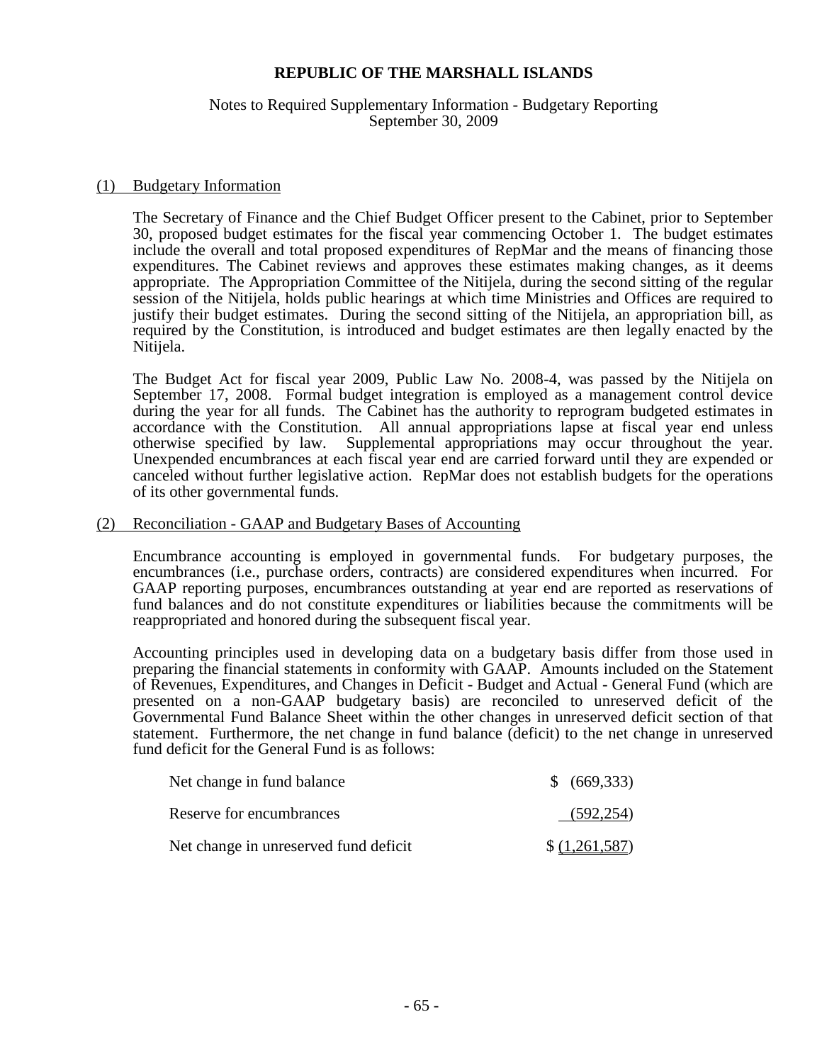### Notes to Required Supplementary Information - Budgetary Reporting September 30, 2009

#### (1) Budgetary Information

The Secretary of Finance and the Chief Budget Officer present to the Cabinet, prior to September 30, proposed budget estimates for the fiscal year commencing October 1. The budget estimates include the overall and total proposed expenditures of RepMar and the means of financing those expenditures. The Cabinet reviews and approves these estimates making changes, as it deems appropriate. The Appropriation Committee of the Nitijela, during the second sitting of the regular session of the Nitijela, holds public hearings at which time Ministries and Offices are required to justify their budget estimates. During the second sitting of the Nitijela, an appropriation bill, as required by the Constitution, is introduced and budget estimates are then legally enacted by the Nitijela.

The Budget Act for fiscal year 2009, Public Law No. 2008-4, was passed by the Nitijela on September 17, 2008. Formal budget integration is employed as a management control device during the year for all funds. The Cabinet has the authority to reprogram budgeted estimates in accordance with the Constitution. All annual appropriations lapse at fiscal year end unless otherwise specified by law. Supplemental appropriations may occur throughout the year. Supplemental appropriations may occur throughout the year. Unexpended encumbrances at each fiscal year end are carried forward until they are expended or canceled without further legislative action. RepMar does not establish budgets for the operations of its other governmental funds.

#### (2) Reconciliation - GAAP and Budgetary Bases of Accounting

Encumbrance accounting is employed in governmental funds. For budgetary purposes, the encumbrances (i.e., purchase orders, contracts) are considered expenditures when incurred. For GAAP reporting purposes, encumbrances outstanding at year end are reported as reservations of fund balances and do not constitute expenditures or liabilities because the commitments will be reappropriated and honored during the subsequent fiscal year.

Accounting principles used in developing data on a budgetary basis differ from those used in preparing the financial statements in conformity with GAAP. Amounts included on the Statement of Revenues, Expenditures, and Changes in Deficit - Budget and Actual - General Fund (which are presented on a non-GAAP budgetary basis) are reconciled to unreserved deficit of the Governmental Fund Balance Sheet within the other changes in unreserved deficit section of that statement. Furthermore, the net change in fund balance (deficit) to the net change in unreserved fund deficit for the General Fund is as follows:

| Net change in fund balance            | \$ (669,333)   |
|---------------------------------------|----------------|
| Reserve for encumbrances              | (592, 254)     |
| Net change in unreserved fund deficit | \$ (1,261,587) |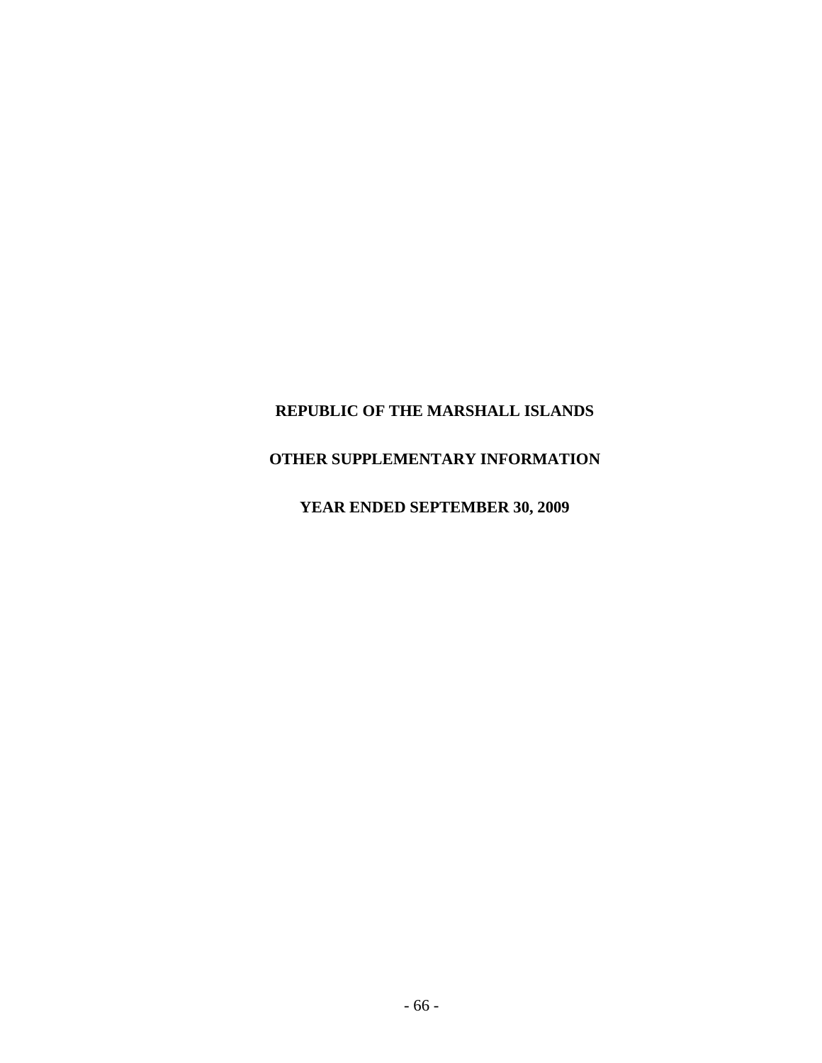# **OTHER SUPPLEMENTARY INFORMATION**

**YEAR ENDED SEPTEMBER 30, 2009**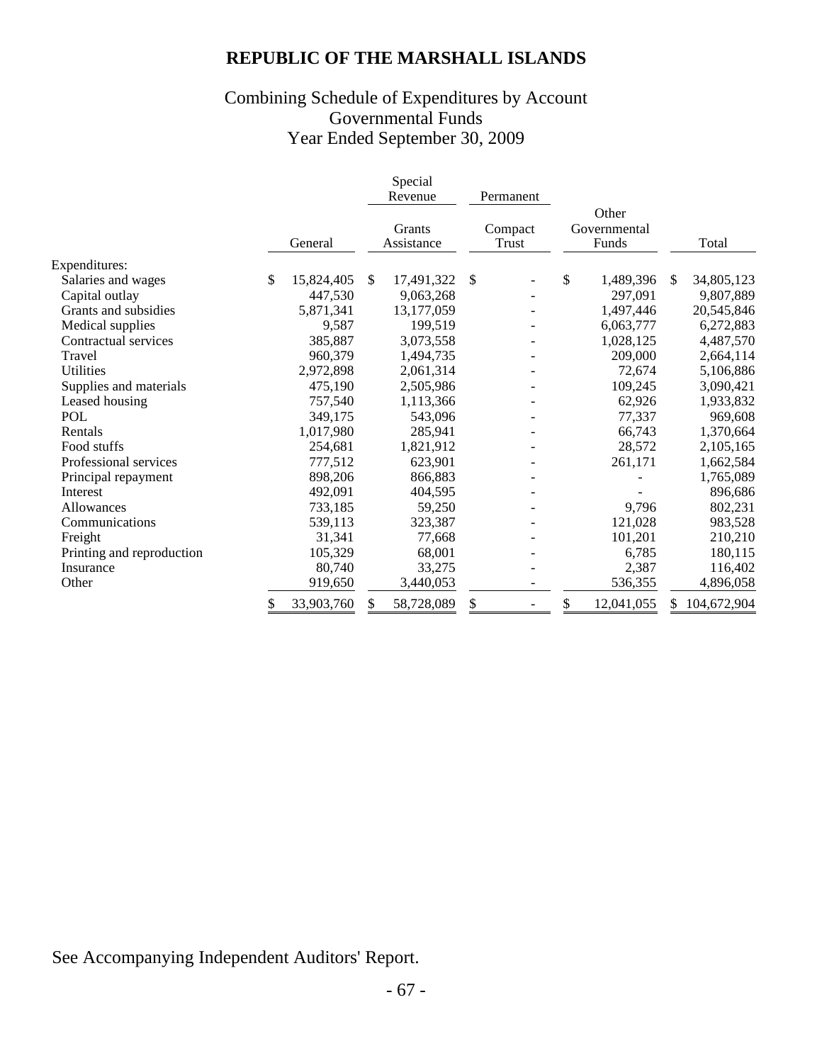# Combining Schedule of Expenditures by Account Governmental Funds Year Ended September 30, 2009

|                           |    |            |               | Special<br>Revenue   |               | Permanent        |                                |               |             |
|---------------------------|----|------------|---------------|----------------------|---------------|------------------|--------------------------------|---------------|-------------|
|                           |    | General    |               | Grants<br>Assistance |               | Compact<br>Trust | Other<br>Governmental<br>Funds |               | Total       |
| Expenditures:             |    |            |               |                      |               |                  |                                |               |             |
| Salaries and wages        | \$ | 15,824,405 | <sup>\$</sup> | 17,491,322           | <sup>\$</sup> |                  | \$<br>1,489,396                | <sup>\$</sup> | 34,805,123  |
| Capital outlay            |    | 447,530    |               | 9,063,268            |               |                  | 297,091                        |               | 9,807,889   |
| Grants and subsidies      |    | 5,871,341  |               | 13, 177, 059         |               |                  | 1,497,446                      |               | 20,545,846  |
| Medical supplies          |    | 9,587      |               | 199,519              |               |                  | 6,063,777                      |               | 6,272,883   |
| Contractual services      |    | 385,887    |               | 3,073,558            |               |                  | 1,028,125                      |               | 4,487,570   |
| Travel                    |    | 960,379    |               | 1,494,735            |               |                  | 209,000                        |               | 2,664,114   |
| <b>Utilities</b>          |    | 2,972,898  |               | 2,061,314            |               |                  | 72.674                         |               | 5,106,886   |
| Supplies and materials    |    | 475,190    |               | 2,505,986            |               |                  | 109,245                        |               | 3,090,421   |
| Leased housing            |    | 757,540    |               | 1,113,366            |               |                  | 62,926                         |               | 1,933,832   |
| POL                       |    | 349.175    |               | 543,096              |               |                  | 77,337                         |               | 969,608     |
| Rentals                   |    | 1,017,980  |               | 285,941              |               |                  | 66,743                         |               | 1,370,664   |
| Food stuffs               |    | 254,681    |               | 1,821,912            |               |                  | 28,572                         |               | 2,105,165   |
| Professional services     |    | 777,512    |               | 623,901              |               |                  | 261,171                        |               | 1,662,584   |
| Principal repayment       |    | 898,206    |               | 866,883              |               |                  |                                |               | 1,765,089   |
| Interest                  |    | 492,091    |               | 404,595              |               |                  |                                |               | 896,686     |
| Allowances                |    | 733,185    |               | 59,250               |               |                  | 9,796                          |               | 802,231     |
| Communications            |    | 539,113    |               | 323,387              |               |                  | 121,028                        |               | 983,528     |
| Freight                   |    | 31,341     |               | 77,668               |               |                  | 101,201                        |               | 210,210     |
| Printing and reproduction |    | 105,329    |               | 68,001               |               |                  | 6,785                          |               | 180,115     |
| Insurance                 |    | 80,740     |               | 33,275               |               |                  | 2,387                          |               | 116,402     |
| Other                     |    | 919,650    |               | 3,440,053            |               |                  | 536,355                        |               | 4,896,058   |
|                           | S  | 33,903,760 | S             | 58,728,089           | \$            |                  | \$<br>12,041,055               |               | 104,672,904 |

See Accompanying Independent Auditors' Report.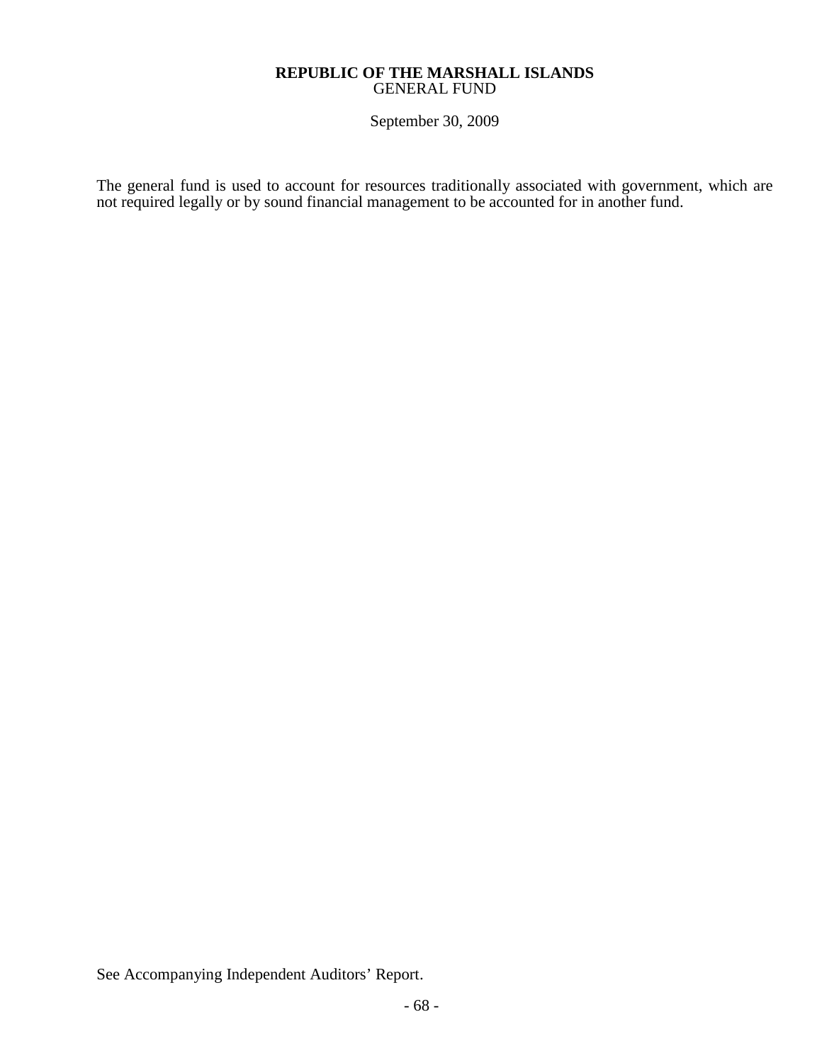## **REPUBLIC OF THE MARSHALL ISLANDS** GENERAL FUND

September 30, 2009

The general fund is used to account for resources traditionally associated with government, which are not required legally or by sound financial management to be accounted for in another fund.

See Accompanying Independent Auditors' Report.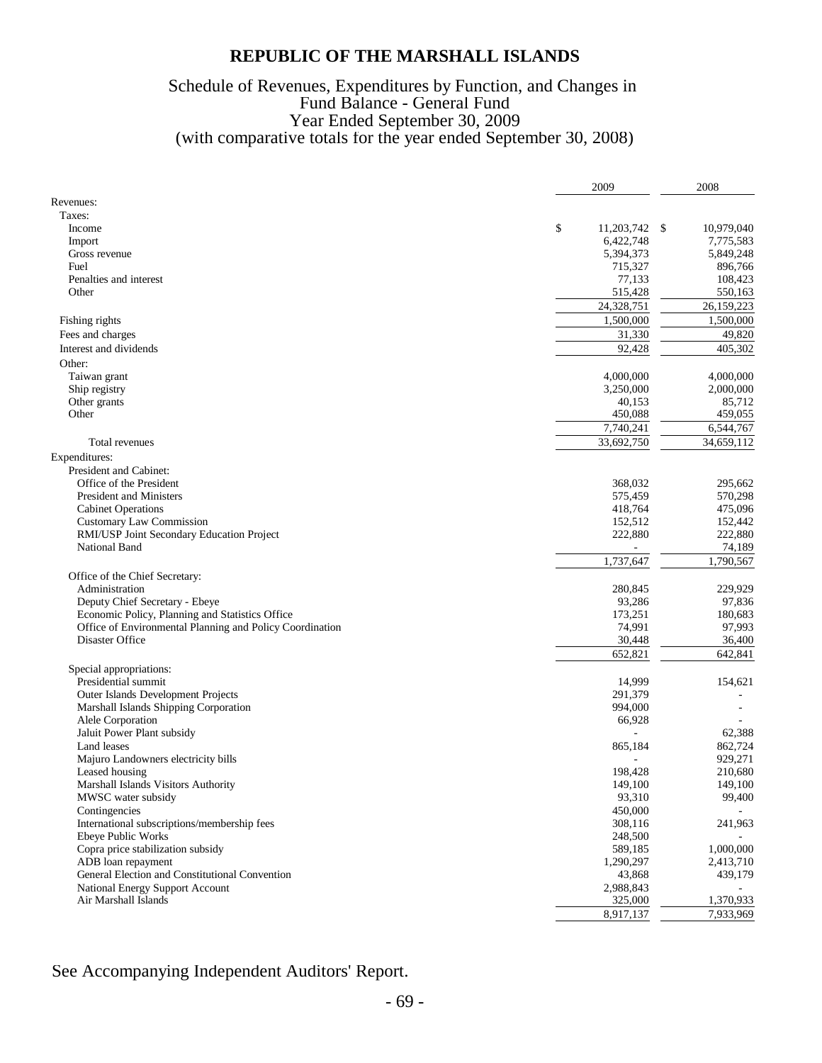# Schedule of Revenues, Expenditures by Function, and Changes in Fund Balance - General Fund Year Ended September 30, 2009 (with comparative totals for the year ended September 30, 2008)

|                                                                             | 2009                | 2008       |
|-----------------------------------------------------------------------------|---------------------|------------|
| Revenues:                                                                   |                     |            |
| Taxes:                                                                      |                     |            |
| Income                                                                      | \$<br>11,203,742 \$ | 10,979,040 |
| Import                                                                      | 6,422,748           | 7,775,583  |
| Gross revenue                                                               | 5,394,373           | 5,849,248  |
| Fuel                                                                        | 715,327             | 896,766    |
| Penalties and interest                                                      | 77,133              | 108,423    |
| Other                                                                       | 515,428             | 550,163    |
|                                                                             | 24,328,751          | 26,159,223 |
| Fishing rights                                                              | 1,500,000           | 1,500,000  |
| Fees and charges                                                            | 31,330              | 49,820     |
| Interest and dividends                                                      | 92,428              | 405,302    |
|                                                                             |                     |            |
| Other:                                                                      |                     |            |
| Taiwan grant                                                                | 4,000,000           | 4,000,000  |
| Ship registry                                                               | 3,250,000           | 2,000,000  |
| Other grants                                                                | 40,153              | 85,712     |
| Other                                                                       | 450,088             | 459,055    |
|                                                                             | 7,740,241           | 6,544,767  |
| Total revenues                                                              | 33,692,750          | 34,659,112 |
| Expenditures:                                                               |                     |            |
| President and Cabinet:                                                      |                     |            |
| Office of the President                                                     | 368,032             | 295,662    |
| <b>President and Ministers</b>                                              | 575,459             | 570,298    |
| <b>Cabinet Operations</b>                                                   | 418,764             | 475,096    |
| <b>Customary Law Commission</b>                                             | 152,512             | 152,442    |
| RMI/USP Joint Secondary Education Project                                   | 222,880             | 222,880    |
| <b>National Band</b>                                                        |                     | 74,189     |
|                                                                             | 1,737,647           | 1,790,567  |
|                                                                             |                     |            |
| Office of the Chief Secretary:                                              |                     |            |
| Administration                                                              | 280,845             | 229,929    |
| Deputy Chief Secretary - Ebeye                                              | 93,286              | 97,836     |
| Economic Policy, Planning and Statistics Office                             | 173,251             | 180,683    |
| Office of Environmental Planning and Policy Coordination<br>Disaster Office | 74,991              | 97,993     |
|                                                                             | 30,448              | 36,400     |
|                                                                             | 652,821             | 642,841    |
| Special appropriations:                                                     |                     |            |
| Presidential summit                                                         | 14,999              | 154,621    |
| Outer Islands Development Projects                                          | 291,379             |            |
| Marshall Islands Shipping Corporation                                       | 994,000             |            |
| Alele Corporation                                                           | 66,928              |            |
| Jaluit Power Plant subsidy                                                  |                     | 62,388     |
| Land leases                                                                 | 865,184             | 862.724    |
| Majuro Landowners electricity bills                                         |                     | 929,271    |
| Leased housing                                                              | 198,428             | 210,680    |
| Marshall Islands Visitors Authority                                         | 149,100             | 149,100    |
| MWSC water subsidy                                                          | 93,310              | 99,400     |
| Contingencies                                                               | 450,000             |            |
| International subscriptions/membership fees                                 | 308,116             | 241,963    |
| Ebeye Public Works                                                          | 248,500             |            |
| Copra price stabilization subsidy                                           | 589,185             | 1,000,000  |
| ADB loan repayment                                                          | 1,290,297           | 2,413,710  |
| General Election and Constitutional Convention                              | 43,868              | 439,179    |
| <b>National Energy Support Account</b>                                      | 2,988,843           |            |
| Air Marshall Islands                                                        | 325,000             | 1,370,933  |
|                                                                             | 8,917,137           | 7,933,969  |

# See Accompanying Independent Auditors' Report.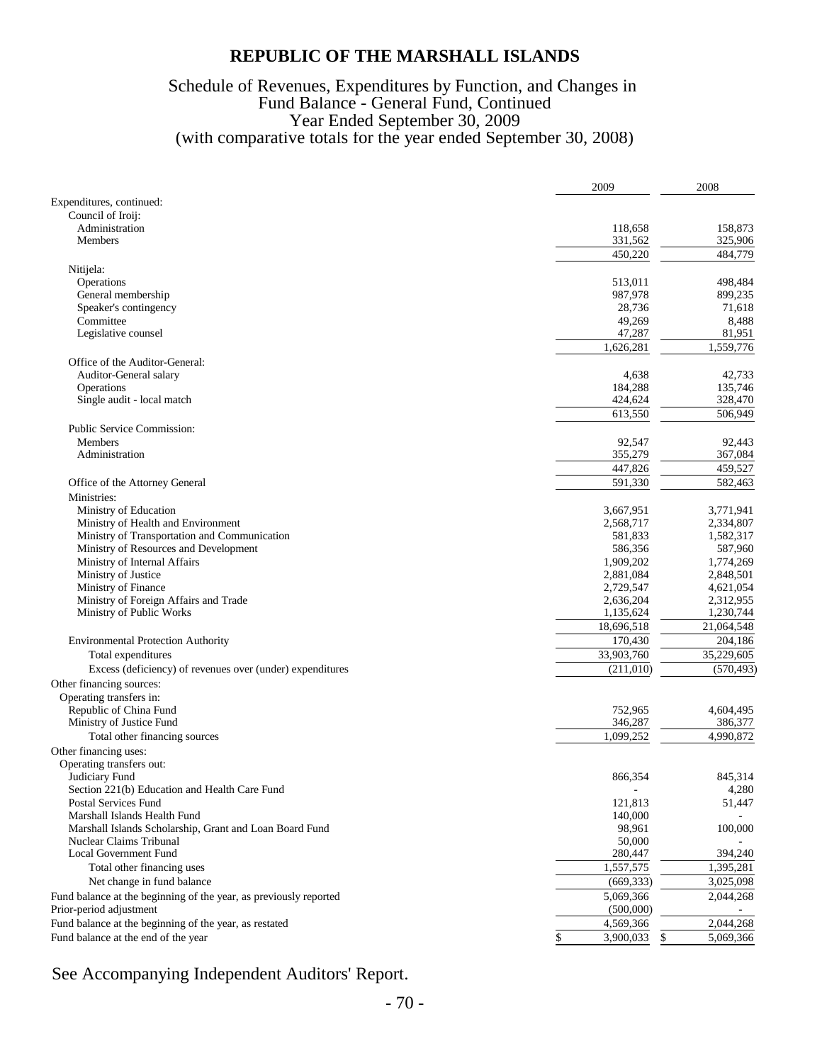# Schedule of Revenues, Expenditures by Function, and Changes in Fund Balance - General Fund, Continued Year Ended September 30, 2009 (with comparative totals for the year ended September 30, 2008)

|                                                                   | 2009            | 2008            |
|-------------------------------------------------------------------|-----------------|-----------------|
| Expenditures, continued:                                          |                 |                 |
| Council of Iroij:                                                 |                 |                 |
| Administration                                                    | 118,658         | 158,873         |
| <b>Members</b>                                                    | 331,562         | 325,906         |
|                                                                   | 450,220         | 484,779         |
| Nitijela:                                                         |                 |                 |
| Operations                                                        | 513,011         | 498,484         |
| General membership                                                | 987,978         | 899,235         |
| Speaker's contingency                                             | 28,736          | 71,618          |
| Committee                                                         | 49,269          | 8,488           |
| Legislative counsel                                               | 47,287          | 81,951          |
|                                                                   | 1,626,281       | 1,559,776       |
| Office of the Auditor-General:                                    |                 |                 |
| Auditor-General salary                                            | 4,638           | 42,733          |
| Operations                                                        | 184,288         | 135,746         |
| Single audit - local match                                        | 424,624         | 328,470         |
|                                                                   | 613,550         | 506,949         |
| Public Service Commission:                                        |                 |                 |
| <b>Members</b>                                                    | 92,547          | 92,443          |
| Administration                                                    | 355,279         | 367,084         |
|                                                                   | 447,826         | 459,527         |
| Office of the Attorney General                                    | 591,330         | 582,463         |
| Ministries:                                                       |                 |                 |
| Ministry of Education                                             | 3,667,951       | 3,771,941       |
| Ministry of Health and Environment                                | 2,568,717       | 2,334,807       |
| Ministry of Transportation and Communication                      | 581,833         | 1,582,317       |
| Ministry of Resources and Development                             | 586,356         | 587,960         |
| Ministry of Internal Affairs                                      | 1,909,202       | 1,774,269       |
| Ministry of Justice                                               | 2,881,084       | 2,848,501       |
| Ministry of Finance                                               | 2,729,547       | 4,621,054       |
| Ministry of Foreign Affairs and Trade                             | 2,636,204       | 2,312,955       |
| Ministry of Public Works                                          | 1,135,624       | 1,230,744       |
|                                                                   | 18,696,518      | 21,064,548      |
| <b>Environmental Protection Authority</b>                         | 170,430         | 204,186         |
| Total expenditures                                                | 33,903,760      | 35,229,605      |
| Excess (deficiency) of revenues over (under) expenditures         | (211,010)       | (570, 493)      |
| Other financing sources:                                          |                 |                 |
| Operating transfers in:                                           |                 |                 |
| Republic of China Fund                                            | 752,965         | 4,604,495       |
| Ministry of Justice Fund                                          | 346,287         | 386,377         |
| Total other financing sources                                     | 1,099,252       | 4,990,872       |
| Other financing uses:                                             |                 |                 |
| Operating transfers out:                                          |                 |                 |
| Judiciary Fund                                                    | 866,354         | 845,314         |
| Section 221(b) Education and Health Care Fund                     | ä,              | 4,280           |
| <b>Postal Services Fund</b>                                       | 121,813         | 51,447          |
| Marshall Islands Health Fund                                      | 140,000         |                 |
| Marshall Islands Scholarship, Grant and Loan Board Fund           | 98,961          | 100,000         |
| Nuclear Claims Tribunal                                           | 50,000          |                 |
| Local Government Fund                                             | 280,447         | 394,240         |
| Total other financing uses                                        | 1,557,575       | 1,395,281       |
| Net change in fund balance                                        | (669, 333)      | 3,025,098       |
| Fund balance at the beginning of the year, as previously reported | 5,069,366       | 2,044,268       |
| Prior-period adjustment                                           | (500,000)       |                 |
| Fund balance at the beginning of the year, as restated            | 4,569,366       | 2,044,268       |
| Fund balance at the end of the year                               | \$<br>3,900,033 | 5,069,366<br>\$ |
|                                                                   |                 |                 |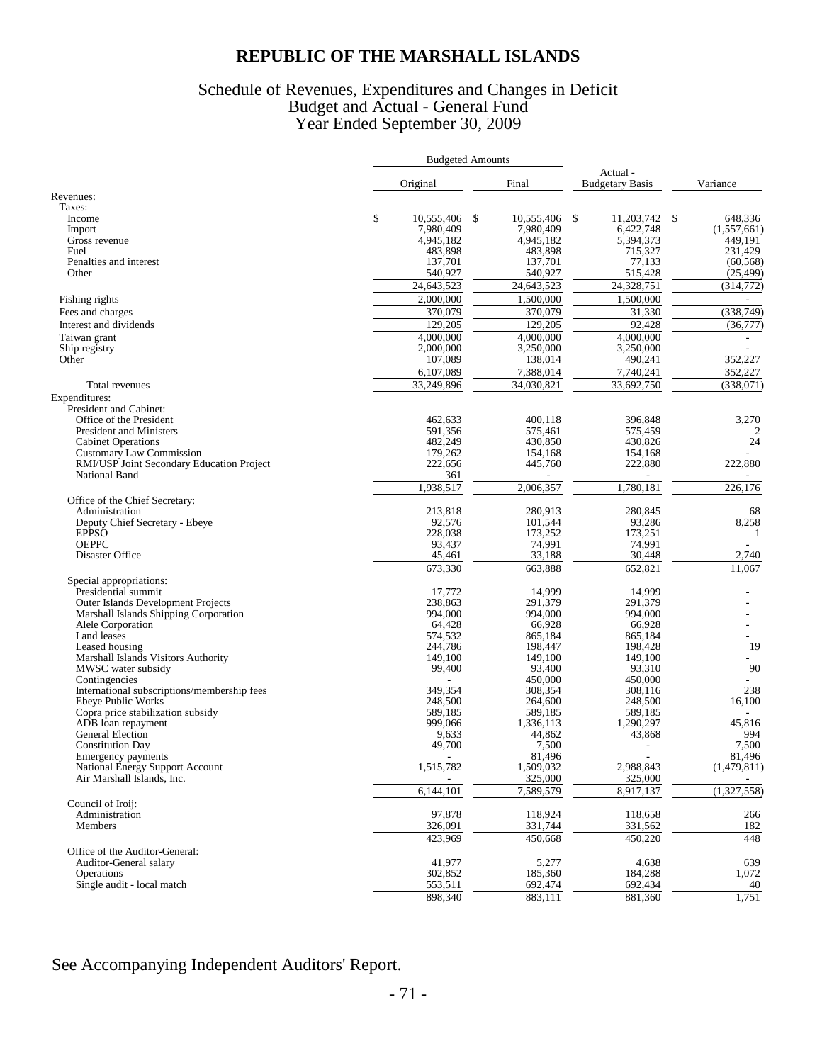# Schedule of Revenues, Expenditures and Changes in Deficit Budget and Actual - General Fund Year Ended September 30, 2009

|                                                              |                        | <b>Budgeted Amounts</b> |                          |                                    |                        |
|--------------------------------------------------------------|------------------------|-------------------------|--------------------------|------------------------------------|------------------------|
|                                                              | Original               |                         | Final                    | Actual -<br><b>Budgetary Basis</b> | Variance               |
| Revenues:                                                    |                        |                         |                          |                                    |                        |
| Taxes:                                                       |                        |                         |                          |                                    |                        |
| Income                                                       | \$<br>10,555,406       | -\$                     | 10,555,406               | \$<br>11,203,742                   | \$<br>648,336          |
| Import<br>Gross revenue                                      | 7,980,409<br>4,945,182 |                         | 7,980,409<br>4,945,182   | 6,422,748<br>5,394,373             | (1,557,661)<br>449,191 |
| Fuel                                                         | 483,898                |                         | 483,898                  | 715,327                            | 231,429                |
| Penalties and interest                                       | 137,701                |                         | 137,701                  | 77,133                             | (60, 568)              |
| Other                                                        | 540,927                |                         | 540,927                  | 515,428                            | (25, 499)              |
|                                                              | 24,643,523             |                         | 24,643,523               | 24,328,751                         | (314, 772)             |
| Fishing rights                                               | 2,000,000              |                         | 1,500,000                | 1,500,000                          |                        |
| Fees and charges                                             | 370,079                |                         | 370,079                  | 31,330                             | (338, 749)             |
| Interest and dividends                                       | 129,205                |                         | 129,205                  | 92,428                             | (36,777)               |
| Taiwan grant                                                 | 4,000,000              |                         | 4.000.000                | 4,000,000                          |                        |
| Ship registry                                                | 2,000,000              |                         | 3,250,000                | 3,250,000                          |                        |
| Other                                                        | 107,089                |                         | 138,014                  | 490,241                            | 352,227                |
|                                                              | 6,107,089              |                         | 7,388,014                | 7,740,241                          | 352,227                |
| Total revenues                                               | 33,249,896             |                         | 34,030,821               | 33,692,750                         | (338,071)              |
| Expenditures:                                                |                        |                         |                          |                                    |                        |
| President and Cabinet:                                       |                        |                         |                          |                                    |                        |
| Office of the President                                      | 462,633                |                         | 400,118                  | 396,848                            | 3,270                  |
| President and Ministers                                      | 591,356<br>482,249     |                         | 575,461                  | 575,459                            |                        |
| <b>Cabinet Operations</b><br><b>Customary Law Commission</b> | 179,262                |                         | 430,850<br>154,168       | 430,826<br>154,168                 | 24                     |
| RMI/USP Joint Secondary Education Project                    | 222,656                |                         | 445,760                  | 222,880                            | 222,880                |
| <b>National Band</b>                                         |                        | 361                     | $\overline{\phantom{a}}$ |                                    |                        |
|                                                              | 1,938,517              |                         | 2,006,357                | 1,780,181                          | 226,176                |
| Office of the Chief Secretary:                               |                        |                         |                          |                                    |                        |
| Administration                                               | 213,818                |                         | 280,913                  | 280,845                            | 68                     |
| Deputy Chief Secretary - Ebeye<br><b>EPPSO</b>               | 92,576<br>228,038      |                         | 101,544<br>173,252       | 93,286                             | 8,258                  |
| <b>OEPPC</b>                                                 | 93,437                 |                         | 74,991                   | 173,251<br>74,991                  | -1                     |
| Disaster Office                                              | 45,461                 |                         | 33,188                   | 30,448                             | 2,740                  |
|                                                              | 673,330                |                         | 663,888                  | 652,821                            | 11,067                 |
| Special appropriations:                                      |                        |                         |                          |                                    |                        |
| Presidential summit                                          | 17,772                 |                         | 14,999                   | 14,999                             |                        |
| Outer Islands Development Projects                           | 238,863                |                         | 291,379                  | 291,379                            |                        |
| Marshall Islands Shipping Corporation                        | 994,000                |                         | 994,000                  | 994,000                            |                        |
| Alele Corporation<br>Land leases                             | 64,428                 |                         | 66,928                   | 66,928                             |                        |
| Leased housing                                               | 574,532<br>244,786     |                         | 865,184<br>198,447       | 865,184<br>198,428                 | 19                     |
| Marshall Islands Visitors Authority                          | 149,100                |                         | 149,100                  | 149,100                            |                        |
| MWSC water subsidy                                           | 99,400                 |                         | 93,400                   | 93,310                             | 90                     |
| Contingencies                                                |                        |                         | 450,000                  | 450,000                            |                        |
| International subscriptions/membership fees                  | 349,354                |                         | 308,354                  | 308,116                            | 238                    |
| Ebeye Public Works                                           | 248,500                |                         | 264,600                  | 248,500                            | 16,100                 |
| Copra price stabilization subsidy                            | 589,185                |                         | 589,185                  | 589,185                            |                        |
| ADB loan repayment<br>General Election                       | 999,066                |                         | 1,336,113                | 1,290,297                          | 45,816                 |
| <b>Constitution Day</b>                                      | 49,700                 | 9,633                   | 44,862<br>7,500          | 43,868<br>$\overline{\phantom{a}}$ | 994<br>7,500           |
| Emergency payments                                           |                        |                         | 81,496                   |                                    | 81,496                 |
| National Energy Support Account                              | 1,515,782              |                         | 1,509,032                | 2,988,843                          | (1,479,811)            |
| Air Marshall Islands, Inc.                                   |                        |                         | 325,000                  | 325,000                            |                        |
|                                                              | 6,144,101              |                         | 7,589,579                | 8,917,137                          | (1,327,558)            |
| Council of Iroij:<br>Administration                          | 97,878                 |                         | 118,924                  | 118,658                            | 266                    |
| Members                                                      | 326,091                |                         | 331,744                  | 331,562                            | 182                    |
|                                                              | 423,969                |                         | 450,668                  | 450,220                            | 448                    |
| Office of the Auditor-General:                               |                        |                         |                          |                                    |                        |
| Auditor-General salary                                       | 41,977                 |                         | 5,277                    | 4,638                              | 639                    |
| Operations                                                   | 302,852                |                         | 185,360                  | 184,288                            | 1,072                  |
| Single audit - local match                                   | 553,511                |                         | 692,474                  | 692,434                            | 40                     |
|                                                              | 898,340                |                         | 883,111                  | 881,360                            | 1,751                  |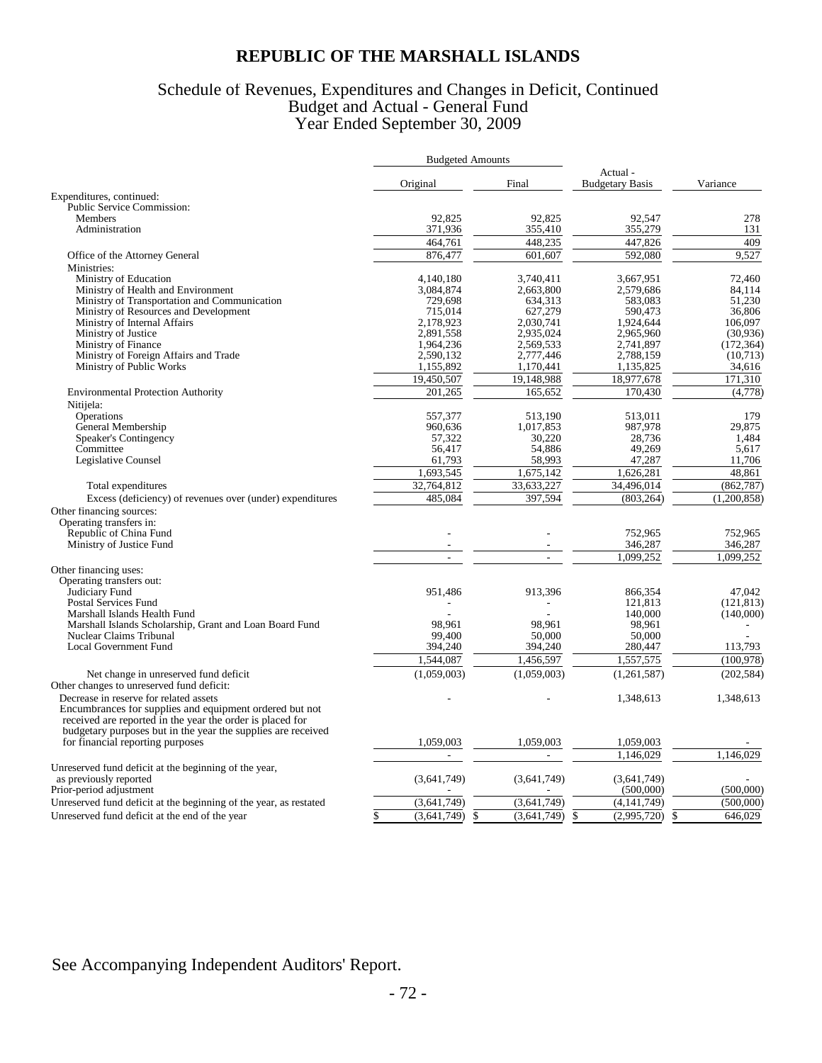# Schedule of Revenues, Expenditures and Changes in Deficit, Continued Budget and Actual - General Fund Year Ended September 30, 2009

|                                                                                                                                                                | <b>Budgeted Amounts</b>  |                        |                                    |                    |
|----------------------------------------------------------------------------------------------------------------------------------------------------------------|--------------------------|------------------------|------------------------------------|--------------------|
|                                                                                                                                                                | Original                 | Final                  | Actual -<br><b>Budgetary Basis</b> | Variance           |
| Expenditures, continued:                                                                                                                                       |                          |                        |                                    |                    |
| Public Service Commission:                                                                                                                                     |                          |                        |                                    |                    |
| <b>Members</b>                                                                                                                                                 | 92.825                   | 92.825                 | 92.547                             | 278                |
| Administration                                                                                                                                                 | 371,936                  | 355,410                | 355,279                            | 131                |
|                                                                                                                                                                | 464,761                  | 448,235                | 447,826                            | 409                |
| Office of the Attorney General                                                                                                                                 | 876,477                  | 601,607                | 592,080                            | 9.527              |
| Ministries:                                                                                                                                                    |                          |                        |                                    |                    |
| Ministry of Education                                                                                                                                          | 4,140,180<br>3,084,874   | 3,740,411<br>2,663,800 | 3,667,951<br>2,579,686             | 72.460<br>84,114   |
| Ministry of Health and Environment<br>Ministry of Transportation and Communication                                                                             | 729,698                  | 634,313                | 583,083                            | 51,230             |
| Ministry of Resources and Development                                                                                                                          | 715,014                  | 627,279                | 590,473                            | 36,806             |
| Ministry of Internal Affairs                                                                                                                                   | 2.178.923                | 2.030.741              | 1,924,644                          | 106.097            |
| Ministry of Justice                                                                                                                                            | 2,891,558                | 2,935,024              | 2,965,960                          | (30,936)           |
| Ministry of Finance                                                                                                                                            | 1,964,236                | 2,569,533              | 2,741,897                          | (172, 364)         |
| Ministry of Foreign Affairs and Trade                                                                                                                          | 2.590.132                | 2,777,446              | 2.788.159                          | (10,713)           |
| Ministry of Public Works                                                                                                                                       | 1,155,892                | 1,170,441              | 1,135,825                          | 34,616             |
|                                                                                                                                                                | 19,450,507               | 19,148,988             | 18,977,678                         | 171,310            |
| <b>Environmental Protection Authority</b>                                                                                                                      | 201,265                  | 165,652                | 170,430                            | (4,778)            |
| Nitiiela:                                                                                                                                                      |                          |                        |                                    |                    |
| Operations                                                                                                                                                     | 557,377                  | 513,190                | 513,011                            | 179                |
| General Membership                                                                                                                                             | 960,636                  | 1,017,853              | 987,978                            | 29,875             |
| Speaker's Contingency                                                                                                                                          | 57,322                   | 30,220                 | 28,736                             | 1,484              |
| Committee                                                                                                                                                      | 56,417                   | 54,886                 | 49,269                             | 5,617              |
| Legislative Counsel                                                                                                                                            | 61,793                   | 58,993                 | 47,287                             | 11,706             |
|                                                                                                                                                                | 1,693,545                | 1,675,142              | 1,626,281                          | 48,861             |
| Total expenditures                                                                                                                                             | 32,764,812               | 33,633,227             | 34,496,014                         | (862, 787)         |
| Excess (deficiency) of revenues over (under) expenditures                                                                                                      | 485,084                  | 397,594                | (803, 264)                         | (1,200,858)        |
| Other financing sources:                                                                                                                                       |                          |                        |                                    |                    |
| Operating transfers in:                                                                                                                                        |                          |                        |                                    |                    |
| Republic of China Fund<br>Ministry of Justice Fund                                                                                                             | $\overline{\phantom{a}}$ | $\sim$                 | 752,965<br>346,287                 | 752.965<br>346,287 |
|                                                                                                                                                                |                          |                        |                                    |                    |
|                                                                                                                                                                |                          |                        | 1,099,252                          | 1,099,252          |
| Other financing uses:<br>Operating transfers out:                                                                                                              |                          |                        |                                    |                    |
| Judiciary Fund                                                                                                                                                 | 951,486                  | 913,396                | 866,354                            | 47.042             |
| Postal Services Fund                                                                                                                                           |                          |                        | 121,813                            | (121, 813)         |
| Marshall Islands Health Fund                                                                                                                                   |                          |                        | 140,000                            | (140,000)          |
| Marshall Islands Scholarship, Grant and Loan Board Fund                                                                                                        | 98,961                   | 98,961                 | 98,961                             |                    |
| Nuclear Claims Tribunal                                                                                                                                        | 99,400                   | 50,000                 | 50,000                             |                    |
| <b>Local Government Fund</b>                                                                                                                                   | 394.240                  | 394,240                | 280,447                            | 113,793            |
|                                                                                                                                                                | 1,544,087                | 1,456,597              | 1,557,575                          | (100, 978)         |
| Net change in unreserved fund deficit<br>Other changes to unreserved fund deficit:                                                                             | (1,059,003)              | (1,059,003)            | (1, 261, 587)                      | (202, 584)         |
| Decrease in reserve for related assets<br>Encumbrances for supplies and equipment ordered but not<br>received are reported in the year the order is placed for |                          |                        | 1,348,613                          | 1,348,613          |
| budgetary purposes but in the year the supplies are received<br>for financial reporting purposes                                                               | 1.059.003                | 1.059.003              | 1.059.003                          |                    |
|                                                                                                                                                                |                          | ÷                      | 1,146,029                          | 1,146,029          |
| Unreserved fund deficit at the beginning of the year,                                                                                                          |                          |                        |                                    |                    |
| as previously reported                                                                                                                                         | (3,641,749)              | (3,641,749)            | (3,641,749)                        |                    |
| Prior-period adjustment                                                                                                                                        |                          |                        | (500,000)                          | (500,000)          |
| Unreserved fund deficit at the beginning of the year, as restated                                                                                              | (3,641,749)              | (3,641,749)            | (4, 141, 749)                      | (500,000)          |
| Unreserved fund deficit at the end of the year                                                                                                                 | \$<br>(3,641,749)        | \$<br>(3,641,749)      | \$<br>(2,995,720)                  | \$<br>646,029      |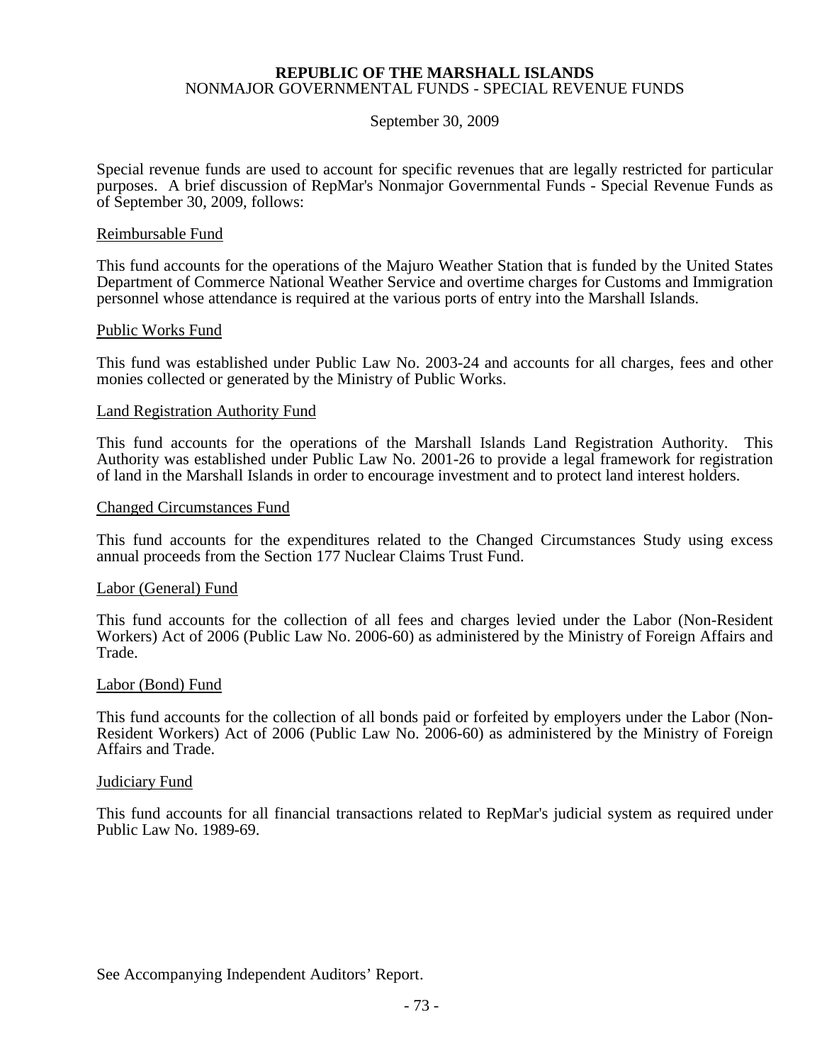## September 30, 2009

Special revenue funds are used to account for specific revenues that are legally restricted for particular purposes. A brief discussion of RepMar's Nonmajor Governmental Funds - Special Revenue Funds as of September 30, 2009, follows:

## Reimbursable Fund

This fund accounts for the operations of the Majuro Weather Station that is funded by the United States Department of Commerce National Weather Service and overtime charges for Customs and Immigration personnel whose attendance is required at the various ports of entry into the Marshall Islands.

## Public Works Fund

This fund was established under Public Law No. 2003-24 and accounts for all charges, fees and other monies collected or generated by the Ministry of Public Works.

## Land Registration Authority Fund

This fund accounts for the operations of the Marshall Islands Land Registration Authority. This Authority was established under Public Law No. 2001-26 to provide a legal framework for registration of land in the Marshall Islands in order to encourage investment and to protect land interest holders.

## Changed Circumstances Fund

This fund accounts for the expenditures related to the Changed Circumstances Study using excess annual proceeds from the Section 177 Nuclear Claims Trust Fund.

#### Labor (General) Fund

This fund accounts for the collection of all fees and charges levied under the Labor (Non-Resident Workers) Act of 2006 (Public Law No. 2006-60) as administered by the Ministry of Foreign Affairs and Trade.

#### Labor (Bond) Fund

This fund accounts for the collection of all bonds paid or forfeited by employers under the Labor (Non-Resident Workers) Act of 2006 (Public Law No. 2006-60) as administered by the Ministry of Foreign Affairs and Trade.

#### Judiciary Fund

This fund accounts for all financial transactions related to RepMar's judicial system as required under Public Law No. 1989-69.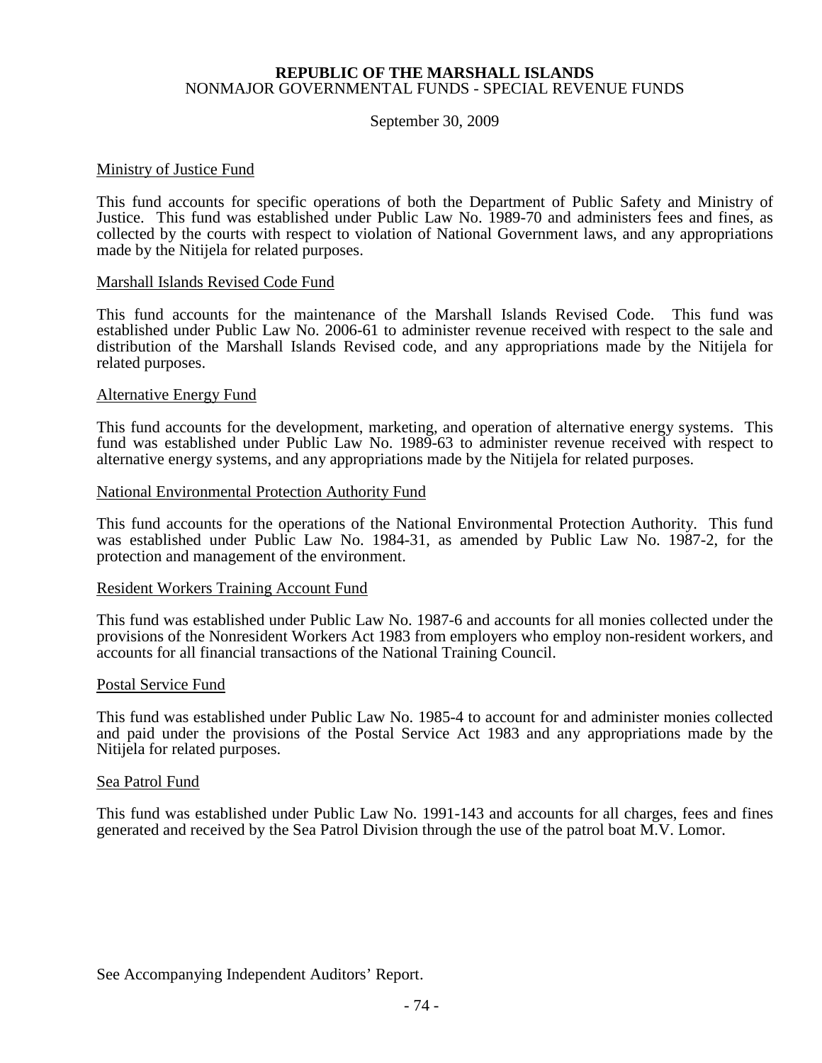## September 30, 2009

## Ministry of Justice Fund

This fund accounts for specific operations of both the Department of Public Safety and Ministry of Justice. This fund was established under Public Law No. 1989-70 and administers fees and fines, as collected by the courts with respect to violation of National Government laws, and any appropriations made by the Nitijela for related purposes.

## Marshall Islands Revised Code Fund

This fund accounts for the maintenance of the Marshall Islands Revised Code. This fund was established under Public Law No. 2006-61 to administer revenue received with respect to the sale and distribution of the Marshall Islands Revised code, and any appropriations made by the Nitijela for related purposes.

## Alternative Energy Fund

This fund accounts for the development, marketing, and operation of alternative energy systems. This fund was established under Public Law No. 1989-63 to administer revenue received with respect to alternative energy systems, and any appropriations made by the Nitijela for related purposes.

#### National Environmental Protection Authority Fund

This fund accounts for the operations of the National Environmental Protection Authority. This fund was established under Public Law No. 1984-31, as amended by Public Law No. 1987-2, for the protection and management of the environment.

#### Resident Workers Training Account Fund

This fund was established under Public Law No. 1987-6 and accounts for all monies collected under the provisions of the Nonresident Workers Act 1983 from employers who employ non-resident workers, and accounts for all financial transactions of the National Training Council.

#### Postal Service Fund

This fund was established under Public Law No. 1985-4 to account for and administer monies collected and paid under the provisions of the Postal Service Act 1983 and any appropriations made by the Nitijela for related purposes.

#### Sea Patrol Fund

This fund was established under Public Law No. 1991-143 and accounts for all charges, fees and fines generated and received by the Sea Patrol Division through the use of the patrol boat M.V. Lomor.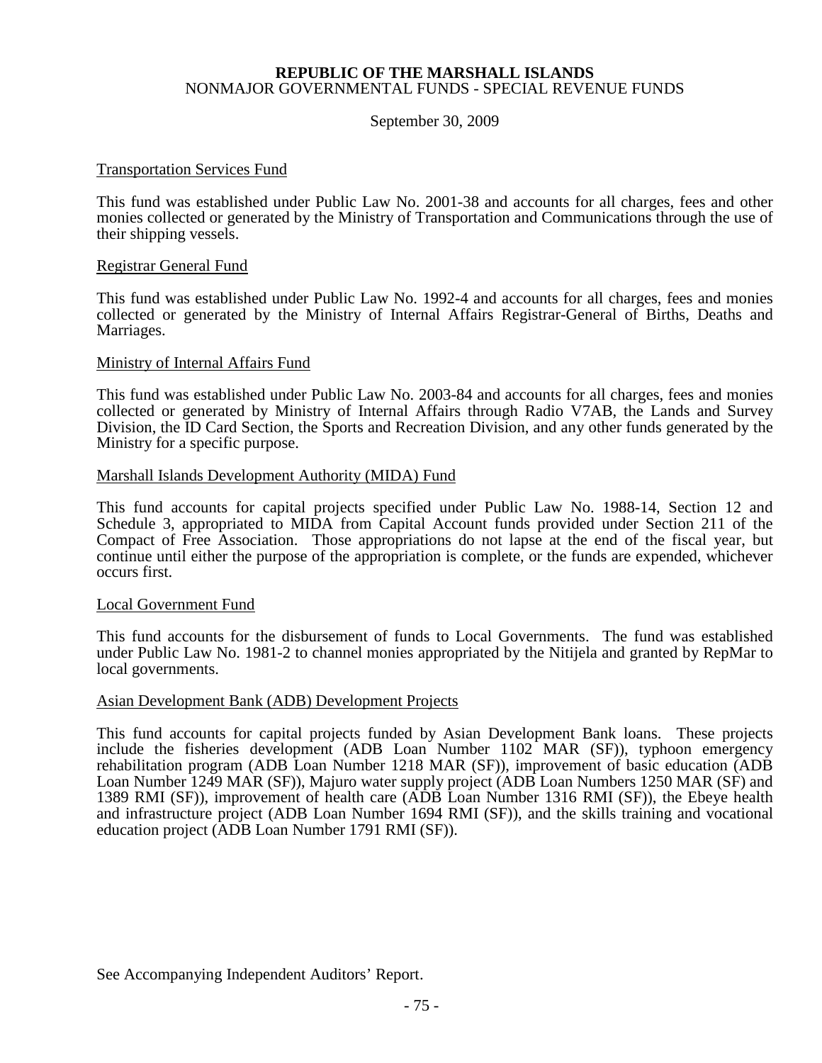## September 30, 2009

## Transportation Services Fund

This fund was established under Public Law No. 2001-38 and accounts for all charges, fees and other monies collected or generated by the Ministry of Transportation and Communications through the use of their shipping vessels.

## Registrar General Fund

This fund was established under Public Law No. 1992-4 and accounts for all charges, fees and monies collected or generated by the Ministry of Internal Affairs Registrar-General of Births, Deaths and Marriages.

## Ministry of Internal Affairs Fund

This fund was established under Public Law No. 2003-84 and accounts for all charges, fees and monies collected or generated by Ministry of Internal Affairs through Radio V7AB, the Lands and Survey Division, the ID Card Section, the Sports and Recreation Division, and any other funds generated by the Ministry for a specific purpose.

## Marshall Islands Development Authority (MIDA) Fund

This fund accounts for capital projects specified under Public Law No. 1988-14, Section 12 and Schedule 3, appropriated to MIDA from Capital Account funds provided under Section 211 of the Compact of Free Association. Those appropriations do not lapse at the end of the fiscal year, but continue until either the purpose of the appropriation is complete, or the funds are expended, whichever occurs first.

#### Local Government Fund

This fund accounts for the disbursement of funds to Local Governments. The fund was established under Public Law No. 1981-2 to channel monies appropriated by the Nitijela and granted by RepMar to local governments.

#### Asian Development Bank (ADB) Development Projects

This fund accounts for capital projects funded by Asian Development Bank loans. These projects include the fisheries development (ADB Loan Number 1102 MAR (SF)), typhoon emergency rehabilitation program (ADB Loan Number 1218 MAR (SF)), improvement of basic education (ADB Loan Number 1249 MAR (SF)), Majuro water supply project (ADB Loan Numbers 1250 MAR (SF) and 1389 RMI (SF)), improvement of health care (ADB Loan Number 1316 RMI (SF)), the Ebeye health and infrastructure project (ADB Loan Number 1694 RMI (SF)), and the skills training and vocational education project (ADB Loan Number 1791 RMI (SF)).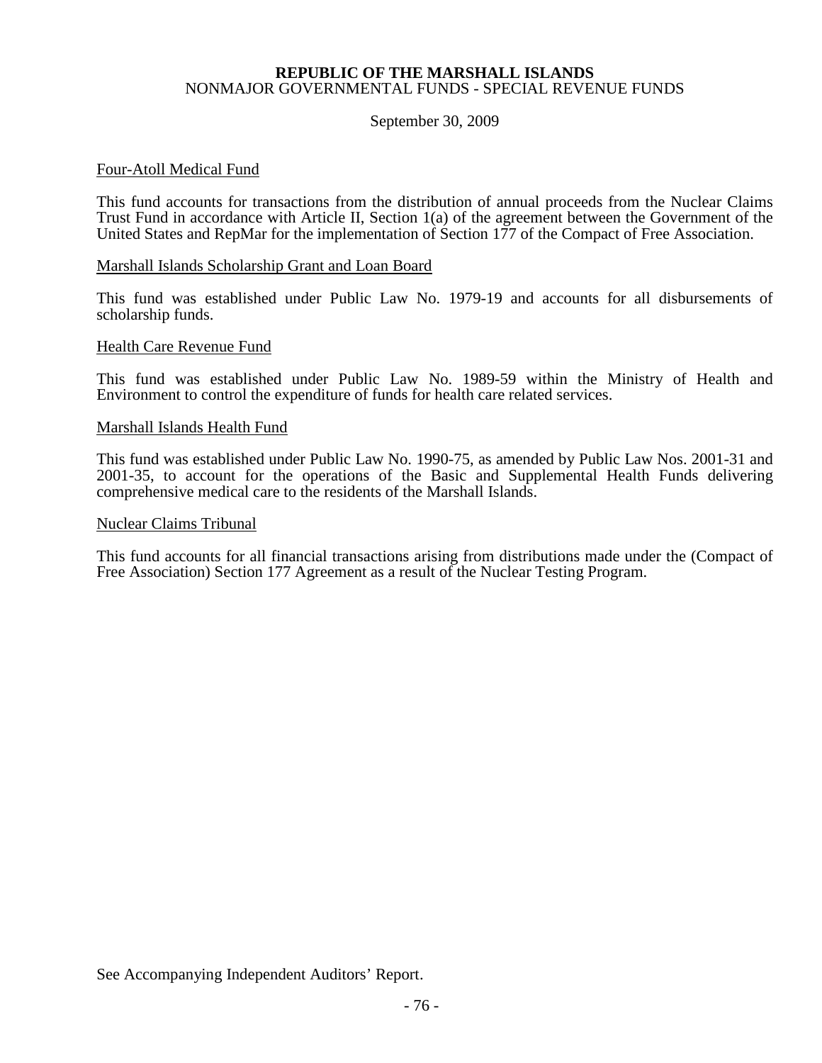## September 30, 2009

## Four-Atoll Medical Fund

This fund accounts for transactions from the distribution of annual proceeds from the Nuclear Claims Trust Fund in accordance with Article II, Section 1(a) of the agreement between the Government of the United States and RepMar for the implementation of Section 177 of the Compact of Free Association.

## Marshall Islands Scholarship Grant and Loan Board

This fund was established under Public Law No. 1979-19 and accounts for all disbursements of scholarship funds.

## Health Care Revenue Fund

This fund was established under Public Law No. 1989-59 within the Ministry of Health and Environment to control the expenditure of funds for health care related services.

## Marshall Islands Health Fund

This fund was established under Public Law No. 1990-75, as amended by Public Law Nos. 2001-31 and 2001-35, to account for the operations of the Basic and Supplemental Health Funds delivering comprehensive medical care to the residents of the Marshall Islands.

#### Nuclear Claims Tribunal

This fund accounts for all financial transactions arising from distributions made under the (Compact of Free Association) Section 177 Agreement as a result of the Nuclear Testing Program.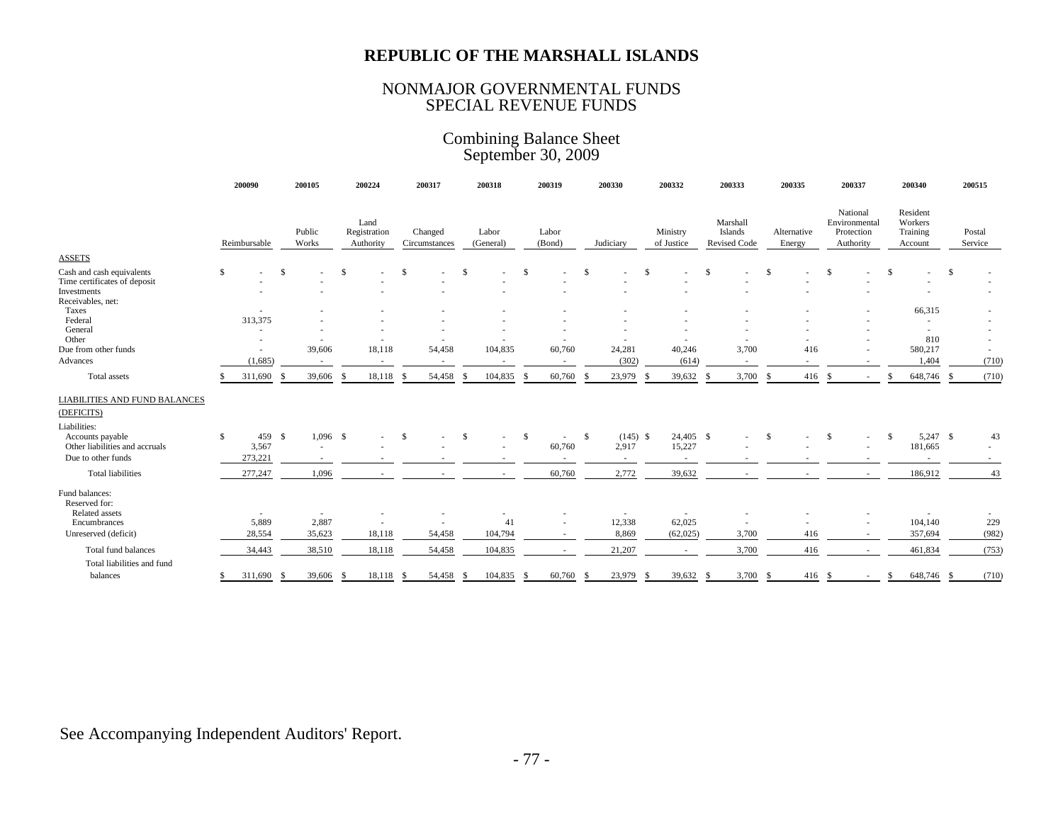# NONMAJOR GOVERNMENTAL FUNDS SPECIAL REVENUE FUNDS

## September 30, 2009 Combining Balance Sheet

|                                                                                               |              | 200090                     |               | 200105               |               | 200224                             |      | 200317                   |      | 200318             |      | 200319                     |               | 200330                        |     | 200332                        |      | 200333                                     |      | 200335                |              | 200337                                               |    | 200340                                     |               | 200515                                   |
|-----------------------------------------------------------------------------------------------|--------------|----------------------------|---------------|----------------------|---------------|------------------------------------|------|--------------------------|------|--------------------|------|----------------------------|---------------|-------------------------------|-----|-------------------------------|------|--------------------------------------------|------|-----------------------|--------------|------------------------------------------------------|----|--------------------------------------------|---------------|------------------------------------------|
|                                                                                               |              | Reimbursable               |               | Public<br>Works      |               | Land<br>Registration<br>Authority  |      | Changed<br>Circumstances |      | Labor<br>(General) |      | Labor<br>(Bond)            |               | Judiciary                     |     | Ministry<br>of Justice        |      | Marshall<br>Islands<br><b>Revised Code</b> |      | Alternative<br>Energy |              | National<br>Environmental<br>Protection<br>Authority |    | Resident<br>Workers<br>Training<br>Account |               | Postal<br>Service                        |
| <b>ASSETS</b>                                                                                 |              |                            |               |                      |               |                                    |      |                          |      |                    |      |                            |               |                               |     |                               |      |                                            |      |                       |              |                                                      |    |                                            |               |                                          |
| Cash and cash equivalents<br>Time certificates of deposit<br>Investments<br>Receivables, net: | $\mathbb{S}$ |                            | <sup>\$</sup> |                      | $\mathcal{S}$ | $\sim$                             | \$.  |                          | - \$ |                    | \$   |                            | <sup>\$</sup> | ÷.                            | -S  |                               | -\$  |                                            | -S   |                       | S            |                                                      | -S | ٠                                          | <sup>\$</sup> |                                          |
| Taxes<br>Federal<br>General                                                                   |              | 313,375                    |               |                      |               |                                    |      |                          |      |                    |      |                            |               |                               |     |                               |      |                                            |      |                       |              |                                                      |    | 66,315<br>٠<br>÷.                          |               |                                          |
| Other<br>Due from other funds                                                                 |              |                            |               | 39,606               |               | $\overline{\phantom{a}}$<br>18,118 |      | 54,458                   |      | 104,835            |      | 60,760                     |               | $\sim$<br>24,281              |     | 40,246                        |      | 3,700                                      |      | 416                   |              |                                                      |    | 810<br>580,217                             |               |                                          |
| Advances                                                                                      |              | (1,685)                    |               | $\sim$               |               | $\overline{\phantom{a}}$           |      | $\sim$                   |      | $\sim$             |      | $\sim$                     |               | (302)                         |     | (614)                         |      | $\sim$                                     |      | $\sim$                |              | $\overline{\phantom{a}}$                             |    | 1,404                                      |               | (710)                                    |
| Total assets                                                                                  | \$.          | 311,690                    | - S           | 39,606               |               | 18,118                             | - \$ | 54,458                   | -8   | 104,835            | -S   | 60,760                     |               | 23,979                        | -8  | 39,632                        | - \$ | 3,700                                      | - \$ | 416 \$                |              | $\sim$                                               |    | 648,746 \$                                 |               | (710)                                    |
| <b>LIABILITIES AND FUND BALANCES</b><br>(DEFICITS)                                            |              |                            |               |                      |               |                                    |      |                          |      |                    |      |                            |               |                               |     |                               |      |                                            |      |                       |              |                                                      |    |                                            |               |                                          |
| Liabilities:<br>Accounts payable<br>Other liabilities and accruals<br>Due to other funds      | $\mathbb{S}$ | 459 \$<br>3,567<br>273,221 |               | $1,096$ \$<br>$\sim$ |               | ٠                                  | \$   |                          | -S   |                    | \$   | $\sim$<br>60,760<br>$\sim$ | <sup>\$</sup> | $(145)$ \$<br>2,917<br>$\sim$ |     | 24,405 \$<br>15,227<br>$\sim$ |      | $\overline{\phantom{a}}$                   | - \$ |                       | $\mathbb{S}$ | $\sim$                                               |    | 5,247 \$<br>181,665<br>$\sim$              |               | 43<br>$\overline{\phantom{a}}$<br>$\sim$ |
| <b>Total liabilities</b>                                                                      |              | 277,247                    |               | 1,096                |               | $\sim$                             |      | $\sim$                   |      | $\sim$             |      | 60,760                     |               | 2,772                         |     | 39,632                        |      | $\sim$                                     |      |                       |              | $\sim$                                               |    | 186,912                                    |               | 43                                       |
| Fund balances:<br>Reserved for:                                                               |              |                            |               |                      |               |                                    |      |                          |      |                    |      |                            |               |                               |     |                               |      |                                            |      |                       |              |                                                      |    |                                            |               |                                          |
| Related assets<br>Encumbrances                                                                |              | 5,889                      |               | 2,887                |               |                                    |      |                          |      | 41                 |      |                            |               | 12,338                        |     | 62,025                        |      |                                            |      |                       |              |                                                      |    | 104,140                                    |               | 229                                      |
| Unreserved (deficit)                                                                          |              | 28,554                     |               | 35,623               |               | 18,118                             |      | 54,458                   |      | 104,794            |      | $\sim$                     |               | 8,869                         |     | (62, 025)                     |      | 3,700                                      |      | 416                   |              | $\sim$                                               |    | 357,694                                    |               | (982)                                    |
| Total fund balances                                                                           |              | 34,443                     |               | 38,510               |               | 18,118                             |      | 54,458                   |      | 104,835            |      | $\sim$                     |               | 21,207                        |     | $\overline{\phantom{a}}$      |      | 3,700                                      |      | 416                   |              | $\sim$                                               |    | 461,834                                    |               | (753)                                    |
| Total liabilities and fund<br>balances                                                        | \$           | 311,690                    | - S           | 39,606               |               | 18,118                             | -S   | 54,458                   | -8   | 104,835            | - \$ | 60,760                     | -S            | 23,979                        | - S | 39,632                        | -S   | 3,700                                      | - \$ | 416S                  |              |                                                      |    | 648,746                                    | - \$          | (710)                                    |
|                                                                                               |              |                            |               |                      |               |                                    |      |                          |      |                    |      |                            |               |                               |     |                               |      |                                            |      |                       |              |                                                      |    |                                            |               |                                          |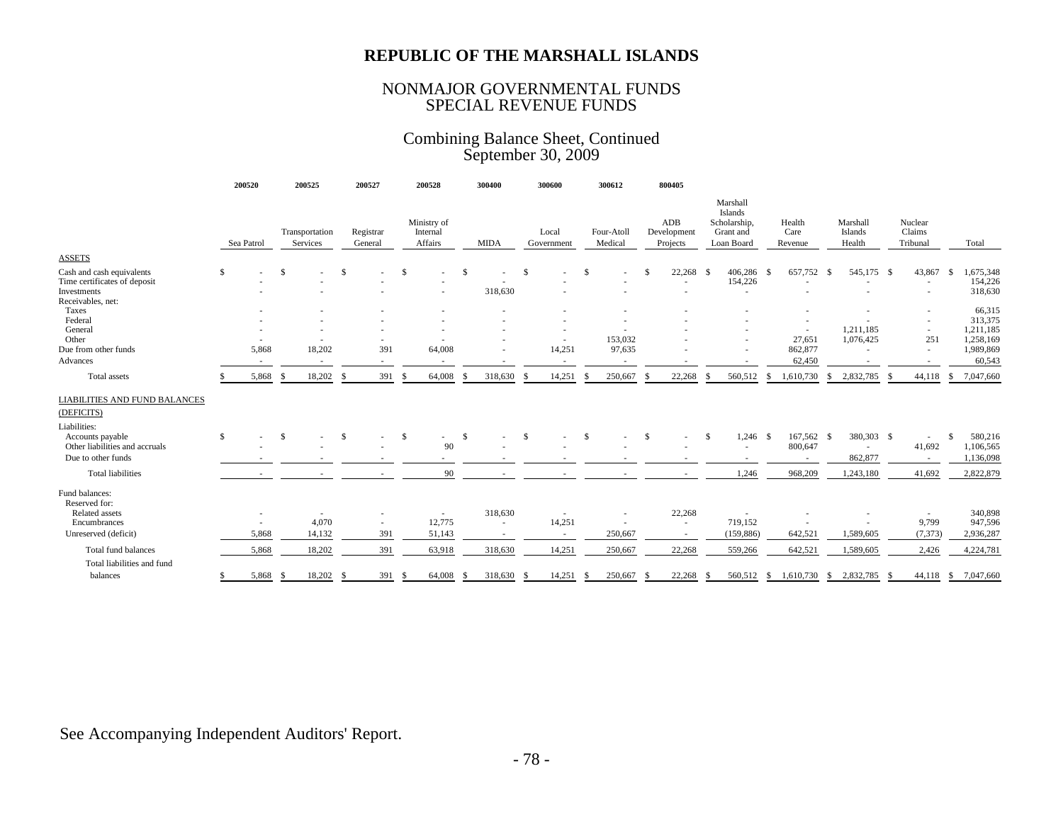# NONMAJOR GOVERNMENTAL FUNDS SPECIAL REVENUE FUNDS

## September 30, 2009 Combining Balance Sheet, Continued

|                                                                                               |    | 200520     |               | 200525                     |               | 200527               |               | 200528                             |      | 300400      |               | 300600                             |               | 300612                |    | 800405                                  |               |                                                                |      |                                 |     |                                 |     |                               |               |                                     |
|-----------------------------------------------------------------------------------------------|----|------------|---------------|----------------------------|---------------|----------------------|---------------|------------------------------------|------|-------------|---------------|------------------------------------|---------------|-----------------------|----|-----------------------------------------|---------------|----------------------------------------------------------------|------|---------------------------------|-----|---------------------------------|-----|-------------------------------|---------------|-------------------------------------|
|                                                                                               |    | Sea Patrol |               | Transportation<br>Services |               | Registrar<br>General |               | Ministry of<br>Internal<br>Affairs |      | <b>MIDA</b> |               | Local<br>Government                |               | Four-Atoll<br>Medical |    | ADB<br>Development<br>Projects          |               | Marshall<br>Islands<br>Scholarship,<br>Grant and<br>Loan Board |      | Health<br>Care<br>Revenue       |     | Marshall<br>Islands<br>Health   |     | Nuclear<br>Claims<br>Tribunal |               | Total                               |
| <b>ASSETS</b>                                                                                 |    |            |               |                            |               |                      |               |                                    |      |             |               |                                    |               |                       |    |                                         |               |                                                                |      |                                 |     |                                 |     |                               |               |                                     |
| Cash and cash equivalents<br>Time certificates of deposit<br>Investments<br>Receivables, net: | \$ |            | <sup>\$</sup> |                            | -S            | ٠                    | $\mathcal{S}$ | $\sim$                             | - \$ | 318,630     | <sup>\$</sup> |                                    | <sup>\$</sup> |                       | -S | 22,268<br>×<br>$\overline{\phantom{a}}$ | - \$          | 406,286 \$<br>154,226<br>٠                                     |      | 657,752                         | - S | 545,175 \$                      |     | 43,867                        | -S            | .675,348<br>154,226<br>318,630      |
| Taxes<br>Federal                                                                              |    |            |               |                            |               |                      |               |                                    |      |             |               |                                    |               |                       |    |                                         |               |                                                                |      |                                 |     |                                 |     | ÷                             |               | 66,315<br>313,375                   |
| General<br>Other<br>Due from other funds                                                      |    | 5.868      |               | $\sim$<br>18,202           |               | $\sim$<br>391        |               | 64,008                             |      |             |               | $\sim$<br>14,251                   |               | 153,032<br>97,635     |    |                                         |               | ٠                                                              |      | $\sim$<br>27,651<br>862,877     |     | 1,211,185<br>1,076,425          |     | $\sim$<br>251<br>$\sim$       |               | 1,211,185<br>1,258,169<br>1,989,869 |
| Advances                                                                                      |    | $\sim$     |               | $\sim$                     |               | $\sim$               |               | $\overline{\phantom{a}}$           |      |             |               | $\sim$                             |               | $\sim$                |    |                                         |               |                                                                |      | 62,450                          |     | $\overline{\phantom{a}}$        |     |                               |               | 60,543                              |
| Total assets                                                                                  | S. | 5,868      | -S            | 18,202                     | -S            | 391                  | - \$          | 64,008                             | -8   | 318,630     | <sup>\$</sup> | 14,251                             | <sup>S</sup>  | 250,667               | -8 | 22,268                                  | -S            | 560,512                                                        | -S   | 1,610,730                       |     | \$2,832,785                     | - S | 44,118                        | <sup>\$</sup> | 7,047,660                           |
| <b>LIABILITIES AND FUND BALANCES</b><br>(DEFICITS)                                            |    |            |               |                            |               |                      |               |                                    |      |             |               |                                    |               |                       |    |                                         |               |                                                                |      |                                 |     |                                 |     |                               |               |                                     |
| Liabilities:<br>Accounts payable<br>Other liabilities and accruals<br>Due to other funds      | \$ |            | <sup>\$</sup> |                            | $\mathcal{S}$ | ٠                    | \$            | $\sim$<br>90<br>$\sim$             | -S   |             | $\mathbb{S}$  |                                    | <sup>\$</sup> |                       | S  | ٠<br>$\sim$                             | <sup>\$</sup> | 1,246<br>٠<br>$\overline{\phantom{a}}$                         | - \$ | 167,562 \$<br>800,647<br>$\sim$ |     | 380,303 \$<br>$\sim$<br>862,877 |     | $\sim$<br>41,692<br>$\sim$    | -\$           | 580,216<br>1,106,565<br>1,136,098   |
| <b>Total liabilities</b>                                                                      |    |            |               |                            |               | $\sim$               |               | 90                                 |      | $\sim$      |               |                                    |               |                       |    | $\sim$                                  |               | 1,246                                                          |      | 968,209                         |     | 1,243,180                       |     | 41,692                        |               | 2,822,879                           |
| Fund balances:<br>Reserved for:                                                               |    |            |               |                            |               |                      |               |                                    |      |             |               |                                    |               |                       |    |                                         |               |                                                                |      |                                 |     |                                 |     |                               |               |                                     |
| Related assets<br>Encumbrances                                                                |    |            |               | 4,070                      |               |                      |               | $\sim$<br>12,775                   |      | 318,630     |               | $\overline{\phantom{a}}$<br>14,251 |               |                       |    | 22,268<br>$\sim$                        |               | 719,152                                                        |      |                                 |     |                                 |     | $\sim$<br>9,799               |               | 340,898<br>947,596                  |
| Unreserved (deficit)                                                                          |    | 5,868      |               | 14,132                     |               | 391                  |               | 51,143                             |      |             |               | $\sim$                             |               | 250,667               |    | $\sim$                                  |               | (159, 886)                                                     |      | 642,521                         |     | 1,589,605                       |     | (7, 373)                      |               | 2,936,287                           |
| Total fund balances                                                                           |    | 5,868      |               | 18,202                     |               | 391                  |               | 63,918                             |      | 318,630     |               | 14,251                             |               | 250,667               |    | 22,268                                  |               | 559,266                                                        |      | 642,521                         |     | 1,589,605                       |     | 2,426                         |               | 4,224,781                           |
| Total liabilities and fund<br>balances                                                        | \$ | 5,868      | -S            | 18,202                     | - S           | 391                  | - \$          | 64,008                             | - S  | 318,630     | -S            | 14,251                             | -S            | 250,667               |    | 22,268                                  | -S            | 560,512                                                        | - \$ | 1,610,730                       |     | \$ 2,832,785                    | - S | 44,118                        |               | \$7,047,660                         |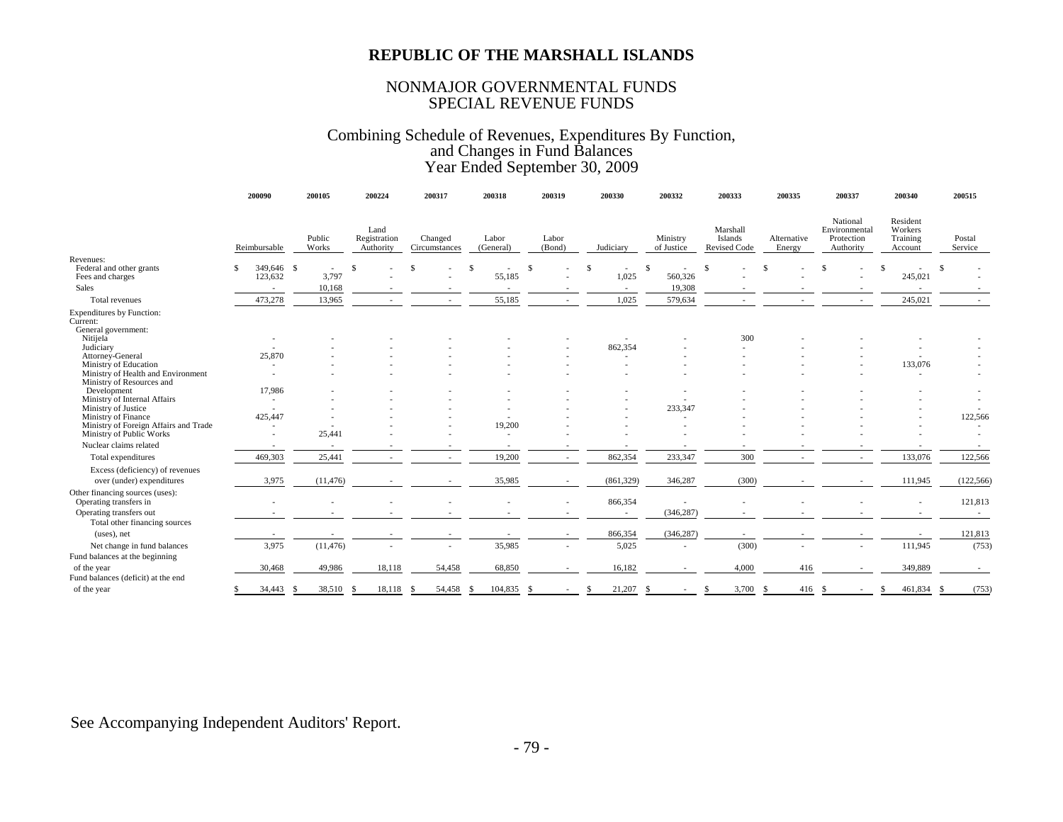## NONMAJOR GOVERNMENTAL FUNDS SPECIAL REVENUE FUNDS

## Combining Schedule of Revenues, Expenditures By Function, and Changes in Fund Balances Year Ended September 30, 2009

|                                                                     |     | 200090                   | 200105          |                          | 200224                            |    | 200317                   |     | 200318                   | 200319          |                          |     | 200330                              | 200332                 | 200333                                     | 200335                | 200337                                               |    | 200340                                     | 200515            |
|---------------------------------------------------------------------|-----|--------------------------|-----------------|--------------------------|-----------------------------------|----|--------------------------|-----|--------------------------|-----------------|--------------------------|-----|-------------------------------------|------------------------|--------------------------------------------|-----------------------|------------------------------------------------------|----|--------------------------------------------|-------------------|
|                                                                     |     | Reimbursable             | Public<br>Works |                          | Land<br>Registration<br>Authority |    | Changed<br>Circumstances |     | Labor<br>(General)       | Labor<br>(Bond) |                          |     | Judiciary                           | Ministry<br>of Justice | Marshall<br>Islands<br><b>Revised Code</b> | Alternative<br>Energy | National<br>Environmental<br>Protection<br>Authority |    | Resident<br>Workers<br>Training<br>Account | Postal<br>Service |
| Revenues:<br>Federal and other grants                               | -\$ | 349,646 \$               |                 | $\sim$                   | - \$                              |    |                          | -S  |                          | \$              |                          | -\$ |                                     | \$                     | <sup>\$</sup>                              |                       | S                                                    | S  |                                            | -S                |
| Fees and charges                                                    |     | 123,632                  |                 | 3,797                    |                                   |    |                          |     | 55,185                   |                 |                          |     | 1,025                               | 560,326                |                                            |                       |                                                      |    | 245,021                                    |                   |
| Sales                                                               |     | $\overline{\phantom{a}}$ |                 | 10,168                   |                                   |    |                          |     | $\overline{\phantom{a}}$ |                 |                          |     | $\overline{\phantom{a}}$            | 19,308                 |                                            |                       |                                                      |    |                                            |                   |
| Total revenues                                                      |     | 473,278                  |                 | 13,965                   |                                   |    |                          |     | 55,185                   |                 | $\overline{\phantom{a}}$ |     | 1,025                               | 579,634                |                                            |                       | $\overline{\phantom{a}}$                             |    | 245,021                                    |                   |
| <b>Expenditures by Function:</b><br>Current:<br>General government: |     |                          |                 |                          |                                   |    |                          |     |                          |                 |                          |     |                                     |                        |                                            |                       |                                                      |    |                                            |                   |
| Nitijela                                                            |     |                          |                 |                          |                                   |    |                          |     |                          |                 |                          |     |                                     |                        | 300                                        |                       |                                                      |    |                                            |                   |
| Judiciary<br>Attorney-General                                       |     | 25,870                   |                 |                          |                                   |    |                          |     |                          |                 |                          |     | 862,354<br>$\overline{\phantom{a}}$ |                        |                                            |                       |                                                      |    |                                            |                   |
| Ministry of Education                                               |     | $\overline{\phantom{a}}$ |                 |                          |                                   |    |                          |     |                          |                 |                          |     |                                     |                        |                                            |                       |                                                      |    | 133,076                                    |                   |
| Ministry of Health and Environment<br>Ministry of Resources and     |     | $\overline{\phantom{a}}$ |                 |                          |                                   |    |                          |     |                          |                 |                          |     |                                     |                        |                                            |                       |                                                      |    |                                            |                   |
| Development                                                         |     | 17,986                   |                 |                          |                                   |    |                          |     |                          |                 |                          |     |                                     |                        |                                            |                       |                                                      |    |                                            |                   |
| Ministry of Internal Affairs                                        |     | $\overline{\phantom{a}}$ |                 |                          |                                   |    |                          |     |                          |                 |                          |     |                                     | ٠                      |                                            |                       |                                                      |    |                                            |                   |
| Ministry of Justice                                                 |     | ۰                        |                 |                          |                                   |    |                          |     |                          |                 |                          |     |                                     | 233,347                |                                            |                       |                                                      |    |                                            |                   |
| Ministry of Finance                                                 |     | 425,447                  |                 |                          |                                   |    |                          |     |                          |                 |                          |     |                                     |                        |                                            |                       |                                                      |    |                                            | 122,566           |
| Ministry of Foreign Affairs and Trade<br>Ministry of Public Works   |     |                          |                 | 25,441                   |                                   |    |                          |     | 19,200                   |                 |                          |     |                                     |                        |                                            |                       |                                                      |    |                                            |                   |
| Nuclear claims related                                              |     | $\overline{\phantom{a}}$ |                 |                          |                                   |    |                          |     | ٠                        |                 |                          |     |                                     |                        |                                            |                       |                                                      |    |                                            |                   |
|                                                                     |     |                          |                 | $\overline{\phantom{a}}$ |                                   |    |                          |     |                          |                 |                          |     |                                     |                        |                                            |                       |                                                      |    |                                            |                   |
| Total expenditures                                                  |     | 469,303                  |                 | 25,441                   | ٠                                 |    |                          |     | 19,200                   |                 | $\overline{\phantom{a}}$ |     | 862,354                             | 233,347                | 300                                        |                       | ٠                                                    |    | 133,076                                    | 122,566           |
| Excess (deficiency) of revenues                                     |     |                          |                 |                          |                                   |    |                          |     |                          |                 |                          |     |                                     |                        |                                            |                       |                                                      |    |                                            |                   |
| over (under) expenditures                                           |     | 3,975                    |                 | (11, 476)                |                                   |    |                          |     | 35,985                   |                 |                          |     | (861, 329)                          | 346,287                | (300)                                      |                       |                                                      |    | 111,945                                    | (122, 566)        |
| Other financing sources (uses):<br>Operating transfers in           |     |                          |                 |                          |                                   |    |                          |     |                          |                 |                          |     | 866,354                             |                        |                                            |                       |                                                      |    |                                            | 121,813           |
| Operating transfers out                                             |     |                          |                 |                          |                                   |    |                          |     |                          |                 |                          |     | $\overline{\phantom{a}}$            | (346, 287)             |                                            |                       |                                                      |    |                                            |                   |
| Total other financing sources                                       |     |                          |                 |                          |                                   |    |                          |     |                          |                 |                          |     |                                     |                        |                                            |                       |                                                      |    |                                            |                   |
| (uses), net                                                         |     |                          |                 |                          |                                   |    |                          |     |                          |                 | $\blacksquare$           |     | 866,354                             | (346, 287)             |                                            |                       |                                                      |    |                                            | 121,813           |
| Net change in fund balances                                         |     | 3,975                    |                 | (11, 476)                |                                   |    |                          |     | 35,985                   |                 | $\overline{\phantom{a}}$ |     | 5,025                               |                        | (300)                                      |                       | $\overline{\phantom{a}}$                             |    | 111,945                                    | (753)             |
| Fund balances at the beginning                                      |     |                          |                 |                          |                                   |    |                          |     |                          |                 |                          |     |                                     |                        |                                            |                       |                                                      |    |                                            |                   |
| of the year                                                         |     | 30,468                   |                 | 49,986                   | 18,118                            |    | 54,458                   |     | 68,850                   |                 | $\overline{\phantom{a}}$ |     | 16,182                              |                        | 4,000                                      | 416                   |                                                      |    | 349,889                                    |                   |
| Fund balances (deficit) at the end                                  |     |                          |                 |                          |                                   |    |                          |     |                          |                 |                          |     |                                     |                        |                                            |                       |                                                      |    |                                            |                   |
| of the year                                                         |     | 34,443                   |                 | 38,510                   | 18,118<br>-S                      | -8 | 54,458                   | - S | 104,835                  | - \$            |                          |     | 21,207                              | -S                     | 3,700                                      | 416<br>- \$           | - \$                                                 | \$ | 461,834                                    | (753)<br>- \$     |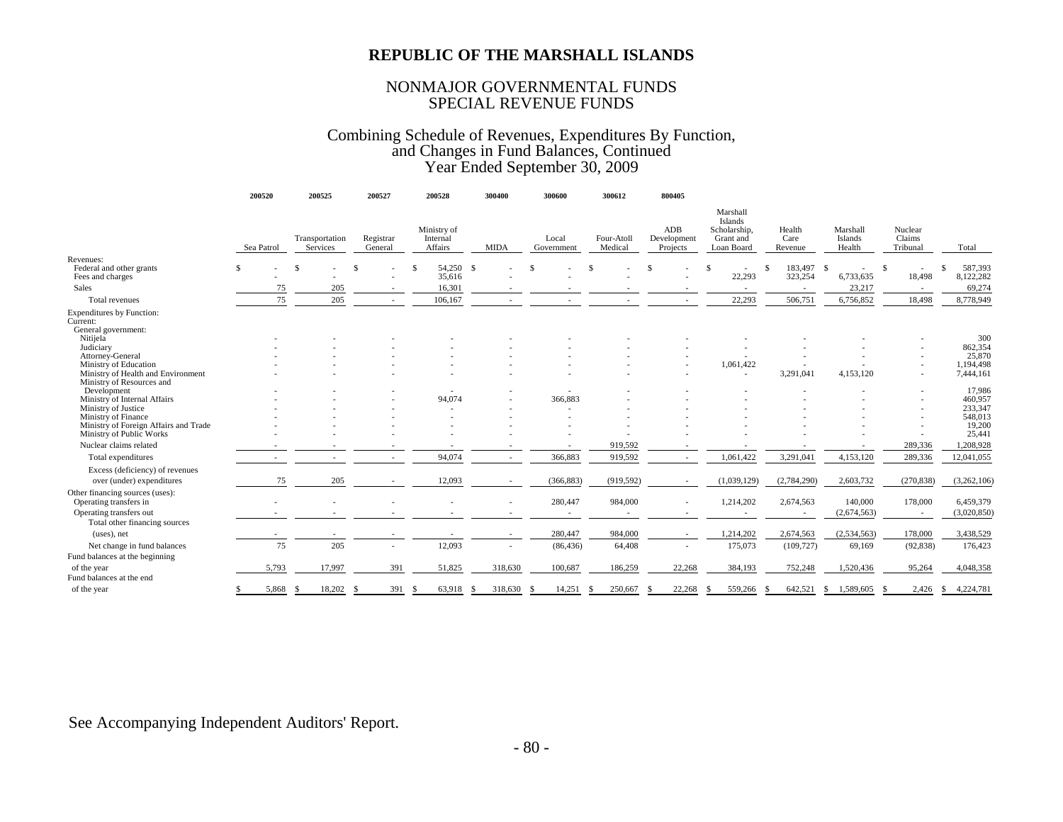## NONMAJOR GOVERNMENTAL FUNDS SPECIAL REVENUE FUNDS

## Combining Schedule of Revenues, Expenditures By Function, and Changes in Fund Balances, Continued Year Ended September 30, 2009

|                                                                     |     | 200520     |    | 200525                     |      | 200527                   |      | 200528                             |    | 300400      | 300600              |    | 300612                |     | 800405                         |                                                                |     |                           |                               |      |                               |    |                      |
|---------------------------------------------------------------------|-----|------------|----|----------------------------|------|--------------------------|------|------------------------------------|----|-------------|---------------------|----|-----------------------|-----|--------------------------------|----------------------------------------------------------------|-----|---------------------------|-------------------------------|------|-------------------------------|----|----------------------|
|                                                                     |     | Sea Patrol |    | Transportation<br>Services |      | Registrar<br>General     |      | Ministry of<br>Internal<br>Affairs |    | <b>MIDA</b> | Local<br>Government |    | Four-Atoll<br>Medical |     | ADB<br>Development<br>Projects | Marshall<br>Islands<br>Scholarship,<br>Grant and<br>Loan Board |     | Health<br>Care<br>Revenue | Marshall<br>Islands<br>Health |      | Nuclear<br>Claims<br>Tribunal |    | Total                |
| Revenues:<br>Federal and other grants<br>Fees and charges           | \$. |            | s. |                            |      |                          | s.   | 54,250 \$<br>35,616                |    |             | \$.                 | -S |                       | \$. |                                | \$<br>22,293                                                   | \$. | 183,497<br>323,254        | - \$<br>6,733,635             | s.   | 18,498                        | -S | 587,393<br>8,122,282 |
| Sales                                                               |     | 75         |    | 205                        |      |                          |      | 16,301                             |    |             |                     |    |                       |     |                                | $\overline{\phantom{a}}$                                       |     | $\overline{\phantom{a}}$  | 23,217                        |      | $\sim$                        |    | 69,274               |
| Total revenues                                                      |     | 75         |    | 205                        |      |                          |      | 106,167                            |    |             |                     |    |                       |     |                                | 22,293                                                         |     | 506,751                   | 6,756,852                     |      | 18,498                        |    | 8,778,949            |
| <b>Expenditures by Function:</b><br>Current:<br>General government: |     |            |    |                            |      |                          |      |                                    |    |             |                     |    |                       |     |                                |                                                                |     |                           |                               |      |                               |    |                      |
| Nitijela                                                            |     |            |    |                            |      |                          |      |                                    |    |             |                     |    |                       |     |                                |                                                                |     |                           |                               |      |                               |    | 300                  |
| Judiciary<br>Attorney-General                                       |     |            |    |                            |      |                          |      |                                    |    |             |                     |    |                       |     |                                |                                                                |     |                           |                               |      |                               |    | 862,354<br>25,870    |
| Ministry of Education                                               |     |            |    |                            |      |                          |      |                                    |    |             |                     |    |                       |     |                                | 1,061,422                                                      |     |                           |                               |      |                               |    | 1,194,498            |
| Ministry of Health and Environment                                  |     |            |    |                            |      |                          |      |                                    |    |             |                     |    |                       |     |                                |                                                                |     | 3,291,041                 | 4,153,120                     |      |                               |    | 7,444,161            |
| Ministry of Resources and                                           |     |            |    |                            |      |                          |      |                                    |    |             |                     |    |                       |     |                                |                                                                |     |                           |                               |      |                               |    |                      |
| Development                                                         |     |            |    |                            |      |                          |      | $\overline{\phantom{a}}$           |    |             |                     |    |                       |     |                                |                                                                |     |                           |                               |      |                               |    | 17,986               |
| Ministry of Internal Affairs                                        |     |            |    |                            |      |                          |      | 94,074                             |    |             | 366,883             |    |                       |     |                                |                                                                |     |                           |                               |      |                               |    | 460,957              |
| Ministry of Justice                                                 |     |            |    |                            |      |                          |      |                                    |    |             |                     |    |                       |     |                                |                                                                |     |                           |                               |      |                               |    | 233,347              |
| Ministry of Finance                                                 |     |            |    |                            |      |                          |      |                                    |    |             |                     |    |                       |     |                                |                                                                |     |                           |                               |      |                               |    | 548,013              |
| Ministry of Foreign Affairs and Trade                               |     |            |    |                            |      |                          |      |                                    |    |             |                     |    |                       |     |                                |                                                                |     |                           |                               |      |                               |    | 19,200               |
| Ministry of Public Works                                            |     |            |    |                            |      |                          |      |                                    |    |             |                     |    |                       |     |                                |                                                                |     |                           |                               |      | ٠                             |    | 25,441               |
| Nuclear claims related                                              |     |            |    |                            |      |                          |      |                                    |    |             |                     |    | 919,592               |     |                                |                                                                |     |                           |                               |      | 289,336                       |    | 1,208,928            |
| Total expenditures                                                  |     |            |    |                            |      | $\overline{\phantom{a}}$ |      | 94,074                             |    |             | 366,883             |    | 919,592               |     | $\sim$                         | 1,061,422                                                      |     | 3,291,041                 | 4,153,120                     |      | 289,336                       |    | 12,041,055           |
| Excess (deficiency) of revenues                                     |     |            |    |                            |      |                          |      |                                    |    |             |                     |    |                       |     |                                |                                                                |     |                           |                               |      |                               |    |                      |
| over (under) expenditures                                           |     | 75         |    | 205                        |      | $\overline{\phantom{a}}$ |      | 12,093                             |    |             | (366, 883)          |    | (919, 592)            |     | $\sim$                         | (1,039,129)                                                    |     | (2,784,290)               | 2,603,732                     |      | (270, 838)                    |    | (3,262,106)          |
| Other financing sources (uses):                                     |     |            |    |                            |      |                          |      |                                    |    |             |                     |    |                       |     |                                |                                                                |     |                           |                               |      |                               |    |                      |
| Operating transfers in                                              |     |            |    |                            |      |                          |      |                                    |    |             | 280,447             |    | 984,000               |     |                                | 1,214,202                                                      |     | 2,674,563                 | 140,000                       |      | 178,000                       |    | 6,459,379            |
| Operating transfers out                                             |     |            |    |                            |      |                          |      |                                    |    |             |                     |    |                       |     |                                |                                                                |     |                           | (2,674,563)                   |      | $\overline{\phantom{a}}$      |    | (3,020,850)          |
| Total other financing sources                                       |     |            |    |                            |      |                          |      |                                    |    |             |                     |    |                       |     |                                |                                                                |     |                           |                               |      |                               |    |                      |
| (uses), net                                                         |     |            |    |                            |      |                          |      |                                    |    |             | 280,447             |    | 984,000               |     | $\overline{\phantom{a}}$       | 1,214,202                                                      |     | 2,674,563                 | (2,534,563)                   |      | 178,000                       |    | 3,438,529            |
|                                                                     |     |            |    |                            |      |                          |      |                                    |    |             |                     |    |                       |     |                                |                                                                |     |                           |                               |      |                               |    |                      |
| Net change in fund balances                                         |     | 75         |    | 205                        |      |                          |      | 12,093                             |    |             | (86, 436)           |    | 64,408                |     | $\overline{\phantom{a}}$       | 175,073                                                        |     | (109, 727)                | 69,169                        |      | (92, 838)                     |    | 176,423              |
| Fund balances at the beginning                                      |     |            |    |                            |      |                          |      |                                    |    |             |                     |    |                       |     |                                |                                                                |     |                           |                               |      |                               |    |                      |
| of the year                                                         |     | 5,793      |    | 17,997                     |      | 391                      |      | 51,825                             |    | 318,630     | 100,687             |    | 186,259               |     | 22,268                         | 384,193                                                        |     | 752,248                   | 1,520,436                     |      | 95,264                        |    | 4,048,358            |
| Fund balances at the end                                            |     |            |    |                            |      |                          |      |                                    |    |             |                     |    |                       |     |                                |                                                                |     |                           |                               |      |                               |    |                      |
| of the year                                                         |     | 5,868      | -S | 18,202                     | - \$ | 391                      | - \$ | 63,918                             | -S | 318,630     | 14,251<br>- \$      |    | 250,667               | -S  | 22,268                         | 559,266                                                        | -8  | 642,521                   | 1,589,605<br><sup>\$</sup>    | - \$ | 2,426                         | -S | 4,224,781            |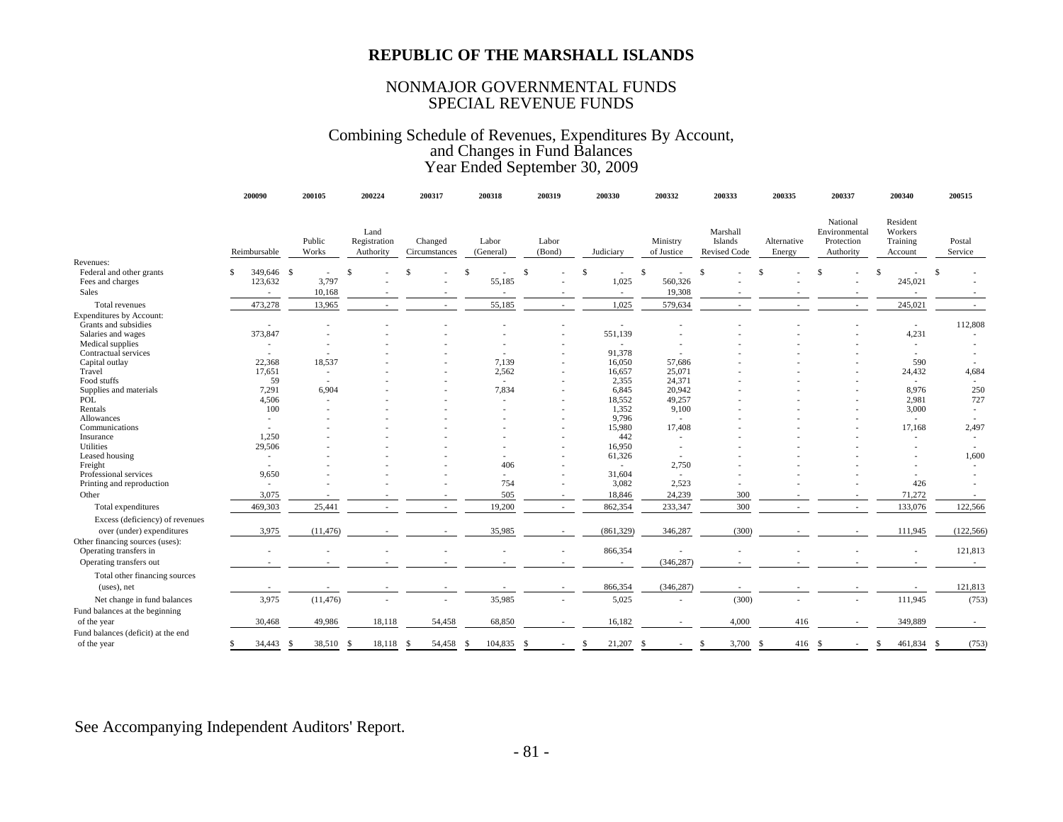## NONMAJOR GOVERNMENTAL FUNDS SPECIAL REVENUE FUNDS

## Year Ended September 30, 2009 and Changes in Fund Balances Combining Schedule of Revenues, Expenditures By Account,

|                                    | 200090                   | 200105          | 200224                            | 200317                   | 200318                   | 200319                   | 200330             | 200332                 | 200333                                     | 200335                | 200337                                               | 200340                                     | 200515             |
|------------------------------------|--------------------------|-----------------|-----------------------------------|--------------------------|--------------------------|--------------------------|--------------------|------------------------|--------------------------------------------|-----------------------|------------------------------------------------------|--------------------------------------------|--------------------|
|                                    | Reimbursable             | Public<br>Works | Land<br>Registration<br>Authority | Changed<br>Circumstances | Labor<br>(General)       | Labor<br>(Bond)          | Judiciary          | Ministry<br>of Justice | Marshall<br>Islands<br><b>Revised Code</b> | Alternative<br>Energy | National<br>Environmental<br>Protection<br>Authority | Resident<br>Workers<br>Training<br>Account | Postal<br>Service  |
| Revenues:                          |                          |                 |                                   |                          |                          |                          |                    |                        |                                            |                       |                                                      |                                            |                    |
| Federal and other grants           | 349,646 \$<br>S.         |                 | -S                                |                          |                          | \$                       | $\mathbf{\hat{S}}$ | $\mathbf{\hat{s}}$     |                                            | £.                    |                                                      | \$                                         | $\mathbf{\hat{s}}$ |
| Fees and charges                   | 123,632                  | 3,797           |                                   | $\overline{\phantom{a}}$ | 55,185                   |                          | 1,025              | 560,326                |                                            |                       | ä,                                                   | 245,021                                    |                    |
| <b>Sales</b>                       | $\sim$                   | 10,168          |                                   | ٠                        | $\overline{\phantom{a}}$ | $\overline{\phantom{a}}$ | $\sim$             | 19,308                 |                                            |                       | ٠                                                    | $\overline{\phantom{a}}$                   |                    |
| Total revenues                     | 473,278                  | 13,965          |                                   | $\sim$                   | 55,185                   | $\sim$                   | 1,025              | 579,634                |                                            |                       | $\sim$                                               | 245,021                                    |                    |
| <b>Expenditures by Account:</b>    |                          |                 |                                   |                          |                          |                          |                    |                        |                                            |                       |                                                      |                                            |                    |
| Grants and subsidies               | $\overline{\phantom{a}}$ |                 |                                   |                          |                          |                          |                    |                        |                                            |                       |                                                      | $\overline{\phantom{a}}$                   | 112,808            |
| Salaries and wages                 | 373,847                  |                 |                                   |                          |                          |                          | 551,139            |                        |                                            |                       |                                                      | 4,231                                      |                    |
| Medical supplies                   | $\sim$                   |                 |                                   |                          |                          |                          |                    |                        |                                            |                       |                                                      | $\blacksquare$                             |                    |
| Contractual services               | $\sim$                   |                 |                                   |                          |                          |                          | 91,378             |                        |                                            |                       |                                                      | $\overline{\phantom{a}}$                   |                    |
| Capital outlay<br>Travel           | 22,368<br>17,651         | 18,537          |                                   |                          | 7,139<br>2,562           |                          | 16,050             | 57,686<br>25,071       |                                            |                       |                                                      | 590                                        | 4,684              |
| Food stuffs                        | 59                       |                 |                                   |                          | $\overline{\phantom{a}}$ |                          | 16,657<br>2,355    | 24,371                 |                                            |                       |                                                      | 24,432<br>$\sim$                           |                    |
| Supplies and materials             | 7,291                    | 6,904           |                                   |                          | 7,834                    |                          | 6,845              | 20,942                 |                                            |                       |                                                      | 8,976                                      | 250                |
| <b>POL</b>                         | 4,506                    |                 |                                   |                          |                          |                          | 18,552             | 49,257                 |                                            |                       |                                                      | 2,981                                      | 727                |
| Rentals                            | 100                      |                 |                                   |                          |                          |                          | 1,352              | 9,100                  |                                            |                       |                                                      | 3,000                                      |                    |
| Allowances                         | $\sim$                   |                 |                                   |                          |                          |                          | 9,796              |                        |                                            |                       |                                                      |                                            |                    |
| Communications                     | $\sim$                   |                 |                                   |                          |                          |                          | 15,980             | 17,408                 |                                            |                       |                                                      | 17,168                                     | 2,497              |
| Insurance                          | 1,250                    |                 |                                   |                          |                          |                          | 442                |                        |                                            |                       |                                                      |                                            |                    |
| Utilities                          | 29,506                   |                 |                                   |                          |                          |                          | 16,950             |                        |                                            |                       |                                                      |                                            |                    |
| Leased housing                     | $\sim$                   |                 |                                   |                          |                          |                          | 61,326             |                        |                                            |                       |                                                      |                                            | 1,600              |
| Freight                            | $\sim$                   |                 |                                   |                          | 406                      |                          | $\sim$             | 2,750                  |                                            |                       |                                                      |                                            |                    |
| Professional services              | 9,650                    |                 |                                   |                          | $\overline{\phantom{a}}$ |                          | 31,604             |                        |                                            |                       |                                                      |                                            |                    |
| Printing and reproduction          | $\sim$                   |                 |                                   |                          | 754                      |                          | 3,082              | 2,523                  |                                            |                       |                                                      | 426                                        |                    |
| Other                              | 3,075                    |                 |                                   | ٠                        | 505                      |                          | 18,846             | 24,239                 | 300                                        |                       |                                                      | 71,272                                     |                    |
| Total expenditures                 | 469,303                  | 25,441          |                                   | ٠                        | 19,200                   | $\sim$                   | 862,354            | 233,347                | 300                                        |                       | $\sim$                                               | 133,076                                    | 122,566            |
| Excess (deficiency) of revenues    |                          |                 |                                   |                          |                          |                          |                    |                        |                                            |                       |                                                      |                                            |                    |
| over (under) expenditures          | 3,975                    | (11, 476)       |                                   |                          | 35,985                   |                          | (861, 329)         | 346,287                | (300)                                      |                       |                                                      | 111,945                                    | (122, 566)         |
| Other financing sources (uses):    |                          |                 |                                   |                          |                          |                          |                    |                        |                                            |                       |                                                      |                                            |                    |
| Operating transfers in             |                          |                 |                                   |                          |                          |                          | 866,354            |                        |                                            |                       |                                                      |                                            | 121,813            |
| Operating transfers out            |                          |                 |                                   |                          |                          |                          | $\sim$             | (346, 287)             |                                            |                       |                                                      |                                            |                    |
| Total other financing sources      |                          |                 |                                   |                          |                          |                          |                    |                        |                                            |                       |                                                      |                                            |                    |
| (uses), net                        |                          |                 |                                   |                          |                          |                          | 866,354            | (346, 287)             |                                            |                       |                                                      |                                            | 121,813            |
| Net change in fund balances        | 3,975                    | (11, 476)       |                                   | ÷,                       | 35,985                   |                          | 5,025              |                        | (300)                                      |                       | $\overline{\phantom{a}}$                             | 111,945                                    | (753)              |
| Fund balances at the beginning     |                          |                 |                                   |                          |                          |                          |                    |                        |                                            |                       |                                                      |                                            |                    |
| of the year                        | 30,468                   | 49,986          | 18,118                            | 54,458                   | 68,850                   | $\sim$                   | 16,182             |                        | 4,000                                      | 416                   | ٠                                                    | 349,889                                    | $\sim$             |
| Fund balances (deficit) at the end |                          |                 |                                   |                          |                          |                          |                    |                        |                                            |                       |                                                      |                                            |                    |
| of the year                        | s.<br>34.443 \$          | 38,510 \$       | 18,118                            | 54,458<br>- \$           | 104,835 \$<br>- \$       |                          | 21,207<br>\$       | - \$                   | 3,700S<br>-S                               | 416S                  |                                                      | 461,834 \$<br>-S                           | (753)              |
|                                    |                          |                 |                                   |                          |                          |                          |                    |                        |                                            |                       |                                                      |                                            |                    |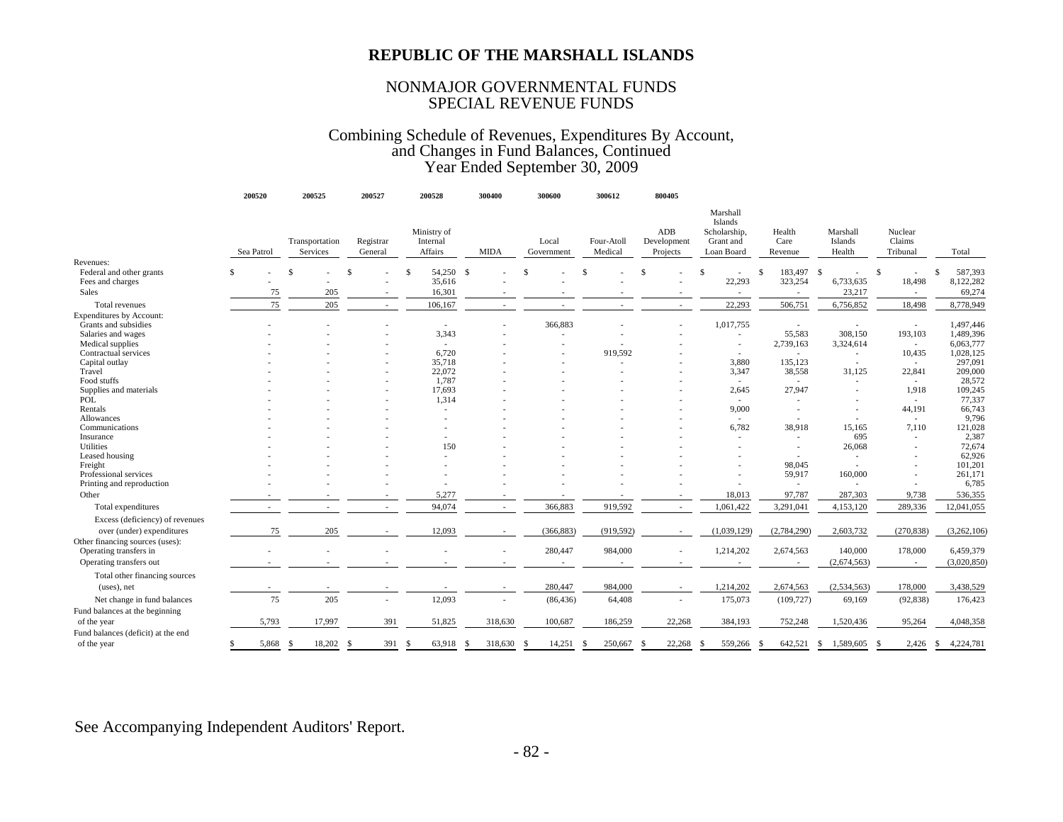## SPECIAL REVENUE FUNDS NONMAJOR GOVERNMENTAL FUNDS

## Year Ended September 30, 2009 and Changes in Fund Balances, Continued Combining Schedule of Revenues, Expenditures By Account,

|                                                                               |    | 200520     | 200525                     |      | 200527               | 200528                             |    | 300400      | 300600              |    | 300612                | 800405                         |      |                                                                |      |                           |                                     |    |                               |                        |                    |
|-------------------------------------------------------------------------------|----|------------|----------------------------|------|----------------------|------------------------------------|----|-------------|---------------------|----|-----------------------|--------------------------------|------|----------------------------------------------------------------|------|---------------------------|-------------------------------------|----|-------------------------------|------------------------|--------------------|
|                                                                               |    | Sea Patrol | Transportation<br>Services |      | Registrar<br>General | Ministry of<br>Internal<br>Affairs |    | <b>MIDA</b> | Local<br>Government |    | Four-Atoll<br>Medical | ADB<br>Development<br>Projects |      | Marshall<br>Islands<br>Scholarship,<br>Grant and<br>Loan Board |      | Health<br>Care<br>Revenue | Marshall<br>Islands<br>Health       |    | Nuclear<br>Claims<br>Tribunal | Total                  |                    |
| Revenues:                                                                     |    |            |                            |      | \$                   |                                    |    |             |                     |    |                       | $\mathcal{S}$                  |      |                                                                |      |                           |                                     |    |                               |                        |                    |
| Federal and other grants<br>Fees and charges                                  | S  |            | £.                         |      |                      | 54,250 \$<br>35,616                |    |             | <sup>\$</sup>       | \$ |                       |                                |      | $\overline{\phantom{a}}$<br>22,293                             | - \$ | 183,497 \$<br>323,254     | 6,733,635                           | -S | 18,498                        | \$.<br>8,122,282       | 587,393            |
|                                                                               |    |            |                            |      |                      |                                    |    |             |                     |    |                       |                                |      |                                                                |      |                           |                                     |    |                               |                        |                    |
| Sales                                                                         |    | 75         | 205                        |      |                      | 16,301                             |    |             |                     |    |                       |                                |      | $\sim$                                                         |      | $\overline{\phantom{a}}$  | 23,217                              |    | $\overline{\phantom{a}}$      |                        | 69,274             |
| Total revenues                                                                |    | 75         | 205                        |      |                      | 106,167                            |    |             |                     |    |                       |                                |      | 22,293                                                         |      | 506,751                   | 6,756,852                           |    | 18,498                        | 8,778,949              |                    |
| <b>Expenditures by Account:</b><br>Grants and subsidies<br>Salaries and wages |    |            |                            |      |                      | $\sim$<br>3,343                    |    |             | 366,883             |    |                       |                                |      | 1,017,755                                                      |      | ٠<br>55,583               | $\overline{\phantom{a}}$<br>308,150 |    | $\sim$<br>193,103             | 1,497,446<br>1,489,396 |                    |
| Medical supplies                                                              |    |            |                            |      |                      | $\sim$                             |    |             |                     |    |                       |                                |      | ٠<br>$\overline{\phantom{a}}$                                  |      | 2,739,163                 | 3,324,614                           |    | $\sim$                        | 6,063,777              |                    |
| Contractual services                                                          |    |            |                            |      |                      | 6,720                              |    |             |                     |    | 919,592               |                                |      |                                                                |      | $\overline{\phantom{a}}$  | $\overline{\phantom{a}}$            |    | 10,435                        | 1,028,125              |                    |
| Capital outlay                                                                |    |            |                            |      |                      | 35,718                             |    |             |                     |    |                       |                                |      | 3,880                                                          |      | 135,123                   | $\overline{\phantom{a}}$            |    | $\sim$                        |                        | 297,091            |
| Travel                                                                        |    |            |                            |      |                      | 22,072                             |    |             |                     |    |                       |                                |      | 3,347                                                          |      | 38,558                    | 31,125                              |    | 22,841                        |                        | 209,000            |
| Food stuffs                                                                   |    |            |                            |      |                      | 1,787                              |    |             |                     |    |                       |                                |      |                                                                |      | $\overline{\phantom{a}}$  |                                     |    | $\overline{\phantom{a}}$      |                        | 28,572             |
| Supplies and materials                                                        |    |            |                            |      |                      | 17,693                             |    |             |                     |    |                       |                                |      | 2,645                                                          |      | 27,947                    | $\overline{\phantom{a}}$            |    | 1,918                         |                        | 109,245            |
| POL                                                                           |    |            |                            |      |                      | 1,314                              |    |             |                     |    |                       |                                |      | $\sim$                                                         |      |                           |                                     |    | $\sim$                        |                        | 77,337             |
| Rentals                                                                       |    |            |                            |      |                      | ٠                                  |    |             |                     |    |                       |                                |      | 9,000                                                          |      | ٠                         | $\overline{\phantom{a}}$            |    | 44,191                        |                        | 66,743             |
| Allowances                                                                    |    |            |                            |      |                      |                                    |    |             |                     |    |                       |                                |      | $\sim$                                                         |      | $\overline{\phantom{a}}$  | $\overline{a}$                      |    | $\sim$                        |                        | 9,796              |
| Communications                                                                |    |            |                            |      |                      |                                    |    |             |                     |    |                       |                                |      | 6,782                                                          |      | 38,918                    | 15,165                              |    | 7,110                         |                        | 121,028            |
| Insurance                                                                     |    |            |                            |      |                      |                                    |    |             |                     |    |                       |                                |      |                                                                |      |                           | 695                                 |    |                               |                        | 2,387              |
| Utilities                                                                     |    |            |                            |      |                      | 150                                |    |             |                     |    |                       |                                |      |                                                                |      | $\overline{\phantom{a}}$  | 26,068                              |    |                               |                        | 72,674             |
| Leased housing                                                                |    |            |                            |      |                      |                                    |    |             |                     |    |                       |                                |      |                                                                |      |                           |                                     |    |                               |                        | 62,926             |
| Freight<br>Professional services                                              |    |            |                            |      |                      |                                    |    |             |                     |    |                       |                                |      |                                                                |      | 98,045<br>59,917          | 160,000                             |    |                               |                        | 101,201<br>261,171 |
| Printing and reproduction                                                     |    |            |                            |      |                      |                                    |    |             |                     |    |                       |                                |      |                                                                |      | $\sim$                    |                                     |    | $\overline{\phantom{a}}$      |                        | 6,785              |
| Other                                                                         |    |            |                            |      |                      | 5,277                              |    |             |                     |    |                       |                                |      | 18,013                                                         |      | 97,787                    | 287,303                             |    | 9,738                         |                        | 536,355            |
|                                                                               |    |            |                            |      |                      |                                    |    |             |                     |    |                       |                                |      |                                                                |      |                           |                                     |    |                               |                        |                    |
| Total expenditures                                                            |    |            |                            |      |                      | 94,074                             |    |             | 366,883             |    | 919,592               |                                |      | 1,061,422                                                      |      | 3,291,041                 | 4,153,120                           |    | 289,336                       | 12,041,055             |                    |
| Excess (deficiency) of revenues                                               |    |            |                            |      |                      |                                    |    |             |                     |    |                       |                                |      |                                                                |      |                           |                                     |    |                               |                        |                    |
| over (under) expenditures                                                     |    | 75         | 205                        |      |                      | 12,093                             |    |             | (366, 883)          |    | (919, 592)            |                                |      | (1,039,129)                                                    |      | (2,784,290)               | 2,603,732                           |    | (270, 838)                    | (3,262,106)            |                    |
| Other financing sources (uses):<br>Operating transfers in                     |    |            |                            |      |                      |                                    |    |             | 280,447             |    | 984,000               |                                |      | 1,214,202                                                      |      | 2,674,563                 | 140,000                             |    | 178,000                       | 6,459,379              |                    |
| Operating transfers out                                                       |    |            |                            |      |                      |                                    |    |             |                     |    |                       |                                |      |                                                                |      | $\overline{\phantom{a}}$  | (2,674,563)                         |    | $\overline{\phantom{a}}$      | (3,020,850)            |                    |
| Total other financing sources                                                 |    |            |                            |      |                      |                                    |    |             |                     |    |                       |                                |      |                                                                |      |                           |                                     |    |                               |                        |                    |
|                                                                               |    |            |                            |      |                      |                                    |    |             | 280,447             |    | 984,000               |                                |      | 1,214,202                                                      |      | 2,674,563                 | (2,534,563)                         |    | 178,000                       | 3,438,529              |                    |
| (uses), net                                                                   |    |            |                            |      |                      |                                    |    |             |                     |    |                       |                                |      |                                                                |      |                           |                                     |    |                               |                        |                    |
| Net change in fund balances                                                   |    | 75         | 205                        |      |                      | 12,093                             |    |             | (86, 436)           |    | 64,408                |                                |      | 175,073                                                        |      | (109, 727)                | 69,169                              |    | (92, 838)                     |                        | 176,423            |
| Fund balances at the beginning                                                |    |            |                            |      |                      |                                    |    |             |                     |    |                       |                                |      |                                                                |      |                           |                                     |    |                               |                        |                    |
| of the year                                                                   |    | 5,793      | 17,997                     |      | 391                  | 51,825                             |    | 318,630     | 100,687             |    | 186,259               | 22,268                         |      | 384,193                                                        |      | 752,248                   | 1,520,436                           |    | 95,264                        | 4,048,358              |                    |
| Fund balances (deficit) at the end                                            |    |            |                            |      |                      |                                    |    |             |                     |    |                       |                                |      |                                                                |      |                           |                                     |    |                               |                        |                    |
| of the year                                                                   | s. | 5,868      | 18,202<br>- \$             | - \$ | 391                  | 63,918<br>- \$                     | -S | 318,630 \$  | 14,251              | -S | 250,667               | $\mathbf{\hat{S}}$<br>22,268   | - \$ | 559,266                                                        | - \$ | 642.521                   | <sup>\$</sup><br>1,589,605 \$       |    | 2,426                         | - \$<br>4,224,781      |                    |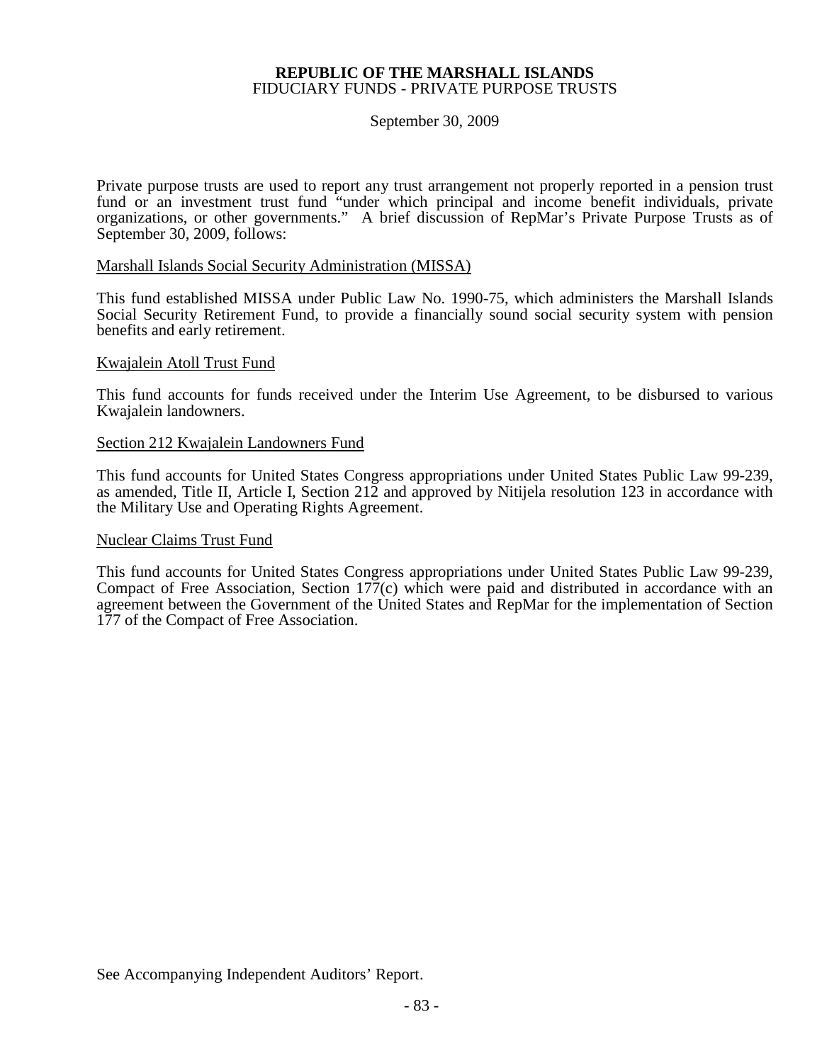## **REPUBLIC OF THE MARSHALL ISLANDS** FIDUCIARY FUNDS - PRIVATE PURPOSE TRUSTS

September 30, 2009

Private purpose trusts are used to report any trust arrangement not properly reported in a pension trust fund or an investment trust fund "under which principal and income benefit individuals, private organizations, or other governments." A brief discussion of RepMar's Private Purpose Trusts as of September 30, 2009, follows:

## Marshall Islands Social Security Administration (MISSA)

This fund established MISSA under Public Law No. 1990-75, which administers the Marshall Islands Social Security Retirement Fund, to provide a financially sound social security system with pension benefits and early retirement.

## Kwajalein Atoll Trust Fund

This fund accounts for funds received under the Interim Use Agreement, to be disbursed to various Kwajalein landowners.

## Section 212 Kwajalein Landowners Fund

This fund accounts for United States Congress appropriations under United States Public Law 99-239, as amended, Title II, Article I, Section 212 and approved by Nitijela resolution 123 in accordance with the Military Use and Operating Rights Agreement.

#### Nuclear Claims Trust Fund

This fund accounts for United States Congress appropriations under United States Public Law 99-239, Compact of Free Association, Section 177(c) which were paid and distributed in accordance with an agreement between the Government of the United States and RepMar for the implementation of Section 177 of the Compact of Free Association.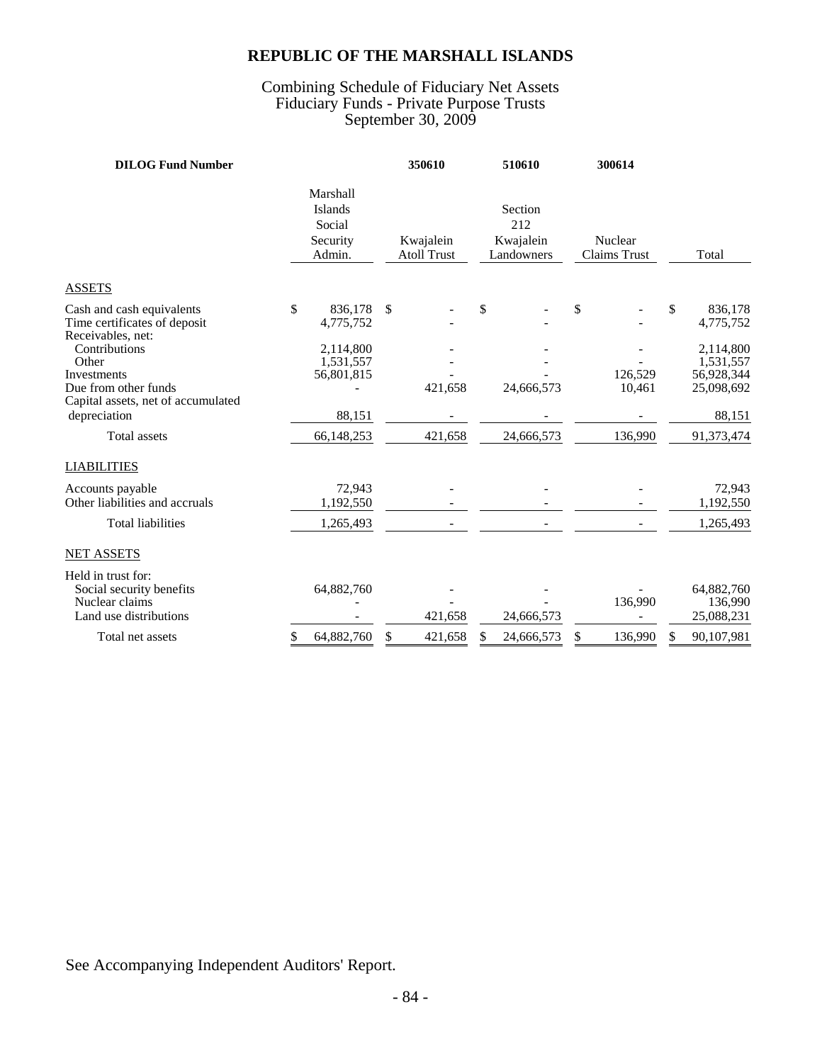## Combining Schedule of Fiduciary Net Assets September 30, 2009 Fiduciary Funds - Private Purpose Trusts

| <b>DILOG Fund Number</b>                                                                   |                                                     | 350610                          |    | 510610                                    | 300614                  |    |                                      |
|--------------------------------------------------------------------------------------------|-----------------------------------------------------|---------------------------------|----|-------------------------------------------|-------------------------|----|--------------------------------------|
|                                                                                            | Marshall<br>Islands<br>Social<br>Security<br>Admin. | Kwajalein<br><b>Atoll Trust</b> |    | Section<br>212<br>Kwajalein<br>Landowners | Nuclear<br>Claims Trust |    | Total                                |
| <b>ASSETS</b>                                                                              |                                                     |                                 |    |                                           |                         |    |                                      |
| Cash and cash equivalents<br>Time certificates of deposit<br>Receivables, net:             | \$<br>836,178<br>4,775,752                          | \$                              | \$ |                                           | \$                      | \$ | 836,178<br>4,775,752                 |
| Contributions<br>Other<br>Investments                                                      | 2,114,800<br>1,531,557<br>56,801,815                |                                 |    |                                           | 126.529                 |    | 2,114,800<br>1,531,557<br>56,928,344 |
| Due from other funds<br>Capital assets, net of accumulated                                 |                                                     | 421,658                         |    | 24,666,573                                | 10,461                  |    | 25,098,692                           |
| depreciation<br><b>Total</b> assets                                                        | 88,151<br>66,148,253                                | 421,658                         |    | 24,666,573                                | 136,990                 |    | 88,151<br>91,373,474                 |
| <b>LIABILITIES</b>                                                                         |                                                     |                                 |    |                                           |                         |    |                                      |
| Accounts payable<br>Other liabilities and accruals                                         | 72,943<br>1,192,550                                 |                                 |    |                                           |                         |    | 72,943<br>1,192,550                  |
| <b>Total liabilities</b>                                                                   | 1,265,493                                           |                                 |    |                                           |                         |    | 1,265,493                            |
| <b>NET ASSETS</b>                                                                          |                                                     |                                 |    |                                           |                         |    |                                      |
| Held in trust for:<br>Social security benefits<br>Nuclear claims<br>Land use distributions | 64,882,760                                          | 421,658                         |    | 24,666,573                                | 136,990                 |    | 64,882,760<br>136,990<br>25,088,231  |
| Total net assets                                                                           | \$<br>64,882,760                                    | \$<br>421,658                   | S  | 24,666,573                                | \$<br>136,990           | S  | 90,107,981                           |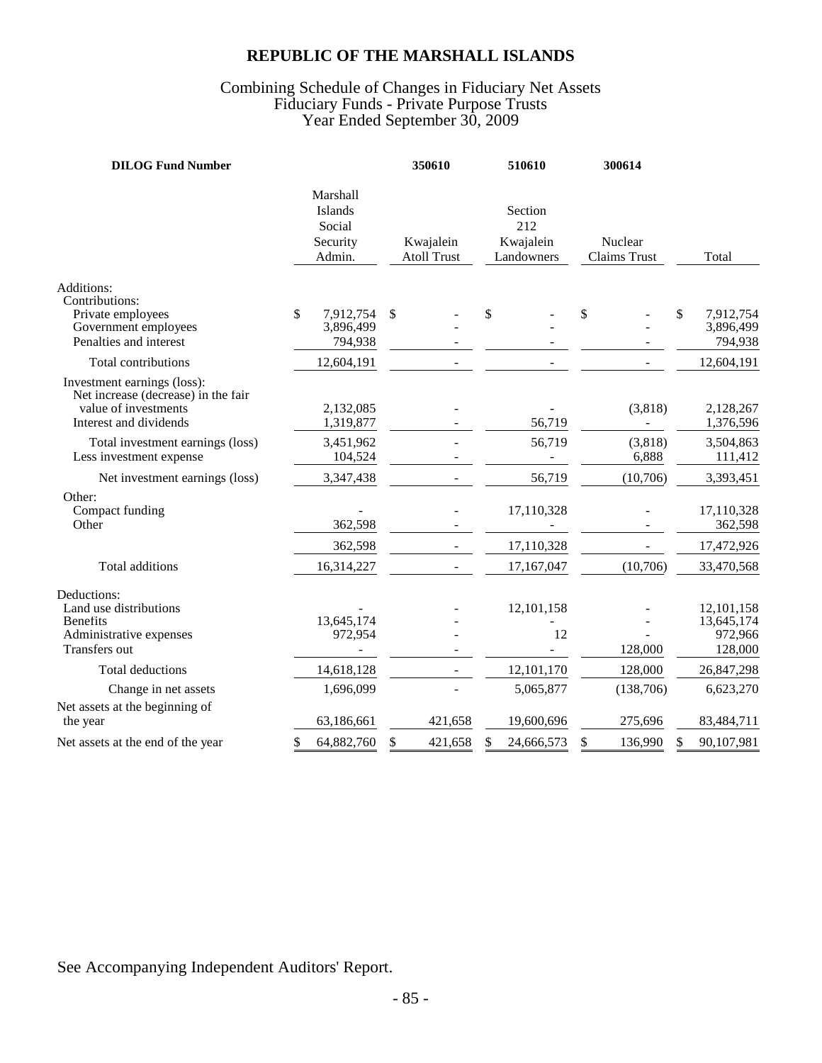## Combining Schedule of Changes in Fiduciary Net Assets Fiduciary Funds - Private Purpose Trusts Year Ended September 30, 2009

| <b>DILOG Fund Number</b>                                                                                                                                 |                                                     | 350610                          | 510610                                    | 300614                         |                                                |
|----------------------------------------------------------------------------------------------------------------------------------------------------------|-----------------------------------------------------|---------------------------------|-------------------------------------------|--------------------------------|------------------------------------------------|
|                                                                                                                                                          | Marshall<br>Islands<br>Social<br>Security<br>Admin. | Kwajalein<br><b>Atoll Trust</b> | Section<br>212<br>Kwajalein<br>Landowners | Nuclear<br><b>Claims Trust</b> | Total                                          |
| Additions:<br>Contributions:<br>Private employees<br>Government employees<br>Penalties and interest                                                      | \$<br>7,912,754<br>3,896,499<br>794,938             | \$                              | \$                                        | \$                             | \$<br>7,912,754<br>3,896,499<br>794,938        |
| Total contributions                                                                                                                                      | 12,604,191                                          |                                 |                                           |                                | 12,604,191                                     |
| Investment earnings (loss):<br>Net increase (decrease) in the fair<br>value of investments<br>Interest and dividends<br>Total investment earnings (loss) | 2,132,085<br>1,319,877<br>3,451,962                 |                                 | 56,719<br>56,719                          | (3,818)<br>(3,818)             | 2,128,267<br>1,376,596<br>3,504,863            |
| Less investment expense                                                                                                                                  | 104,524                                             |                                 |                                           | 6,888                          | 111,412                                        |
| Net investment earnings (loss)                                                                                                                           | 3,347,438                                           |                                 | 56,719                                    | (10,706)                       | 3,393,451                                      |
| Other:<br>Compact funding<br>Other                                                                                                                       | 362,598                                             |                                 | 17,110,328                                |                                | 17,110,328<br>362,598                          |
|                                                                                                                                                          | 362,598                                             |                                 | 17,110,328                                |                                | 17,472,926                                     |
| Total additions                                                                                                                                          | 16,314,227                                          |                                 | 17,167,047                                | (10,706)                       | 33,470,568                                     |
| Deductions:<br>Land use distributions<br><b>Benefits</b><br>Administrative expenses<br>Transfers out                                                     | 13,645,174<br>972,954                               |                                 | 12,101,158<br>12                          | 128,000                        | 12,101,158<br>13,645,174<br>972,966<br>128,000 |
| Total deductions                                                                                                                                         | 14,618,128                                          | $\overline{\phantom{a}}$        | 12,101,170                                | 128,000                        | 26,847,298                                     |
| Change in net assets<br>Net assets at the beginning of                                                                                                   | 1,696,099                                           |                                 | 5,065,877                                 | (138,706)                      | 6,623,270                                      |
| the year                                                                                                                                                 | 63,186,661                                          | 421,658                         | 19,600,696                                | 275,696                        | 83,484,711                                     |
| Net assets at the end of the year                                                                                                                        | 64,882,760<br>\$                                    | \$<br>421,658                   | \$<br>24,666,573                          | \$<br>136,990                  | 90,107,981<br>\$                               |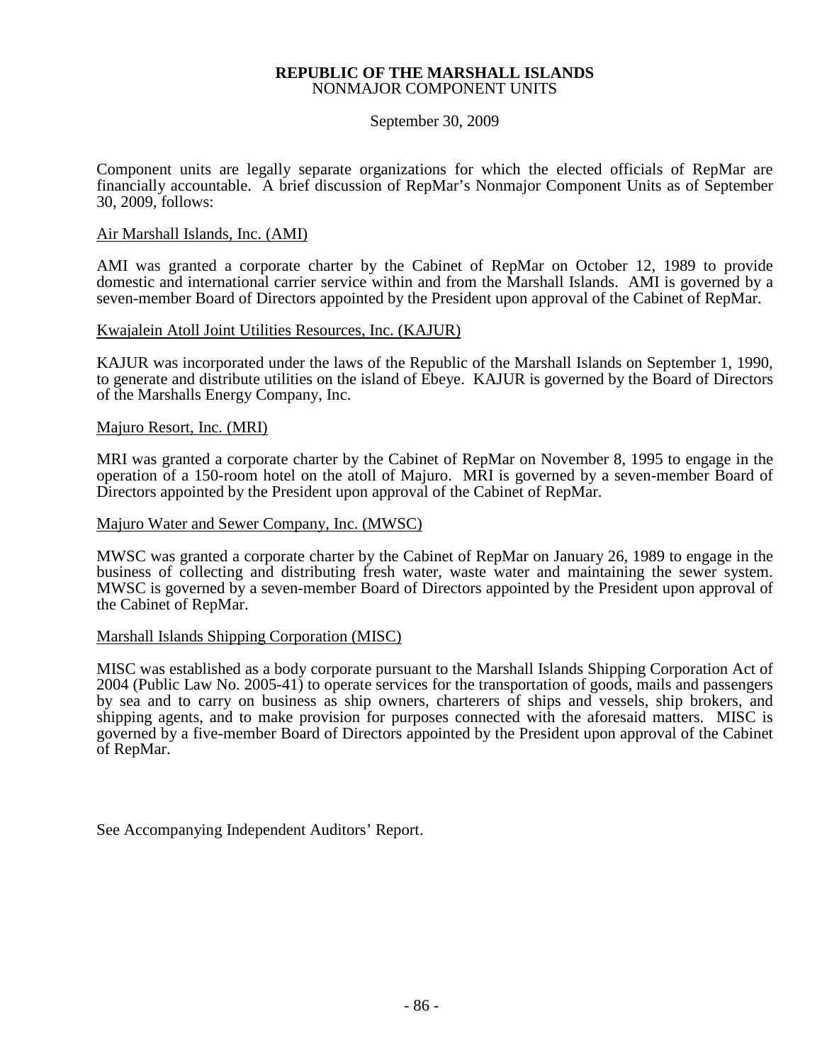## **REPUBLIC OF THE MARSHALL ISLANDS** NONMAJOR COMPONENT UNITS

September 30, 2009

Component units are legally separate organizations for which the elected officials of RepMar are financially accountable. A brief discussion of RepMar's Nonmajor Component Units as of September 30, 2009, follows:

## Air Marshall Islands, Inc. (AMI)

AMI was granted a corporate charter by the Cabinet of RepMar on October 12, 1989 to provide domestic and international carrier service within and from the Marshall Islands. AMI is governed by a seven-member Board of Directors appointed by the President upon approval of the Cabinet of RepMar.

## Kwajalein Atoll Joint Utilities Resources, Inc. (KAJUR)

KAJUR was incorporated under the laws of the Republic of the Marshall Islands on September 1, 1990, to generate and distribute utilities on the island of Ebeye. KAJUR is governed by the Board of Directors of the Marshalls Energy Company, Inc.

## Majuro Resort, Inc. (MRI)

MRI was granted a corporate charter by the Cabinet of RepMar on November 8, 1995 to engage in the operation of a 150-room hotel on the atoll of Majuro. MRI is governed by a seven-member Board of Directors appointed by the President upon approval of the Cabinet of RepMar.

## Majuro Water and Sewer Company, Inc. (MWSC)

MWSC was granted a corporate charter by the Cabinet of RepMar on January 26, 1989 to engage in the business of collecting and distributing fresh water, waste water and maintaining the sewer system. MWSC is governed by a seven-member Board of Directors appointed by the President upon approval of the Cabinet of RepMar.

## Marshall Islands Shipping Corporation (MISC)

MISC was established as a body corporate pursuant to the Marshall Islands Shipping Corporation Act of 2004 (Public Law No. 2005-41) to operate services for the transportation of goods, mails and passengers by sea and to carry on business as ship owners, charterers of ships and vessels, ship brokers, and shipping agents, and to make provision for purposes connected with the aforesaid matters. MISC is governed by a five-member Board of Directors appointed by the President upon approval of the Cabinet of RepMar.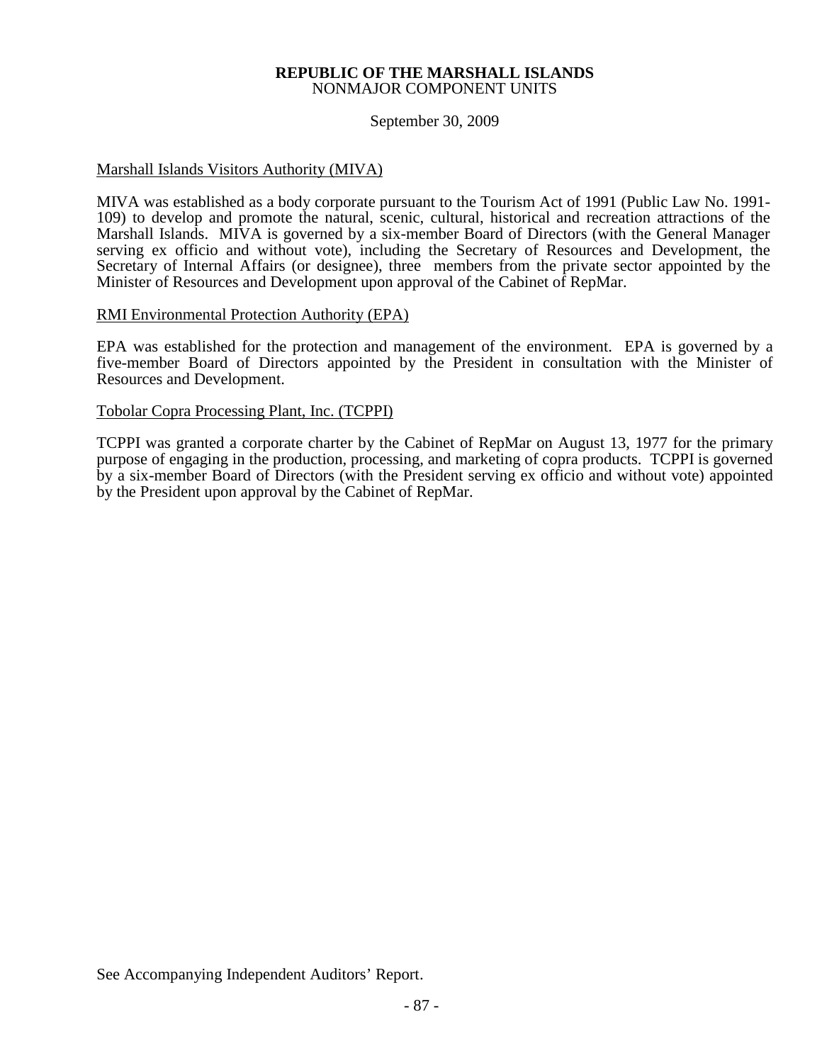## **REPUBLIC OF THE MARSHALL ISLANDS** NONMAJOR COMPONENT UNITS

September 30, 2009

## Marshall Islands Visitors Authority (MIVA)

MIVA was established as a body corporate pursuant to the Tourism Act of 1991 (Public Law No. 1991- 109) to develop and promote the natural, scenic, cultural, historical and recreation attractions of the Marshall Islands. MIVA is governed by a six-member Board of Directors (with the General Manager serving ex officio and without vote), including the Secretary of Resources and Development, the Secretary of Internal Affairs (or designee), three members from the private sector appointed by the Minister of Resources and Development upon approval of the Cabinet of RepMar.

## RMI Environmental Protection Authority (EPA)

EPA was established for the protection and management of the environment. EPA is governed by a five-member Board of Directors appointed by the President in consultation with the Minister of Resources and Development.

## Tobolar Copra Processing Plant, Inc. (TCPPI)

TCPPI was granted a corporate charter by the Cabinet of RepMar on August 13, 1977 for the primary purpose of engaging in the production, processing, and marketing of copra products. TCPPI is governed by a six-member Board of Directors (with the President serving ex officio and without vote) appointed by the President upon approval by the Cabinet of RepMar.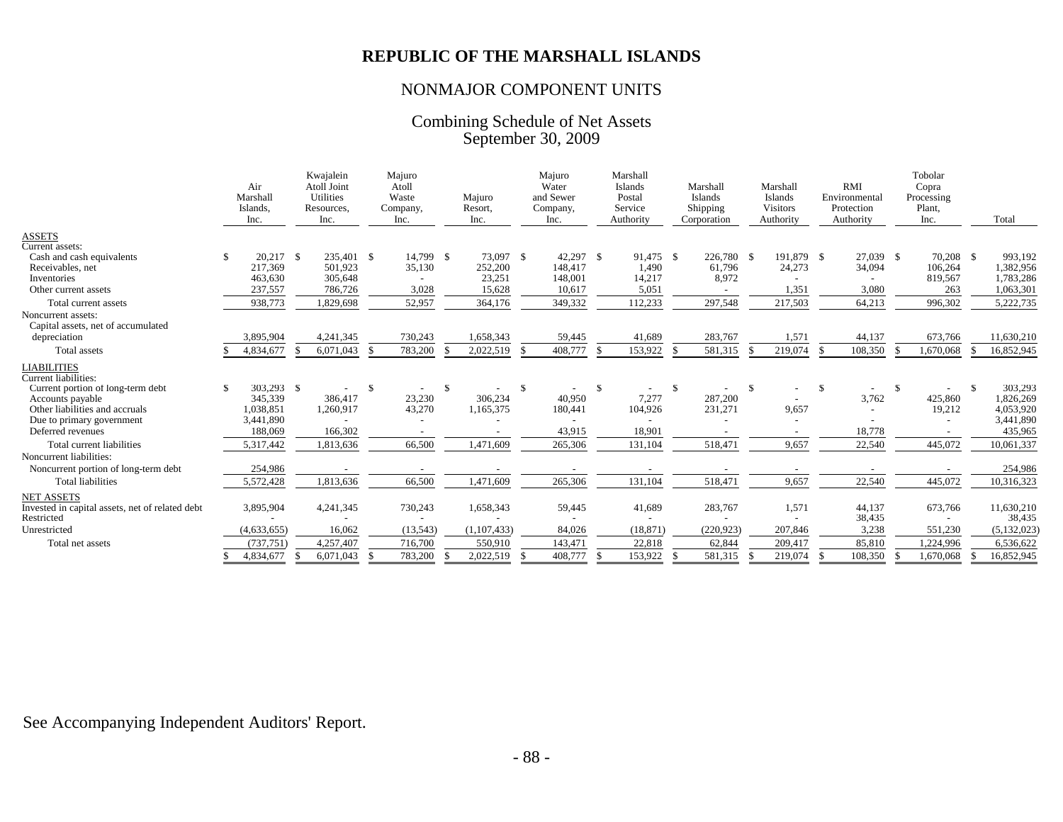# NONMAJOR COMPONENT UNITS

## Combining Schedule of Net Assets September 30, 2009

|                                                 |     | Air<br>Marshall<br>Islands,<br>Inc. |    | Kwajalein<br>Atoll Joint<br><b>Utilities</b><br>Resources,<br>Inc. |      | Majuro<br>Atoll<br>Waste<br>Company,<br>Inc. |              | Majuro<br>Resort,<br>Inc. |              | Majuro<br>Water<br>and Sewer<br>Company,<br>Inc. |    | Marshall<br>Islands<br>Postal<br>Service<br>Authority |    | Marshall<br>Islands<br>Shipping<br>Corporation |              | Marshall<br>Islands<br><b>Visitors</b><br>Authority |     | <b>RMI</b><br>Environmental<br>Protection<br>Authority |               | Tobolar<br>Copra<br>Processing<br>Plant,<br>Inc. |    | Total       |
|-------------------------------------------------|-----|-------------------------------------|----|--------------------------------------------------------------------|------|----------------------------------------------|--------------|---------------------------|--------------|--------------------------------------------------|----|-------------------------------------------------------|----|------------------------------------------------|--------------|-----------------------------------------------------|-----|--------------------------------------------------------|---------------|--------------------------------------------------|----|-------------|
| <b>ASSETS</b>                                   |     |                                     |    |                                                                    |      |                                              |              |                           |              |                                                  |    |                                                       |    |                                                |              |                                                     |     |                                                        |               |                                                  |    |             |
| Current assets:                                 |     |                                     |    |                                                                    |      |                                              |              |                           |              |                                                  |    |                                                       |    |                                                |              |                                                     |     |                                                        |               |                                                  |    |             |
| Cash and cash equivalents                       | \$. | 20.217S                             |    | 235,401 \$                                                         |      | 14,799 \$                                    |              | 73,097 \$                 |              | 42,297 \$                                        |    | 91,475 \$                                             |    | 226,780 \$                                     |              | 191,879 \$                                          |     | 27,039 \$                                              |               | 70.208 \$                                        |    | 993,192     |
| Receivables, net                                |     | 217,369                             |    | 501,923                                                            |      | 35,130                                       |              | 252,200                   |              | 148,417                                          |    | 1,490                                                 |    | 61,796                                         |              | 24,273                                              |     | 34,094                                                 |               | 106,264                                          |    | 1,382,956   |
| Inventories                                     |     | 463,630                             |    | 305,648                                                            |      |                                              |              | 23,251                    |              | 148,001                                          |    | 14,217                                                |    | 8,972                                          |              |                                                     |     |                                                        |               | 819,567                                          |    | 1,783,286   |
| Other current assets                            |     | 237,557                             |    | 786,726                                                            |      | 3,028                                        |              | 15,628                    |              | 10,617                                           |    | 5,051                                                 |    |                                                |              | 1,351                                               |     | 3,080                                                  |               | 263                                              |    | 1,063,301   |
| Total current assets                            |     | 938,773                             |    | 1,829,698                                                          |      | 52,957                                       |              | 364,176                   |              | 349,332                                          |    | 112,233                                               |    | 297,548                                        |              | 217,503                                             |     | 64,213                                                 |               | 996,302                                          |    | 5,222,735   |
| Noncurrent assets:                              |     |                                     |    |                                                                    |      |                                              |              |                           |              |                                                  |    |                                                       |    |                                                |              |                                                     |     |                                                        |               |                                                  |    |             |
| Capital assets, net of accumulated              |     |                                     |    |                                                                    |      |                                              |              |                           |              |                                                  |    |                                                       |    |                                                |              |                                                     |     |                                                        |               |                                                  |    |             |
| depreciation                                    |     | 3,895,904                           |    | 4,241,345                                                          |      | 730,243                                      |              | 1,658,343                 |              | 59,445                                           |    | 41,689                                                |    | 283,767                                        |              | 1,571                                               |     | 44,137                                                 |               | 673,766                                          |    | 11,630,210  |
| Total assets                                    |     | 4,834,677                           |    | 6,071,043                                                          | - \$ | 783,200                                      | -\$          | 2,022,519                 | \$           | 408,777                                          | -S | 153,922                                               |    | 581,315                                        |              | 219,074                                             | -\$ | 108,350                                                |               | 1,670,068                                        |    | 16,852,945  |
| <b>LIABILITIES</b>                              |     |                                     |    |                                                                    |      |                                              |              |                           |              |                                                  |    |                                                       |    |                                                |              |                                                     |     |                                                        |               |                                                  |    |             |
| Current liabilities:                            |     |                                     |    |                                                                    |      |                                              |              |                           |              |                                                  |    |                                                       |    |                                                |              |                                                     |     |                                                        |               |                                                  |    |             |
| Current portion of long-term debt               | \$. | 303,293 \$                          |    |                                                                    | -S   |                                              | <sup>S</sup> | $\sim$                    | <sup>S</sup> |                                                  | -S | $\sim$                                                | -S | $\sim$                                         | <sup>S</sup> |                                                     | -S  |                                                        | <sup>\$</sup> | $\overline{\phantom{a}}$                         | -S | 303,293     |
| Accounts payable                                |     | 345,339                             |    | 386,417                                                            |      | 23,230                                       |              | 306,234                   |              | 40,950                                           |    | 7.277                                                 |    | 287,200                                        |              | $\sim$                                              |     | 3,762                                                  |               | 425,860                                          |    | 1,826,269   |
| Other liabilities and accruals                  |     | 1,038,851                           |    | 1,260,917                                                          |      | 43,270                                       |              | 1,165,375                 |              | 180,441                                          |    | 104,926                                               |    | 231,271                                        |              | 9,657                                               |     |                                                        |               | 19,212                                           |    | 4,053,920   |
| Due to primary government                       |     | 3,441,890                           |    |                                                                    |      |                                              |              |                           |              |                                                  |    |                                                       |    |                                                |              |                                                     |     |                                                        |               | $\overline{\phantom{a}}$                         |    | 3,441,890   |
| Deferred revenues                               |     | 188,069                             |    | 166,302                                                            |      |                                              |              |                           |              | 43,915                                           |    | 18,901                                                |    |                                                |              | $\overline{\phantom{a}}$                            |     | 18,778                                                 |               | $\overline{\phantom{a}}$                         |    | 435,965     |
| Total current liabilities                       |     | 5,317,442                           |    | 1,813,636                                                          |      | 66,500                                       |              | 1,471,609                 |              | 265,306                                          |    | 131,104                                               |    | 518,471                                        |              | 9,657                                               |     | 22,540                                                 |               | 445,072                                          |    | 10,061,337  |
| Noncurrent liabilities:                         |     |                                     |    |                                                                    |      |                                              |              |                           |              |                                                  |    |                                                       |    |                                                |              |                                                     |     |                                                        |               |                                                  |    |             |
| Noncurrent portion of long-term debt            |     | 254,986                             |    |                                                                    |      |                                              |              |                           |              |                                                  |    |                                                       |    |                                                |              |                                                     |     |                                                        |               | $\overline{\phantom{a}}$                         |    | 254,986     |
| <b>Total liabilities</b>                        |     | 5,572,428                           |    | 1,813,636                                                          |      | 66,500                                       |              | 1,471,609                 |              | 265,306                                          |    | 131,104                                               |    | 518,471                                        |              | 9,657                                               |     | 22,540                                                 |               | 445,072                                          |    | 10,316,323  |
| <b>NET ASSETS</b>                               |     |                                     |    |                                                                    |      |                                              |              |                           |              |                                                  |    |                                                       |    |                                                |              |                                                     |     |                                                        |               |                                                  |    |             |
| Invested in capital assets, net of related debt |     | 3,895,904                           |    | 4,241,345                                                          |      | 730,243                                      |              | 1,658,343                 |              | 59,445                                           |    | 41,689                                                |    | 283,767                                        |              | 1,571                                               |     | 44,137                                                 |               | 673,766                                          |    | 11,630,210  |
| Restricted                                      |     |                                     |    |                                                                    |      | $\overline{\phantom{a}}$                     |              | $\sim$                    |              |                                                  |    |                                                       |    |                                                |              | $\sim$                                              |     | 38,435                                                 |               | $\overline{\phantom{a}}$                         |    | 38,435      |
| Unrestricted                                    |     | (4,633,655)                         |    | 16,062                                                             |      | (13,543)                                     |              | (1, 107, 433)             |              | 84,026                                           |    | (18, 871)                                             |    | (220, 923)                                     |              | 207,846                                             |     | 3,238                                                  |               | 551,230                                          |    | (5,132,023) |
| Total net assets                                |     | (737, 751)                          |    | 4,257,407                                                          |      | 716,700                                      |              | 550,910                   |              | 143,471                                          |    | 22,818                                                |    | 62,844                                         |              | 209,417                                             |     | 85,810                                                 |               | 1,224,996                                        |    | 6,536,622   |
|                                                 |     | 4,834,677                           | -S | 6,071,043                                                          | - \$ | 783,200                                      | -S           | 2,022,519                 | -S           | 408,777                                          |    | 153,922                                               |    | 581,315                                        |              | 219,074                                             |     | 108,350                                                | -S            | 1,670,068                                        |    | 16,852,945  |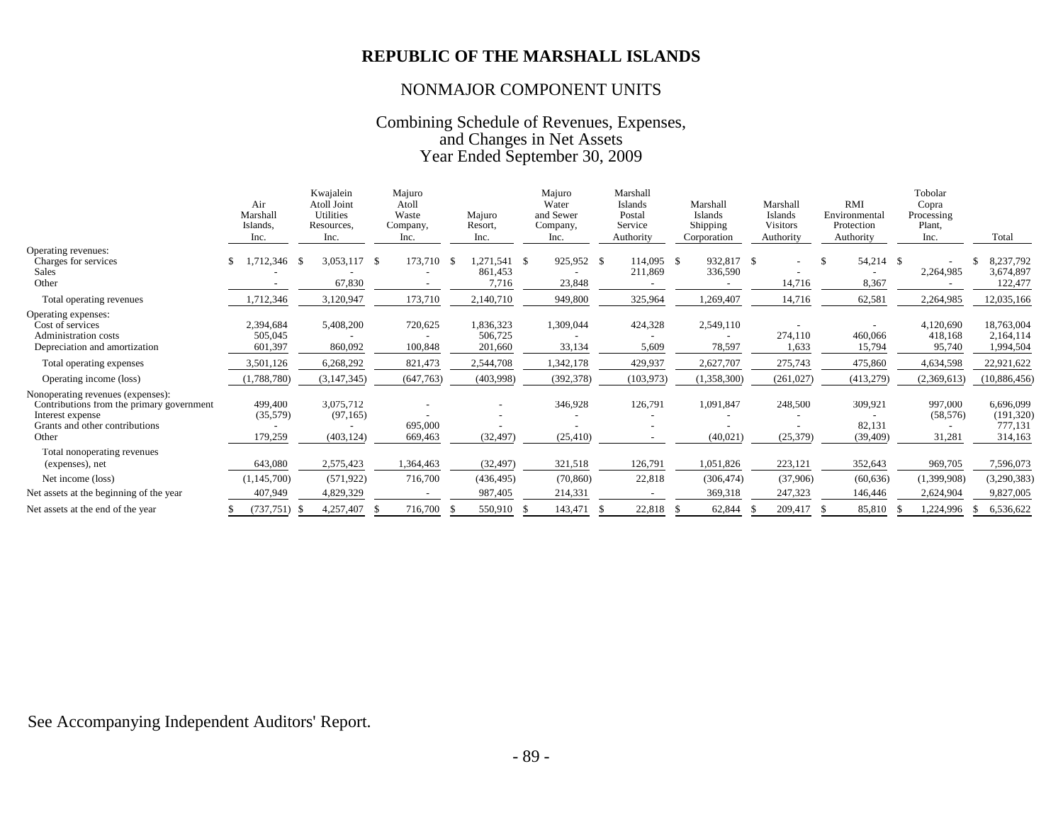# NONMAJOR COMPONENT UNITS

# Combining Schedule of Revenues, Expenses, and Changes in Net Assets Year Ended September 30, 2009

|                                                                                                                                               | Air<br>Marshall<br>Islands,<br>Inc. | Kwajalein<br>Atoll Joint<br><b>Utilities</b><br>Resources,<br>Inc. | Majuro<br>Atoll<br>Waste<br>Company,<br>Inc. | Majuro<br>Resort,<br>Inc.       | Majuro<br>Water<br>and Sewer<br>Company,<br>Inc. | Marshall<br>Islands<br>Postal<br>Service<br>Authority | Marshall<br>Islands<br>Shipping<br>Corporation | Marshall<br>Islands<br><b>Visitors</b><br>Authority | <b>RMI</b><br>Environmental<br>Protection<br>Authority | Tobolar<br>Copra<br>Processing<br>Plant,<br>Inc. | Total                                         |
|-----------------------------------------------------------------------------------------------------------------------------------------------|-------------------------------------|--------------------------------------------------------------------|----------------------------------------------|---------------------------------|--------------------------------------------------|-------------------------------------------------------|------------------------------------------------|-----------------------------------------------------|--------------------------------------------------------|--------------------------------------------------|-----------------------------------------------|
| Operating revenues:                                                                                                                           |                                     |                                                                    |                                              |                                 |                                                  |                                                       |                                                |                                                     |                                                        |                                                  |                                               |
| Charges for services                                                                                                                          | $1,712,346$ \$<br>\$                | 3,053,117 \$                                                       | 173,710 \$                                   | $1,271,541$ \$                  | 925,952 \$                                       | 114,095 \$                                            | 932,817 \$                                     | $\overline{\phantom{a}}$                            | 54,214 \$<br>$\mathcal{S}$                             |                                                  | 8,237,792                                     |
| <b>Sales</b>                                                                                                                                  |                                     |                                                                    |                                              | 861,453                         |                                                  | 211,869                                               | 336,590                                        |                                                     |                                                        | 2,264,985                                        | 3,674,897                                     |
| Other                                                                                                                                         |                                     | 67,830                                                             |                                              | 7,716                           | 23,848                                           |                                                       |                                                | 14,716                                              | 8,367                                                  |                                                  | 122,477                                       |
| Total operating revenues                                                                                                                      | ,712,346                            | 3,120,947                                                          | 173,710                                      | 2,140,710                       | 949,800                                          | 325,964                                               | 1,269,407                                      | 14,716                                              | 62,581                                                 | 2,264,985                                        | 12,035,166                                    |
| Operating expenses:<br>Cost of services<br><b>Administration costs</b><br>Depreciation and amortization                                       | 2,394,684<br>505,045<br>601,397     | 5,408,200<br>860,092                                               | 720,625<br>100,848                           | 1,836,323<br>506,725<br>201,660 | 1,309,044<br>33,134                              | 424,328<br>$\overline{\phantom{0}}$<br>5,609          | 2,549,110<br>78,597                            | 274,110<br>1,633                                    | 460,066<br>15,794                                      | 4,120,690<br>418,168<br>95,740                   | 18,763,004<br>2,164,114<br>1,994,504          |
| Total operating expenses                                                                                                                      | 3,501,126                           | 6,268,292                                                          | 821,473                                      | 2,544,708                       | 1,342,178                                        | 429,937                                               | 2,627,707                                      | 275,743                                             | 475,860                                                | 4,634,598                                        | 22,921,622                                    |
| Operating income (loss)                                                                                                                       | (1,788,780)                         | (3, 147, 345)                                                      | (647,763)                                    | (403,998)                       | (392, 378)                                       | (103, 973)                                            | (1,358,300)                                    | (261, 027)                                          | (413,279)                                              | (2,369,613)                                      | (10, 886, 456)                                |
| Nonoperating revenues (expenses):<br>Contributions from the primary government<br>Interest expense<br>Grants and other contributions<br>Other | 499,400<br>(35,579)<br>179,259      | 3,075,712<br>(97, 165)<br>(403, 124)                               | 695,000<br>669,463                           | (32, 497)                       | 346,928<br>$\overline{\phantom{0}}$<br>(25, 410) | 126,791<br>$\overline{\phantom{a}}$                   | 1,091,847<br>(40,021)                          | 248,500<br>(25,379)                                 | 309,921<br>82,131<br>(39, 409)                         | 997,000<br>(58, 576)<br>31,281                   | 6,696,099<br>(191, 320)<br>777,131<br>314,163 |
| Total nonoperating revenues<br>(expenses), net                                                                                                | 643,080                             | 2,575,423                                                          | 1,364,463                                    | (32, 497)                       | 321,518                                          | 126,791                                               | 1,051,826                                      | 223,121                                             | 352,643                                                | 969,705                                          | 7,596,073                                     |
| Net income (loss)                                                                                                                             | (1, 145, 700)                       | (571, 922)                                                         | 716,700                                      | (436, 495)                      | (70, 860)                                        | 22,818                                                | (306, 474)                                     | (37,906)                                            | (60, 636)                                              | (1,399,908)                                      | (3,290,383)                                   |
| Net assets at the beginning of the year                                                                                                       | 407,949                             | 4,829,329                                                          |                                              | 987,405                         | 214,331                                          |                                                       | 369,318                                        | 247,323                                             | 146,446                                                | 2,624,904                                        | 9,827,005                                     |
| Net assets at the end of the year                                                                                                             | (737, 751)                          | 4,257,407<br>- 5                                                   | 716,700                                      | 550,910                         | 143,471                                          | 22,818<br>- \$                                        | 62,844                                         | 209,417                                             | 85,810<br>-8                                           | 1,224,996                                        | 6,536,622                                     |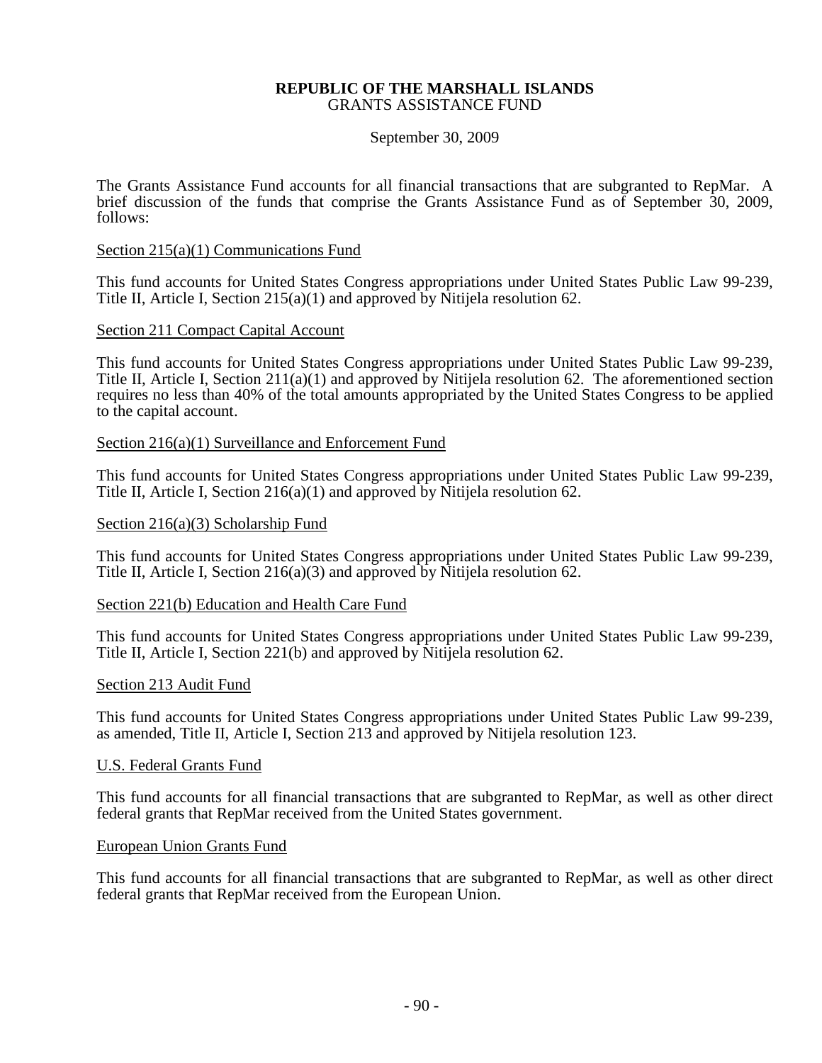## **REPUBLIC OF THE MARSHALL ISLANDS** GRANTS ASSISTANCE FUND

## September 30, 2009

The Grants Assistance Fund accounts for all financial transactions that are subgranted to RepMar. A brief discussion of the funds that comprise the Grants Assistance Fund as of September 30, 2009, follows:

## Section 215(a)(1) Communications Fund

This fund accounts for United States Congress appropriations under United States Public Law 99-239, Title II, Article I, Section 215(a)(1) and approved by Nitijela resolution 62.

## Section 211 Compact Capital Account

This fund accounts for United States Congress appropriations under United States Public Law 99-239, Title II, Article I, Section 211(a)(1) and approved by Nitijela resolution 62. The aforementioned section requires no less than 40% of the total amounts appropriated by the United States Congress to be applied to the capital account.

## Section 216(a)(1) Surveillance and Enforcement Fund

This fund accounts for United States Congress appropriations under United States Public Law 99-239, Title II, Article I, Section 216(a)(1) and approved by Nitijela resolution 62.

## Section 216(a)(3) Scholarship Fund

This fund accounts for United States Congress appropriations under United States Public Law 99-239, Title II, Article I, Section 216(a)(3) and approved by Nitijela resolution 62.

## Section 221(b) Education and Health Care Fund

This fund accounts for United States Congress appropriations under United States Public Law 99-239, Title II, Article I, Section 221(b) and approved by Nitijela resolution 62.

#### Section 213 Audit Fund

This fund accounts for United States Congress appropriations under United States Public Law 99-239, as amended, Title II, Article I, Section 213 and approved by Nitijela resolution 123.

#### U.S. Federal Grants Fund

This fund accounts for all financial transactions that are subgranted to RepMar, as well as other direct federal grants that RepMar received from the United States government.

#### European Union Grants Fund

This fund accounts for all financial transactions that are subgranted to RepMar, as well as other direct federal grants that RepMar received from the European Union.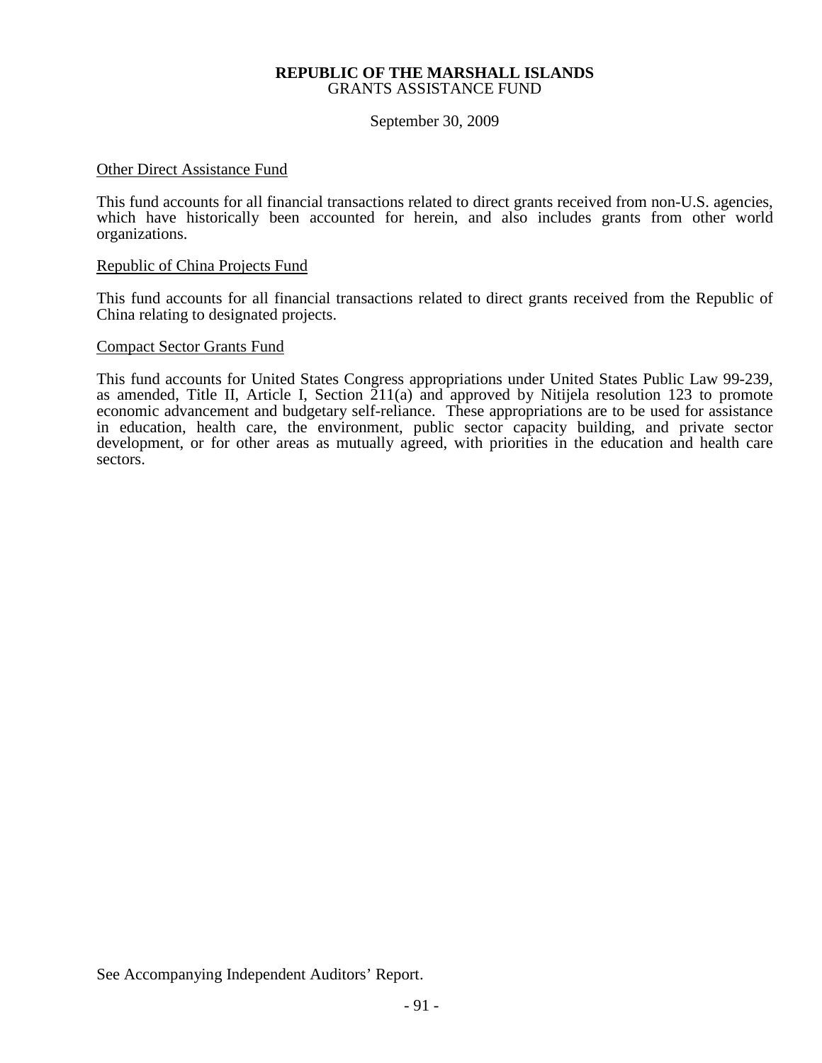## **REPUBLIC OF THE MARSHALL ISLANDS** GRANTS ASSISTANCE FUND

September 30, 2009

## Other Direct Assistance Fund

This fund accounts for all financial transactions related to direct grants received from non-U.S. agencies, which have historically been accounted for herein, and also includes grants from other world organizations.

## Republic of China Projects Fund

This fund accounts for all financial transactions related to direct grants received from the Republic of China relating to designated projects.

## Compact Sector Grants Fund

This fund accounts for United States Congress appropriations under United States Public Law 99-239, as amended, Title II, Article I, Section 211(a) and approved by Nitijela resolution 123 to promote economic advancement and budgetary self-reliance. These appropriations are to be used for assistance in education, health care, the environment, public sector capacity building, and private sector development, or for other areas as mutually agreed, with priorities in the education and health care sectors.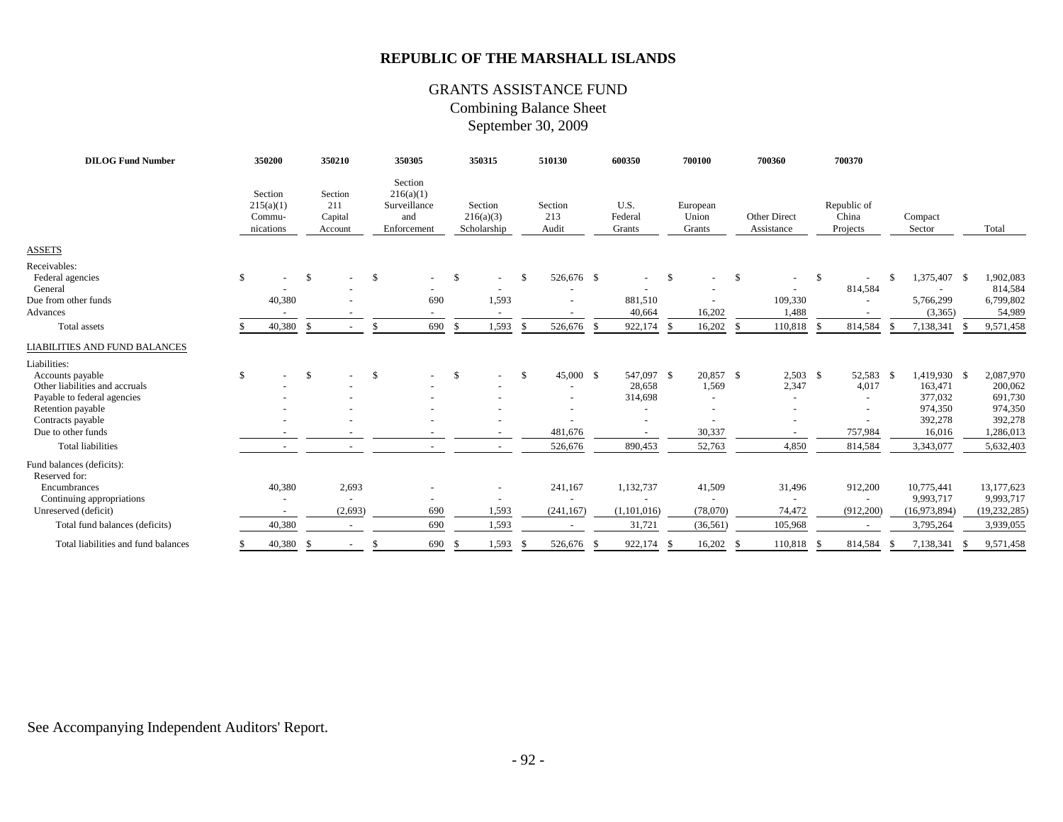# GRANTS ASSISTANCE FUND Combining Balance Sheet

September 30, 2009

| <b>DILOG Fund Number</b>                                                                                                                                                                                                       |              | 350200                                       |                      | 350210                               |                      | 350305                                                     |                    | 350315                              |                     | 510130                           |            | 600350                                               |                   | 700100                                         |                               | 700360                                 |                      | 700370                                |      |                                                                                 |      |                                                                                 |
|--------------------------------------------------------------------------------------------------------------------------------------------------------------------------------------------------------------------------------|--------------|----------------------------------------------|----------------------|--------------------------------------|----------------------|------------------------------------------------------------|--------------------|-------------------------------------|---------------------|----------------------------------|------------|------------------------------------------------------|-------------------|------------------------------------------------|-------------------------------|----------------------------------------|----------------------|---------------------------------------|------|---------------------------------------------------------------------------------|------|---------------------------------------------------------------------------------|
|                                                                                                                                                                                                                                |              | Section<br>215(a)(1)<br>Commu-<br>nications  |                      | Section<br>211<br>Capital<br>Account |                      | Section<br>216(a)(1)<br>Surveillance<br>and<br>Enforcement |                    | Section<br>216(a)(3)<br>Scholarship |                     | Section<br>213<br>Audit          |            | U.S.<br>Federal<br>Grants                            |                   | European<br>Union<br>Grants                    |                               | <b>Other Direct</b><br>Assistance      |                      | Republic of<br>China<br>Projects      |      | Compact<br>Sector                                                               |      | Total                                                                           |
| ASSETS                                                                                                                                                                                                                         |              |                                              |                      |                                      |                      |                                                            |                    |                                     |                     |                                  |            |                                                      |                   |                                                |                               |                                        |                      |                                       |      |                                                                                 |      |                                                                                 |
| Receivables:<br>Federal agencies<br>General<br>Due from other funds<br>Advances<br>Total assets                                                                                                                                | $\mathbb{S}$ | 40,380<br>$\overline{\phantom{a}}$<br>40,380 | $\mathbb{S}$<br>- \$ | $\sim$                               | $\mathcal{S}$<br>-\$ | $\overline{a}$<br>690<br>$\overline{\phantom{a}}$<br>690   | $\mathbb{S}$<br>\$ | 1,593<br>1,593                      | <sup>\$</sup><br>S. | 526,676 \$<br>526,676            | - \$       | 881,510<br>40,664<br>922,174                         | $\mathbf S$<br>-S | 16,202<br>16,202                               | $\mathbb{S}$<br><sup>\$</sup> | 109,330<br>1,488<br>110,818            | <sup>\$</sup><br>-\$ | 814,584<br>814,584                    |      | 1,375,407 \$<br>5,766,299<br>(3,365)<br>7,138,341                               |      | 1,902,083<br>814,584<br>6,799,802<br>54,989<br>9,571,458                        |
|                                                                                                                                                                                                                                |              |                                              |                      |                                      |                      |                                                            |                    |                                     |                     |                                  |            |                                                      |                   |                                                |                               |                                        |                      |                                       |      |                                                                                 |      |                                                                                 |
| LIABILITIES AND FUND BALANCES<br>Liabilities:<br>Accounts payable<br>Other liabilities and accruals<br>Payable to federal agencies<br>Retention payable<br>Contracts payable<br>Due to other funds<br><b>Total liabilities</b> | $\mathbb{S}$ |                                              | <sup>\$</sup>        |                                      | <sup>\$</sup>        | $\overline{\phantom{a}}$<br>$\sim$                         | \$                 | $\overline{\phantom{a}}$            | <sup>\$</sup>       | 45,000<br>481,676<br>526,676     | $^{\circ}$ | 547,097 \$<br>28,658<br>314,698<br>$\sim$<br>890,453 |                   | 20,857 \$<br>1,569<br>30,337<br>52,763         |                               | $2,503$ \$<br>2,347<br>$\sim$<br>4,850 |                      | 52,583<br>4,017<br>757,984<br>814,584 | - \$ | 1,419,930 \$<br>163,471<br>377,032<br>974,350<br>392,278<br>16,016<br>3,343,077 |      | 2,087,970<br>200,062<br>691,730<br>974,350<br>392,278<br>1,286,013<br>5,632,403 |
| Fund balances (deficits):<br>Reserved for:<br>Encumbrances<br>Continuing appropriations<br>Unreserved (deficit)<br>Total fund balances (deficits)<br>Total liabilities and fund balances                                       |              | 40,380<br>40,380<br>40,380                   | - \$                 | 2,693<br>(2,693)                     | S.                   | 690<br>690<br>690                                          | -S                 | 1,593<br>1,593<br>1,593             | \$                  | 241,167<br>(241, 167)<br>526,676 | - \$       | 1,132,737<br>(1,101,016)<br>31,721<br>922,174        | - \$              | 41,509<br>(78,070)<br>(36, 561)<br>$16,202$ \$ |                               | 31,496<br>74,472<br>105,968<br>110,818 | -S                   | 912,200<br>(912,200)<br>814,584       | -S   | 10.775.441<br>9,993,717<br>(16,973,894)<br>3,795,264<br>7,138,341               | - \$ | 13,177,623<br>9,993,717<br>(19, 232, 285)<br>3,939,055<br>9,571,458             |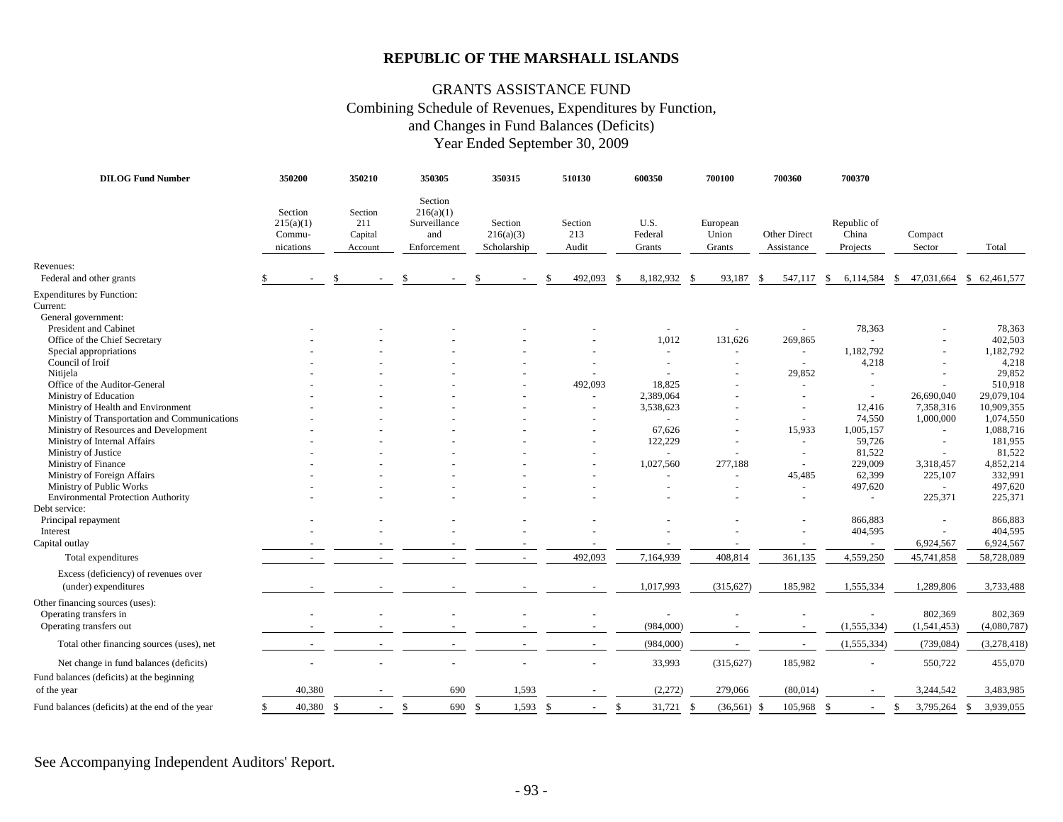# GRANTS ASSISTANCE FUND Combining Schedule of Revenues, Expenditures by Function, and Changes in Fund Balances (Deficits) Year Ended September 30, 2009

| <b>DILOG Fund Number</b>                                                             | 350200                                      | 350210                               | 350305                                                     | 350315                              | 510130                  | 600350                    | 700100                      | 700360                     | 700370                           |                          |                        |
|--------------------------------------------------------------------------------------|---------------------------------------------|--------------------------------------|------------------------------------------------------------|-------------------------------------|-------------------------|---------------------------|-----------------------------|----------------------------|----------------------------------|--------------------------|------------------------|
|                                                                                      | Section<br>215(a)(1)<br>Commu-<br>nications | Section<br>211<br>Capital<br>Account | Section<br>216(a)(1)<br>Surveillance<br>and<br>Enforcement | Section<br>216(a)(3)<br>Scholarship | Section<br>213<br>Audit | U.S.<br>Federal<br>Grants | European<br>Union<br>Grants | Other Direct<br>Assistance | Republic of<br>China<br>Projects | Compact<br>Sector        | Total                  |
| Revenues:                                                                            |                                             |                                      |                                                            |                                     |                         |                           |                             |                            |                                  |                          |                        |
| Federal and other grants                                                             |                                             |                                      |                                                            |                                     | 492,093                 | 8,182,932<br>-S           | 93,187<br>-\$               | 547,117<br>\$              | 6,114,584<br>- \$                | 47,031,664<br>\$         | 62,461,577<br>\$       |
| Expenditures by Function:<br>Current:<br>General government:                         |                                             |                                      |                                                            |                                     |                         |                           |                             |                            |                                  |                          |                        |
| President and Cabinet                                                                |                                             |                                      |                                                            |                                     |                         |                           |                             | $\sim$                     | 78,363                           |                          | 78,363                 |
| Office of the Chief Secretary                                                        |                                             |                                      |                                                            |                                     |                         | 1,012                     | 131,626                     | 269,865                    |                                  |                          | 402,503                |
| Special appropriations                                                               |                                             |                                      |                                                            |                                     |                         |                           | ÷                           | $\sim$                     | 1,182,792                        |                          | 1,182,792              |
| Council of Iroif                                                                     |                                             |                                      |                                                            |                                     |                         |                           |                             | $\omega$                   | 4,218                            |                          | 4,218                  |
| Nitijela                                                                             |                                             |                                      |                                                            |                                     |                         |                           |                             | 29,852                     | $\sim$                           |                          | 29.852                 |
| Office of the Auditor-General                                                        |                                             |                                      |                                                            |                                     | 492,093                 | 18,825                    |                             | $\blacksquare$             | $\sim$                           |                          | 510,918                |
| Ministry of Education                                                                |                                             |                                      |                                                            |                                     | $\blacksquare$          | 2,389,064                 |                             |                            | $\sim$                           | 26,690,040               | 29.079.104             |
| Ministry of Health and Environment                                                   |                                             |                                      |                                                            |                                     |                         | 3,538,623                 |                             | $\overline{a}$             | 12,416                           | 7,358,316                | 10,909,355             |
| Ministry of Transportation and Communications                                        |                                             |                                      |                                                            |                                     |                         |                           |                             | $\sim$                     | 74,550                           | 1,000,000                | 1,074,550              |
| Ministry of Resources and Development                                                |                                             |                                      |                                                            |                                     |                         | 67,626                    |                             | 15,933                     | 1,005,157                        |                          | 1,088,716              |
| Ministry of Internal Affairs                                                         |                                             |                                      |                                                            |                                     |                         | 122,229                   |                             | $\overline{a}$             | 59,726                           | $\overline{\phantom{a}}$ | 181,955                |
| Ministry of Justice                                                                  |                                             |                                      |                                                            |                                     |                         | $\sim$                    | $\blacksquare$              | $\overline{a}$             | 81,522                           | $\sim$                   | 81,522                 |
| Ministry of Finance                                                                  |                                             |                                      |                                                            |                                     |                         | 1,027,560                 | 277,188                     | $\sim$                     | 229,009                          | 3,318,457                | 4,852,214              |
| Ministry of Foreign Affairs                                                          |                                             |                                      |                                                            |                                     |                         |                           | $\blacksquare$              | 45,485                     | 62,399                           | 225,107                  | 332,991                |
| Ministry of Public Works                                                             |                                             |                                      |                                                            |                                     |                         |                           | $\blacksquare$              | $\blacksquare$             | 497,620                          | $\omega$                 | 497,620                |
| <b>Environmental Protection Authority</b>                                            |                                             |                                      |                                                            |                                     |                         |                           |                             |                            | $\sim$                           | 225,371                  | 225,371                |
| Debt service:                                                                        |                                             |                                      |                                                            |                                     |                         |                           |                             |                            |                                  |                          |                        |
| Principal repayment                                                                  |                                             |                                      |                                                            |                                     |                         |                           |                             |                            | 866,883                          |                          | 866,883                |
| Interest                                                                             |                                             |                                      |                                                            |                                     |                         |                           |                             |                            | 404,595                          | $\sim$                   | 404,595                |
| Capital outlay                                                                       |                                             |                                      |                                                            |                                     |                         |                           |                             |                            | $\sim$                           | 6,924,567                | 6,924,567              |
| Total expenditures                                                                   |                                             |                                      |                                                            |                                     | 492,093                 | 7,164,939                 | 408,814                     | 361,135                    | 4,559,250                        | 45,741,858               | 58,728,089             |
| Excess (deficiency) of revenues over                                                 |                                             |                                      |                                                            |                                     |                         |                           |                             |                            |                                  |                          |                        |
| (under) expenditures                                                                 |                                             |                                      |                                                            |                                     |                         | 1,017,993                 | (315, 627)                  | 185,982                    | 1,555,334                        | 1,289,806                | 3,733,488              |
| Other financing sources (uses):<br>Operating transfers in<br>Operating transfers out |                                             |                                      |                                                            |                                     |                         | (984,000)                 |                             | $\omega$                   | (1, 555, 334)                    | 802,369<br>(1,541,453)   | 802,369<br>(4,080,787) |
| Total other financing sources (uses), net                                            |                                             |                                      |                                                            |                                     |                         | (984,000)                 |                             | $\sim$                     | (1, 555, 334)                    | (739, 084)               | (3,278,418)            |
| Net change in fund balances (deficits)                                               |                                             |                                      |                                                            |                                     |                         | 33,993                    | (315, 627)                  | 185,982                    |                                  | 550,722                  | 455,070                |
| Fund balances (deficits) at the beginning<br>of the year                             | 40,380                                      |                                      | 690                                                        | 1,593                               |                         | (2,272)                   | 279,066                     | (80, 014)                  |                                  | 3,244,542                | 3,483,985              |
|                                                                                      |                                             |                                      |                                                            |                                     |                         |                           |                             |                            |                                  |                          |                        |
| Fund balances (deficits) at the end of the year                                      | \$<br>40,380                                | <sup>\$</sup><br>$\blacksquare$      | 690<br>\$                                                  | 1,593<br>$\mathbb{S}$               | -S<br>$\sim$            | 31,721<br>$\mathbb{S}$    | (36,561)<br>-S              | 105,968<br>\$              | - \$<br>$\sim$                   | 3,795,264<br>\$          | 3,939,055<br>- \$      |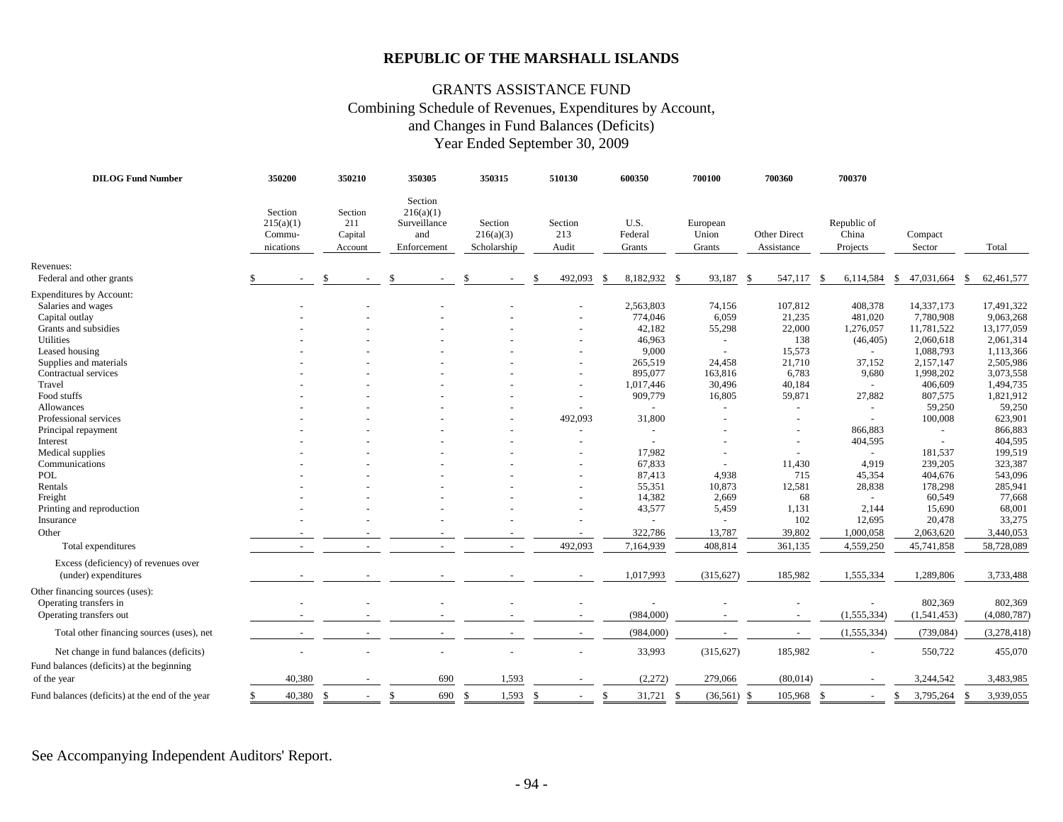# GRANTS ASSISTANCE FUND Combining Schedule of Revenues, Expenditures by Account, and Changes in Fund Balances (Deficits) Year Ended September 30, 2009

| <b>DILOG Fund Number</b>                                                                        | 350200                                      | 350210                               | 350305                                                     | 350315                              | 510130                              | 600350                          | 700100                           | 700360                      | 700370                           |                                       |                                       |
|-------------------------------------------------------------------------------------------------|---------------------------------------------|--------------------------------------|------------------------------------------------------------|-------------------------------------|-------------------------------------|---------------------------------|----------------------------------|-----------------------------|----------------------------------|---------------------------------------|---------------------------------------|
|                                                                                                 | Section<br>215(a)(1)<br>Commu-<br>nications | Section<br>211<br>Capital<br>Account | Section<br>216(a)(1)<br>Surveillance<br>and<br>Enforcement | Section<br>216(a)(3)<br>Scholarship | Section<br>213<br>Audit             | U.S.<br>Federal<br>Grants       | European<br>Union<br>Grants      | Other Direct<br>Assistance  | Republic of<br>China<br>Projects | Compact<br>Sector                     | Total                                 |
| Revenues:                                                                                       |                                             |                                      |                                                            |                                     |                                     |                                 |                                  |                             |                                  |                                       |                                       |
| Federal and other grants                                                                        |                                             |                                      |                                                            |                                     | 492,093                             | 8,182,932<br>- \$               | 93,187<br>- \$                   | 547,117<br>- \$             | - \$<br>6,114,584                | 47,031,664<br><sup>S</sup>            | 62,461,577<br><sup>S</sup>            |
| <b>Expenditures by Account:</b><br>Salaries and wages<br>Capital outlay<br>Grants and subsidies |                                             |                                      |                                                            |                                     |                                     | 2,563,803<br>774,046<br>42,182  | 74,156<br>6,059<br>55,298        | 107,812<br>21,235<br>22,000 | 408,378<br>481,020<br>1,276,057  | 14,337,173<br>7,780,908<br>11,781,522 | 17,491,322<br>9,063,268<br>13,177,059 |
| <b>Utilities</b><br>Leased housing                                                              |                                             |                                      |                                                            |                                     |                                     | 46,963<br>9,000                 |                                  | 138<br>15,573               | (46, 405)<br>$\sim$              | 2,060,618<br>1,088,793                | 2,061,314<br>1,113,366                |
| Supplies and materials<br>Contractual services<br>Travel                                        |                                             |                                      |                                                            |                                     |                                     | 265,519<br>895,077<br>1,017,446 | 24.458<br>163,816<br>30,496      | 21,710<br>6,783<br>40,184   | 37,152<br>9,680<br>$\sim$        | 2,157,147<br>1,998,202<br>406,609     | 2,505,986<br>3,073,558<br>1,494,735   |
| Food stuffs<br>Allowances<br>Professional services                                              |                                             |                                      |                                                            |                                     | $\overline{\phantom{a}}$<br>492,093 | 909,779<br>31,800               | 16,805                           | 59,871<br>$\blacksquare$    | 27,882<br>$\sim$<br>$\sim$       | 807,575<br>59,250<br>100,008          | 1,821,912<br>59,250<br>623,901        |
| Principal repayment<br>Interest                                                                 |                                             |                                      |                                                            |                                     | $\sim$                              |                                 |                                  | $\overline{\phantom{a}}$    | 866,883<br>404,595               | $\sim$<br>$\sim$                      | 866,883<br>404,595                    |
| Medical supplies<br>Communications                                                              |                                             |                                      |                                                            |                                     |                                     | 17,982<br>67,833                |                                  | 11,430                      | $\sim$<br>4,919                  | 181,537<br>239,205                    | 199,519<br>323,387                    |
| POL<br>Rentals                                                                                  |                                             |                                      |                                                            |                                     |                                     | 87,413<br>55,351                | 4,938<br>10,873                  | 715<br>12,581               | 45,354<br>28,838                 | 404,676<br>178,298                    | 543,096<br>285,941                    |
| Freight<br>Printing and reproduction<br>Insurance                                               |                                             |                                      |                                                            |                                     |                                     | 14,382<br>43,577                | 2,669<br>5,459<br>$\overline{a}$ | 68<br>1,131<br>102          | $\sim$<br>2,144<br>12,695        | 60,549<br>15,690<br>20,478            | 77,668<br>68,001<br>33,275            |
| Other<br>Total expenditures                                                                     |                                             |                                      |                                                            |                                     | 492,093                             | 322,786<br>7,164,939            | 13,787<br>408,814                | 39,802<br>361,135           | 1,000,058<br>4,559,250           | 2,063,620<br>45,741,858               | 3,440,053<br>58,728,089               |
| Excess (deficiency) of revenues over<br>(under) expenditures                                    |                                             |                                      |                                                            |                                     |                                     | 1,017,993                       | (315, 627)                       | 185,982                     | 1,555,334                        | 1,289,806                             | 3,733,488                             |
| Other financing sources (uses):<br>Operating transfers in<br>Operating transfers out            |                                             |                                      |                                                            |                                     | $\sim$                              | (984,000)                       |                                  | $\omega$                    | (1, 555, 334)                    | 802,369<br>(1,541,453)                | 802,369<br>(4,080,787)                |
| Total other financing sources (uses), net                                                       |                                             |                                      |                                                            |                                     |                                     | (984,000)                       |                                  | $\sim$                      | (1, 555, 334)                    | (739, 084)                            | (3,278,418)                           |
| Net change in fund balances (deficits)<br>Fund balances (deficits) at the beginning             |                                             |                                      |                                                            |                                     |                                     | 33,993                          | (315,627)                        | 185,982                     |                                  | 550,722                               | 455,070                               |
| of the year                                                                                     | 40,380                                      |                                      | 690                                                        | 1,593                               |                                     | (2,272)                         | 279,066                          | (80, 014)                   |                                  | 3,244,542                             | 3,483,985                             |
| Fund balances (deficits) at the end of the year                                                 | 40,380<br>£.                                | -\$                                  | 690<br>\$                                                  | $1,593$ \$<br>\$                    | $\sim$                              | \$<br>31,721                    | - \$<br>$(36,561)$ \$            | 105,968                     | - \$                             | 3,795,264<br>\$.                      | 3,939,055<br>- \$                     |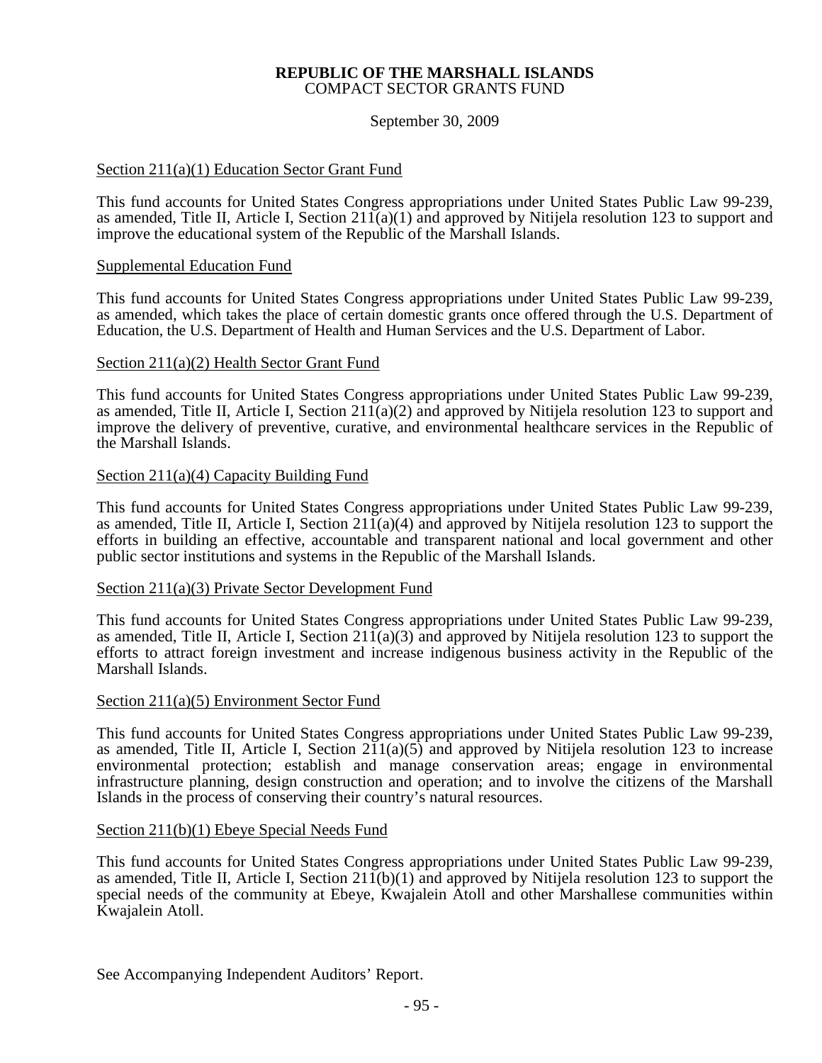## **REPUBLIC OF THE MARSHALL ISLANDS** COMPACT SECTOR GRANTS FUND

## September 30, 2009

## Section 211(a)(1) Education Sector Grant Fund

This fund accounts for United States Congress appropriations under United States Public Law 99-239, as amended, Title II, Article I, Section 211(a)(1) and approved by Nitijela resolution 123 to support and improve the educational system of the Republic of the Marshall Islands.

## Supplemental Education Fund

This fund accounts for United States Congress appropriations under United States Public Law 99-239, as amended, which takes the place of certain domestic grants once offered through the U.S. Department of Education, the U.S. Department of Health and Human Services and the U.S. Department of Labor.

## Section 211(a)(2) Health Sector Grant Fund

This fund accounts for United States Congress appropriations under United States Public Law 99-239, as amended, Title II, Article I, Section 211(a)(2) and approved by Nitijela resolution 123 to support and improve the delivery of preventive, curative, and environmental healthcare services in the Republic of the Marshall Islands.

## Section 211(a)(4) Capacity Building Fund

This fund accounts for United States Congress appropriations under United States Public Law 99-239, as amended, Title II, Article I, Section  $21\bar{1}(a)(4)$  and approved by Nitijela resolution 123 to support the efforts in building an effective, accountable and transparent national and local government and other public sector institutions and systems in the Republic of the Marshall Islands.

#### Section 211(a)(3) Private Sector Development Fund

This fund accounts for United States Congress appropriations under United States Public Law 99-239, as amended, Title II, Article I, Section  $211(a)(3)$  and approved by Nitijela resolution 123 to support the efforts to attract foreign investment and increase indigenous business activity in the Republic of the Marshall Islands.

#### Section 211(a)(5) Environment Sector Fund

This fund accounts for United States Congress appropriations under United States Public Law 99-239, as amended, Title II, Article I, Section  $211(a)(5)$  and approved by Nitijela resolution 123 to increase environmental protection; establish and manage conservation areas; engage in environmental infrastructure planning, design construction and operation; and to involve the citizens of the Marshall Islands in the process of conserving their country's natural resources.

#### Section 211(b)(1) Ebeye Special Needs Fund

This fund accounts for United States Congress appropriations under United States Public Law 99-239, as amended, Title II, Article I, Section  $211(b)(1)$  and approved by Nitijela resolution 123 to support the special needs of the community at Ebeye, Kwajalein Atoll and other Marshallese communities within Kwajalein Atoll.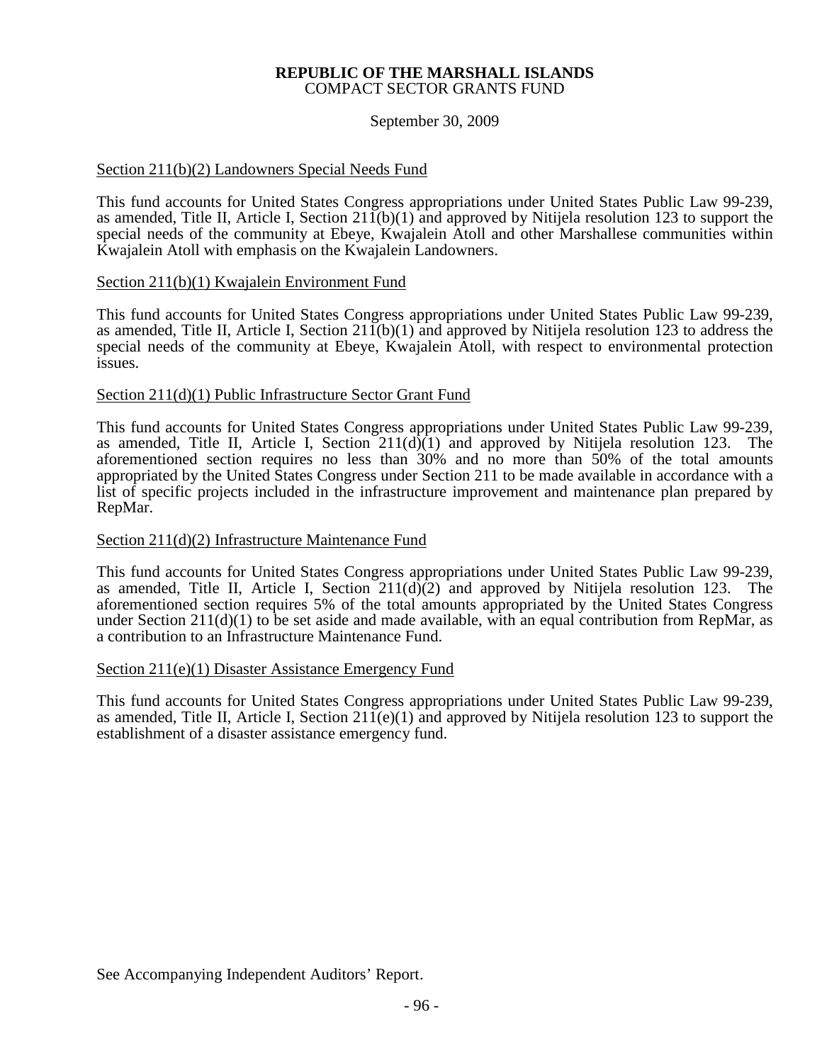## **REPUBLIC OF THE MARSHALL ISLANDS** COMPACT SECTOR GRANTS FUND

## September 30, 2009

## Section 211(b)(2) Landowners Special Needs Fund

This fund accounts for United States Congress appropriations under United States Public Law 99-239, as amended, Title II, Article I, Section 211(b)(1) and approved by Nitijela resolution 123 to support the special needs of the community at Ebeye, Kwajalein Atoll and other Marshallese communities within Kwajalein Atoll with emphasis on the Kwajalein Landowners.

## Section 211(b)(1) Kwajalein Environment Fund

This fund accounts for United States Congress appropriations under United States Public Law 99-239, as amended, Title II, Article I, Section 211(b)(1) and approved by Nitijela resolution 123 to address the special needs of the community at Ebeye, Kwajalein Atoll, with respect to environmental protection issues.

## Section 211(d)(1) Public Infrastructure Sector Grant Fund

This fund accounts for United States Congress appropriations under United States Public Law 99-239, as amended, Title II, Article I, Section  $211(d)(1)$  and approved by Nitijela resolution 123. The aforementioned section requires no less than 30% and no more than 50% of the total amounts appropriated by the United States Congress under Section 211 to be made available in accordance with a list of specific projects included in the infrastructure improvement and maintenance plan prepared by RepMar.

## Section 211(d)(2) Infrastructure Maintenance Fund

This fund accounts for United States Congress appropriations under United States Public Law 99-239, as amended, Title II, Article I, Section 211(d)(2) and approved by Nitijela resolution 123. The aforementioned section requires 5% of the total amounts appropriated by the United States Congress under Section  $211(d)(1)$  to be set aside and made available, with an equal contribution from RepMar, as a contribution to an Infrastructure Maintenance Fund.

#### Section 211(e)(1) Disaster Assistance Emergency Fund

This fund accounts for United States Congress appropriations under United States Public Law 99-239, as amended, Title II, Article I, Section  $211(e)(1)$  and approved by Nitijela resolution 123 to support the establishment of a disaster assistance emergency fund.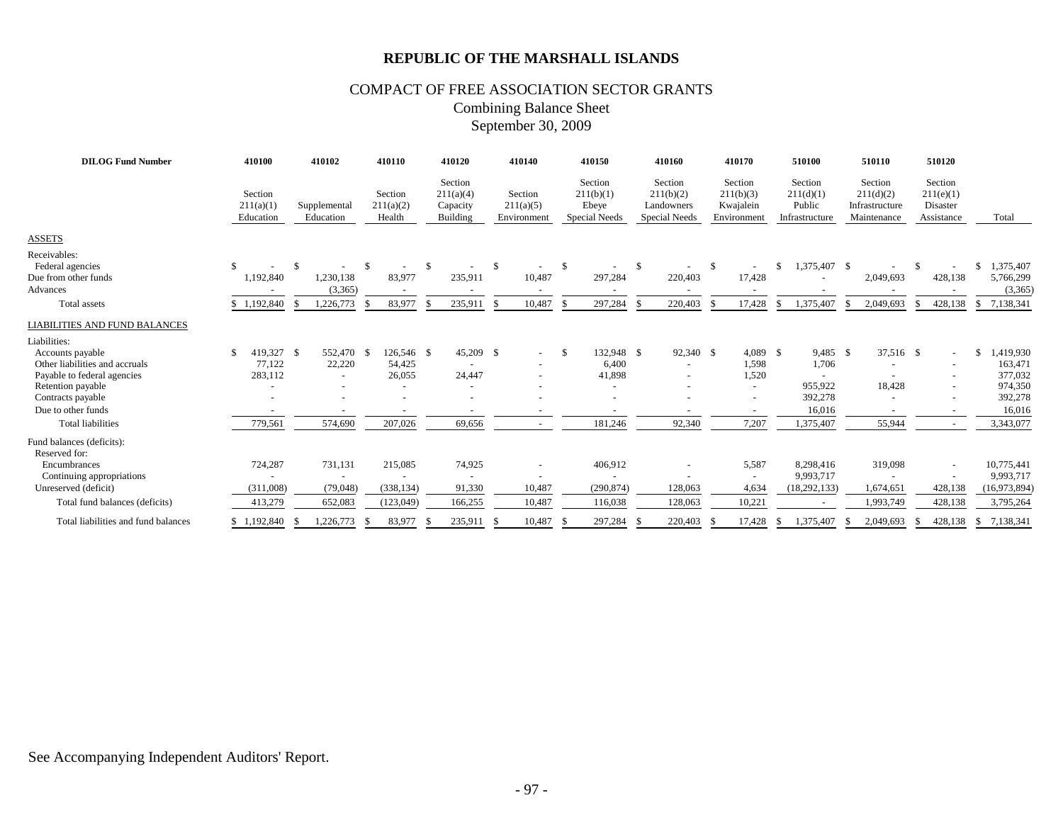# COMPACT OF FREE ASSOCIATION SECTOR GRANTS

Combining Balance Sheet

September 30, 2009

| <b>DILOG Fund Number</b>                                             | 410100                             | 410102                              | 410110                                               | 410120                                               | 410140                              | 410150                                         | 410160                                              | 410170                                           | 510100                                           | 510110                                                | 510120                                         |                                          |
|----------------------------------------------------------------------|------------------------------------|-------------------------------------|------------------------------------------------------|------------------------------------------------------|-------------------------------------|------------------------------------------------|-----------------------------------------------------|--------------------------------------------------|--------------------------------------------------|-------------------------------------------------------|------------------------------------------------|------------------------------------------|
|                                                                      | Section<br>211(a)(1)<br>Education  | Supplemental<br>Education           | Section<br>211(a)(2)<br>Health                       | Section<br>211(a)(4)<br>Capacity<br>Building         | Section<br>211(a)(5)<br>Environment | Section<br>211(b)(1)<br>Ebeye<br>Special Needs | Section<br>211(b)(2)<br>Landowners<br>Special Needs | Section<br>211(b)(3)<br>Kwajalein<br>Environment | Section<br>211(d)(1)<br>Public<br>Infrastructure | Section<br>211(d)(2)<br>Infrastructure<br>Maintenance | Section<br>211(e)(1)<br>Disaster<br>Assistance | Total                                    |
| <b>ASSETS</b>                                                        |                                    |                                     |                                                      |                                                      |                                     |                                                |                                                     |                                                  |                                                  |                                                       |                                                |                                          |
| Receivables:<br>Federal agencies<br>Due from other funds<br>Advances | \$<br>1,192,840                    | -S<br>1,230,138<br>(3,365)          | <sup>\$</sup><br>83,977<br>$\overline{\phantom{a}}$  | -S<br>235,911                                        | $\mathcal{S}$<br>10,487             | $\mathbb{S}$<br>297,284                        | $\mathbb{S}$<br>$\overline{\phantom{a}}$<br>220,403 | \$<br>17,428                                     | 1,375,407 \$<br>-S                               | 2,049,693                                             | -S<br>428,138                                  | 1,375,407<br>\$.<br>5,766,299<br>(3,365) |
| Total assets                                                         | \$1,192,840                        | 1,226,773<br>-8                     | 83,977<br>-8                                         | 235,911<br>-S                                        | 10,487<br>-S                        | 297,284<br>S.                                  | 220,403<br>- \$                                     | 17,428<br><sup>\$</sup>                          | 1,375,407<br>-S                                  | 2,049,693<br><sup>\$</sup>                            | 428,138<br>-S                                  | 7,138,341<br><sup>S</sup>                |
| <b>LIABILITIES AND FUND BALANCES</b>                                 |                                    |                                     |                                                      |                                                      |                                     |                                                |                                                     |                                                  |                                                  |                                                       |                                                |                                          |
| Liabilities:                                                         |                                    |                                     |                                                      |                                                      |                                     |                                                |                                                     |                                                  |                                                  |                                                       |                                                |                                          |
| Accounts payable<br>Other liabilities and accruals                   | \$<br>419,327<br>77,122            | 552,470<br>-\$<br>22,220            | 126,546 \$<br>- \$<br>54,425                         | 45,209 \$<br>$\overline{\phantom{a}}$                | $\sim$                              | 132,948 \$<br>\$<br>6,400                      | 92,340 \$                                           | 4.089 \$<br>1,598                                | 9.485 \$<br>1,706                                | 37,516 \$                                             |                                                | 1,419,930<br>\$.<br>163,471              |
| Payable to federal agencies                                          | 283,112                            | $\sim$                              | 26,055                                               | 24,447                                               |                                     | 41,898                                         |                                                     | 1,520                                            | $\sim$<br>955,922                                | 18,428                                                |                                                | 377,032<br>974,350                       |
| Retention payable<br>Contracts payable<br>Due to other funds         | $\overline{\phantom{a}}$<br>$\sim$ | $\overline{\phantom{a}}$            | $\overline{\phantom{a}}$<br>$\overline{\phantom{a}}$ | $\overline{\phantom{a}}$<br>$\overline{\phantom{a}}$ | $\overline{\phantom{a}}$            |                                                | $\overline{\phantom{a}}$                            | $\sim$<br>$\sim$                                 | 392,278<br>16,016                                | $\sim$                                                |                                                | 392,278<br>16,016                        |
| <b>Total liabilities</b>                                             | 779,561                            | 574,690                             | 207,026                                              | 69,656                                               | $\overline{\phantom{a}}$            | 181,246                                        | 92,340                                              | 7,207                                            | 1,375,407                                        | 55,944                                                |                                                | 3,343,077                                |
| Fund balances (deficits):<br>Reserved for:                           |                                    |                                     |                                                      |                                                      |                                     |                                                |                                                     |                                                  |                                                  |                                                       |                                                |                                          |
| Encumbrances<br>Continuing appropriations                            | 724,287                            | 731,131<br>$\overline{\phantom{a}}$ | 215,085<br>$\overline{\phantom{a}}$                  | 74,925<br>$\overline{\phantom{a}}$                   |                                     | 406,912                                        |                                                     | 5,587<br>$\sim$                                  | 8.298.416<br>9,993,717                           | 319,098                                               | $\sim$<br>$\overline{\phantom{a}}$             | 10,775,441<br>9,993,717                  |
| Unreserved (deficit)                                                 | (311,008)                          | (79,048)                            | (338, 134)                                           | 91,330                                               | 10,487                              | (290, 874)                                     | 128,063                                             | 4,634                                            | (18, 292, 133)                                   | 1,674,651                                             | 428,138                                        | (16,973,894)                             |
| Total fund balances (deficits)                                       | 413,279                            | 652,083                             | (123,049)                                            | 166,255                                              | 10,487                              | 116,038                                        | 128,063                                             | 10,221                                           |                                                  | 1,993,749                                             | 428,138                                        | 3,795,264                                |
| Total liabilities and fund balances                                  | \$1,192,840                        | 1,226,773<br>-S                     | 83,977<br>-8                                         | 235,911<br>-8                                        | 10,487<br>- \$                      | 297,284<br>-S                                  | 220,403<br>- \$                                     | 17,428<br>-S                                     | 1,375,407<br>-S                                  | 2,049,693<br><sup>\$</sup>                            | 428,138                                        | 7,138,341<br>S.                          |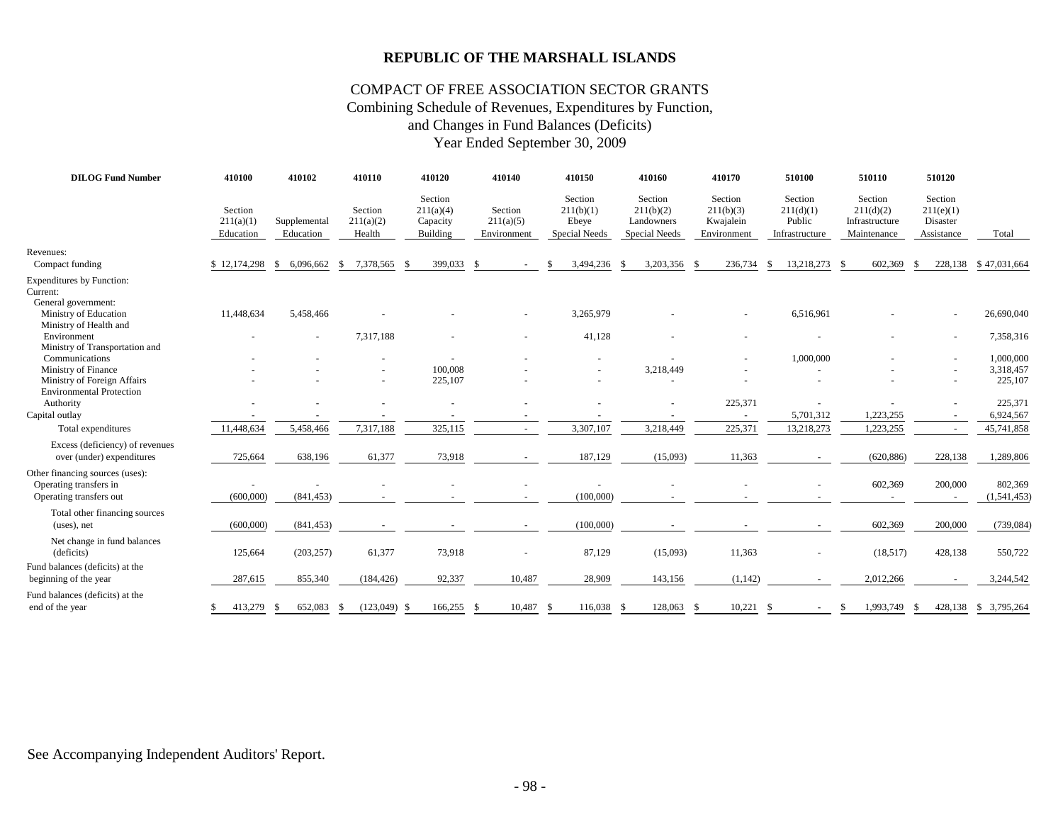# COMPACT OF FREE ASSOCIATION SECTOR GRANTS Combining Schedule of Revenues, Expenditures by Function, Year Ended September 30, 2009 and Changes in Fund Balances (Deficits)

| <b>DILOG Fund Number</b>                                                                               | 410100                            | 410102                    | 410110                         | 410120                                       | 410140                              | 410150                                         | 410160                                              | 410170                                           | 510100                                           | 510110                                                | 510120                                         |                                   |
|--------------------------------------------------------------------------------------------------------|-----------------------------------|---------------------------|--------------------------------|----------------------------------------------|-------------------------------------|------------------------------------------------|-----------------------------------------------------|--------------------------------------------------|--------------------------------------------------|-------------------------------------------------------|------------------------------------------------|-----------------------------------|
|                                                                                                        | Section<br>211(a)(1)<br>Education | Supplemental<br>Education | Section<br>211(a)(2)<br>Health | Section<br>211(a)(4)<br>Capacity<br>Building | Section<br>211(a)(5)<br>Environment | Section<br>211(b)(1)<br>Ebeye<br>Special Needs | Section<br>211(b)(2)<br>Landowners<br>Special Needs | Section<br>211(b)(3)<br>Kwajalein<br>Environment | Section<br>211(d)(1)<br>Public<br>Infrastructure | Section<br>211(d)(2)<br>Infrastructure<br>Maintenance | Section<br>211(e)(1)<br>Disaster<br>Assistance | Total                             |
| Revenues:<br>Compact funding                                                                           | \$12,174,298                      | 6,096,662<br>S.           | 7,378,565<br>- S               | 399,033<br>- \$                              | - \$                                | 3,494,236                                      | 3,203,356 \$<br>- \$                                | 236,734                                          | 13,218,273<br>-S                                 | 602,369<br>- \$                                       | 228,138<br>-\$                                 | \$47,031,664                      |
| <b>Expenditures by Function:</b><br>Current:<br>General government:                                    |                                   |                           |                                |                                              |                                     |                                                |                                                     |                                                  |                                                  |                                                       |                                                |                                   |
| Ministry of Education<br>Ministry of Health and<br>Environment                                         | 11,448,634                        | 5,458,466                 | 7,317,188                      |                                              |                                     | 3,265,979<br>41,128                            |                                                     |                                                  | 6,516,961                                        |                                                       |                                                | 26,690,040<br>7,358,316           |
| Ministry of Transportation and<br>Communications<br>Ministry of Finance<br>Ministry of Foreign Affairs |                                   |                           |                                | 100,008<br>225,107                           |                                     |                                                | 3,218,449                                           |                                                  | 1,000,000                                        |                                                       |                                                | 1,000,000<br>3,318,457<br>225,107 |
| <b>Environmental Protection</b><br>Authority<br>Capital outlay                                         |                                   |                           |                                |                                              |                                     |                                                |                                                     | 225,371<br>$\overline{\phantom{a}}$              | 5,701,312                                        | 1,223,255                                             |                                                | 225,371<br>6,924,567              |
| Total expenditures                                                                                     | 11,448,634                        | 5,458,466                 | 7,317,188                      | 325,115                                      |                                     | 3,307,107                                      | 3,218,449                                           | 225,371                                          | 13,218,273                                       | 1,223,255                                             | $\sim$                                         | 45,741,858                        |
| Excess (deficiency) of revenues<br>over (under) expenditures                                           | 725,664                           | 638,196                   | 61,377                         | 73,918                                       | $\sim$                              | 187,129                                        | (15,093)                                            | 11,363                                           |                                                  | (620, 886)                                            | 228,138                                        | 1,289,806                         |
| Other financing sources (uses):<br>Operating transfers in<br>Operating transfers out                   | (600,000)                         | (841, 453)                |                                |                                              |                                     | (100,000)                                      |                                                     |                                                  |                                                  | 602,369                                               | 200,000<br>$\overline{\phantom{a}}$            | 802,369<br>(1, 541, 453)          |
| Total other financing sources<br>(uses), net                                                           | (600,000)                         | (841, 453)                |                                |                                              |                                     | (100,000)                                      |                                                     |                                                  |                                                  | 602,369                                               | 200,000                                        | (739, 084)                        |
| Net change in fund balances<br>(deficits)                                                              | 125,664                           | (203, 257)                | 61,377                         | 73,918                                       |                                     | 87,129                                         | (15,093)                                            | 11,363                                           |                                                  | (18, 517)                                             | 428,138                                        | 550,722                           |
| Fund balances (deficits) at the<br>beginning of the year                                               | 287,615                           | 855,340                   | (184, 426)                     | 92,337                                       | 10,487                              | 28,909                                         | 143,156                                             | (1,142)                                          |                                                  | 2,012,266                                             |                                                | 3,244,542                         |
| Fund balances (deficits) at the<br>end of the year                                                     | 413,279<br>\$                     | 652,083<br>-S             | (123,049)<br>-S                | 166,255 \$<br>- S                            | 10,487                              | 116,038<br>- \$                                | 128,063 \$<br>- \$                                  | 10,221                                           | -S                                               | 1,993,749<br>\$.                                      | - S                                            | 428,138 \$ 3,795,264              |